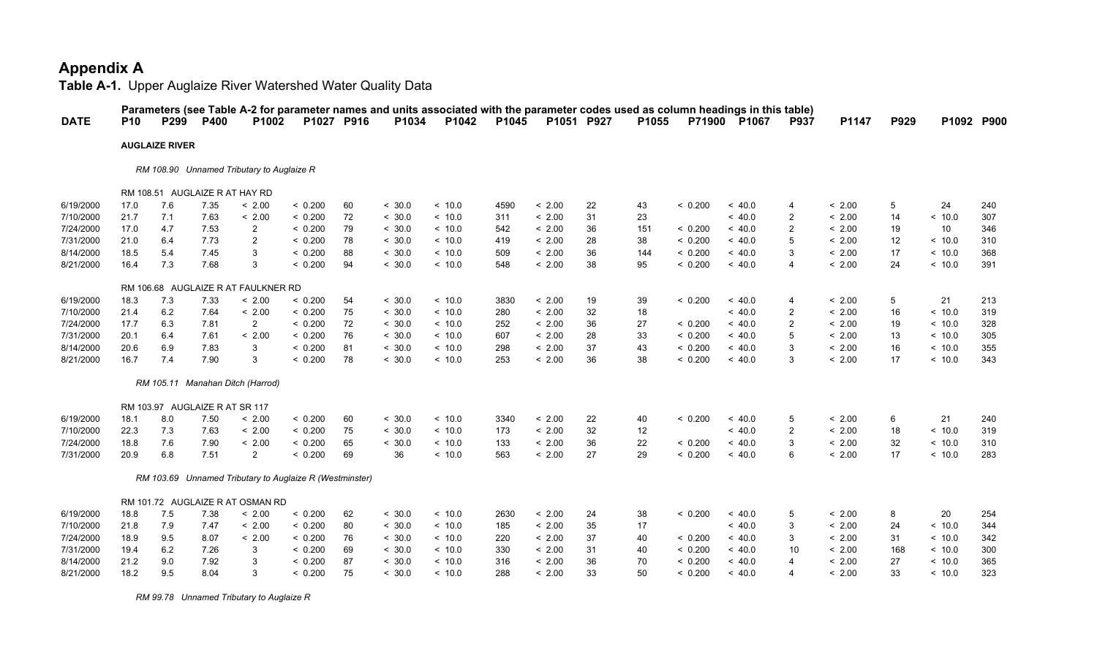**Table A-1.** Upper Auglaize River Watershed Water Quality Data

| <b>DATE</b> | <b>P10</b> | P299                           | <b>P400</b> | Parameters (see Table A-2 for parameter names and units associated with the parameter codes used as column headings in this table)<br>P1002 | P1027 P916 |          | P1034  | P1042   | P1045 | P1051 P927 |          | P1055    |         | P71900 P1067 | <b>P937</b>    | P1147  | P929    | P1092 P900 |     |
|-------------|------------|--------------------------------|-------------|---------------------------------------------------------------------------------------------------------------------------------------------|------------|----------|--------|---------|-------|------------|----------|----------|---------|--------------|----------------|--------|---------|------------|-----|
|             |            | <b>AUGLAIZE RIVER</b>          |             |                                                                                                                                             |            |          |        |         |       |            |          |          |         |              |                |        |         |            |     |
|             |            |                                |             |                                                                                                                                             |            |          |        |         |       |            |          |          |         |              |                |        |         |            |     |
|             |            |                                |             | RM 108.90 Unnamed Tributary to Auglaize R                                                                                                   |            |          |        |         |       |            |          |          |         |              |                |        |         |            |     |
|             |            | RM 108.51 AUGLAIZE R AT HAY RD |             |                                                                                                                                             |            |          |        |         |       |            |          |          |         |              |                |        |         |            |     |
| 6/19/2000   | 17.0       | 7.6                            | 7.35        | < 2.00                                                                                                                                      | < 0.200    | 60       | < 30.0 | < 10.0  | 4590  | < 2.00     | 22       | 43       | < 0.200 | ~<~40.0      | 4              | < 2.00 | 5       | 24         | 240 |
| 7/10/2000   | 21.7       | 7.1                            | 7.63        | < 2.00                                                                                                                                      | < 0.200    | 72       | < 30.0 | < 10.0  | 311   | < 2.00     | 31       | 23       |         | ~< 40.0      | $\overline{2}$ | < 2.00 | 14      | < 10.0     | 307 |
| 7/24/2000   | 17.0       | 4.7                            | 7.53        | $\overline{2}$                                                                                                                              | < 0.200    | 79       | < 30.0 | ~<~10.0 | 542   | < 2.00     | 36       | 151      | < 0.200 | ~<~40.0      | 2              | < 2.00 | 19      | 10         | 346 |
| 7/31/2000   | 21.0       | 6.4                            | 7.73        | $\overline{c}$                                                                                                                              | < 0.200    | 78       | < 30.0 | < 10.0  | 419   | < 2.00     | 28       | 38       | < 0.200 | ~<~40.0      | 5              | < 2.00 | 12      | < 10.0     | 310 |
| 8/14/2000   | 18.5       | 5.4                            | 7.45        | 3                                                                                                                                           | < 0.200    | 88       | < 30.0 | ~<~10.0 | 509   | < 2.00     | 36       | 144      | < 0.200 | ~< 40.0      | 3              | < 2.00 | 17      | < 10.0     | 368 |
| 8/21/2000   | 16.4       | 7.3                            | 7.68        | 3                                                                                                                                           | < 0.200    | 94       | < 30.0 | < 10.0  | 548   | < 2.00     | 38       | 95       | < 0.200 | ~<~40.0      | 4              | < 2.00 | 24      | < 10.0     | 391 |
|             |            |                                |             |                                                                                                                                             |            |          |        |         |       |            |          |          |         |              |                |        |         |            |     |
| 6/19/2000   | 18.3       | 7.3                            | 7.33        | RM 106.68 AUGLAIZE R AT FAULKNER RD<br>< 2.00                                                                                               | < 0.200    |          | < 30.0 | < 10.0  | 3830  | < 2.00     |          |          | < 0.200 | ~< 40.0      | 4              | < 2.00 |         | 21         | 213 |
| 7/10/2000   | 21.4       | 6.2                            | 7.64        | < 2.00                                                                                                                                      | < 0.200    | 54<br>75 | < 30.0 | < 10.0  | 280   | < 2.00     | 19<br>32 | 39<br>18 |         | ~<~40.0      | $\overline{2}$ | < 2.00 | 5<br>16 | ~10.0      | 319 |
| 7/24/2000   | 17.7       | 6.3                            | 7.81        | $\overline{2}$                                                                                                                              | < 0.200    | 72       | < 30.0 | ~10.0   | 252   | < 2.00     | 36       | 27       | < 0.200 | ~<~40.0      | $\overline{2}$ | < 2.00 | 19      | < 10.0     | 328 |
| 7/31/2000   | 20.1       | 6.4                            | 7.61        | < 2.00                                                                                                                                      | < 0.200    | 76       | < 30.0 | ~<~10.0 | 607   | < 2.00     | 28       | 33       | < 0.200 | ~< 40.0      | 5              | < 2.00 | 13      | < 10.0     | 305 |
| 8/14/2000   | 20.6       | 6.9                            | 7.83        | 3                                                                                                                                           | < 0.200    | 81       | < 30.0 | < 10.0  | 298   | < 2.00     | 37       | 43       | < 0.200 | ~< 40.0      | 3              | < 2.00 | 16      | < 10.0     | 355 |
| 8/21/2000   | 16.7       | 7.4                            | 7.90        | 3                                                                                                                                           | < 0.200    | 78       | < 30.0 | < 10.0  | 253   | < 2.00     | 36       | 38       | < 0.200 | ~<~40.0      | 3              | < 2.00 | 17      | < 10.0     | 343 |
|             |            |                                |             |                                                                                                                                             |            |          |        |         |       |            |          |          |         |              |                |        |         |            |     |
|             |            |                                |             | RM 105.11 Manahan Ditch (Harrod)                                                                                                            |            |          |        |         |       |            |          |          |         |              |                |        |         |            |     |
|             |            | RM 103.97 AUGLAIZE R AT SR 117 |             |                                                                                                                                             |            |          |        |         |       |            |          |          |         |              |                |        |         |            |     |
| 6/19/2000   | 18.1       | 8.0                            | 7.50        | < 2.00                                                                                                                                      | < 0.200    | 60       | < 30.0 | < 10.0  | 3340  | < 2.00     | 22       | 40       | < 0.200 | ~< 40.0      | 5              | < 2.00 | 6       | 21         | 240 |
| 7/10/2000   | 22.3       | 7.3                            | 7.63        | < 2.00                                                                                                                                      | < 0.200    | 75       | < 30.0 | < 10.0  | 173   | < 2.00     | 32       | 12       |         | ~< 40.0      | $\overline{2}$ | < 2.00 | 18      | < 10.0     | 319 |
| 7/24/2000   | 18.8       | 7.6                            | 7.90        | < 2.00                                                                                                                                      | < 0.200    | 65       | < 30.0 | < 10.0  | 133   | < 2.00     | 36       | 22       | < 0.200 | ~< 40.0      | 3              | < 2.00 | 32      | < 10.0     | 310 |
| 7/31/2000   | 20.9       | 6.8                            | 7.51        | $\overline{2}$                                                                                                                              | < 0.200    | 69       | 36     | < 10.0  | 563   | < 2.00     | 27       | 29       | < 0.200 | ~<~40.0      | 6              | < 2.00 | 17      | < 10.0     | 283 |
|             |            |                                |             |                                                                                                                                             |            |          |        |         |       |            |          |          |         |              |                |        |         |            |     |
|             |            |                                |             | RM 103.69 Unnamed Tributary to Auglaize R (Westminster)                                                                                     |            |          |        |         |       |            |          |          |         |              |                |        |         |            |     |
|             |            |                                |             | RM 101.72 AUGLAIZE R AT OSMAN RD                                                                                                            |            |          |        |         |       |            |          |          |         |              |                |        |         |            |     |
| 6/19/2000   | 18.8       | 7.5                            | 7.38        | < 2.00                                                                                                                                      | < 0.200    | 62       | < 30.0 | ~10.0   | 2630  | < 2.00     | 24       | 38       | < 0.200 | ~< 40.0      | 5              | < 2.00 | 8       | 20         | 254 |
| 7/10/2000   | 21.8       | 7.9                            | 7.47        | < 2.00                                                                                                                                      | < 0.200    | 80       | < 30.0 | < 10.0  | 185   | < 2.00     | 35       | 17       |         | ~< 40.0      | 3              | < 2.00 | 24      | < 10.0     | 344 |
| 7/24/2000   | 18.9       | 9.5                            | 8.07        | < 2.00                                                                                                                                      | < 0.200    | 76       | < 30.0 | ~<~10.0 | 220   | < 2.00     | 37       | 40       | < 0.200 | ~<~40.0      | 3              | < 2.00 | 31      | < 10.0     | 342 |
| 7/31/2000   | 19.4       | 6.2                            | 7.26        | 3                                                                                                                                           | < 0.200    | 69       | < 30.0 | < 10.0  | 330   | < 2.00     | 31       | 40       | < 0.200 | ~<~40.0      | 10             | < 2.00 | 168     | < 10.0     | 300 |
| 8/14/2000   | 21.2       | 9.0                            | 7.92        | 3                                                                                                                                           | < 0.200    | 87       | < 30.0 | < 10.0  | 316   | < 2.00     | 36       | 70       | < 0.200 | ~< 40.0      | 4              | < 2.00 | 27      | < 10.0     | 365 |
| 8/21/2000   | 18.2       | 9.5                            | 8.04        | 3                                                                                                                                           | < 0.200    | 75       | < 30.0 | < 10.0  | 288   | < 2.00     | 33       | 50       | < 0.200 | ~<~40.0      | 4              | < 2.00 | 33      | < 10.0     | 323 |

 *RM 99.78 Unnamed Tributary to Auglaize R*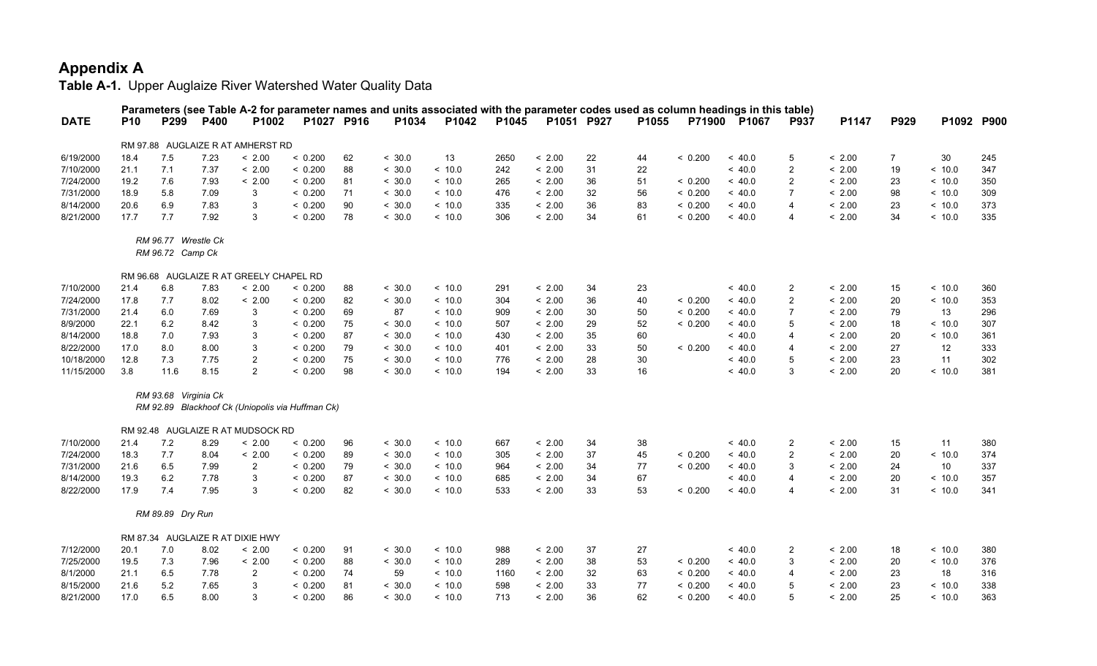|             |            |                                         |      |                                                  |         |            |        |        |       |            |    |       |         | Parameters (see Table A-2 for parameter names and units associated with the parameter codes used as column headings in this table) |                         |        |      |        |            |
|-------------|------------|-----------------------------------------|------|--------------------------------------------------|---------|------------|--------|--------|-------|------------|----|-------|---------|------------------------------------------------------------------------------------------------------------------------------------|-------------------------|--------|------|--------|------------|
| <b>DATE</b> | <b>P10</b> | P299                                    | P400 | P1002                                            |         | P1027 P916 | P1034  | P1042  | P1045 | P1051 P927 |    | P1055 |         | P71900 P1067                                                                                                                       | P937                    | P1147  | P929 |        | P1092 P900 |
|             |            |                                         |      | RM 97.88 AUGLAIZE R AT AMHERST RD                |         |            |        |        |       |            |    |       |         |                                                                                                                                    |                         |        |      |        |            |
| 6/19/2000   | 18.4       | 7.5                                     | 7.23 | < 2.00                                           | < 0.200 | 62         | < 30.0 | 13     | 2650  | < 2.00     | 22 | 44    | < 0.200 | ~<~40.0                                                                                                                            | 5                       | < 2.00 | 7    | 30     | 245        |
| 7/10/2000   | 21.1       | 7.1                                     | 7.37 | < 2.00                                           | < 0.200 | 88         | < 30.0 | < 10.0 | 242   | < 2.00     | 31 | 22    |         | ~< 40.0                                                                                                                            | $\overline{2}$          | < 2.00 | 19   | < 10.0 | 347        |
| 7/24/2000   | 19.2       | 7.6                                     | 7.93 | < 2.00                                           | < 0.200 | 81         | < 30.0 | ~10.0  | 265   | < 2.00     | 36 | 51    | < 0.200 | ~<~40.0                                                                                                                            | $\overline{2}$          | < 2.00 | 23   | ~10.0  | 350        |
| 7/31/2000   | 18.9       | 5.8                                     | 7.09 | 3                                                | < 0.200 | 71         | < 30.0 | ~10.0  | 476   | < 2.00     | 32 | 56    | < 0.200 | ~<~40.0                                                                                                                            | $\overline{7}$          | < 2.00 | 98   | < 10.0 | 309        |
| 8/14/2000   | 20.6       | 6.9                                     | 7.83 | 3                                                | < 0.200 | 90         | < 30.0 | < 10.0 | 335   | < 2.00     | 36 | 83    | < 0.200 | ~< 40.0                                                                                                                            | $\overline{4}$          | < 2.00 | 23   | < 10.0 | 373        |
| 8/21/2000   | 17.7       | 7.7                                     | 7.92 | 3                                                | < 0.200 | 78         | < 30.0 | ~10.0  | 306   | < 2.00     | 34 | 61    | < 0.200 | ~<~40.0                                                                                                                            | $\overline{4}$          | < 2.00 | 34   | ~10.0  | 335        |
|             |            | RM 96.77 Wrestle Ck<br>RM 96.72 Camp Ck |      |                                                  |         |            |        |        |       |            |    |       |         |                                                                                                                                    |                         |        |      |        |            |
|             |            |                                         |      | RM 96.68 AUGLAIZE R AT GREELY CHAPEL RD          |         |            |        |        |       |            |    |       |         |                                                                                                                                    |                         |        |      |        |            |
| 7/10/2000   | 21.4       | 6.8                                     | 7.83 | < 2.00                                           | < 0.200 | 88         | < 30.0 | < 10.0 | 291   | < 2.00     | 34 | 23    |         | ~< 40.0                                                                                                                            | $\overline{c}$          | < 2.00 | 15   | < 10.0 | 360        |
| 7/24/2000   | 17.8       | 7.7                                     | 8.02 | < 2.00                                           | < 0.200 | 82         | < 30.0 | ~10.0  | 304   | < 2.00     | 36 | 40    | < 0.200 | ~<~40.0                                                                                                                            | $\overline{2}$          | < 2.00 | 20   | < 10.0 | 353        |
| 7/31/2000   | 21.4       | 6.0                                     | 7.69 | 3                                                | < 0.200 | 69         | 87     | ~10.0  | 909   | < 2.00     | 30 | 50    | < 0.200 | ~<~40.0                                                                                                                            | $\overline{7}$          | < 2.00 | 79   | 13     | 296        |
| 8/9/2000    | 22.1       | 6.2                                     | 8.42 | 3                                                | < 0.200 | 75         | < 30.0 | ~10.0  | 507   | < 2.00     | 29 | 52    | < 0.200 | ~< 40.0                                                                                                                            | 5                       | < 2.00 | 18   | < 10.0 | 307        |
| 8/14/2000   | 18.8       | 7.0                                     | 7.93 | 3                                                | < 0.200 | 87         | < 30.0 | < 10.0 | 430   | < 2.00     | 35 | 60    |         | ~< 40.0                                                                                                                            | $\overline{4}$          | < 2.00 | 20   | ~10.0  | 361        |
| 8/22/2000   | 17.0       | 8.0                                     | 8.00 | 3                                                | < 0.200 | 79         | < 30.0 | ~10.0  | 401   | < 2.00     | 33 | 50    | < 0.200 | ~<~40.0                                                                                                                            | $\overline{4}$          | < 2.00 | 27   | 12     | 333        |
| 10/18/2000  | 12.8       | 7.3                                     | 7.75 | $\overline{2}$                                   | < 0.200 | 75         | < 30.0 | < 10.0 | 776   | < 2.00     | 28 | 30    |         | ~<~40.0                                                                                                                            | 5                       | < 2.00 | 23   | 11     | 302        |
| 11/15/2000  | 3.8        | 11.6                                    | 8.15 | $\overline{2}$                                   | < 0.200 | 98         | < 30.0 | < 10.0 | 194   | < 2.00     | 33 | 16    |         | ~< 40.0                                                                                                                            | 3                       | < 2.00 | 20   | ~10.0  | 381        |
|             |            | RM 93.68 Virginia Ck                    |      | RM 92.89 Blackhoof Ck (Uniopolis via Huffman Ck) |         |            |        |        |       |            |    |       |         |                                                                                                                                    |                         |        |      |        |            |
|             |            |                                         |      | RM 92.48 AUGLAIZE R AT MUDSOCK RD                |         |            |        |        |       |            |    |       |         |                                                                                                                                    |                         |        |      |        |            |
| 7/10/2000   | 21.4       | 7.2                                     | 8.29 | < 2.00                                           | < 0.200 | 96         | < 30.0 | ~10.0  | 667   | < 2.00     | 34 | 38    |         | ~<~40.0                                                                                                                            | $\overline{2}$          | < 2.00 | 15   | 11     | 380        |
| 7/24/2000   | 18.3       | 7.7                                     | 8.04 | < 2.00                                           | < 0.200 | 89         | < 30.0 | < 10.0 | 305   | < 2.00     | 37 | 45    | < 0.200 | ~< 40.0                                                                                                                            | $\overline{2}$          | < 2.00 | 20   | < 10.0 | 374        |
| 7/31/2000   | 21.6       | 6.5                                     | 7.99 | $\overline{2}$                                   | < 0.200 | 79         | < 30.0 | ~10.0  | 964   | < 2.00     | 34 | 77    | < 0.200 | ~<~40.0                                                                                                                            | 3                       | < 2.00 | 24   | 10     | 337        |
| 8/14/2000   | 19.3       | 6.2                                     | 7.78 | 3                                                | < 0.200 | 87         | < 30.0 | ~10.0  | 685   | < 2.00     | 34 | 67    |         | ~<~40.0                                                                                                                            | 4                       | < 2.00 | 20   | ~10.0  | 357        |
| 8/22/2000   | 17.9       | 7.4                                     | 7.95 | 3                                                | < 0.200 | 82         | < 30.0 | < 10.0 | 533   | < 2.00     | 33 | 53    | < 0.200 | ~< 40.0                                                                                                                            | $\overline{\mathbf{4}}$ | < 2.00 | 31   | < 10.0 | 341        |
|             |            | RM 89.89 Dry Run                        |      |                                                  |         |            |        |        |       |            |    |       |         |                                                                                                                                    |                         |        |      |        |            |
|             |            |                                         |      | RM 87.34 AUGLAIZE R AT DIXIE HWY                 |         |            |        |        |       |            |    |       |         |                                                                                                                                    |                         |        |      |        |            |
| 7/12/2000   | 20.1       | 7.0                                     | 8.02 | < 2.00                                           | < 0.200 | 91         | < 30.0 | ~10.0  | 988   | < 2.00     | 37 | 27    |         | ~<~40.0                                                                                                                            | $\overline{2}$          | < 2.00 | 18   | ~10.0  | 380        |
| 7/25/2000   | 19.5       | 7.3                                     | 7.96 | < 2.00                                           | < 0.200 | 88         | < 30.0 | ~10.0  | 289   | < 2.00     | 38 | 53    | < 0.200 | ~<~40.0                                                                                                                            | 3                       | < 2.00 | 20   | < 10.0 | 376        |
| 8/1/2000    | 21.1       | 6.5                                     | 7.78 | $\overline{2}$                                   | < 0.200 | 74         | 59     | < 10.0 | 1160  | < 2.00     | 32 | 63    | < 0.200 | ~< 40.0                                                                                                                            | 4                       | < 2.00 | 23   | 18     | 316        |
| 8/15/2000   | 21.6       | $5.2\,$                                 | 7.65 | 3                                                | < 0.200 | 81         | < 30.0 | < 10.0 | 598   | < 2.00     | 33 | 77    | < 0.200 | ~< 40.0                                                                                                                            | 5                       | < 2.00 | 23   | < 10.0 | 338        |
| 8/21/2000   | 17.0       | 6.5                                     | 8.00 | 3                                                | < 0.200 | 86         | < 30.0 | ~10.0  | 713   | < 2.00     | 36 | 62    | < 0.200 | ~<~40.0                                                                                                                            | 5                       | < 2.00 | 25   | < 10.0 | 363        |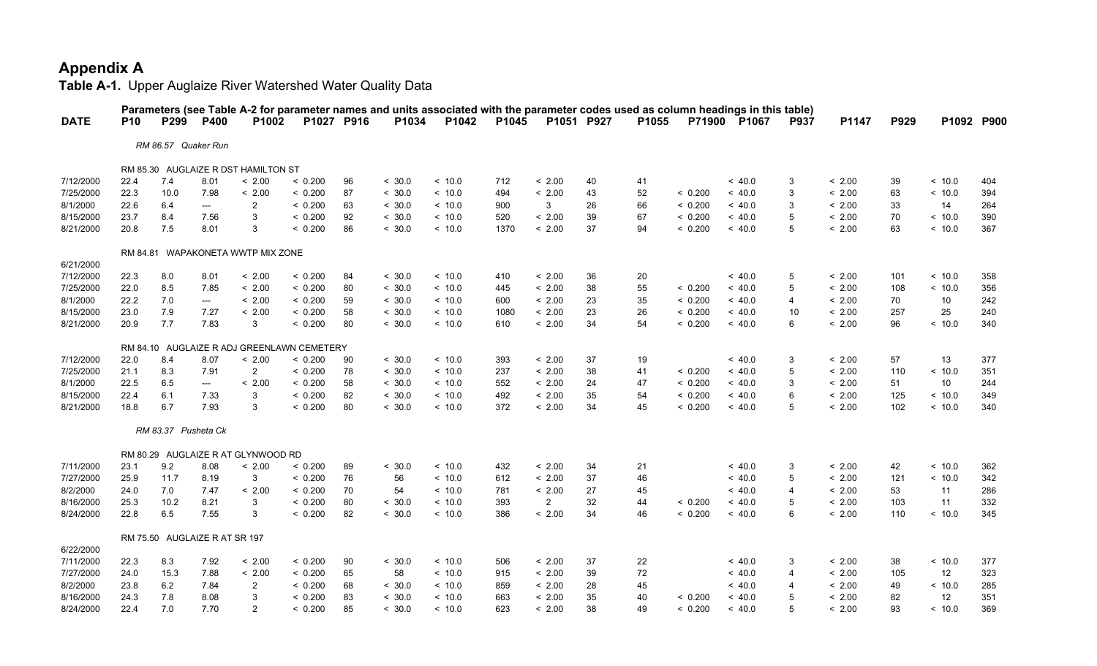|             |            |                               |                          |                                            |            |    |        |         |       |                |            |       |         | Parameters (see Table A-2 for parameter names and units associated with the parameter codes used as column headings in this table) |             |        |      |        |            |
|-------------|------------|-------------------------------|--------------------------|--------------------------------------------|------------|----|--------|---------|-------|----------------|------------|-------|---------|------------------------------------------------------------------------------------------------------------------------------------|-------------|--------|------|--------|------------|
| <b>DATE</b> | <b>P10</b> | P299                          | <b>P400</b>              | P <sub>1002</sub>                          | P1027 P916 |    | P1034  | P1042   | P1045 |                | P1051 P927 | P1055 | P71900  | P1067                                                                                                                              | <b>P937</b> | P1147  | P929 |        | P1092 P900 |
|             |            | RM 86.57 Quaker Run           |                          |                                            |            |    |        |         |       |                |            |       |         |                                                                                                                                    |             |        |      |        |            |
|             |            |                               |                          | RM 85.30 AUGLAIZE R DST HAMILTON ST        |            |    |        |         |       |                |            |       |         |                                                                                                                                    |             |        |      |        |            |
| 7/12/2000   | 22.4       | 7.4                           | 8.01                     | < 2.00                                     | < 0.200    | 96 | < 30.0 | < 10.0  | 712   | < 2.00         | 40         | 41    |         | ~<~40.0                                                                                                                            | 3           | < 2.00 | 39   | ~10.0  | 404        |
| 7/25/2000   | 22.3       | 10.0                          | 7.98                     | < 2.00                                     | < 0.200    | 87 | < 30.0 | < 10.0  | 494   | < 2.00         | 43         | 52    | < 0.200 | < 40.0                                                                                                                             | 3           | < 2.00 | 63   | < 10.0 | 394        |
| 8/1/2000    | 22.6       | 6.4                           | $---$                    | $\overline{2}$                             | < 0.200    | 63 | < 30.0 | < 10.0  | 900   | 3              | 26         | 66    | < 0.200 | < 40.0                                                                                                                             | 3           | < 2.00 | 33   | 14     | 264        |
| 8/15/2000   | 23.7       | 8.4                           | 7.56                     | 3                                          | < 0.200    | 92 | < 30.0 | < 10.0  | 520   | < 2.00         | 39         | 67    | < 0.200 | < 40.0                                                                                                                             | 5           | < 2.00 | 70   | < 10.0 | 390        |
| 8/21/2000   | 20.8       | 7.5                           | 8.01                     | 3                                          | < 0.200    | 86 | < 30.0 | < 10.0  | 1370  | < 2.00         | 37         | 94    | < 0.200 | ~<~40.0                                                                                                                            | 5           | < 2.00 | 63   | < 10.0 | 367        |
|             |            |                               |                          | RM 84.81 WAPAKONETA WWTP MIX ZONE          |            |    |        |         |       |                |            |       |         |                                                                                                                                    |             |        |      |        |            |
| 6/21/2000   |            |                               |                          |                                            |            |    |        |         |       |                |            |       |         |                                                                                                                                    |             |        |      |        |            |
| 7/12/2000   | 22.3       | 8.0                           | 8.01                     | < 2.00                                     | < 0.200    | 84 | < 30.0 | < 10.0  | 410   | < 2.00         | 36         | 20    |         | ~<~40.0                                                                                                                            | 5           | < 2.00 | 101  | ~10.0  | 358        |
| 7/25/2000   | 22.0       | 8.5                           | 7.85                     | < 2.00                                     | < 0.200    | 80 | < 30.0 | < 10.0  | 445   | < 2.00         | 38         | 55    | < 0.200 | ~<~40.0                                                                                                                            | 5           | < 2.00 | 108  | ~10.0  | 356        |
| 8/1/2000    | 22.2       | 7.0                           | $---$                    | < 2.00                                     | < 0.200    | 59 | < 30.0 | ~10.0   | 600   | < 2.00         | 23         | 35    | < 0.200 | ~<~40.0                                                                                                                            | 4           | < 2.00 | 70   | 10     | 242        |
| 8/15/2000   | 23.0       | 7.9                           | 7.27                     | < 2.00                                     | < 0.200    | 58 | < 30.0 | < 10.0  | 1080  | < 2.00         | 23         | 26    | < 0.200 | < 40.0                                                                                                                             | 10          | < 2.00 | 257  | 25     | 240        |
| 8/21/2000   | 20.9       | 7.7                           | 7.83                     | 3                                          | < 0.200    | 80 | < 30.0 | < 10.0  | 610   | < 2.00         | 34         | 54    | < 0.200 | < 40.0                                                                                                                             | 6           | < 2.00 | 96   | < 10.0 | 340        |
|             |            |                               |                          | RM 84.10 AUGLAIZE R ADJ GREENLAWN CEMETERY |            |    |        |         |       |                |            |       |         |                                                                                                                                    |             |        |      |        |            |
| 7/12/2000   | 22.0       | 8.4                           | 8.07                     | < 2.00                                     | < 0.200    | 90 | < 30.0 | ~10.0   | 393   | < 2.00         | 37         | 19    |         | ~<~40.0                                                                                                                            | 3           | < 2.00 | 57   | 13     | 377        |
| 7/25/2000   | 21.1       | 8.3                           | 7.91                     | $\overline{2}$                             | < 0.200    | 78 | < 30.0 | ~10.0   | 237   | < 2.00         | 38         | 41    | < 0.200 | ~<~40.0                                                                                                                            | 5           | < 2.00 | 110  | ~10.0  | 351        |
| 8/1/2000    | 22.5       | 6.5                           | $\hspace{0.05cm} \ldots$ | < 2.00                                     | < 0.200    | 58 | < 30.0 | < 10.0  | 552   | < 2.00         | 24         | 47    | < 0.200 | < 40.0                                                                                                                             | 3           | < 2.00 | 51   | 10     | 244        |
| 8/15/2000   | 22.4       | 6.1                           | 7.33                     | 3                                          | < 0.200    | 82 | < 30.0 | < 10.0  | 492   | < 2.00         | 35         | 54    | < 0.200 | < 40.0                                                                                                                             | 6           | < 2.00 | 125  | < 10.0 | 349        |
| 8/21/2000   | 18.8       | 6.7                           | 7.93                     | 3                                          | < 0.200    | 80 | < 30.0 | < 10.0  | 372   | < 2.00         | 34         | 45    | < 0.200 | ~<~40.0                                                                                                                            | 5           | < 2.00 | 102  | < 10.0 | 340        |
|             |            | RM 83.37 Pusheta Ck           |                          |                                            |            |    |        |         |       |                |            |       |         |                                                                                                                                    |             |        |      |        |            |
|             |            |                               |                          | RM 80.29 AUGLAIZE R AT GLYNWOOD RD         |            |    |        |         |       |                |            |       |         |                                                                                                                                    |             |        |      |        |            |
| 7/11/2000   | 23.1       | 9.2                           | 8.08                     | < 2.00                                     | < 0.200    | 89 | < 30.0 | < 10.0  | 432   | < 2.00         | 34         | 21    |         | < 40.0                                                                                                                             | 3           | < 2.00 | 42   | < 10.0 | 362        |
| 7/27/2000   | 25.9       | 11.7                          | 8.19                     | 3                                          | < 0.200    | 76 | 56     | < 10.0  | 612   | < 2.00         | 37         | 46    |         | < 40.0                                                                                                                             | 5           | < 2.00 | 121  | < 10.0 | 342        |
| 8/2/2000    | 24.0       | 7.0                           | 7.47                     | < 2.00                                     | < 0.200    | 70 | 54     | ~10.0   | 781   | < 2.00         | 27         | 45    |         | ~<~40.0                                                                                                                            | 4           | < 2.00 | 53   | 11     | 286        |
| 8/16/2000   | 25.3       | 10.2                          | 8.21                     | 3                                          | < 0.200    | 80 | < 30.0 | < 10.0  | 393   | $\overline{2}$ | 32         | 44    | < 0.200 | < 40.0                                                                                                                             | 5           | < 2.00 | 103  | 11     | 332        |
| 8/24/2000   | 22.8       | 6.5                           | 7.55                     | 3                                          | < 0.200    | 82 | < 30.0 | < 10.0  | 386   | < 2.00         | 34         | 46    | < 0.200 | ~<~40.0                                                                                                                            | 6           | < 2.00 | 110  | < 10.0 | 345        |
|             |            | RM 75.50 AUGLAIZE R AT SR 197 |                          |                                            |            |    |        |         |       |                |            |       |         |                                                                                                                                    |             |        |      |        |            |
| 6/22/2000   |            |                               |                          |                                            |            |    |        |         |       |                |            |       |         |                                                                                                                                    |             |        |      |        |            |
| 7/11/2000   | 22.3       | 8.3                           | 7.92                     | < 2.00                                     | < 0.200    | 90 | < 30.0 | ~10.0   | 506   | < 2.00         | 37         | 22    |         | ~<~40.0                                                                                                                            | 3           | < 2.00 | 38   | < 10.0 | 377        |
| 7/27/2000   | 24.0       | 15.3                          | 7.88                     | < 2.00                                     | < 0.200    | 65 | 58     | ~<~10.0 | 915   | < 2.00         | 39         | 72    |         | < 40.0                                                                                                                             | 4           | < 2.00 | 105  | 12     | 323        |
| 8/2/2000    | 23.8       | 6.2                           | 7.84                     | $\overline{2}$                             | < 0.200    | 68 | < 30.0 | < 10.0  | 859   | < 2.00         | 28         | 45    |         | < 40.0                                                                                                                             | 4           | < 2.00 | 49   | < 10.0 | 285        |
| 8/16/2000   | 24.3       | 7.8                           | 8.08                     | 3                                          | < 0.200    | 83 | < 30.0 | < 10.0  | 663   | < 2.00         | 35         | 40    | < 0.200 | < 40.0                                                                                                                             | 5           | < 2.00 | 82   | 12     | 351        |
| 8/24/2000   | 22.4       | 7.0                           | 7.70                     | $\mathcal{P}$                              | < 0.200    | 85 | < 30.0 | ~10.0   | 623   | < 2.00         | 38         | 49    | < 0.200 | ~<~40.0                                                                                                                            |             | < 2.00 | 93   | ~10.0  | 369        |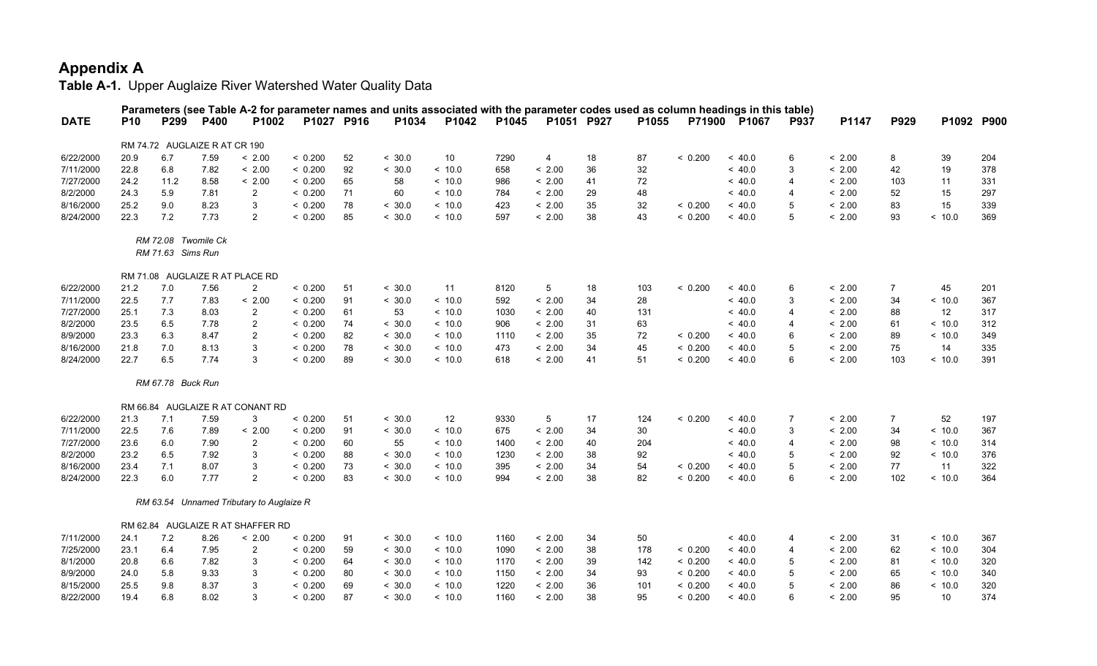|             |            |                                          |      |                                          |            |    |        | Parameters (see Table A-2 for parameter names and units associated with the parameter codes used as column headings in this table) |       |            |    |       |         |              |                |        |                |            |     |
|-------------|------------|------------------------------------------|------|------------------------------------------|------------|----|--------|------------------------------------------------------------------------------------------------------------------------------------|-------|------------|----|-------|---------|--------------|----------------|--------|----------------|------------|-----|
| <b>DATE</b> | <b>P10</b> | P299                                     | P400 | P1002                                    | P1027 P916 |    | P1034  | P1042                                                                                                                              | P1045 | P1051 P927 |    | P1055 |         | P71900 P1067 | P937           | P1147  | P929           | P1092 P900 |     |
|             |            | RM 74.72 AUGLAIZE R AT CR 190            |      |                                          |            |    |        |                                                                                                                                    |       |            |    |       |         |              |                |        |                |            |     |
| 6/22/2000   | 20.9       | 6.7                                      | 7.59 | < 2.00                                   | < 0.200    | 52 | < 30.0 | 10                                                                                                                                 | 7290  | 4          | 18 | 87    | < 0.200 | ~< 40.0      | $\,6\,$        | < 2.00 | 8              | 39         | 204 |
| 7/11/2000   | 22.8       | 6.8                                      | 7.82 | < 2.00                                   | < 0.200    | 92 | < 30.0 | ~10.0                                                                                                                              | 658   | < 2.00     | 36 | 32    |         | ~<~40.0      | 3              | < 2.00 | 42             | 19         | 378 |
| 7/27/2000   | 24.2       | 11.2                                     | 8.58 | < 2.00                                   | < 0.200    | 65 | 58     | ~10.0                                                                                                                              | 986   | < 2.00     | 41 | 72    |         | ~< 40.0      | $\overline{4}$ | < 2.00 | 103            | 11         | 331 |
| 8/2/2000    | 24.3       | 5.9                                      | 7.81 | $\overline{2}$                           | < 0.200    | 71 | 60     | ~10.0                                                                                                                              | 784   | < 2.00     | 29 | 48    |         | ~<~40.0      | $\overline{4}$ | < 2.00 | 52             | 15         | 297 |
| 8/16/2000   | 25.2       | 9.0                                      | 8.23 | 3                                        | < 0.200    | 78 | < 30.0 | ~10.0                                                                                                                              | 423   | < 2.00     | 35 | 32    | < 0.200 | ~<~40.0      | 5              | < 2.00 | 83             | 15         | 339 |
| 8/24/2000   | 22.3       | 7.2                                      | 7.73 | $\overline{2}$                           | < 0.200    | 85 | < 30.0 | ~10.0                                                                                                                              | 597   | < 2.00     | 38 | 43    | < 0.200 | ~< 40.0      | 5              | < 2.00 | 93             | < 10.0     | 369 |
|             |            | RM 72.08 Twomile Ck<br>RM 71.63 Sims Run |      |                                          |            |    |        |                                                                                                                                    |       |            |    |       |         |              |                |        |                |            |     |
|             |            |                                          |      | RM 71.08 AUGLAIZE R AT PLACE RD          |            |    |        |                                                                                                                                    |       |            |    |       |         |              |                |        |                |            |     |
| 6/22/2000   | 21.2       | 7.0                                      | 7.56 | $\overline{2}$                           | < 0.200    | 51 | < 30.0 | 11                                                                                                                                 | 8120  | 5          | 18 | 103   | < 0.200 | ~< 40.0      | 6              | < 2.00 | $\overline{7}$ | 45         | 201 |
| 7/11/2000   | 22.5       | 7.7                                      | 7.83 | < 2.00                                   | < 0.200    | 91 | < 30.0 | ~10.0                                                                                                                              | 592   | < 2.00     | 34 | 28    |         | ~<~40.0      | 3              | < 2.00 | 34             | < 10.0     | 367 |
| 7/27/2000   | 25.1       | 7.3                                      | 8.03 | 2                                        | < 0.200    | 61 | 53     | ~<~10.0                                                                                                                            | 1030  | < 2.00     | 40 | 131   |         | ~<~40.0      | 4              | < 2.00 | 88             | 12         | 317 |
| 8/2/2000    | 23.5       | 6.5                                      | 7.78 | $\overline{2}$                           | < 0.200    | 74 | < 30.0 | < 10.0                                                                                                                             | 906   | < 2.00     | 31 | 63    |         | ~< 40.0      | $\overline{4}$ | < 2.00 | 61             | < 10.0     | 312 |
| 8/9/2000    | 23.3       | 6.3                                      | 8.47 | $\overline{2}$                           | < 0.200    | 82 | < 30.0 | ~10.0                                                                                                                              | 1110  | < 2.00     | 35 | 72    | < 0.200 | ~<~40.0      | 6              | < 2.00 | 89             | ~10.0      | 349 |
| 8/16/2000   | 21.8       | 7.0                                      | 8.13 | 3                                        | < 0.200    | 78 | < 30.0 | < 10.0                                                                                                                             | 473   | < 2.00     | 34 | 45    | < 0.200 | ~< 40.0      | 5              | < 2.00 | 75             | 14         | 335 |
| 8/24/2000   | 22.7       | 6.5                                      | 7.74 | 3                                        | < 0.200    | 89 | < 30.0 | ~10.0                                                                                                                              | 618   | < 2.00     | 41 | 51    | < 0.200 | ~<~40.0      | 6              | < 2.00 | 103            | ~10.0      | 391 |
|             |            | RM 67.78 Buck Run                        |      |                                          |            |    |        |                                                                                                                                    |       |            |    |       |         |              |                |        |                |            |     |
|             |            |                                          |      | RM 66.84 AUGLAIZE R AT CONANT RD         |            |    |        |                                                                                                                                    |       |            |    |       |         |              |                |        |                |            |     |
| 6/22/2000   | 21.3       | 7.1                                      | 7.59 | 3                                        | < 0.200    | 51 | < 30.0 | 12                                                                                                                                 | 9330  | 5          | 17 | 124   | < 0.200 | ~< 40.0      | $\overline{7}$ | < 2.00 | $\overline{7}$ | 52         | 197 |
| 7/11/2000   | 22.5       | 7.6                                      | 7.89 | < 2.00                                   | < 0.200    | 91 | < 30.0 | ~10.0                                                                                                                              | 675   | < 2.00     | 34 | 30    |         | ~<~40.0      | 3              | < 2.00 | 34             | ~10.0      | 367 |
| 7/27/2000   | 23.6       | 6.0                                      | 7.90 | 2                                        | < 0.200    | 60 | 55     | ~10.0                                                                                                                              | 1400  | < 2.00     | 40 | 204   |         | ~<~40.0      | 4              | < 2.00 | 98             | < 10.0     | 314 |
| 8/2/2000    | 23.2       | 6.5                                      | 7.92 | 3                                        | < 0.200    | 88 | < 30.0 | < 10.0                                                                                                                             | 1230  | < 2.00     | 38 | 92    |         | ~< 40.0      | 5              | < 2.00 | 92             | < 10.0     | 376 |
| 8/16/2000   | 23.4       | 7.1                                      | 8.07 | 3                                        | < 0.200    | 73 | < 30.0 | ~10.0                                                                                                                              | 395   | < 2.00     | 34 | 54    | < 0.200 | ~<~40.0      | 5              | < 2.00 | 77             | 11         | 322 |
| 8/24/2000   | 22.3       | 6.0                                      | 7.77 | $\overline{2}$                           | < 0.200    | 83 | < 30.0 | < 10.0                                                                                                                             | 994   | < 2.00     | 38 | 82    | < 0.200 | ~<~40.0      | 6              | < 2.00 | 102            | < 10.0     | 364 |
|             |            |                                          |      | RM 63.54 Unnamed Tributary to Auglaize R |            |    |        |                                                                                                                                    |       |            |    |       |         |              |                |        |                |            |     |
|             |            |                                          |      | RM 62.84 AUGLAIZE R AT SHAFFER RD        |            |    |        |                                                                                                                                    |       |            |    |       |         |              |                |        |                |            |     |
| 7/11/2000   | 24.1       | 7.2                                      | 8.26 | < 2.00                                   | < 0.200    | 91 | < 30.0 | ~10.0                                                                                                                              | 1160  | < 2.00     | 34 | 50    |         | ~<~40.0      | 4              | < 2.00 | 31             | < 10.0     | 367 |
| 7/25/2000   | 23.1       | 6.4                                      | 7.95 | $\overline{2}$                           | < 0.200    | 59 | < 30.0 | < 10.0                                                                                                                             | 1090  | < 2.00     | 38 | 178   | < 0.200 | ~< 40.0      | 4              | < 2.00 | 62             | < 10.0     | 304 |
| 8/1/2000    | 20.8       | 6.6                                      | 7.82 | 3                                        | < 0.200    | 64 | < 30.0 | ~10.0                                                                                                                              | 1170  | < 2.00     | 39 | 142   | < 0.200 | ~<~40.0      | 5              | < 2.00 | 81             | ~10.0      | 320 |
| 8/9/2000    | 24.0       | 5.8                                      | 9.33 | 3                                        | < 0.200    | 80 | < 30.0 | ~10.0                                                                                                                              | 1150  | < 2.00     | 34 | 93    | < 0.200 | ~<~40.0      | 5              | < 2.00 | 65             | < 10.0     | 340 |
| 8/15/2000   | 25.5       | 9.8                                      | 8.37 | 3                                        | < 0.200    | 69 | < 30.0 | < 10.0                                                                                                                             | 1220  | < 2.00     | 36 | 101   | < 0.200 | ~< 40.0      | 5              | < 2.00 | 86             | < 10.0     | 320 |
| 8/22/2000   | 19.4       | 6.8                                      | 8.02 | 3                                        | < 0.200    | 87 | < 30.0 | ~10.0                                                                                                                              | 1160  | < 2.00     | 38 | 95    | < 0.200 | ~<~40.0      | 6              | < 2.00 | 95             | 10         | 374 |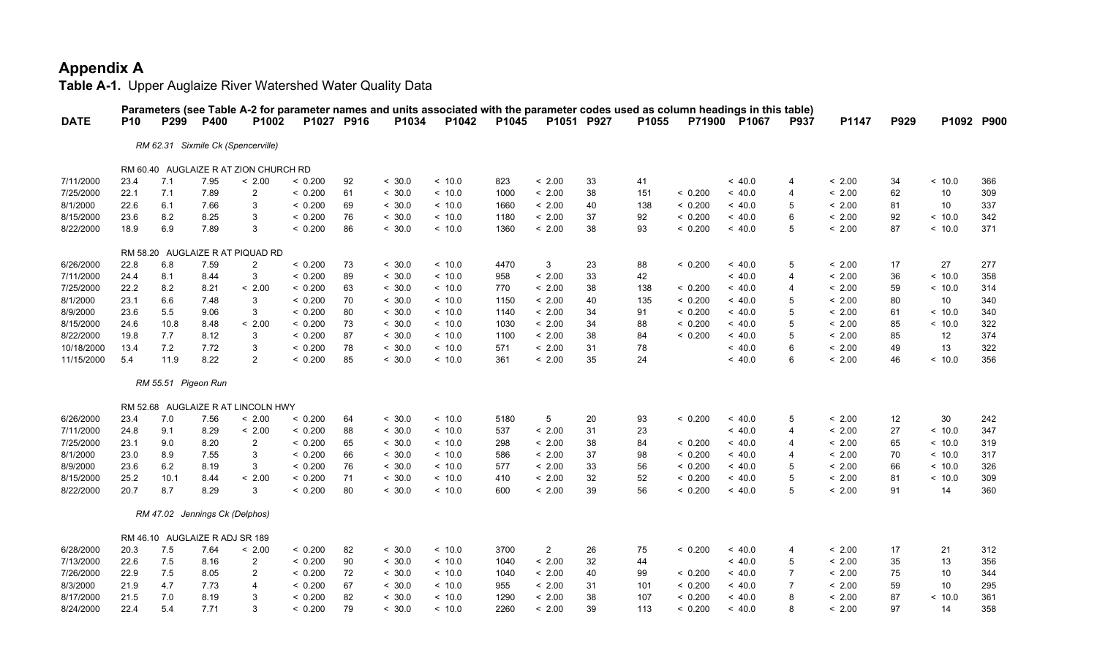|             |            |                                |      |                                       |            |    |        | Parameters (see Table A-2 for parameter names and units associated with the parameter codes used as column headings in this table) |       |                |    |       |         |         |                |        |      |        |            |
|-------------|------------|--------------------------------|------|---------------------------------------|------------|----|--------|------------------------------------------------------------------------------------------------------------------------------------|-------|----------------|----|-------|---------|---------|----------------|--------|------|--------|------------|
| <b>DATE</b> | <b>P10</b> | P299                           | P400 | P1002                                 | P1027 P916 |    | P1034  | P1042                                                                                                                              | P1045 | P1051 P927     |    | P1055 | P71900  | P1067   | <b>P937</b>    | P1147  | P929 |        | P1092 P900 |
|             |            |                                |      | RM 62.31 Sixmile Ck (Spencerville)    |            |    |        |                                                                                                                                    |       |                |    |       |         |         |                |        |      |        |            |
|             |            |                                |      | RM 60.40 AUGLAIZE R AT ZION CHURCH RD |            |    |        |                                                                                                                                    |       |                |    |       |         |         |                |        |      |        |            |
| 7/11/2000   | 23.4       | 7.1                            | 7.95 | < 2.00                                | < 0.200    | 92 | < 30.0 | < 10.0                                                                                                                             | 823   | < 2.00         | 33 | 41    |         | < 40.0  | $\overline{4}$ | < 2.00 | 34   | < 10.0 | 366        |
| 7/25/2000   | 22.1       | 7.1                            | 7.89 | $\overline{2}$                        | < 0.200    | 61 | < 30.0 | < 10.0                                                                                                                             | 1000  | < 2.00         | 38 | 151   | < 0.200 | ~<~40.0 | $\overline{4}$ | < 2.00 | 62   | 10     | 309        |
| 8/1/2000    | 22.6       | 6.1                            | 7.66 | 3                                     | < 0.200    | 69 | < 30.0 | ~<~10.0                                                                                                                            | 1660  | < 2.00         | 40 | 138   | < 0.200 | < 40.0  | 5              | < 2.00 | 81   | 10     | 337        |
| 8/15/2000   | 23.6       | 8.2                            | 8.25 | 3                                     | < 0.200    | 76 | < 30.0 | ~<~10.0                                                                                                                            | 1180  | < 2.00         | 37 | 92    | < 0.200 | < 40.0  | 6              | < 2.00 | 92   | < 10.0 | 342        |
| 8/22/2000   | 18.9       | 6.9                            | 7.89 | 3                                     | < 0.200    | 86 | < 30.0 | ~<~10.0                                                                                                                            | 1360  | < 2.00         | 38 | 93    | < 0.200 | ~<~40.0 | 5              | < 2.00 | 87   | < 10.0 | 371        |
|             |            |                                |      |                                       |            |    |        |                                                                                                                                    |       |                |    |       |         |         |                |        |      |        |            |
|             |            |                                |      | RM 58.20 AUGLAIZE R AT PIQUAD RD      |            |    |        |                                                                                                                                    |       |                |    |       |         |         |                |        |      |        |            |
| 6/26/2000   | 22.8       | 6.8                            | 7.59 | $\overline{2}$                        | < 0.200    | 73 | < 30.0 | ~<~10.0                                                                                                                            | 4470  | 3              | 23 | 88    | < 0.200 | ~<~40.0 | 5              | < 2.00 | 17   | 27     | 277        |
| 7/11/2000   | 24.4       | 8.1                            | 8.44 | 3                                     | < 0.200    | 89 | < 30.0 | ~<~10.0                                                                                                                            | 958   | < 2.00         | 33 | 42    |         | < 40.0  | $\overline{4}$ | < 2.00 | 36   | < 10.0 | 358        |
| 7/25/2000   | 22.2       | 8.2                            | 8.21 | < 2.00                                | < 0.200    | 63 | < 30.0 | < 10.0                                                                                                                             | 770   | < 2.00         | 38 | 138   | < 0.200 | ~< 40.0 | $\overline{4}$ | < 2.00 | 59   | < 10.0 | 314        |
| 8/1/2000    | 23.1       | 6.6                            | 7.48 | 3                                     | < 0.200    | 70 | < 30.0 | ~<~10.0                                                                                                                            | 1150  | < 2.00         | 40 | 135   | < 0.200 | < 40.0  | 5              | < 2.00 | 80   | 10     | 340        |
| 8/9/2000    | 23.6       | 5.5                            | 9.06 | 3                                     | < 0.200    | 80 | < 30.0 | ~<~10.0                                                                                                                            | 1140  | < 2.00         | 34 | 91    | < 0.200 | < 40.0  | 5              | < 2.00 | 61   | < 10.0 | 340        |
| 8/15/2000   | 24.6       | 10.8                           | 8.48 | < 2.00                                | < 0.200    | 73 | < 30.0 | < 10.0                                                                                                                             | 1030  | < 2.00         | 34 | 88    | < 0.200 | < 40.0  | 5              | < 2.00 | 85   | < 10.0 | 322        |
| 8/22/2000   | 19.8       | 7.7                            | 8.12 | 3                                     | < 0.200    | 87 | < 30.0 | ~<~10.0                                                                                                                            | 1100  | < 2.00         | 38 | 84    | < 0.200 | < 40.0  | 5              | < 2.00 | 85   | 12     | 374        |
| 10/18/2000  | 13.4       | 7.2                            | 7.72 | 3                                     | < 0.200    | 78 | < 30.0 | < 10.0                                                                                                                             | 571   | < 2.00         | 31 | 78    |         | < 40.0  | 6              | < 2.00 | 49   | 13     | 322        |
| 11/15/2000  | 5.4        | 11.9                           | 8.22 | $\mathfrak{p}$                        | < 0.200    | 85 | < 30.0 | ~<~10.0                                                                                                                            | 361   | < 2.00         | 35 | 24    |         | ~<~40.0 | 6              | < 2.00 | 46   | < 10.0 | 356        |
|             |            | RM 55.51 Pigeon Run            |      |                                       |            |    |        |                                                                                                                                    |       |                |    |       |         |         |                |        |      |        |            |
|             |            |                                |      | RM 52.68 AUGLAIZE R AT LINCOLN HWY    |            |    |        |                                                                                                                                    |       |                |    |       |         |         |                |        |      |        |            |
| 6/26/2000   | 23.4       | 7.0                            | 7.56 | < 2.00                                | < 0.200    | 64 | < 30.0 | ~<~10.0                                                                                                                            | 5180  | 5              | 20 | 93    | < 0.200 | < 40.0  | 5              | < 2.00 | 12   | 30     | 242        |
| 7/11/2000   | 24.8       | 9.1                            | 8.29 | < 2.00                                | < 0.200    | 88 | < 30.0 | ~<~10.0                                                                                                                            | 537   | < 2.00         | 31 | 23    |         | < 40.0  | $\overline{4}$ | < 2.00 | 27   | < 10.0 | 347        |
| 7/25/2000   | 23.1       | 9.0                            | 8.20 | $\overline{2}$                        | < 0.200    | 65 | < 30.0 | ~<~10.0                                                                                                                            | 298   | < 2.00         | 38 | 84    | < 0.200 | < 40.0  | $\overline{4}$ | < 2.00 | 65   | < 10.0 | 319        |
| 8/1/2000    | 23.0       | 8.9                            | 7.55 | 3                                     | < 0.200    | 66 | < 30.0 | ~<~10.0                                                                                                                            | 586   | < 2.00         | 37 | 98    | < 0.200 | ~<~40.0 | $\overline{4}$ | < 2.00 | 70   | < 10.0 | 317        |
| 8/9/2000    | 23.6       | 6.2                            | 8.19 | 3                                     | < 0.200    | 76 | < 30.0 | ~<~10.0                                                                                                                            | 577   | < 2.00         | 33 | 56    | < 0.200 | < 40.0  | 5              | < 2.00 | 66   | < 10.0 | 326        |
| 8/15/2000   | 25.2       | 10.1                           | 8.44 | < 2.00                                | < 0.200    | 71 | < 30.0 | ~<~10.0                                                                                                                            | 410   | < 2.00         | 32 | 52    | < 0.200 | < 40.0  | 5              | < 2.00 | 81   | < 10.0 | 309        |
| 8/22/2000   | 20.7       | 8.7                            | 8.29 | 3                                     | < 0.200    | 80 | < 30.0 | ~<~10.0                                                                                                                            | 600   | < 2.00         | 39 | 56    | < 0.200 | ~<~40.0 | 5              | < 2.00 | 91   | 14     | 360        |
|             |            | RM 47.02 Jennings Ck (Delphos) |      |                                       |            |    |        |                                                                                                                                    |       |                |    |       |         |         |                |        |      |        |            |
|             |            |                                |      |                                       |            |    |        |                                                                                                                                    |       |                |    |       |         |         |                |        |      |        |            |
|             |            | RM 46.10 AUGLAIZE R ADJ SR 189 |      |                                       |            |    |        |                                                                                                                                    |       |                |    |       |         |         |                |        |      |        |            |
| 6/28/2000   | 20.3       | 7.5                            | 7.64 | < 2.00                                | < 0.200    | 82 | < 30.0 | < 10.0                                                                                                                             | 3700  | $\overline{2}$ | 26 | 75    | < 0.200 | < 40.0  | $\overline{4}$ | < 2.00 | 17   | 21     | 312        |
| 7/13/2000   | 22.6       | 7.5                            | 8.16 | $\overline{2}$                        | < 0.200    | 90 | < 30.0 | < 10.0                                                                                                                             | 1040  | < 2.00         | 32 | 44    |         | ~< 40.0 | 5              | < 2.00 | 35   | 13     | 356        |
| 7/26/2000   | 22.9       | 7.5                            | 8.05 | $\overline{2}$                        | < 0.200    | 72 | < 30.0 | ~<~10.0                                                                                                                            | 1040  | < 2.00         | 40 | 99    | < 0.200 | < 40.0  | $\overline{7}$ | < 2.00 | 75   | 10     | 344        |
| 8/3/2000    | 21.9       | 4.7                            | 7.73 | 4                                     | < 0.200    | 67 | < 30.0 | ~<~10.0                                                                                                                            | 955   | < 2.00         | 31 | 101   | < 0.200 | ~<~40.0 | 7              | < 2.00 | 59   | 10     | 295        |
| 8/17/2000   | 21.5       | 7.0                            | 8.19 | 3                                     | < 0.200    | 82 | < 30.0 | ~10.0                                                                                                                              | 1290  | < 2.00         | 38 | 107   | < 0.200 | < 40.0  | 8              | < 2.00 | 87   | < 10.0 | 361        |
| 8/24/2000   | 22.4       | 5.4                            | 7.71 | 3                                     | < 0.200    | 79 | < 30.0 | < 10.0                                                                                                                             | 2260  | < 2.00         | 39 | 113   | < 0.200 | < 40.0  | 8              | < 2.00 | 97   | 14     | 358        |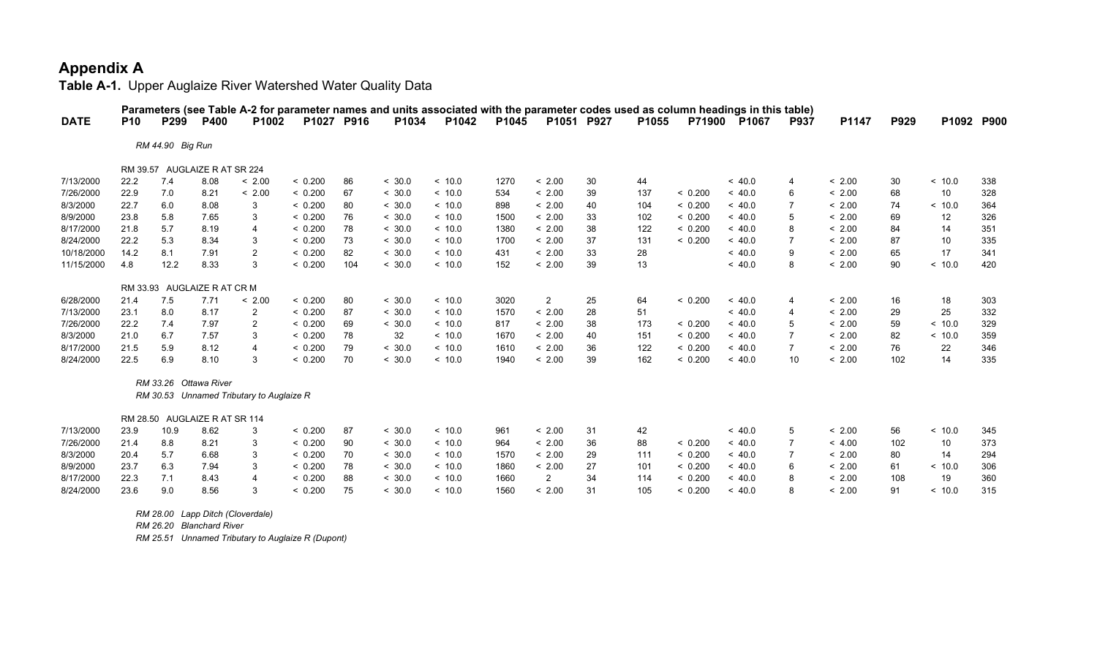**Table A-1.** Upper Auglaize River Watershed Water Quality Data

|             |            |                  |                               |                                          |         |            |        |         |       |                |    |       |               | Parameters (see Table A-2 for parameter names and units associated with the parameter codes used as column headings in this table) |                |        |             |            |     |
|-------------|------------|------------------|-------------------------------|------------------------------------------|---------|------------|--------|---------|-------|----------------|----|-------|---------------|------------------------------------------------------------------------------------------------------------------------------------|----------------|--------|-------------|------------|-----|
| <b>DATE</b> | <b>P10</b> | P299             | <b>P400</b>                   | P <sub>1002</sub>                        |         | P1027 P916 | P1034  | P1042   | P1045 | P1051 P927     |    | P1055 | <b>P71900</b> | <b>P1067</b>                                                                                                                       | <b>P937</b>    | P1147  | <b>P929</b> | P1092 P900 |     |
|             |            | RM 44.90 Big Run |                               |                                          |         |            |        |         |       |                |    |       |               |                                                                                                                                    |                |        |             |            |     |
|             |            |                  | RM 39.57 AUGLAIZE R AT SR 224 |                                          |         |            |        |         |       |                |    |       |               |                                                                                                                                    |                |        |             |            |     |
| 7/13/2000   | 22.2       | 7.4              | 8.08                          | < 2.00                                   | < 0.200 | 86         | < 30.0 | ~<~10.0 | 1270  | < 2.00         | 30 | 44    |               | ~< 40.0                                                                                                                            | $\overline{4}$ | < 2.00 | 30          | < 10.0     | 338 |
| 7/26/2000   | 22.9       | 7.0              | 8.21                          | < 2.00                                   | < 0.200 | 67         | < 30.0 | ~<~10.0 | 534   | < 2.00         | 39 | 137   | < 0.200       | ~<~40.0                                                                                                                            | 6              | < 2.00 | 68          | 10         | 328 |
| 8/3/2000    | 22.7       | 6.0              | 8.08                          | 3                                        | < 0.200 | 80         | < 30.0 | ~<~10.0 | 898   | < 2.00         | 40 | 104   | < 0.200       | ~<~40.0                                                                                                                            | 7              | < 2.00 | 74          | ~10.0      | 364 |
| 8/9/2000    | 23.8       | 5.8              | 7.65                          | 3                                        | < 0.200 | 76         | < 30.0 | < 10.0  | 1500  | < 2.00         | 33 | 102   | < 0.200       | ~< 40.0                                                                                                                            | 5              | < 2.00 | 69          | 12         | 326 |
| 8/17/2000   | 21.8       | 5.7              | 8.19                          | 4                                        | < 0.200 | 78         | < 30.0 | ~<~10.0 | 1380  | < 2.00         | 38 | 122   | < 0.200       | ~<~40.0                                                                                                                            | 8              | < 2.00 | 84          | 14         | 351 |
| 8/24/2000   | 22.2       | 5.3              | 8.34                          | 3                                        | < 0.200 | 73         | < 30.0 | ~<~10.0 | 1700  | < 2.00         | 37 | 131   | < 0.200       | ~<~40.0                                                                                                                            | 7              | < 2.00 | 87          | 10         | 335 |
| 10/18/2000  | 14.2       | 8.1              | 7.91                          | $\overline{2}$                           | < 0.200 | 82         | < 30.0 | ~<~10.0 | 431   | < 2.00         | 33 | 28    |               | ~<~40.0                                                                                                                            | 9              | < 2.00 | 65          | 17         | 341 |
| 11/15/2000  | 4.8        | 12.2             | 8.33                          | 3                                        | < 0.200 | 104        | < 30.0 | ~<~10.0 | 152   | < 2.00         | 39 | 13    |               | ~<~40.0                                                                                                                            | 8              | < 2.00 | 90          | < 10.0     | 420 |
|             |            |                  | RM 33.93 AUGLAIZE R AT CR M   |                                          |         |            |        |         |       |                |    |       |               |                                                                                                                                    |                |        |             |            |     |
| 6/28/2000   | 21.4       | 7.5              | 7.71                          | < 2.00                                   | < 0.200 | 80         | < 30.0 | ~<~10.0 | 3020  | $\overline{2}$ | 25 | 64    | < 0.200       | ~<~40.0                                                                                                                            | $\overline{4}$ | < 2.00 | 16          | 18         | 303 |
| 7/13/2000   | 23.1       | 8.0              | 8.17                          | 2                                        | < 0.200 | 87         | < 30.0 | ~<~10.0 | 1570  | < 2.00         | 28 | 51    |               | ~<~40.0                                                                                                                            | 4              | < 2.00 | 29          | 25         | 332 |
| 7/26/2000   | 22.2       | 7.4              | 7.97                          | $\overline{2}$                           | < 0.200 | 69         | < 30.0 | ~<~10.0 | 817   | < 2.00         | 38 | 173   | < 0.200       | ~<~40.0                                                                                                                            | 5              | < 2.00 | 59          | ~10.0      | 329 |
| 8/3/2000    | 21.0       | 6.7              | 7.57                          | 3                                        | < 0.200 | 78         | 32     | ~<~10.0 | 1670  | < 2.00         | 40 | 151   | < 0.200       | ~<~40.0                                                                                                                            | $\overline{7}$ | < 2.00 | 82          | < 10.0     | 359 |
| 8/17/2000   | 21.5       | 5.9              | 8.12                          | 4                                        | < 0.200 | 79         | < 30.0 | ~<~10.0 | 1610  | < 2.00         | 36 | 122   | < 0.200       | ~<~40.0                                                                                                                            | $\overline{7}$ | < 2.00 | 76          | 22         | 346 |
| 8/24/2000   | 22.5       | 6.9              | 8.10                          | 3                                        | < 0.200 | 70         | < 30.0 | < 10.0  | 1940  | < 2.00         | 39 | 162   | < 0.200       | ~< 40.0                                                                                                                            | 10             | < 2.00 | 102         | 14         | 335 |
|             |            |                  | RM 33.26 Ottawa River         |                                          |         |            |        |         |       |                |    |       |               |                                                                                                                                    |                |        |             |            |     |
|             |            |                  |                               | RM 30.53 Unnamed Tributary to Auglaize R |         |            |        |         |       |                |    |       |               |                                                                                                                                    |                |        |             |            |     |
|             |            |                  | RM 28.50 AUGLAIZE R AT SR 114 |                                          |         |            |        |         |       |                |    |       |               |                                                                                                                                    |                |        |             |            |     |
| 7/13/2000   | 23.9       | 10.9             | 8.62                          | 3                                        | < 0.200 | 87         | < 30.0 | ~<~10.0 | 961   | < 2.00         | 31 | 42    |               | ~<~40.0                                                                                                                            | 5              | < 2.00 | 56          | ~10.0      | 345 |
| 7/26/2000   | 21.4       | 8.8              | 8.21                          | 3                                        | < 0.200 | 90         | < 30.0 | < 10.0  | 964   | < 2.00         | 36 | 88    | < 0.200       | ~<~40.0                                                                                                                            | 7              | < 4.00 | 102         | 10         | 373 |
| 8/3/2000    | 20.4       | 5.7              | 6.68                          | 3                                        | < 0.200 | 70         | < 30.0 | ~<~10.0 | 1570  | < 2.00         | 29 | 111   | < 0.200       | ~<~40.0                                                                                                                            | 7              | < 2.00 | 80          | 14         | 294 |
| 8/9/2000    | 23.7       | 6.3              | 7.94                          | 3                                        | < 0.200 | 78         | < 30.0 | ~<~10.0 | 1860  | < 2.00         | 27 | 101   | < 0.200       | ~<~40.0                                                                                                                            | 6              | < 2.00 | 61          | ~<~10.0    | 306 |
| 8/17/2000   | 22.3       | 7.1              | 8.43                          | 4                                        | < 0.200 | 88         | < 30.0 | ~<~10.0 | 1660  | $\overline{2}$ | 34 | 114   | < 0.200       | ~< 40.0                                                                                                                            | 8              | < 2.00 | 108         | 19         | 360 |
| 8/24/2000   | 23.6       | 9.0              | 8.56                          | 3                                        | < 0.200 | 75         | < 30.0 | ~10.0   | 1560  | < 2.00         | 31 | 105   | < 0.200       | ~<~40.0                                                                                                                            | 8              | < 2.00 | 91          | < 10.0     | 315 |

 *RM 28.00 Lapp Ditch (Cloverdale)*

 *RM 26.20 Blanchard River*

 *RM 25.51 Unnamed Tributary to Auglaize R (Dupont)*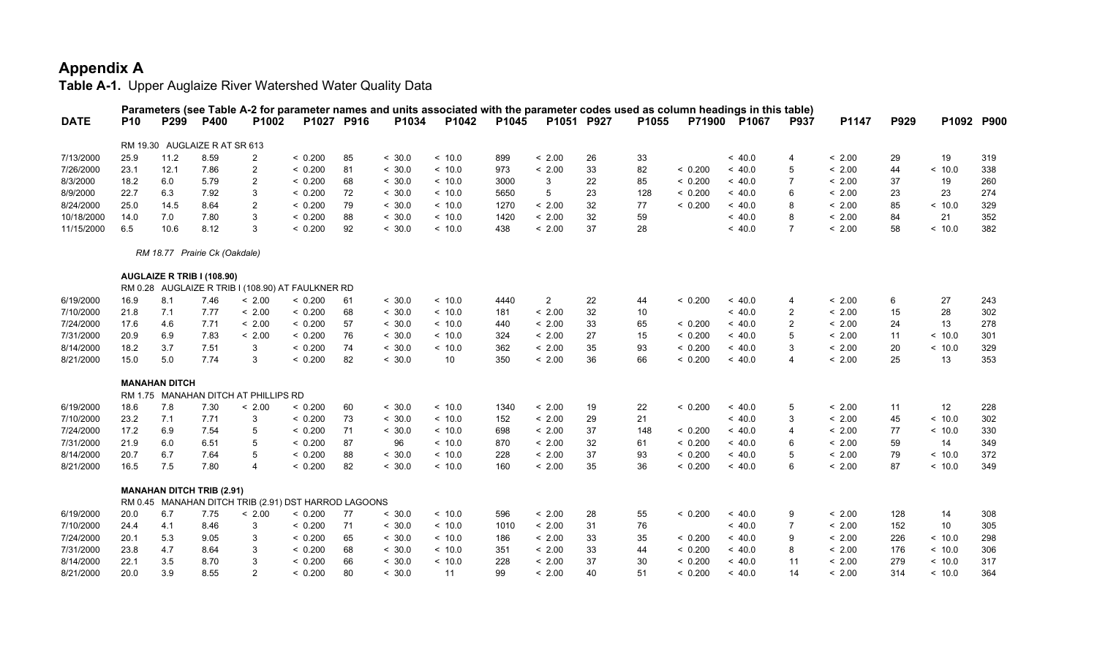|             |            |                      |                                  |                                                      |            |    |        | Parameters (see Table A-2 for parameter names and units associated with the parameter codes used as column headings in this table) |       |                 |    |       |         |         |                         |        |      |            |     |
|-------------|------------|----------------------|----------------------------------|------------------------------------------------------|------------|----|--------|------------------------------------------------------------------------------------------------------------------------------------|-------|-----------------|----|-------|---------|---------|-------------------------|--------|------|------------|-----|
| <b>DATE</b> | <b>P10</b> | P299                 | P400                             | P1002                                                | P1027 P916 |    | P1034  | P1042                                                                                                                              | P1045 | P1051 P927      |    | P1055 | P71900  | P1067   | <b>P937</b>             | P1147  | P929 | P1092 P900 |     |
|             |            |                      | RM 19.30 AUGLAIZE R AT SR 613    |                                                      |            |    |        |                                                                                                                                    |       |                 |    |       |         |         |                         |        |      |            |     |
| 7/13/2000   | 25.9       | 11.2                 | 8.59                             | $\overline{2}$                                       | < 0.200    | 85 | < 30.0 | < 10.0                                                                                                                             | 899   | < 2.00          | 26 | 33    |         | ~< 40.0 | 4                       | < 2.00 | 29   | 19         | 319 |
| 7/26/2000   | 23.1       | 12.1                 | 7.86                             | 2                                                    | < 0.200    | 81 | < 30.0 | ~<~10.0                                                                                                                            | 973   | < 2.00          | 33 | 82    | < 0.200 | ~<~40.0 | 5                       | < 2.00 | 44   | ~<~10.0    | 338 |
| 8/3/2000    | 18.2       | 6.0                  | 5.79                             | $\overline{2}$                                       | < 0.200    | 68 | < 30.0 | ~<~10.0                                                                                                                            | 3000  | 3               | 22 | 85    | < 0.200 | ~< 40.0 | 7                       | < 2.00 | 37   | 19         | 260 |
| 8/9/2000    | 22.7       | 6.3                  | 7.92                             | 3                                                    | < 0.200    | 72 | < 30.0 | ~<~10.0                                                                                                                            | 5650  | $5\phantom{.0}$ | 23 | 128   | < 0.200 | ~< 40.0 | 6                       | < 2.00 | 23   | 23         | 274 |
| 8/24/2000   | 25.0       | 14.5                 | 8.64                             | $\overline{2}$                                       | < 0.200    | 79 | < 30.0 | < 10.0                                                                                                                             | 1270  | < 2.00          | 32 | 77    | < 0.200 | ~<~40.0 | 8                       | < 2.00 | 85   | < 10.0     | 329 |
| 10/18/2000  | 14.0       | 7.0                  | 7.80                             | 3                                                    | < 0.200    | 88 | < 30.0 | ~<~10.0                                                                                                                            | 1420  | < 2.00          | 32 | 59    |         | ~<~40.0 | 8                       | < 2.00 | 84   | 21         | 352 |
| 11/15/2000  | 6.5        | 10.6                 | 8.12                             | 3                                                    | < 0.200    | 92 | < 30.0 | ~<~10.0                                                                                                                            | 438   | < 2.00          | 37 | 28    |         | ~< 40.0 | $\overline{7}$          | < 2.00 | 58   | < 10.0     | 382 |
|             |            |                      | RM 18.77 Prairie Ck (Oakdale)    |                                                      |            |    |        |                                                                                                                                    |       |                 |    |       |         |         |                         |        |      |            |     |
|             |            |                      | AUGLAIZE R TRIB I (108.90)       |                                                      |            |    |        |                                                                                                                                    |       |                 |    |       |         |         |                         |        |      |            |     |
|             |            |                      |                                  | RM 0.28 AUGLAIZE R TRIB I (108.90) AT FAULKNER RD    |            |    |        |                                                                                                                                    |       |                 |    |       |         |         |                         |        |      |            |     |
| 6/19/2000   | 16.9       | 8.1                  | 7.46                             | < 2.00                                               | < 0.200    | 61 | < 30.0 | ~<~10.0                                                                                                                            | 4440  | $\overline{2}$  | 22 | 44    | < 0.200 | ~<~40.0 | $\overline{4}$          | < 2.00 | 6    | 27         | 243 |
| 7/10/2000   | 21.8       | 7.1                  | 7.77                             | < 2.00                                               | < 0.200    | 68 | < 30.0 | < 10.0                                                                                                                             | 181   | < 2.00          | 32 | 10    |         | ~< 40.0 | $\overline{2}$          | < 2.00 | 15   | 28         | 302 |
| 7/24/2000   | 17.6       | 4.6                  | 7.71                             | < 2.00                                               | < 0.200    | 57 | < 30.0 | ~<~10.0                                                                                                                            | 440   | < 2.00          | 33 | 65    | < 0.200 | ~< 40.0 | $\overline{2}$          | < 2.00 | 24   | 13         | 278 |
| 7/31/2000   | 20.9       | 6.9                  | 7.83                             | < 2.00                                               | < 0.200    | 76 | < 30.0 | ~<~10.0                                                                                                                            | 324   | < 2.00          | 27 | 15    | < 0.200 | ~<~40.0 | 5                       | < 2.00 | 11   | ~10.0      | 301 |
| 8/14/2000   | 18.2       | 3.7                  | 7.51                             | 3                                                    | < 0.200    | 74 | < 30.0 | ~10.0                                                                                                                              | 362   | < 2.00          | 35 | 93    | < 0.200 | ~<~40.0 | 3                       | < 2.00 | 20   | < 10.0     | 329 |
| 8/21/2000   | 15.0       | 5.0                  | 7.74                             | 3                                                    | < 0.200    | 82 | < 30.0 | 10                                                                                                                                 | 350   | < 2.00          | 36 | 66    | < 0.200 | ~< 40.0 | $\overline{4}$          | < 2.00 | 25   | 13         | 353 |
|             |            | <b>MANAHAN DITCH</b> |                                  |                                                      |            |    |        |                                                                                                                                    |       |                 |    |       |         |         |                         |        |      |            |     |
|             |            |                      |                                  | RM 1.75 MANAHAN DITCH AT PHILLIPS RD                 |            |    |        |                                                                                                                                    |       |                 |    |       |         |         |                         |        |      |            |     |
| 6/19/2000   | 18.6       | 7.8                  | 7.30                             | < 2.00                                               | < 0.200    | 60 | < 30.0 | < 10.0                                                                                                                             | 1340  | < 2.00          | 19 | 22    | < 0.200 | ~< 40.0 | 5                       | < 2.00 | 11   | 12         | 228 |
| 7/10/2000   | 23.2       | 7.1                  | 7.71                             | 3                                                    | < 0.200    | 73 | < 30.0 | ~<~10.0                                                                                                                            | 152   | < 2.00          | 29 | 21    |         | ~<~40.0 | 3                       | < 2.00 | 45   | ~<~10.0    | 302 |
| 7/24/2000   | 17.2       | 6.9                  | 7.54                             | 5                                                    | < 0.200    | 71 | < 30.0 | ~<~10.0                                                                                                                            | 698   | < 2.00          | 37 | 148   | < 0.200 | ~<~40.0 | $\overline{\mathbf{4}}$ | < 2.00 | 77   | ~10.0      | 330 |
| 7/31/2000   | 21.9       | 6.0                  | 6.51                             | 5                                                    | < 0.200    | 87 | 96     | ~<~10.0                                                                                                                            | 870   | < 2.00          | 32 | 61    | < 0.200 | ~< 40.0 | 6                       | < 2.00 | 59   | 14         | 349 |
| 8/14/2000   | 20.7       | 6.7                  | 7.64                             | 5                                                    | < 0.200    | 88 | < 30.0 | < 10.0                                                                                                                             | 228   | < 2.00          | 37 | 93    | < 0.200 | ~< 40.0 | 5                       | < 2.00 | 79   | < 10.0     | 372 |
| 8/21/2000   | 16.5       | 7.5                  | 7.80                             | 4                                                    | < 0.200    | 82 | < 30.0 | ~<~10.0                                                                                                                            | 160   | < 2.00          | 35 | 36    | < 0.200 | ~< 40.0 | 6                       | < 2.00 | 87   | < 10.0     | 349 |
|             |            |                      | <b>MANAHAN DITCH TRIB (2.91)</b> |                                                      |            |    |        |                                                                                                                                    |       |                 |    |       |         |         |                         |        |      |            |     |
|             |            |                      |                                  | RM 0.45 MANAHAN DITCH TRIB (2.91) DST HARROD LAGOONS |            |    |        |                                                                                                                                    |       |                 |    |       |         |         |                         |        |      |            |     |
| 6/19/2000   | 20.0       | 6.7                  | 7.75                             | < 2.00                                               | < 0.200    | 77 | < 30.0 | ~<~10.0                                                                                                                            | 596   | < 2.00          | 28 | 55    | < 0.200 | ~<~40.0 | 9                       | < 2.00 | 128  | 14         | 308 |
| 7/10/2000   | 24.4       | 4.1                  | 8.46                             | 3                                                    | < 0.200    | 71 | < 30.0 | ~<~10.0                                                                                                                            | 1010  | < 2.00          | 31 | 76    |         | ~< 40.0 | $\overline{7}$          | < 2.00 | 152  | 10         | 305 |
| 7/24/2000   | 20.1       | 5.3                  | 9.05                             | 3                                                    | < 0.200    | 65 | < 30.0 | ~<~10.0                                                                                                                            | 186   | < 2.00          | 33 | 35    | < 0.200 | ~< 40.0 | 9                       | < 2.00 | 226  | < 10.0     | 298 |
| 7/31/2000   | 23.8       | 4.7                  | 8.64                             | 3                                                    | < 0.200    | 68 | < 30.0 | ~<~10.0                                                                                                                            | 351   | < 2.00          | 33 | 44    | < 0.200 | ~<~40.0 | 8                       | < 2.00 | 176  | < 10.0     | 306 |
| 8/14/2000   | 22.1       | 3.5                  | 8.70                             | 3                                                    | < 0.200    | 66 | < 30.0 | ~10.0                                                                                                                              | 228   | < 2.00          | 37 | 30    | < 0.200 | ~<~40.0 | 11                      | < 2.00 | 279  | ~10.0      | 317 |
| 8/21/2000   | 20.0       | 3.9                  | 8.55                             | $\mathfrak{p}$                                       | < 0.200    | 80 | < 30.0 | 11                                                                                                                                 | 99    | < 2.00          | 40 | 51    | < 0.200 | ~< 40.0 | 14                      | < 2.00 | 314  | < 10.0     | 364 |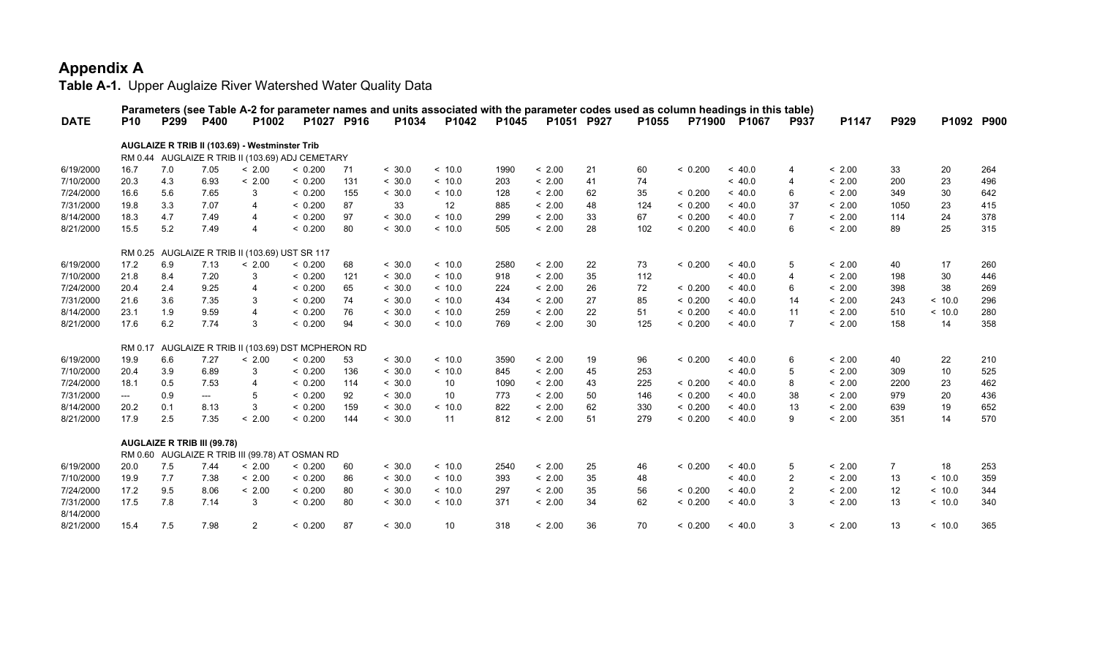|             |                          |                                    |      |                                                  |            |     |        |                   |       |            |    |       |         | Parameters (see Table A-2 for parameter names and units associated with the parameter codes used as column headings in this table) |                |        |                |         |            |
|-------------|--------------------------|------------------------------------|------|--------------------------------------------------|------------|-----|--------|-------------------|-------|------------|----|-------|---------|------------------------------------------------------------------------------------------------------------------------------------|----------------|--------|----------------|---------|------------|
| <b>DATE</b> | <b>P10</b>               | P299                               | P400 | P1002                                            | P1027 P916 |     | P1034  | P1042             | P1045 | P1051 P927 |    | P1055 |         | P71900 P1067                                                                                                                       | P937           | P1147  | P929           |         | P1092 P900 |
|             |                          |                                    |      |                                                  |            |     |        |                   |       |            |    |       |         |                                                                                                                                    |                |        |                |         |            |
|             |                          |                                    |      | AUGLAIZE R TRIB II (103.69) - Westminster Trib   |            |     |        |                   |       |            |    |       |         |                                                                                                                                    |                |        |                |         |            |
|             |                          |                                    |      | RM 0.44 AUGLAIZE R TRIB II (103.69) ADJ CEMETARY |            |     |        |                   |       |            |    |       |         |                                                                                                                                    |                |        |                |         |            |
| 6/19/2000   | 16.7                     | 7.0                                | 7.05 | < 2.00                                           | < 0.200    | 71  | < 30.0 | ~<~10.0           | 1990  | < 2.00     | 21 | 60    | < 0.200 | ~<~40.0                                                                                                                            | $\overline{4}$ | < 2.00 | 33             | 20      | 264        |
| 7/10/2000   | 20.3                     | 4.3                                | 6.93 | < 2.00                                           | < 0.200    | 131 | < 30.0 | ~<~10.0           | 203   | < 2.00     | 41 | 74    |         | ~<~40.0                                                                                                                            | $\overline{4}$ | < 2.00 | 200            | 23      | 496        |
| 7/24/2000   | 16.6                     | 5.6                                | 7.65 | 3                                                | < 0.200    | 155 | < 30.0 | ~<~10.0           | 128   | < 2.00     | 62 | 35    | < 0.200 | ~<~40.0                                                                                                                            | 6              | < 2.00 | 349            | 30      | 642        |
| 7/31/2000   | 19.8                     | 3.3                                | 7.07 | $\overline{4}$                                   | < 0.200    | 87  | 33     | $12 \overline{ }$ | 885   | < 2.00     | 48 | 124   | < 0.200 | ~<~40.0                                                                                                                            | 37             | < 2.00 | 1050           | 23      | 415        |
| 8/14/2000   | 18.3                     | 4.7                                | 7.49 | $\overline{4}$                                   | < 0.200    | 97  | < 30.0 | ~<~10.0           | 299   | < 2.00     | 33 | 67    | < 0.200 | ~<~40.0                                                                                                                            | 7              | < 2.00 | 114            | 24      | 378        |
| 8/21/2000   | 15.5                     | 5.2                                | 7.49 | $\overline{4}$                                   | < 0.200    | 80  | < 30.0 | ~<~10.0           | 505   | < 2.00     | 28 | 102   | < 0.200 | ~< 40.0                                                                                                                            | 6              | < 2.00 | 89             | 25      | 315        |
|             |                          |                                    |      | RM 0.25 AUGLAIZE R TRIB II (103.69) UST SR 117   |            |     |        |                   |       |            |    |       |         |                                                                                                                                    |                |        |                |         |            |
| 6/19/2000   | 17.2                     | 6.9                                | 7.13 | < 2.00                                           | < 0.200    |     | < 30.0 | ~<~10.0           | 2580  | < 2.00     | 22 |       | < 0.200 | ~<~40.0                                                                                                                            | 5              | < 2.00 | 40             |         | 260        |
|             |                          |                                    |      | 3                                                |            | 68  | < 30.0 | ~<~10.0           | 918   | < 2.00     |    | 73    |         | ~<~40.0                                                                                                                            |                |        |                | 17      |            |
| 7/10/2000   | 21.8                     | 8.4                                | 7.20 |                                                  | < 0.200    | 121 |        |                   |       |            | 35 | 112   |         |                                                                                                                                    | $\overline{4}$ | < 2.00 | 198            | 30      | 446        |
| 7/24/2000   | 20.4                     | 2.4                                | 9.25 | $\overline{\mathbf{A}}$                          | < 0.200    | 65  | < 30.0 | ~<~10.0           | 224   | < 2.00     | 26 | 72    | < 0.200 | ~<~40.0                                                                                                                            | 6              | < 2.00 | 398            | 38      | 269        |
| 7/31/2000   | 21.6                     | 3.6                                | 7.35 | 3                                                | < 0.200    | 74  | < 30.0 | ~<~10.0           | 434   | < 2.00     | 27 | 85    | < 0.200 | ~<~40.0                                                                                                                            | 14             | < 2.00 | 243            | ~10.0   | 296        |
| 8/14/2000   | 23.1                     | 1.9                                | 9.59 | $\overline{4}$                                   | < 0.200    | 76  | < 30.0 | ~<~10.0           | 259   | < 2.00     | 22 | 51    | < 0.200 | ~<~40.0                                                                                                                            | 11             | < 2.00 | 510            | < 10.0  | 280        |
| 8/21/2000   | 17.6                     | 6.2                                | 7.74 | 3                                                | < 0.200    | 94  | < 30.0 | ~<~10.0           | 769   | < 2.00     | 30 | 125   | < 0.200 | ~< 40.0                                                                                                                            | $\overline{7}$ | < 2.00 | 158            | 14      | 358        |
|             | RM 0.17                  |                                    |      | AUGLAIZE R TRIB II (103.69) DST MCPHERON RD      |            |     |        |                   |       |            |    |       |         |                                                                                                                                    |                |        |                |         |            |
| 6/19/2000   | 19.9                     | 6.6                                | 7.27 | < 2.00                                           | < 0.200    | 53  | < 30.0 | < 10.0            | 3590  | < 2.00     | 19 | 96    | < 0.200 | ~< 40.0                                                                                                                            | 6              | < 2.00 | 40             | 22      | 210        |
| 7/10/2000   | 20.4                     | 3.9                                | 6.89 | 3                                                | < 0.200    | 136 | < 30.0 | < 10.0            | 845   | < 2.00     | 45 | 253   |         | ~< 40.0                                                                                                                            | 5              | < 2.00 | 309            | 10      | 525        |
| 7/24/2000   | 18.1                     | 0.5                                | 7.53 | $\overline{4}$                                   | < 0.200    | 114 | < 30.0 | 10                | 1090  | < 2.00     | 43 | 225   | < 0.200 | ~< 40.0                                                                                                                            | 8              | < 2.00 | 2200           | 23      | 462        |
| 7/31/2000   | $\hspace{0.05cm} \ldots$ | 0.9                                | ---  | 5                                                | < 0.200    | 92  | < 30.0 | 10                | 773   | < 2.00     | 50 | 146   | < 0.200 | ~< 40.0                                                                                                                            | 38             | < 2.00 | 979            | 20      | 436        |
| 8/14/2000   | 20.2                     | 0.1                                | 8.13 | 3                                                | < 0.200    | 159 | < 30.0 | ~10.0             | 822   | < 2.00     | 62 | 330   | < 0.200 | ~< 40.0                                                                                                                            | 13             | < 2.00 | 639            | 19      | 652        |
| 8/21/2000   | 17.9                     | 2.5                                | 7.35 | < 2.00                                           | < 0.200    | 144 | < 30.0 | 11                | 812   | < 2.00     | 51 | 279   | < 0.200 | ~< 40.0                                                                                                                            | 9              | < 2.00 | 351            | 14      | 570        |
|             |                          |                                    |      |                                                  |            |     |        |                   |       |            |    |       |         |                                                                                                                                    |                |        |                |         |            |
|             |                          | <b>AUGLAIZE R TRIB III (99.78)</b> |      |                                                  |            |     |        |                   |       |            |    |       |         |                                                                                                                                    |                |        |                |         |            |
|             |                          |                                    |      | RM 0.60 AUGLAIZE R TRIB III (99.78) AT OSMAN RD  |            |     |        |                   |       |            |    |       |         |                                                                                                                                    |                |        |                |         |            |
| 6/19/2000   | 20.0                     | 7.5                                | 7.44 | < 2.00                                           | < 0.200    | 60  | < 30.0 | ~<~10.0           | 2540  | < 2.00     | 25 | 46    | < 0.200 | ~<~40.0                                                                                                                            | 5              | < 2.00 | $\overline{7}$ | 18      | 253        |
| 7/10/2000   | 19.9                     | 7.7                                | 7.38 | < 2.00                                           | < 0.200    | 86  | < 30.0 | ~<~10.0           | 393   | < 2.00     | 35 | 48    |         | ~<~40.0                                                                                                                            | $\overline{2}$ | < 2.00 | 13             | ~<~10.0 | 359        |
| 7/24/2000   | 17.2                     | 9.5                                | 8.06 | < 2.00                                           | < 0.200    | 80  | < 30.0 | ~<~10.0           | 297   | < 2.00     | 35 | 56    | < 0.200 | ~<~40.0                                                                                                                            | $\overline{2}$ | < 2.00 | 12             | ~10.0   | 344        |
| 7/31/2000   | 17.5                     | 7.8                                | 7.14 | 3                                                | < 0.200    | 80  | < 30.0 | ~<~10.0           | 371   | < 2.00     | 34 | 62    | < 0.200 | ~<~40.0                                                                                                                            | 3              | < 2.00 | 13             | ~<~10.0 | 340        |
| 8/14/2000   |                          |                                    |      |                                                  |            |     |        |                   |       |            |    |       |         |                                                                                                                                    |                |        |                |         |            |
| 8/21/2000   | 15.4                     | 7.5                                | 7.98 | 2                                                | < 0.200    | 87  | < 30.0 | 10 <sup>°</sup>   | 318   | < 2.00     | 36 | 70    | < 0.200 | ~<~40.0                                                                                                                            | 3              | < 2.00 | 13             | ~<~10.0 | 365        |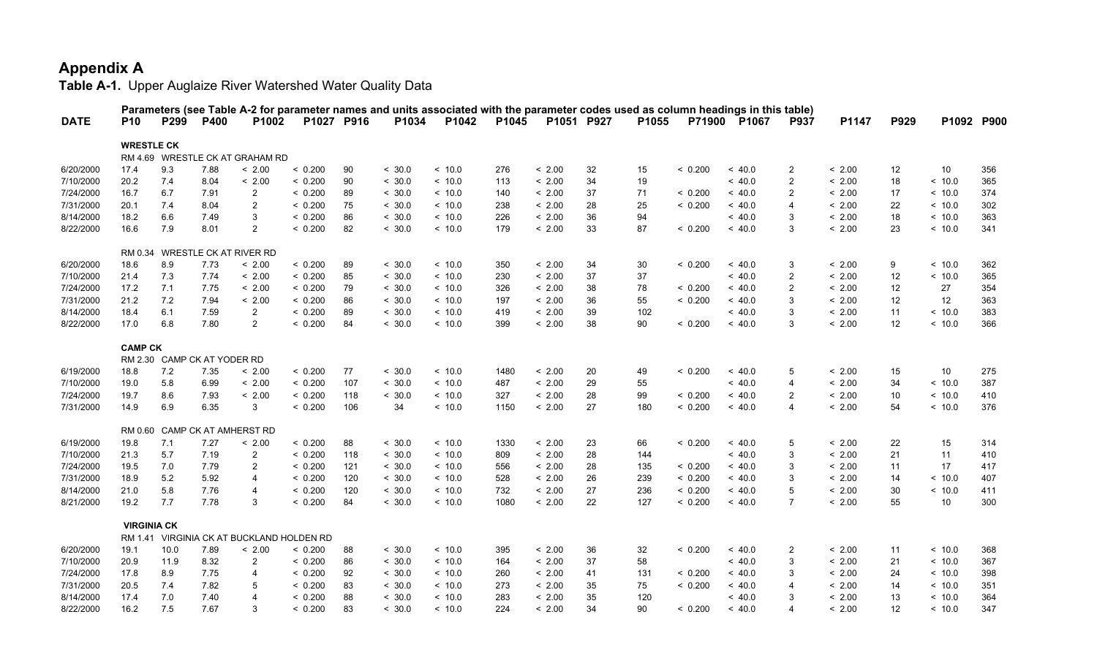|             |                    |                             |      | Parameters (see Table A-2 for parameter names and units associated with the parameter codes used as column headings in this table) |            |     |        |         |       |            |    |       |         |              |                         |        |      |                 |            |
|-------------|--------------------|-----------------------------|------|------------------------------------------------------------------------------------------------------------------------------------|------------|-----|--------|---------|-------|------------|----|-------|---------|--------------|-------------------------|--------|------|-----------------|------------|
| <b>DATE</b> | <b>P10</b>         | P299                        | P400 | P1002                                                                                                                              | P1027 P916 |     | P1034  | P1042   | P1045 | P1051 P927 |    | P1055 |         | P71900 P1067 | <b>P937</b>             | P1147  | P929 |                 | P1092 P900 |
|             | <b>WRESTLE CK</b>  |                             |      |                                                                                                                                    |            |     |        |         |       |            |    |       |         |              |                         |        |      |                 |            |
|             |                    |                             |      | RM 4.69 WRESTLE CK AT GRAHAM RD                                                                                                    |            |     |        |         |       |            |    |       |         |              |                         |        |      |                 |            |
| 6/20/2000   | 17.4               | 9.3                         | 7.88 | < 2.00                                                                                                                             | < 0.200    | 90  | < 30.0 | ~10.0   | 276   | < 2.00     | 32 | 15    | < 0.200 | ~<~40.0      | $\overline{c}$          | < 2.00 | 12   | 10              | 356        |
| 7/10/2000   | 20.2               | 7.4                         | 8.04 | < 2.00                                                                                                                             | < 0.200    | 90  | < 30.0 | ~<~10.0 | 113   | < 2.00     | 34 | 19    |         | < 40.0       | $\overline{2}$          | < 2.00 | 18   | < 10.0          | 365        |
| 7/24/2000   | 16.7               | 6.7                         | 7.91 | $\overline{2}$                                                                                                                     | < 0.200    | 89  | < 30.0 | ~<~10.0 | 140   | < 2.00     | 37 | 71    | < 0.200 | < 40.0       | $\overline{2}$          | < 2.00 | 17   | < 10.0          | 374        |
| 7/31/2000   | 20.1               | 7.4                         | 8.04 | 2                                                                                                                                  | < 0.200    | 75  | < 30.0 | ~<~10.0 | 238   | < 2.00     | 28 | 25    | < 0.200 | ~<~40.0      | $\overline{4}$          | < 2.00 | 22   | ~10.0           | 302        |
| 8/14/2000   | 18.2               | 6.6                         | 7.49 | 3                                                                                                                                  | < 0.200    | 86  | < 30.0 | ~<~10.0 | 226   | < 2.00     | 36 | 94    |         | ~<~40.0      | 3                       | < 2.00 | 18   | ~10.0           | 363        |
| 8/22/2000   | 16.6               | 7.9                         | 8.01 | $\overline{2}$                                                                                                                     | < 0.200    | 82  | < 30.0 | ~<~10.0 | 179   | < 2.00     | 33 | 87    | < 0.200 | < 40.0       | 3                       | < 2.00 | 23   | < 10.0          | 341        |
|             |                    |                             |      | RM 0.34 WRESTLE CK AT RIVER RD                                                                                                     |            |     |        |         |       |            |    |       |         |              |                         |        |      |                 |            |
| 6/20/2000   | 18.6               | 8.9                         | 7.73 | < 2.00                                                                                                                             | < 0.200    | 89  | < 30.0 | < 10.0  | 350   | < 2.00     | 34 | 30    | < 0.200 | < 40.0       | 3                       | < 2.00 | 9    | < 10.0          | 362        |
| 7/10/2000   | 21.4               | 7.3                         | 7.74 | < 2.00                                                                                                                             | < 0.200    | 85  | < 30.0 | < 10.0  | 230   | < 2.00     | 37 | 37    |         | < 40.0       | $\overline{2}$          | < 2.00 | 12   | < 10.0          | 365        |
| 7/24/2000   | 17.2               | 7.1                         | 7.75 | < 2.00                                                                                                                             | < 0.200    | 79  | < 30.0 | ~<~10.0 | 326   | < 2.00     | 38 | 78    | < 0.200 | ~<~40.0      | $\overline{2}$          | < 2.00 | 12   | 27              | 354        |
| 7/31/2000   | 21.2               | 7.2                         | 7.94 | < 2.00                                                                                                                             | < 0.200    | 86  | < 30.0 | ~<~10.0 | 197   | < 2.00     | 36 | 55    | < 0.200 | < 40.0       | 3                       | < 2.00 | 12   | 12              | 363        |
| 8/14/2000   | 18.4               | 6.1                         | 7.59 | $\overline{2}$                                                                                                                     | < 0.200    | 89  | < 30.0 | ~10.0   | 419   | < 2.00     | 39 | 102   |         | < 40.0       | 3                       | < 2.00 | 11   | ~10.0           | 383        |
| 8/22/2000   | 17.0               | 6.8                         | 7.80 | $\overline{2}$                                                                                                                     | < 0.200    | 84  | < 30.0 | ~10.0   | 399   | < 2.00     | 38 | 90    | < 0.200 | ~<~40.0      | 3                       | < 2.00 | 12   | < 10.0          | 366        |
|             | <b>CAMP CK</b>     |                             |      |                                                                                                                                    |            |     |        |         |       |            |    |       |         |              |                         |        |      |                 |            |
|             |                    | RM 2.30 CAMP CK AT YODER RD |      |                                                                                                                                    |            |     |        |         |       |            |    |       |         |              |                         |        |      |                 |            |
| 6/19/2000   | 18.8               | 7.2                         | 7.35 | < 2.00                                                                                                                             | < 0.200    | 77  | < 30.0 | < 10.0  | 1480  | < 2.00     | 20 | 49    | < 0.200 | < 40.0       | 5                       | < 2.00 | 15   | 10              | 275        |
| 7/10/2000   | 19.0               | 5.8                         | 6.99 | < 2.00                                                                                                                             | < 0.200    | 107 | < 30.0 | ~10.0   | 487   | < 2.00     | 29 | 55    |         | < 40.0       | $\overline{4}$          | < 2.00 | 34   | ~10.0           | 387        |
| 7/24/2000   | 19.7               | 8.6                         | 7.93 | < 2.00                                                                                                                             | < 0.200    | 118 | < 30.0 | ~<~10.0 | 327   | < 2.00     | 28 | 99    | < 0.200 | ~<~40.0      | 2                       | < 2.00 | 10   | ~10.0           | 410        |
| 7/31/2000   | 14.9               | 6.9                         | 6.35 | 3                                                                                                                                  | < 0.200    | 106 | 34     | ~<~10.0 | 1150  | < 2.00     | 27 | 180   | < 0.200 | ~<~40.0      | $\overline{4}$          | < 2.00 | 54   | < 10.0          | 376        |
|             |                    |                             |      | RM 0.60 CAMP CK AT AMHERST RD                                                                                                      |            |     |        |         |       |            |    |       |         |              |                         |        |      |                 |            |
| 6/19/2000   | 19.8               | 7.1                         | 7.27 | < 2.00                                                                                                                             | < 0.200    | 88  | < 30.0 | ~<~10.0 | 1330  | < 2.00     | 23 | 66    | < 0.200 | ~<~40.0      | 5                       | < 2.00 | 22   | 15              | 314        |
| 7/10/2000   | 21.3               | 5.7                         | 7.19 | 2                                                                                                                                  | < 0.200    | 118 | < 30.0 | ~<~10.0 | 809   | < 2.00     | 28 | 144   |         | < 40.0       | 3                       | < 2.00 | 21   | 11              | 410        |
| 7/24/2000   | 19.5               | 7.0                         | 7.79 | $\overline{2}$                                                                                                                     | < 0.200    | 121 | < 30.0 | ~<~10.0 | 556   | < 2.00     | 28 | 135   | < 0.200 | ~<~40.0      | 3                       | < 2.00 | 11   | 17              | 417        |
| 7/31/2000   | 18.9               | 5.2                         | 5.92 | $\overline{4}$                                                                                                                     | < 0.200    | 120 | < 30.0 | ~<~10.0 | 528   | < 2.00     | 26 | 239   | < 0.200 | < 40.0       | 3                       | < 2.00 | 14   | < 10.0          | 407        |
| 8/14/2000   | 21.0               | 5.8                         | 7.76 | $\overline{4}$                                                                                                                     | < 0.200    | 120 | < 30.0 | ~<~10.0 | 732   | < 2.00     | 27 | 236   | < 0.200 | < 40.0       | 5                       | < 2.00 | 30   | < 10.0          | 411        |
| 8/21/2000   | 19.2               | 7.7                         | 7.78 | 3                                                                                                                                  | < 0.200    | 84  | < 30.0 | < 10.0  | 1080  | < 2.00     | 22 | 127   | < 0.200 | < 40.0       | $\overline{7}$          | < 2.00 | 55   | 10 <sup>°</sup> | 300        |
|             | <b>VIRGINIA CK</b> |                             |      |                                                                                                                                    |            |     |        |         |       |            |    |       |         |              |                         |        |      |                 |            |
|             |                    |                             |      | RM 1.41 VIRGINIA CK AT BUCKLAND HOLDEN RD                                                                                          |            |     |        |         |       |            |    |       |         |              |                         |        |      |                 |            |
| 6/20/2000   | 19.1               | 10.0                        | 7.89 | < 2.00                                                                                                                             | < 0.200    | 88  | < 30.0 | ~10.0   | 395   | < 2.00     | 36 | 32    | < 0.200 | ~<~40.0      | $\overline{c}$          | < 2.00 | 11   | < 10.0          | 368        |
| 7/10/2000   | 20.9               | 11.9                        | 8.32 | $\overline{2}$                                                                                                                     | < 0.200    | 86  | < 30.0 | < 10.0  | 164   | < 2.00     | 37 | 58    |         | < 40.0       | 3                       | < 2.00 | 21   | < 10.0          | 367        |
| 7/24/2000   | 17.8               | 8.9                         | 7.75 | 4                                                                                                                                  | < 0.200    | 92  | < 30.0 | ~10.0   | 260   | < 2.00     | 41 | 131   | < 0.200 | ~<~40.0      | 3                       | < 2.00 | 24   | ~10.0           | 398        |
| 7/31/2000   | 20.5               | 7.4                         | 7.82 | 5                                                                                                                                  | < 0.200    | 83  | < 30.0 | ~<~10.0 | 273   | < 2.00     | 35 | 75    | < 0.200 | ~<~40.0      | $\overline{4}$          | < 2.00 | 14   | ~10.0           | 351        |
| 8/14/2000   | 17.4               | 7.0                         | 7.40 | $\overline{4}$                                                                                                                     | < 0.200    | 88  | < 30.0 | < 10.0  | 283   | < 2.00     | 35 | 120   |         | < 40.0       | 3                       | < 2.00 | 13   | < 10.0          | 364        |
| 8/22/2000   | 16.2               | 7.5                         | 7.67 | 3                                                                                                                                  | < 0.200    | 83  | < 30.0 | ~10.0   | 224   | < 2.00     | 34 | 90    | < 0.200 | ~<~40.0      | $\overline{\mathbf{4}}$ | < 2.00 | 12   | ~10.0           | 347        |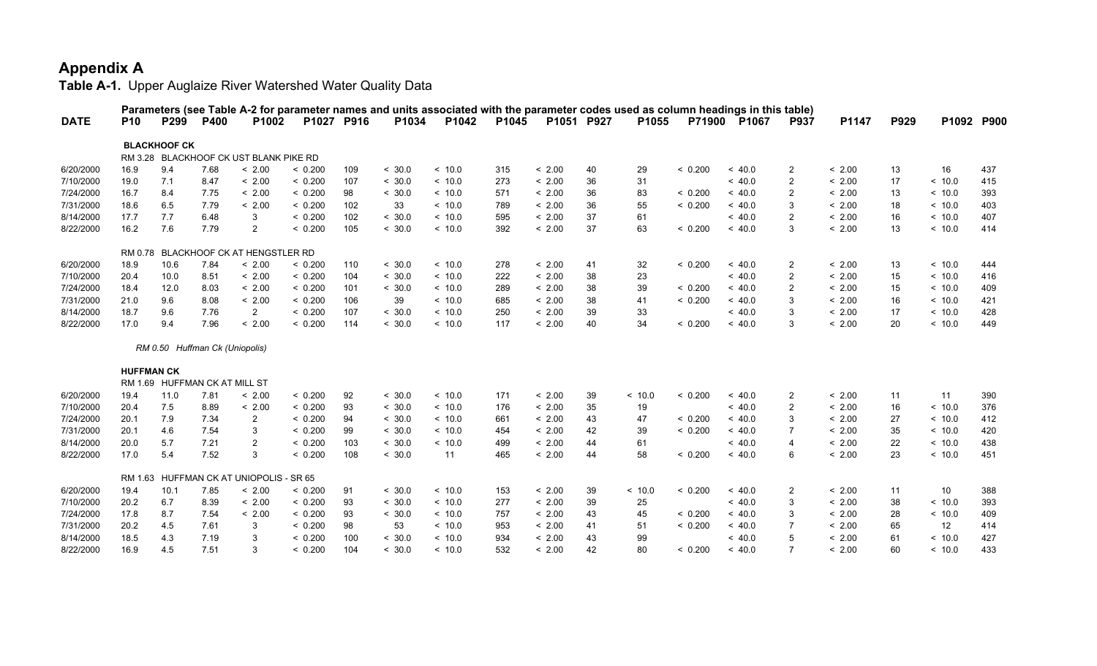|             |                   |                                |      | Parameters (see Table A-2 for parameter names and units associated with the parameter codes used as column headings in this table) |            |     |        |         |       |            |    |        |         |              |                |        |      |            |     |
|-------------|-------------------|--------------------------------|------|------------------------------------------------------------------------------------------------------------------------------------|------------|-----|--------|---------|-------|------------|----|--------|---------|--------------|----------------|--------|------|------------|-----|
| <b>DATE</b> | <b>P10</b>        | P299                           | P400 | P1002                                                                                                                              | P1027 P916 |     | P1034  | P1042   | P1045 | P1051 P927 |    | P1055  |         | P71900 P1067 | <b>P937</b>    | P1147  | P929 | P1092 P900 |     |
|             |                   | <b>BLACKHOOF CK</b>            |      |                                                                                                                                    |            |     |        |         |       |            |    |        |         |              |                |        |      |            |     |
|             |                   |                                |      | RM 3.28 BLACKHOOF CK UST BLANK PIKE RD                                                                                             |            |     |        |         |       |            |    |        |         |              |                |        |      |            |     |
| 6/20/2000   | 16.9              | 9.4                            | 7.68 | < 2.00                                                                                                                             | < 0.200    | 109 | < 30.0 | < 10.0  | 315   | < 2.00     | 40 | 29     | < 0.200 | ~< 40.0      | $\overline{c}$ | < 2.00 | 13   | 16         | 437 |
| 7/10/2000   | 19.0              | 7.1                            | 8.47 | < 2.00                                                                                                                             | < 0.200    | 107 | < 30.0 | ~10.0   | 273   | < 2.00     | 36 | 31     |         | ~<~40.0      | $\overline{2}$ | < 2.00 | 17   | ~<~10.0    | 415 |
| 7/24/2000   | 16.7              | 8.4                            | 7.75 | < 2.00                                                                                                                             | < 0.200    | 98  | < 30.0 | ~<~10.0 | 571   | < 2.00     | 36 | 83     | < 0.200 | ~<~40.0      | $\overline{2}$ | < 2.00 | 13   | ~10.0      | 393 |
| 7/31/2000   | 18.6              | 6.5                            | 7.79 | < 2.00                                                                                                                             | < 0.200    | 102 | 33     | ~<~10.0 | 789   | < 2.00     | 36 | 55     | < 0.200 | ~<~40.0      | 3              | < 2.00 | 18   | ~<~10.0    | 403 |
| 8/14/2000   | 17.7              | 7.7                            | 6.48 | 3                                                                                                                                  | < 0.200    | 102 | < 30.0 | ~<~10.0 | 595   | < 2.00     | 37 | 61     |         | ~<~40.0      | $\overline{2}$ | < 2.00 | 16   | < 10.0     | 407 |
| 8/22/2000   | 16.2              | 7.6                            | 7.79 | $\overline{2}$                                                                                                                     | < 0.200    | 105 | < 30.0 | < 10.0  | 392   | < 2.00     | 37 | 63     | < 0.200 | < 40.0       | 3              | < 2.00 | 13   | < 10.0     | 414 |
|             |                   |                                |      | RM 0.78 BLACKHOOF CK AT HENGSTLER RD                                                                                               |            |     |        |         |       |            |    |        |         |              |                |        |      |            |     |
| 6/20/2000   | 18.9              | 10.6                           | 7.84 | < 2.00                                                                                                                             | < 0.200    | 110 | < 30.0 | ~<~10.0 | 278   | < 2.00     | 41 | 32     | < 0.200 | ~<~40.0      | 2              | < 2.00 | 13   | ~<~10.0    | 444 |
| 7/10/2000   | 20.4              | 10.0                           | 8.51 | < 2.00                                                                                                                             | < 0.200    | 104 | < 30.0 | ~<~10.0 | 222   | < 2.00     | 38 | 23     |         | ~<~40.0      | $\overline{2}$ | < 2.00 | 15   | < 10.0     | 416 |
| 7/24/2000   | 18.4              | 12.0                           | 8.03 | < 2.00                                                                                                                             | < 0.200    | 101 | < 30.0 | ~<~10.0 | 289   | < 2.00     | 38 | 39     | < 0.200 | < 40.0       | $\overline{2}$ | < 2.00 | 15   | < 10.0     | 409 |
| 7/31/2000   | 21.0              | 9.6                            | 8.08 | < 2.00                                                                                                                             | < 0.200    | 106 | 39     | ~<~10.0 | 685   | < 2.00     | 38 | 41     | < 0.200 | ~<~40.0      | 3              | < 2.00 | 16   | ~<~10.0    | 421 |
| 8/14/2000   | 18.7              | 9.6                            | 7.76 | $\overline{2}$                                                                                                                     | < 0.200    | 107 | < 30.0 | ~10.0   | 250   | < 2.00     | 39 | 33     |         | ~< 40.0      | 3              | < 2.00 | 17   | < 10.0     | 428 |
| 8/22/2000   | 17.0              | 9.4                            | 7.96 | < 2.00                                                                                                                             | < 0.200    | 114 | < 30.0 | < 10.0  | 117   | < 2.00     | 40 | 34     | < 0.200 | < 40.0       | 3              | < 2.00 | 20   | < 10.0     | 449 |
|             |                   | RM 0.50 Huffman Ck (Uniopolis) |      |                                                                                                                                    |            |     |        |         |       |            |    |        |         |              |                |        |      |            |     |
|             | <b>HUFFMAN CK</b> |                                |      |                                                                                                                                    |            |     |        |         |       |            |    |        |         |              |                |        |      |            |     |
|             |                   | RM 1.69 HUFFMAN CK AT MILL ST  |      |                                                                                                                                    |            |     |        |         |       |            |    |        |         |              |                |        |      |            |     |
| 6/20/2000   | 19.4              | 11.0                           | 7.81 | < 2.00                                                                                                                             | < 0.200    | 92  | < 30.0 | ~<~10.0 | 171   | < 2.00     | 39 | ~10.0  | < 0.200 | ~<~40.0      | 2              | < 2.00 | 11   | 11         | 390 |
| 7/10/2000   | 20.4              | 7.5                            | 8.89 | < 2.00                                                                                                                             | < 0.200    | 93  | < 30.0 | < 10.0  | 176   | < 2.00     | 35 | 19     |         | < 40.0       | $\overline{2}$ | < 2.00 | 16   | < 10.0     | 376 |
| 7/24/2000   | 20.1              | 7.9                            | 7.34 | 2                                                                                                                                  | < 0.200    | 94  | < 30.0 | ~<~10.0 | 661   | < 2.00     | 43 | 47     | < 0.200 | ~<~40.0      | 3              | < 2.00 | 27   | ~10.0      | 412 |
| 7/31/2000   | 20.1              | 4.6                            | 7.54 | 3                                                                                                                                  | < 0.200    | 99  | < 30.0 | ~<~10.0 | 454   | < 2.00     | 42 | 39     | < 0.200 | ~<~40.0      | $\overline{7}$ | < 2.00 | 35   | < 10.0     | 420 |
| 8/14/2000   | 20.0              | 5.7                            | 7.21 | $\overline{2}$                                                                                                                     | < 0.200    | 103 | < 30.0 | < 10.0  | 499   | < 2.00     | 44 | 61     |         | ~< 40.0      | 4              | < 2.00 | 22   | < 10.0     | 438 |
| 8/22/2000   | 17.0              | 5.4                            | 7.52 | 3                                                                                                                                  | < 0.200    | 108 | < 30.0 | 11      | 465   | < 2.00     | 44 | 58     | < 0.200 | ~<~40.0      | 6              | < 2.00 | 23   | < 10.0     | 451 |
|             |                   |                                |      | RM 1.63 HUFFMAN CK AT UNIOPOLIS - SR 65                                                                                            |            |     |        |         |       |            |    |        |         |              |                |        |      |            |     |
| 6/20/2000   | 19.4              | 10.1                           | 7.85 | < 2.00                                                                                                                             | < 0.200    | 91  | < 30.0 | ~<~10.0 | 153   | < 2.00     | 39 | < 10.0 | < 0.200 | < 40.0       | $\overline{c}$ | < 2.00 | 11   | 10         | 388 |
| 7/10/2000   | 20.2              | 6.7                            | 8.39 | < 2.00                                                                                                                             | < 0.200    | 93  | < 30.0 | < 10.0  | 277   | < 2.00     | 39 | 25     |         | < 40.0       | 3              | < 2.00 | 38   | < 10.0     | 393 |
| 7/24/2000   | 17.8              | 8.7                            | 7.54 | < 2.00                                                                                                                             | < 0.200    | 93  | < 30.0 | ~<~10.0 | 757   | < 2.00     | 43 | 45     | < 0.200 | ~<~40.0      | 3              | < 2.00 | 28   | < 10.0     | 409 |
| 7/31/2000   | 20.2              | 4.5                            | 7.61 | 3                                                                                                                                  | < 0.200    | 98  | 53     | < 10.0  | 953   | < 2.00     | 41 | 51     | < 0.200 | < 40.0       | $\overline{7}$ | < 2.00 | 65   | 12         | 414 |
| 8/14/2000   | 18.5              | 4.3                            | 7.19 | 3                                                                                                                                  | < 0.200    | 100 | < 30.0 | < 10.0  | 934   | < 2.00     | 43 | 99     |         | ~< 40.0      | 5              | < 2.00 | 61   | < 10.0     | 427 |
| 8/22/2000   | 16.9              | 4.5                            | 7.51 | 3                                                                                                                                  | < 0.200    | 104 | < 30.0 | ~<~10.0 | 532   | < 2.00     | 42 | 80     | < 0.200 | ~<~40.0      | $\overline{7}$ | < 2.00 | 60   | ~10.0      | 433 |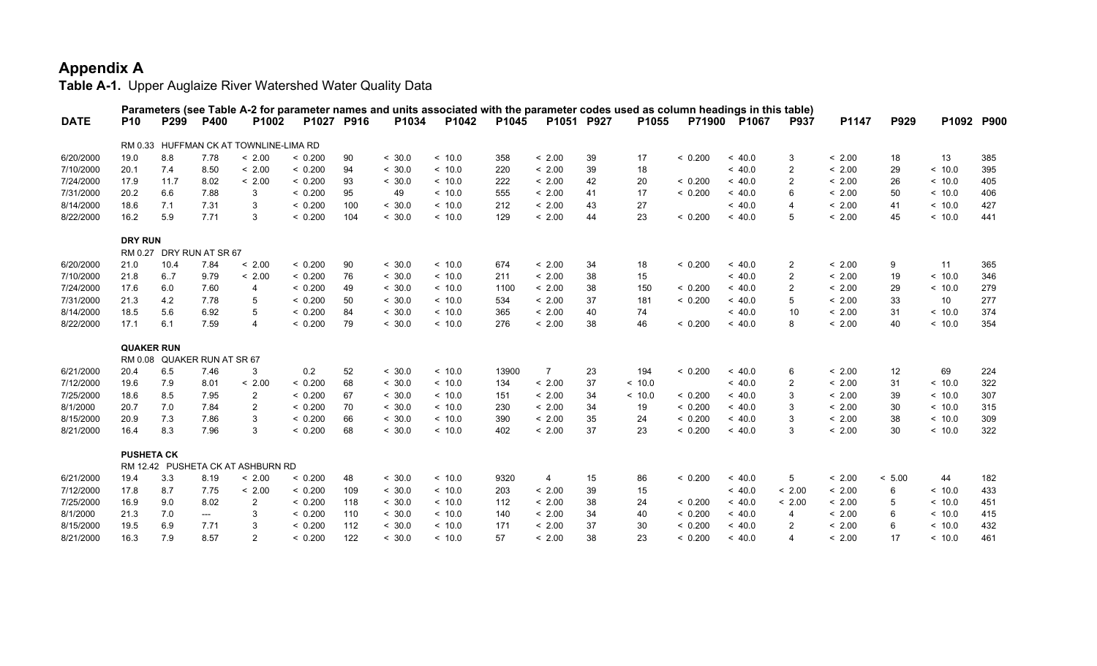|             |                   |                             |                  | Parameters (see Table A-2 for parameter names and units associated with the parameter codes used as column headings in this table) |            |     |        |         |       |                |    |         |         |         |                          |        |        |         |            |
|-------------|-------------------|-----------------------------|------------------|------------------------------------------------------------------------------------------------------------------------------------|------------|-----|--------|---------|-------|----------------|----|---------|---------|---------|--------------------------|--------|--------|---------|------------|
| <b>DATE</b> | <b>P10</b>        | P299                        | P400             | P1002                                                                                                                              | P1027 P916 |     | P1034  | P1042   | P1045 | P1051 P927     |    | P1055   | P71900  | P1067   | <b>P937</b>              | P1147  | P929   |         | P1092 P900 |
|             |                   |                             |                  | RM 0.33 HUFFMAN CK AT TOWNLINE-LIMA RD                                                                                             |            |     |        |         |       |                |    |         |         |         |                          |        |        |         |            |
| 6/20/2000   | 19.0              | 8.8                         | 7.78             | < 2.00                                                                                                                             | < 0.200    | 90  | < 30.0 | ~10.0   | 358   | < 2.00         | 39 | 17      | < 0.200 | ~<~40.0 | 3                        | < 2.00 | 18     | 13      | 385        |
| 7/10/2000   | 20.1              | 7.4                         | 8.50             | < 2.00                                                                                                                             | < 0.200    | 94  | < 30.0 | ~<~10.0 | 220   | < 2.00         | 39 | 18      |         | ~<~40.0 | $\overline{2}$           | < 2.00 | 29     | ~<~10.0 | 395        |
| 7/24/2000   | 17.9              | 11.7                        | 8.02             | < 2.00                                                                                                                             | < 0.200    | 93  | < 30.0 | ~<~10.0 | 222   | < 2.00         | 42 | 20      | < 0.200 | ~<~40.0 | 2                        | < 2.00 | 26     | ~<~10.0 | 405        |
| 7/31/2000   | 20.2              | 6.6                         | 7.88             | 3                                                                                                                                  | < 0.200    | 95  | 49     | ~<~10.0 | 555   | < 2.00         | 41 | 17      | < 0.200 | ~<~40.0 | 6                        | < 2.00 | 50     | < 10.0  | 406        |
| 8/14/2000   | 18.6              | 7.1                         | 7.31             | 3                                                                                                                                  | < 0.200    | 100 | < 30.0 | ~<~10.0 | 212   | < 2.00         | 43 | 27      |         | ~<~40.0 | $\overline{4}$           | < 2.00 | 41     | ~<~10.0 | 427        |
| 8/22/2000   | 16.2              | 5.9                         | 7.71             | 3                                                                                                                                  | < 0.200    | 104 | < 30.0 | ~<~10.0 | 129   | < 2.00         | 44 | 23      | < 0.200 | ~< 40.0 | 5                        | < 2.00 | 45     | < 10.0  | 441        |
|             | <b>DRY RUN</b>    |                             |                  |                                                                                                                                    |            |     |        |         |       |                |    |         |         |         |                          |        |        |         |            |
|             | RM 0.27           |                             | DRY RUN AT SR 67 |                                                                                                                                    |            |     |        |         |       |                |    |         |         |         |                          |        |        |         |            |
| 6/20/2000   | 21.0              | 10.4                        | 7.84             | < 2.00                                                                                                                             | < 0.200    | 90  | < 30.0 | ~<~10.0 | 674   | < 2.00         | 34 | 18      | < 0.200 | ~<~40.0 | $\overline{2}$           | < 2.00 | 9      | 11      | 365        |
| 7/10/2000   | 21.8              | 6.7                         | 9.79             | < 2.00                                                                                                                             | < 0.200    | 76  | < 30.0 | ~<~10.0 | 211   | < 2.00         | 38 | 15      |         | ~<~40.0 | 2                        | < 2.00 | 19     | ~<~10.0 | 346        |
| 7/24/2000   | 17.6              | 6.0                         | 7.60             | 4                                                                                                                                  | < 0.200    | 49  | < 30.0 | ~<~10.0 | 1100  | < 2.00         | 38 | 150     | < 0.200 | ~<~40.0 | 2                        | < 2.00 | 29     | ~<~10.0 | 279        |
| 7/31/2000   | 21.3              | 4.2                         | 7.78             | 5                                                                                                                                  | < 0.200    | 50  | < 30.0 | ~<~10.0 | 534   | < 2.00         | 37 | 181     | < 0.200 | ~<~40.0 | 5                        | < 2.00 | 33     | 10      | 277        |
| 8/14/2000   | 18.5              | 5.6                         | 6.92             | 5                                                                                                                                  | < 0.200    | 84  | < 30.0 | ~<~10.0 | 365   | < 2.00         | 40 | 74      |         | ~<~40.0 | 10                       | < 2.00 | 31     | ~<~10.0 | 374        |
| 8/22/2000   | 17.1              | 6.1                         | 7.59             | 4                                                                                                                                  | < 0.200    | 79  | < 30.0 | ~<~10.0 | 276   | < 2.00         | 38 | 46      | < 0.200 | ~<~40.0 | 8                        | < 2.00 | 40     | < 10.0  | 354        |
|             | <b>QUAKER RUN</b> |                             |                  |                                                                                                                                    |            |     |        |         |       |                |    |         |         |         |                          |        |        |         |            |
|             |                   | RM 0.08 QUAKER RUN AT SR 67 |                  |                                                                                                                                    |            |     |        |         |       |                |    |         |         |         |                          |        |        |         |            |
| 6/21/2000   | 20.4              | 6.5                         | 7.46             | 3                                                                                                                                  | 0.2        | 52  | < 30.0 | ~<~10.0 | 13900 | $\overline{7}$ | 23 | 194     | < 0.200 | ~<~40.0 | 6                        | < 2.00 | 12     | 69      | 224        |
| 7/12/2000   | 19.6              | 7.9                         | 8.01             | < 2.00                                                                                                                             | < 0.200    | 68  | < 30.0 | ~10.0   | 134   | < 2.00         | 37 | < 10.0  |         | ~<~40.0 | 2                        | < 2.00 | 31     | < 10.0  | 322        |
| 7/25/2000   | 18.6              | 8.5                         | 7.95             | $\overline{2}$                                                                                                                     | < 0.200    | 67  | < 30.0 | ~<~10.0 | 151   | < 2.00         | 34 | ~<~10.0 | < 0.200 | ~<~40.0 | 3                        | < 2.00 | 39     | ~<~10.0 | 307        |
| 8/1/2000    | 20.7              | 7.0                         | 7.84             | $\overline{2}$                                                                                                                     | < 0.200    | 70  | < 30.0 | ~<~10.0 | 230   | < 2.00         | 34 | 19      | < 0.200 | ~<~40.0 | 3                        | < 2.00 | 30     | ~<~10.0 | 315        |
| 8/15/2000   | 20.9              | 7.3                         | 7.86             | 3                                                                                                                                  | < 0.200    | 66  | < 30.0 | < 10.0  | 390   | < 2.00         | 35 | 24      | < 0.200 | ~<~40.0 | 3                        | < 2.00 | 38     | < 10.0  | 309        |
| 8/21/2000   | 16.4              | 8.3                         | 7.96             | 3                                                                                                                                  | < 0.200    | 68  | < 30.0 | ~<~10.0 | 402   | < 2.00         | 37 | 23      | < 0.200 | ~<~40.0 | 3                        | < 2.00 | 30     | < 10.0  | 322        |
|             | <b>PUSHETA CK</b> |                             |                  |                                                                                                                                    |            |     |        |         |       |                |    |         |         |         |                          |        |        |         |            |
|             |                   |                             |                  | RM 12.42 PUSHETA CK AT ASHBURN RD                                                                                                  |            |     |        |         |       |                |    |         |         |         |                          |        |        |         |            |
| 6/21/2000   | 19.4              | 3.3                         | 8.19             | < 2.00                                                                                                                             | < 0.200    | 48  | < 30.0 | ~<~10.0 | 9320  | 4              | 15 | 86      | < 0.200 | ~<~40.0 | 5                        | < 2.00 | < 5.00 | 44      | 182        |
| 7/12/2000   | 17.8              | 8.7                         | 7.75             | < 2.00                                                                                                                             | < 0.200    | 109 | < 30.0 | ~<~10.0 | 203   | < 2.00         | 39 | 15      |         | ~<~40.0 | < 2.00                   | < 2.00 | 6      | < 10.0  | 433        |
| 7/25/2000   | 16.9              | 9.0                         | 8.02             | $\overline{2}$                                                                                                                     | < 0.200    | 118 | < 30.0 | < 10.0  | 112   | < 2.00         | 38 | 24      | < 0.200 | ~< 40.0 | < 2.00                   | < 2.00 | 5      | < 10.0  | 451        |
| 8/1/2000    | 21.3              | 7.0                         | $---$            | 3                                                                                                                                  | < 0.200    | 110 | < 30.0 | ~<~10.0 | 140   | < 2.00         | 34 | 40      | < 0.200 | ~<~40.0 | 4                        | < 2.00 | 6      | ~<~10.0 | 415        |
| 8/15/2000   | 19.5              | 6.9                         | 7.71             | 3                                                                                                                                  | < 0.200    | 112 | < 30.0 | < 10.0  | 171   | < 2.00         | 37 | 30      | < 0.200 | ~< 40.0 | 2                        | < 2.00 | 6      | < 10.0  | 432        |
| 8/21/2000   | 16.3              | 7.9                         | 8.57             | $\mathfrak{p}$                                                                                                                     | < 0.200    | 122 | < 30.0 | < 10.0  | 57    | < 2.00         | 38 | 23      | < 0.200 | ~< 40.0 | $\boldsymbol{\varDelta}$ | < 2.00 | 17     | < 10.0  | 461        |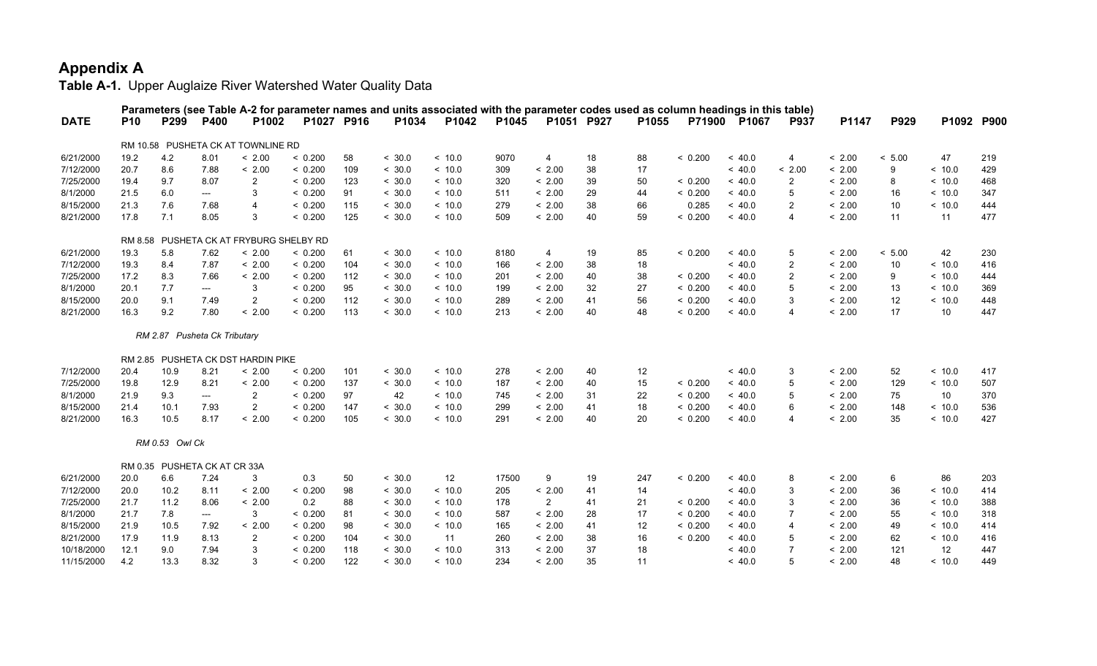|             |            |                |                              |                                         |            |     |        | Parameters (see Table A-2 for parameter names and units associated with the parameter codes used as column headings in this table) |       |                |    |       |         |         |                         |        |        |            |     |
|-------------|------------|----------------|------------------------------|-----------------------------------------|------------|-----|--------|------------------------------------------------------------------------------------------------------------------------------------|-------|----------------|----|-------|---------|---------|-------------------------|--------|--------|------------|-----|
| <b>DATE</b> | <b>P10</b> | P299           | P400                         | P1002                                   | P1027 P916 |     | P1034  | P1042                                                                                                                              | P1045 | P1051 P927     |    | P1055 | P71900  | P1067   | <b>P937</b>             | P1147  | P929   | P1092 P900 |     |
|             |            |                |                              | RM 10.58 PUSHETA CK AT TOWNLINE RD      |            |     |        |                                                                                                                                    |       |                |    |       |         |         |                         |        |        |            |     |
| 6/21/2000   | 19.2       | 4.2            | 8.01                         | < 2.00                                  | < 0.200    | 58  | < 30.0 | ~10.0                                                                                                                              | 9070  | 4              | 18 | 88    | < 0.200 | ~< 40.0 | 4                       | < 2.00 | < 5.00 | 47         | 219 |
| 7/12/2000   | 20.7       | 8.6            | 7.88                         | < 2.00                                  | < 0.200    | 109 | < 30.0 | ~10.0                                                                                                                              | 309   | < 2.00         | 38 | 17    |         | ~<~40.0 | < 2.00                  | < 2.00 | 9      | ~<~10.0    | 429 |
| 7/25/2000   | 19.4       | 9.7            | 8.07                         | 2                                       | < 0.200    | 123 | < 30.0 | ~<~10.0                                                                                                                            | 320   | < 2.00         | 39 | 50    | < 0.200 | ~<~40.0 | $\overline{2}$          | < 2.00 | 8      | < 10.0     | 468 |
| 8/1/2000    | 21.5       | 6.0            | $---$                        | 3                                       | < 0.200    | 91  | < 30.0 | ~10.0                                                                                                                              | 511   | < 2.00         | 29 | 44    | < 0.200 | ~<~40.0 | 5                       | < 2.00 | 16     | ~<~10.0    | 347 |
| 8/15/2000   | 21.3       | 7.6            | 7.68                         | $\overline{\mathbf{4}}$                 | < 0.200    | 115 | < 30.0 | ~10.0                                                                                                                              | 279   | < 2.00         | 38 | 66    | 0.285   | < 40.0  | $\overline{2}$          | < 2.00 | 10     | < 10.0     | 444 |
| 8/21/2000   | 17.8       | 7.1            | 8.05                         | 3                                       | < 0.200    | 125 | < 30.0 | ~10.0                                                                                                                              | 509   | < 2.00         | 40 | 59    | < 0.200 | ~< 40.0 | $\overline{\mathbf{4}}$ | < 2.00 | 11     | 11         | 477 |
|             |            |                |                              | RM 8.58 PUSHETA CK AT FRYBURG SHELBY RD |            |     |        |                                                                                                                                    |       |                |    |       |         |         |                         |        |        |            |     |
| 6/21/2000   | 19.3       | 5.8            | 7.62                         | < 2.00                                  | < 0.200    | 61  | < 30.0 | ~10.0                                                                                                                              | 8180  | 4              | 19 | 85    | < 0.200 | ~<~40.0 | 5                       | < 2.00 | < 5.00 | 42         | 230 |
| 7/12/2000   | 19.3       | 8.4            | 7.87                         | < 2.00                                  | < 0.200    | 104 | < 30.0 | < 10.0                                                                                                                             | 166   | < 2.00         | 38 | 18    |         | ~< 40.0 | $\overline{2}$          | < 2.00 | 10     | < 10.0     | 416 |
| 7/25/2000   | 17.2       | 8.3            | 7.66                         | < 2.00                                  | < 0.200    | 112 | < 30.0 | ~10.0                                                                                                                              | 201   | < 2.00         | 40 | 38    | < 0.200 | ~<~40.0 | $\overline{2}$          | < 2.00 | 9      | ~10.0      | 444 |
| 8/1/2000    | 20.1       | 7.7            | $---$                        | 3                                       | < 0.200    | 95  | < 30.0 | ~10.0                                                                                                                              | 199   | < 2.00         | 32 | 27    | < 0.200 | ~< 40.0 | 5                       | < 2.00 | 13     | < 10.0     | 369 |
| 8/15/2000   | 20.0       | 9.1            | 7.49                         | $\overline{2}$                          | < 0.200    | 112 | < 30.0 | ~10.0                                                                                                                              | 289   | < 2.00         | 41 | 56    | < 0.200 | ~< 40.0 | 3                       | < 2.00 | 12     | < 10.0     | 448 |
| 8/21/2000   | 16.3       | 9.2            | 7.80                         | < 2.00                                  | < 0.200    | 113 | < 30.0 | ~10.0                                                                                                                              | 213   | < 2.00         | 40 | 48    | < 0.200 | ~<~40.0 | $\overline{\mathbf{4}}$ | < 2.00 | 17     | 10         | 447 |
|             |            |                | RM 2.87 Pusheta Ck Tributary |                                         |            |     |        |                                                                                                                                    |       |                |    |       |         |         |                         |        |        |            |     |
|             |            |                |                              | RM 2.85 PUSHETA CK DST HARDIN PIKE      |            |     |        |                                                                                                                                    |       |                |    |       |         |         |                         |        |        |            |     |
| 7/12/2000   | 20.4       | 10.9           | 8.21                         | < 2.00                                  | < 0.200    | 101 | < 30.0 | ~10.0                                                                                                                              | 278   | < 2.00         | 40 | 12    |         | ~<~40.0 | 3                       | < 2.00 | 52     | < 10.0     | 417 |
| 7/25/2000   | 19.8       | 12.9           | 8.21                         | < 2.00                                  | < 0.200    | 137 | < 30.0 | < 10.0                                                                                                                             | 187   | < 2.00         | 40 | 15    | < 0.200 | ~< 40.0 | 5                       | < 2.00 | 129    | < 10.0     | 507 |
| 8/1/2000    | 21.9       | 9.3            | ---                          | $\overline{2}$                          | < 0.200    | 97  | 42     | ~10.0                                                                                                                              | 745   | < 2.00         | 31 | 22    | < 0.200 | ~<~40.0 | 5                       | < 2.00 | 75     | 10         | 370 |
| 8/15/2000   | 21.4       | 10.1           | 7.93                         | $\overline{2}$                          | < 0.200    | 147 | < 30.0 | ~10.0                                                                                                                              | 299   | < 2.00         | 41 | 18    | < 0.200 | ~< 40.0 | 6                       | < 2.00 | 148    | < 10.0     | 536 |
| 8/21/2000   | 16.3       | 10.5           | 8.17                         | < 2.00                                  | < 0.200    | 105 | < 30.0 | ~10.0                                                                                                                              | 291   | < 2.00         | 40 | 20    | < 0.200 | ~<~40.0 | $\overline{\mathbf{4}}$ | < 2.00 | 35     | ~10.0      | 427 |
|             |            | RM 0.53 Owl Ck |                              |                                         |            |     |        |                                                                                                                                    |       |                |    |       |         |         |                         |        |        |            |     |
|             |            |                | RM 0.35 PUSHETA CK AT CR 33A |                                         |            |     |        |                                                                                                                                    |       |                |    |       |         |         |                         |        |        |            |     |
| 6/21/2000   | 20.0       | 6.6            | 7.24                         | 3                                       | 0.3        | 50  | < 30.0 | 12                                                                                                                                 | 17500 | 9              | 19 | 247   | < 0.200 | ~<~40.0 | 8                       | < 2.00 | 6      | 86         | 203 |
| 7/12/2000   | 20.0       | 10.2           | 8.11                         | < 2.00                                  | < 0.200    | 98  | < 30.0 | < 10.0                                                                                                                             | 205   | < 2.00         | 41 | 14    |         | < 40.0  | 3                       | < 2.00 | 36     | < 10.0     | 414 |
| 7/25/2000   | 21.7       | 11.2           | 8.06                         | < 2.00                                  | 0.2        | 88  | < 30.0 | ~10.0                                                                                                                              | 178   | $\overline{2}$ | 41 | 21    | < 0.200 | ~<~40.0 | 3                       | < 2.00 | 36     | < 10.0     | 388 |
| 8/1/2000    | 21.7       | 7.8            | $---$                        | 3                                       | < 0.200    | 81  | < 30.0 | < 10.0                                                                                                                             | 587   | < 2.00         | 28 | 17    | < 0.200 | ~<~40.0 | $\overline{7}$          | < 2.00 | 55     | ~<~10.0    | 318 |
| 8/15/2000   | 21.9       | 10.5           | 7.92                         | < 2.00                                  | < 0.200    | 98  | < 30.0 | < 10.0                                                                                                                             | 165   | < 2.00         | 41 | 12    | < 0.200 | ~< 40.0 | $\overline{4}$          | < 2.00 | 49     | < 10.0     | 414 |
| 8/21/2000   | 17.9       | 11.9           | 8.13                         | $\overline{2}$                          | < 0.200    | 104 | < 30.0 | 11                                                                                                                                 | 260   | < 2.00         | 38 | 16    | < 0.200 | < 40.0  | 5                       | < 2.00 | 62     | ~10.0      | 416 |
| 10/18/2000  | 12.1       | 9.0            | 7.94                         | 3                                       | < 0.200    | 118 | < 30.0 | ~10.0                                                                                                                              | 313   | < 2.00         | 37 | 18    |         | ~< 40.0 | $\overline{7}$          | < 2.00 | 121    | 12         | 447 |
| 11/15/2000  | 4.2        | 13.3           | 8.32                         | 3                                       | < 0.200    | 122 | < 30.0 | ~10.0                                                                                                                              | 234   | < 2.00         | 35 | 11    |         | < 40.0  | 5                       | < 2.00 | 48     | < 10.0     | 449 |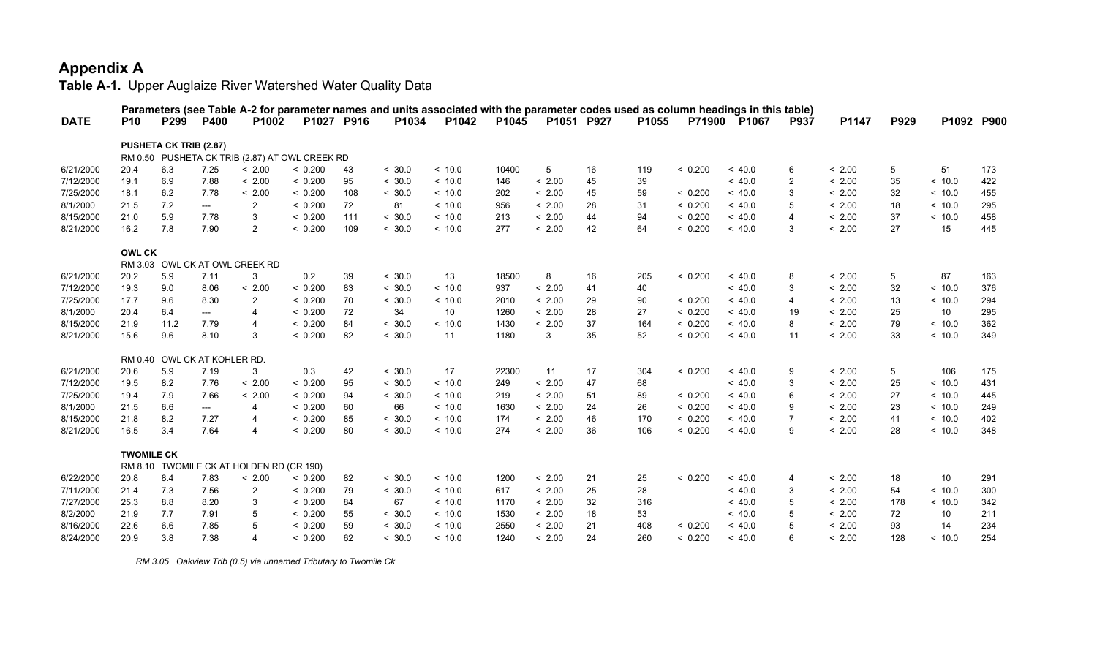**Table A-1.** Upper Auglaize River Watershed Water Quality Data

|             |                   |                               |             | Parameters (see Table A-2 for parameter names and units associated with the parameter codes used as column headings in this table) |            |     |        |        |       |            |    |       |         |              |                |        |      |            |     |
|-------------|-------------------|-------------------------------|-------------|------------------------------------------------------------------------------------------------------------------------------------|------------|-----|--------|--------|-------|------------|----|-------|---------|--------------|----------------|--------|------|------------|-----|
| <b>DATE</b> | <b>P10</b>        | P <sub>299</sub>              | <b>P400</b> | P <sub>1002</sub>                                                                                                                  | P1027 P916 |     | P1034  | P1042  | P1045 | P1051 P927 |    | P1055 |         | P71900 P1067 | P937           | P1147  | P929 | P1092 P900 |     |
|             |                   | <b>PUSHETA CK TRIB (2.87)</b> |             |                                                                                                                                    |            |     |        |        |       |            |    |       |         |              |                |        |      |            |     |
|             |                   |                               |             | RM 0.50 PUSHETA CK TRIB (2.87) AT OWL CREEK RD                                                                                     |            |     |        |        |       |            |    |       |         |              |                |        |      |            |     |
| 6/21/2000   | 20.4              | 6.3                           | 7.25        | < 2.00                                                                                                                             | < 0.200    | 43  | < 30.0 | ~10.0  | 10400 | 5          | 16 | 119   | < 0.200 | ~<~40.0      | 6              | < 2.00 | 5    | 51         | 173 |
| 7/12/2000   | 19.1              | 6.9                           | 7.88        | < 2.00                                                                                                                             | < 0.200    | 95  | < 30.0 | ~10.0  | 146   | < 2.00     | 45 | 39    |         | ~<~40.0      | $\overline{2}$ | < 2.00 | 35   | < 10.0     | 422 |
| 7/25/2000   | 18.1              | 6.2                           | 7.78        | < 2.00                                                                                                                             | < 0.200    | 108 | < 30.0 | ~10.0  | 202   | < 2.00     | 45 | 59    | < 0.200 | ~<~40.0      | 3              | < 2.00 | 32   | < 10.0     | 455 |
| 8/1/2000    | 21.5              | 7.2                           | ---         | 2                                                                                                                                  | < 0.200    | 72  | 81     | ~10.0  | 956   | < 2.00     | 28 | 31    | < 0.200 | ~< 40.0      | 5              | < 2.00 | 18   | < 10.0     | 295 |
| 8/15/2000   | 21.0              | 5.9                           | 7.78        | 3                                                                                                                                  | < 0.200    | 111 | < 30.0 | < 10.0 | 213   | < 2.00     | 44 | 94    | < 0.200 | ~<~40.0      | 4              | < 2.00 | 37   | < 10.0     | 458 |
| 8/21/2000   | 16.2              | 7.8                           | 7.90        | $\overline{2}$                                                                                                                     | < 0.200    | 109 | < 30.0 | ~10.0  | 277   | < 2.00     | 42 | 64    | < 0.200 | ~<~40.0      | 3              | < 2.00 | 27   | 15         | 445 |
|             | <b>OWL CK</b>     |                               |             |                                                                                                                                    |            |     |        |        |       |            |    |       |         |              |                |        |      |            |     |
|             |                   |                               |             | RM 3.03 OWL CK AT OWL CREEK RD                                                                                                     |            |     |        |        |       |            |    |       |         |              |                |        |      |            |     |
| 6/21/2000   | 20.2              | 5.9                           | 7.11        | 3                                                                                                                                  | 0.2        | 39  | < 30.0 | 13     | 18500 | 8          | 16 | 205   | < 0.200 | ~< 40.0      | 8              | < 2.00 | 5    | 87         | 163 |
| 7/12/2000   | 19.3              | 9.0                           | 8.06        | < 2.00                                                                                                                             | < 0.200    | 83  | < 30.0 | ~10.0  | 937   | < 2.00     | 41 | 40    |         | ~<~40.0      | 3              | < 2.00 | 32   | < 10.0     | 376 |
| 7/25/2000   | 17.7              | 9.6                           | 8.30        | $\overline{2}$                                                                                                                     | < 0.200    | 70  | < 30.0 | ~10.0  | 2010  | < 2.00     | 29 | 90    | < 0.200 | ~<~40.0      | 4              | < 2.00 | 13   | ~10.0      | 294 |
| 8/1/2000    | 20.4              | 6.4                           | ---         | $\overline{4}$                                                                                                                     | < 0.200    | 72  | 34     | 10     | 1260  | < 2.00     | 28 | 27    | < 0.200 | ~<~40.0      | 19             | < 2.00 | 25   | 10         | 295 |
| 8/15/2000   | 21.9              | 11.2                          | 7.79        | $\overline{4}$                                                                                                                     | < 0.200    | 84  | < 30.0 | ~10.0  | 1430  | < 2.00     | 37 | 164   | < 0.200 | < 40.0       | 8              | < 2.00 | 79   | < 10.0     | 362 |
| 8/21/2000   | 15.6              | 9.6                           | 8.10        | 3                                                                                                                                  | < 0.200    | 82  | < 30.0 | 11     | 1180  | 3          | 35 | 52    | < 0.200 | < 40.0       | 11             | < 2.00 | 33   | < 10.0     | 349 |
|             |                   | RM 0.40 OWL CK AT KOHLER RD.  |             |                                                                                                                                    |            |     |        |        |       |            |    |       |         |              |                |        |      |            |     |
| 6/21/2000   | 20.6              | 5.9                           | 7.19        | 3                                                                                                                                  | 0.3        | 42  | < 30.0 | 17     | 22300 | 11         | 17 | 304   | < 0.200 | ~<~40.0      | 9              | < 2.00 | 5    | 106        | 175 |
| 7/12/2000   | 19.5              | 8.2                           | 7.76        | < 2.00                                                                                                                             | < 0.200    | 95  | < 30.0 | ~10.0  | 249   | < 2.00     | 47 | 68    |         | ~<~40.0      | 3              | < 2.00 | 25   | ~10.0      | 431 |
| 7/25/2000   | 19.4              | 7.9                           | 7.66        | < 2.00                                                                                                                             | < 0.200    | 94  | < 30.0 | ~10.0  | 219   | < 2.00     | 51 | 89    | < 0.200 | ~<~40.0      | 6              | < 2.00 | 27   | ~10.0      | 445 |
| 8/1/2000    | 21.5              | 6.6                           | ---         | $\overline{4}$                                                                                                                     | < 0.200    | 60  | 66     | ~10.0  | 1630  | < 2.00     | 24 | 26    | < 0.200 | ~<~40.0      | 9              | < 2.00 | 23   | ~10.0      | 249 |
| 8/15/2000   | 21.8              | 8.2                           | 7.27        | $\overline{4}$                                                                                                                     | < 0.200    | 85  | < 30.0 | ~10.0  | 174   | < 2.00     | 46 | 170   | < 0.200 | ~<~40.0      | $\overline{7}$ | < 2.00 | 41   | ~10.0      | 402 |
| 8/21/2000   | 16.5              | 3.4                           | 7.64        | $\overline{4}$                                                                                                                     | < 0.200    | 80  | < 30.0 | < 10.0 | 274   | < 2.00     | 36 | 106   | < 0.200 | < 40.0       | 9              | < 2.00 | 28   | < 10.0     | 348 |
|             | <b>TWOMILE CK</b> |                               |             |                                                                                                                                    |            |     |        |        |       |            |    |       |         |              |                |        |      |            |     |
|             |                   |                               |             | RM 8.10 TWOMILE CK AT HOLDEN RD (CR 190)                                                                                           |            |     |        |        |       |            |    |       |         |              |                |        |      |            |     |
| 6/22/2000   | 20.8              | 8.4                           | 7.83        | < 2.00                                                                                                                             | < 0.200    | 82  | < 30.0 | ~10.0  | 1200  | < 2.00     | 21 | 25    | < 0.200 | ~<~40.0      | 4              | < 2.00 | 18   | 10         | 291 |
| 7/11/2000   | 21.4              | 7.3                           | 7.56        | $\overline{2}$                                                                                                                     | < 0.200    | 79  | < 30.0 | < 10.0 | 617   | < 2.00     | 25 | 28    |         | ~< 40.0      | 3              | < 2.00 | 54   | < 10.0     | 300 |
| 7/27/2000   | 25.3              | 8.8                           | 8.20        | 3                                                                                                                                  | < 0.200    | 84  | 67     | < 10.0 | 1170  | < 2.00     | 32 | 316   |         | ~< 40.0      | 5              | < 2.00 | 178  | < 10.0     | 342 |
| 8/2/2000    | 21.9              | 7.7                           | 7.91        | 5                                                                                                                                  | < 0.200    | 55  | < 30.0 | ~10.0  | 1530  | < 2.00     | 18 | 53    |         | ~<~40.0      | 5              | < 2.00 | 72   | 10         | 211 |
| 8/16/2000   | 22.6              | 6.6                           | 7.85        | 5                                                                                                                                  | < 0.200    | 59  | < 30.0 | ~10.0  | 2550  | < 2.00     | 21 | 408   | < 0.200 | ~<~40.0      |                | < 2.00 | 93   | 14         | 234 |
| 8/24/2000   | 20.9              | 3.8                           | 7.38        | $\Delta$                                                                                                                           | < 0.200    | 62  | < 30.0 | ~10.0  | 1240  | < 2.00     | 24 | 260   | < 0.200 | ~<~40.0      | հ              | < 2.00 | 128  | < 10.0     | 254 |

 *RM 3.05 Oakview Trib (0.5) via unnamed Tributary to Twomile Ck*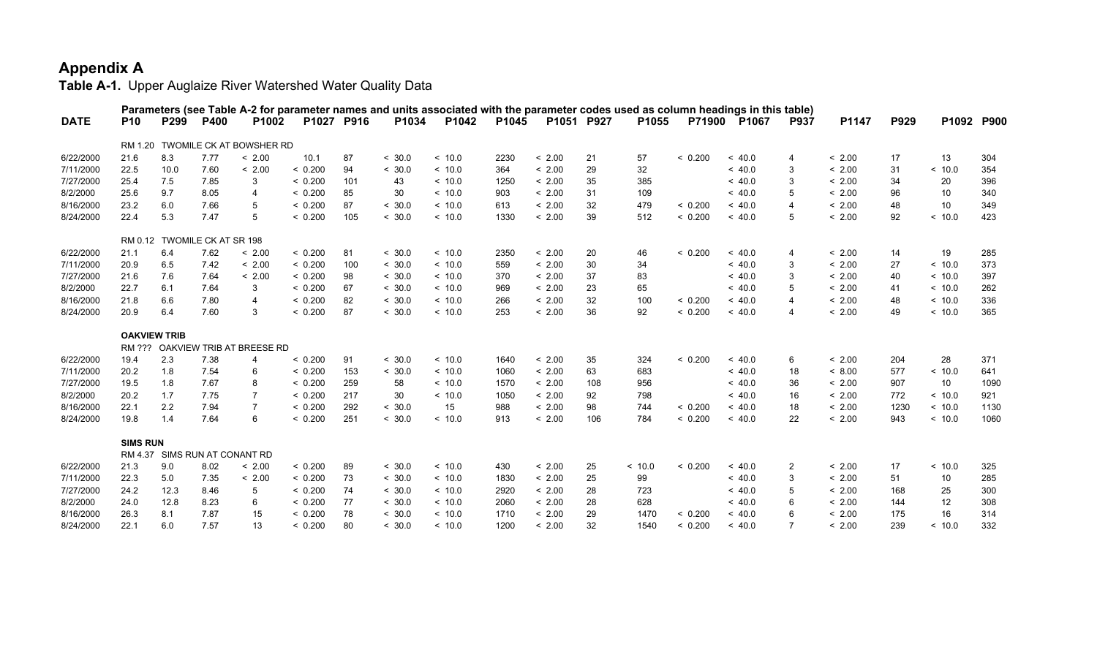|             |                     |      |                              | Parameters (see Table A-2 for parameter names and units associated with the parameter codes used as column headings in this table) |            |     |        |         |       |            |     |        |         |              |                         |        |      |         |            |
|-------------|---------------------|------|------------------------------|------------------------------------------------------------------------------------------------------------------------------------|------------|-----|--------|---------|-------|------------|-----|--------|---------|--------------|-------------------------|--------|------|---------|------------|
| <b>DATE</b> | <b>P10</b>          | P299 | <b>P400</b>                  | P <sub>1002</sub>                                                                                                                  | P1027 P916 |     | P1034  | P1042   | P1045 | P1051 P927 |     | P1055  |         | P71900 P1067 | <b>P937</b>             | P1147  | P929 |         | P1092 P900 |
|             |                     |      |                              | RM 1.20 TWOMILE CK AT BOWSHER RD                                                                                                   |            |     |        |         |       |            |     |        |         |              |                         |        |      |         |            |
| 6/22/2000   | 21.6                | 8.3  | 7.77                         | < 2.00                                                                                                                             | 10.1       | 87  | < 30.0 | ~<~10.0 | 2230  | < 2.00     | 21  | 57     | < 0.200 | ~<~40.0      | $\overline{4}$          | < 2.00 | 17   | 13      | 304        |
| 7/11/2000   | 22.5                | 10.0 | 7.60                         | < 2.00                                                                                                                             | < 0.200    | 94  | < 30.0 | ~<~10.0 | 364   | < 2.00     | 29  | 32     |         | ~<~40.0      | 3                       | < 2.00 | 31   | < 10.0  | 354        |
| 7/27/2000   | 25.4                | 7.5  | 7.85                         | 3                                                                                                                                  | < 0.200    | 101 | 43     | < 10.0  | 1250  | < 2.00     | 35  | 385    |         | ~< 40.0      | 3                       | < 2.00 | 34   | 20      | 396        |
| 8/2/2000    | 25.6                | 9.7  | 8.05                         | 4                                                                                                                                  | < 0.200    | 85  | 30     | ~<~10.0 | 903   | < 2.00     | 31  | 109    |         | ~< 40.0      | 5                       | < 2.00 | 96   | 10      | 340        |
| 8/16/2000   | 23.2                | 6.0  | 7.66                         | 5                                                                                                                                  | < 0.200    | 87  | < 30.0 | ~<~10.0 | 613   | < 2.00     | 32  | 479    | < 0.200 | ~< 40.0      | $\overline{\mathbf{4}}$ | < 2.00 | 48   | 10      | 349        |
| 8/24/2000   | 22.4                | 5.3  | 7.47                         | 5                                                                                                                                  | < 0.200    | 105 | < 30.0 | < 10.0  | 1330  | < 2.00     | 39  | 512    | < 0.200 | ~<~40.0      | 5                       | < 2.00 | 92   | < 10.0  | 423        |
|             |                     |      | RM 0.12 TWOMILE CK AT SR 198 |                                                                                                                                    |            |     |        |         |       |            |     |        |         |              |                         |        |      |         |            |
| 6/22/2000   | 21.1                | 6.4  | 7.62                         | < 2.00                                                                                                                             | < 0.200    | 81  | < 30.0 | ~<~10.0 | 2350  | < 2.00     | 20  | 46     | < 0.200 | ~<~40.0      | $\overline{4}$          | < 2.00 | 14   | 19      | 285        |
| 7/11/2000   | 20.9                | 6.5  | 7.42                         | < 2.00                                                                                                                             | < 0.200    | 100 | < 30.0 | ~<~10.0 | 559   | < 2.00     | 30  | 34     |         | ~<~40.0      | 3                       | < 2.00 | 27   | ~<~10.0 | 373        |
| 7/27/2000   | 21.6                | 7.6  | 7.64                         | < 2.00                                                                                                                             | < 0.200    | 98  | < 30.0 | ~<~10.0 | 370   | < 2.00     | 37  | 83     |         | ~<~40.0      | 3                       | < 2.00 | 40   | ~<~10.0 | 397        |
| 8/2/2000    | 22.7                | 6.1  | 7.64                         | 3                                                                                                                                  | < 0.200    | 67  | < 30.0 | ~<~10.0 | 969   | < 2.00     | 23  | 65     |         | ~<~40.0      | 5                       | < 2.00 | 41   | ~<~10.0 | 262        |
| 8/16/2000   | 21.8                | 6.6  | 7.80                         | 4                                                                                                                                  | < 0.200    | 82  | < 30.0 | ~<~10.0 | 266   | < 2.00     | 32  | 100    | < 0.200 | ~<~40.0      | $\overline{4}$          | < 2.00 | 48   | ~<~10.0 | 336        |
| 8/24/2000   | 20.9                | 6.4  | 7.60                         | 3                                                                                                                                  | < 0.200    | 87  | < 30.0 | ~<~10.0 | 253   | < 2.00     | 36  | 92     | < 0.200 | ~<~40.0      | $\overline{4}$          | < 2.00 | 49   | < 10.0  | 365        |
|             | <b>OAKVIEW TRIB</b> |      |                              |                                                                                                                                    |            |     |        |         |       |            |     |        |         |              |                         |        |      |         |            |
|             |                     |      |                              | RM ??? OAKVIEW TRIB AT BREESE RD                                                                                                   |            |     |        |         |       |            |     |        |         |              |                         |        |      |         |            |
| 6/22/2000   | 19.4                | 2.3  | 7.38                         | 4                                                                                                                                  | < 0.200    | 91  | < 30.0 | ~<~10.0 | 1640  | < 2.00     | 35  | 324    | < 0.200 | ~<~40.0      | 6                       | < 2.00 | 204  | 28      | 371        |
| 7/11/2000   | 20.2                | 1.8  | 7.54                         | 6                                                                                                                                  | < 0.200    | 153 | < 30.0 | ~<~10.0 | 1060  | < 2.00     | 63  | 683    |         | ~<~40.0      | 18                      | < 8.00 | 577  | ~<~10.0 | 641        |
| 7/27/2000   | 19.5                | 1.8  | 7.67                         | 8                                                                                                                                  | < 0.200    | 259 | 58     | ~<~10.0 | 1570  | < 2.00     | 108 | 956    |         | ~<~40.0      | 36                      | < 2.00 | 907  | 10      | 1090       |
| 8/2/2000    | 20.2                | 1.7  | 7.75                         | $\overline{7}$                                                                                                                     | < 0.200    | 217 | 30     | ~<~10.0 | 1050  | < 2.00     | 92  | 798    |         | ~<~40.0      | 16                      | < 2.00 | 772  | ~<~10.0 | 921        |
| 8/16/2000   | 22.1                | 2.2  | 7.94                         | $\overline{7}$                                                                                                                     | < 0.200    | 292 | < 30.0 | 15      | 988   | < 2.00     | 98  | 744    | < 0.200 | ~<~40.0      | 18                      | < 2.00 | 1230 | ~<~10.0 | 1130       |
| 8/24/2000   | 19.8                | 1.4  | 7.64                         | 6                                                                                                                                  | < 0.200    | 251 | < 30.0 | ~<~10.0 | 913   | < 2.00     | 106 | 784    | < 0.200 | ~<~40.0      | 22                      | < 2.00 | 943  | < 10.0  | 1060       |
|             | <b>SIMS RUN</b>     |      |                              |                                                                                                                                    |            |     |        |         |       |            |     |        |         |              |                         |        |      |         |            |
|             |                     |      |                              | RM 4.37 SIMS RUN AT CONANT RD                                                                                                      |            |     |        |         |       |            |     |        |         |              |                         |        |      |         |            |
| 6/22/2000   | 21.3                | 9.0  | 8.02                         | < 2.00                                                                                                                             | < 0.200    | 89  | < 30.0 | < 10.0  | 430   | < 2.00     | 25  | < 10.0 | < 0.200 | ~< 40.0      | $\overline{2}$          | < 2.00 | 17   | < 10.0  | 325        |
| 7/11/2000   | 22.3                | 5.0  | 7.35                         | < 2.00                                                                                                                             | < 0.200    | 73  | < 30.0 | ~<~10.0 | 1830  | < 2.00     | 25  | 99     |         | ~<~40.0      | 3                       | < 2.00 | 51   | 10      | 285        |
| 7/27/2000   | 24.2                | 12.3 | 8.46                         | 5                                                                                                                                  | < 0.200    | 74  | < 30.0 | ~<~10.0 | 2920  | < 2.00     | 28  | 723    |         | ~<~40.0      | 5                       | < 2.00 | 168  | 25      | 300        |
| 8/2/2000    | 24.0                | 12.8 | 8.23                         | 6                                                                                                                                  | < 0.200    | 77  | < 30.0 | ~<~10.0 | 2060  | < 2.00     | 28  | 628    |         | ~< 40.0      | 6                       | < 2.00 | 144  | 12      | 308        |
| 8/16/2000   | 26.3                | 8.1  | 7.87                         | 15                                                                                                                                 | < 0.200    | 78  | < 30.0 | ~<~10.0 | 1710  | < 2.00     | 29  | 1470   | < 0.200 | ~<~40.0      | 6                       | < 2.00 | 175  | 16      | 314        |
| 8/24/2000   | 22.1                | 6.0  | 7.57                         | 13                                                                                                                                 | < 0.200    | 80  | < 30.0 | ~<~10.0 | 1200  | < 2.00     | 32  | 1540   | < 0.200 | ~<~40.0      | 7                       | < 2.00 | 239  | < 10.0  | 332        |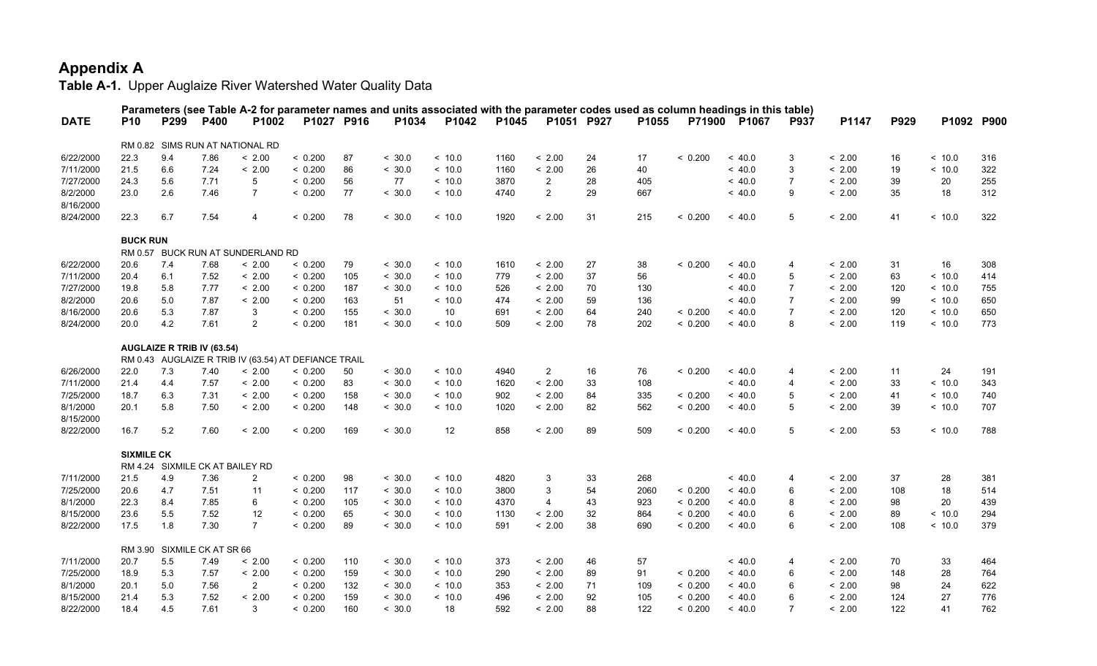|                       |                   |                             |      |                                                      |            |     |        | Parameters (see Table A-2 for parameter names and units associated with the parameter codes used as column headings in this table) |       |                           |            |       |         |         |                |        |      |            |     |
|-----------------------|-------------------|-----------------------------|------|------------------------------------------------------|------------|-----|--------|------------------------------------------------------------------------------------------------------------------------------------|-------|---------------------------|------------|-------|---------|---------|----------------|--------|------|------------|-----|
| <b>DATE</b>           | <b>P10</b>        | P299                        | P400 | P1002                                                | P1027 P916 |     | P1034  | P1042                                                                                                                              | P1045 |                           | P1051 P927 | P1055 | P71900  | P1067   | <b>P937</b>    | P1147  | P929 | P1092 P900 |     |
|                       |                   |                             |      | RM 0.82 SIMS RUN AT NATIONAL RD                      |            |     |        |                                                                                                                                    |       |                           |            |       |         |         |                |        |      |            |     |
| 6/22/2000             | 22.3              | 9.4                         | 7.86 | < 2.00                                               | < 0.200    | 87  | < 30.0 | ~10.0                                                                                                                              | 1160  | < 2.00                    | 24         | 17    | < 0.200 | ~<~40.0 | 3              | < 2.00 | 16   | ~10.0      | 316 |
| 7/11/2000             | 21.5              | 6.6                         | 7.24 | < 2.00                                               | < 0.200    | 86  | < 30.0 | ~10.0                                                                                                                              | 1160  | < 2.00                    | 26         | 40    |         | ~<~40.0 | 3              | < 2.00 | 19   | ~10.0      | 322 |
| 7/27/2000             | 24.3              | 5.6                         | 7.71 | 5                                                    | < 0.200    | 56  | 77     | ~10.0                                                                                                                              | 3870  | $\overline{2}$            | 28         | 405   |         | ~<~40.0 | $\overline{7}$ | < 2.00 | 39   | 20         | 255 |
| 8/2/2000<br>8/16/2000 | 23.0              | 2.6                         | 7.46 | $\overline{7}$                                       | < 0.200    | 77  | < 30.0 | < 10.0                                                                                                                             | 4740  | $\overline{2}$            | 29         | 667   |         | < 40.0  | 9              | < 2.00 | 35   | 18         | 312 |
| 8/24/2000             | 22.3              | 6.7                         | 7.54 | $\overline{4}$                                       | < 0.200    | 78  | < 30.0 | < 10.0                                                                                                                             | 1920  | < 2.00                    | 31         | 215   | < 0.200 | < 40.0  | 5              | < 2.00 | 41   | < 10.0     | 322 |
|                       | <b>BUCK RUN</b>   |                             |      |                                                      |            |     |        |                                                                                                                                    |       |                           |            |       |         |         |                |        |      |            |     |
|                       |                   |                             |      | RM 0.57 BUCK RUN AT SUNDERLAND RD                    |            |     |        |                                                                                                                                    |       |                           |            |       |         |         |                |        |      |            |     |
| 6/22/2000             | 20.6              | 7.4                         | 7.68 | < 2.00                                               | < 0.200    | 79  | < 30.0 | ~10.0                                                                                                                              | 1610  | < 2.00                    | 27         | 38    | < 0.200 | ~<~40.0 | $\overline{4}$ | < 2.00 | 31   | 16         | 308 |
| 7/11/2000             | 20.4              | 6.1                         | 7.52 | < 2.00                                               | < 0.200    | 105 | < 30.0 | < 10.0                                                                                                                             | 779   | < 2.00                    | 37         | 56    |         | < 40.0  | 5              | < 2.00 | 63   | < 10.0     | 414 |
| 7/27/2000             | 19.8              | 5.8                         | 7.77 | < 2.00                                               | < 0.200    | 187 | < 30.0 | < 10.0                                                                                                                             | 526   | < 2.00                    | 70         | 130   |         | ~< 40.0 | $\overline{7}$ | < 2.00 | 120  | < 10.0     | 755 |
| 8/2/2000              | 20.6              | 5.0                         | 7.87 | < 2.00                                               | < 0.200    | 163 | 51     | ~10.0                                                                                                                              | 474   | < 2.00                    | 59         | 136   |         | ~< 40.0 | $\overline{7}$ | < 2.00 | 99   | ~10.0      | 650 |
| 8/16/2000             | 20.6              | 5.3                         | 7.87 | 3                                                    | < 0.200    | 155 | < 30.0 | 10                                                                                                                                 | 691   | < 2.00                    | 64         | 240   | < 0.200 | < 40.0  | $\overline{7}$ | < 2.00 | 120  | < 10.0     | 650 |
| 8/24/2000             | 20.0              | 4.2                         | 7.61 | $\overline{2}$                                       | < 0.200    | 181 | < 30.0 | < 10.0                                                                                                                             | 509   | < 2.00                    | 78         | 202   | < 0.200 | < 40.0  | 8              | < 2.00 | 119  | < 10.0     | 773 |
|                       |                   | AUGLAIZE R TRIB IV (63.54)  |      |                                                      |            |     |        |                                                                                                                                    |       |                           |            |       |         |         |                |        |      |            |     |
|                       |                   |                             |      | RM 0.43 AUGLAIZE R TRIB IV (63.54) AT DEFIANCE TRAIL |            |     |        |                                                                                                                                    |       |                           |            |       |         |         |                |        |      |            |     |
| 6/26/2000             | 22.0              | 7.3                         | 7.40 | < 2.00                                               | < 0.200    | 50  | < 30.0 | ~10.0                                                                                                                              | 4940  | $\overline{2}$            | 16         | 76    | < 0.200 | ~<~40.0 | $\overline{4}$ | < 2.00 | 11   | 24         | 191 |
| 7/11/2000             | 21.4              | 4.4                         | 7.57 | < 2.00                                               | < 0.200    | 83  | < 30.0 | ~10.0                                                                                                                              | 1620  | < 2.00                    | 33         | 108   |         | ~<~40.0 | $\overline{4}$ | < 2.00 | 33   | ~10.0      | 343 |
| 7/25/2000             | 18.7              | 6.3                         | 7.31 | < 2.00                                               | < 0.200    | 158 | < 30.0 | ~10.0                                                                                                                              | 902   | < 2.00                    | 84         | 335   | < 0.200 | < 40.0  | 5              | < 2.00 | 41   | < 10.0     | 740 |
| 8/1/2000<br>8/15/2000 | 20.1              | 5.8                         | 7.50 | < 2.00                                               | < 0.200    | 148 | < 30.0 | ~10.0                                                                                                                              | 1020  | < 2.00                    | 82         | 562   | < 0.200 | < 40.0  | 5              | < 2.00 | 39   | < 10.0     | 707 |
| 8/22/2000             | 16.7              | 5.2                         | 7.60 | < 2.00                                               | < 0.200    | 169 | < 30.0 | 12                                                                                                                                 | 858   | < 2.00                    | 89         | 509   | < 0.200 | < 40.0  | 5              | < 2.00 | 53   | < 10.0     | 788 |
|                       | <b>SIXMILE CK</b> |                             |      |                                                      |            |     |        |                                                                                                                                    |       |                           |            |       |         |         |                |        |      |            |     |
|                       |                   |                             |      | RM 4.24 SIXMILE CK AT BAILEY RD                      |            |     |        |                                                                                                                                    |       |                           |            |       |         |         |                |        |      |            |     |
| 7/11/2000             | 21.5              | 4.9                         | 7.36 | $\overline{2}$                                       | < 0.200    | 98  | < 30.0 | < 10.0                                                                                                                             | 4820  | $\ensuremath{\mathsf{3}}$ | 33         | 268   |         | < 40.0  | $\overline{4}$ | < 2.00 | 37   | 28         | 381 |
| 7/25/2000             | 20.6              | 4.7                         | 7.51 | 11                                                   | < 0.200    | 117 | < 30.0 | ~10.0                                                                                                                              | 3800  | 3                         | 54         | 2060  | < 0.200 | ~<~40.0 | 6              | < 2.00 | 108  | 18         | 514 |
| 8/1/2000              | 22.3              | 8.4                         | 7.85 | 6                                                    | < 0.200    | 105 | < 30.0 | ~10.0                                                                                                                              | 4370  | 4                         | 43         | 923   | < 0.200 | ~<~40.0 | 8              | < 2.00 | 98   | 20         | 439 |
| 8/15/2000             | 23.6              | 5.5                         | 7.52 | 12                                                   | < 0.200    | 65  | < 30.0 | < 10.0                                                                                                                             | 1130  | < 2.00                    | 32         | 864   | < 0.200 | < 40.0  | 6              | < 2.00 | 89   | < 10.0     | 294 |
| 8/22/2000             | 17.5              | 1.8                         | 7.30 | $\overline{7}$                                       | < 0.200    | 89  | < 30.0 | < 10.0                                                                                                                             | 591   | < 2.00                    | 38         | 690   | < 0.200 | < 40.0  | 6              | < 2.00 | 108  | < 10.0     | 379 |
|                       |                   | RM 3.90 SIXMILE CK AT SR 66 |      |                                                      |            |     |        |                                                                                                                                    |       |                           |            |       |         |         |                |        |      |            |     |
| 7/11/2000             | 20.7              | 5.5                         | 7.49 | < 2.00                                               | < 0.200    | 110 | < 30.0 | < 10.0                                                                                                                             | 373   | < 2.00                    | 46         | 57    |         | < 40.0  | $\overline{4}$ | < 2.00 | 70   | 33         | 464 |
| 7/25/2000             | 18.9              | 5.3                         | 7.57 | < 2.00                                               | < 0.200    | 159 | < 30.0 | ~10.0                                                                                                                              | 290   | < 2.00                    | 89         | 91    | < 0.200 | ~< 40.0 | 6              | < 2.00 | 148  | 28         | 764 |
| 8/1/2000              | 20.1              | 5.0                         | 7.56 | $\overline{2}$                                       | < 0.200    | 132 | < 30.0 | < 10.0                                                                                                                             | 353   | < 2.00                    | 71         | 109   | < 0.200 | < 40.0  | 6              | < 2.00 | 98   | 24         | 622 |
| 8/15/2000             | 21.4              | 5.3                         | 7.52 | < 2.00                                               | < 0.200    | 159 | < 30.0 | < 10.0                                                                                                                             | 496   | < 2.00                    | 92         | 105   | < 0.200 | < 40.0  | 6              | < 2.00 | 124  | 27         | 776 |
| 8/22/2000             | 18.4              | 4.5                         | 7.61 | 3                                                    | < 0.200    | 160 | < 30.0 | 18                                                                                                                                 | 592   | < 2.00                    | 88         | 122   | < 0.200 | ~<~40.0 | $\overline{7}$ | < 2.00 | 122  | 41         | 762 |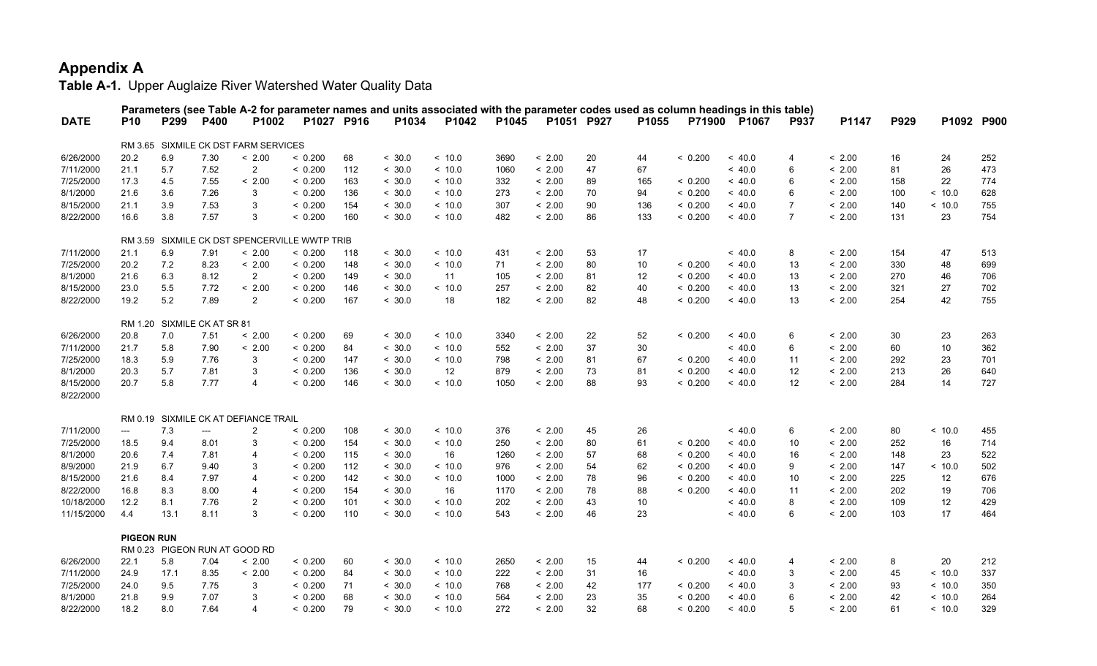|             |                   |                             |                          |                                               |         |            |        | Parameters (see Table A-2 for parameter names and units associated with the parameter codes used as column headings in this table) |       |            |    |       |         |              |                 |        |      |        |            |
|-------------|-------------------|-----------------------------|--------------------------|-----------------------------------------------|---------|------------|--------|------------------------------------------------------------------------------------------------------------------------------------|-------|------------|----|-------|---------|--------------|-----------------|--------|------|--------|------------|
| <b>DATE</b> | <b>P10</b>        | P299                        | P400                     | P1002                                         |         | P1027 P916 | P1034  | P1042                                                                                                                              | P1045 | P1051 P927 |    | P1055 |         | P71900 P1067 | <b>P937</b>     | P1147  | P929 |        | P1092 P900 |
|             |                   |                             |                          | RM 3.65 SIXMILE CK DST FARM SERVICES          |         |            |        |                                                                                                                                    |       |            |    |       |         |              |                 |        |      |        |            |
| 6/26/2000   | 20.2              | 6.9                         | 7.30                     | < 2.00                                        | < 0.200 | 68         | < 30.0 | < 10.0                                                                                                                             | 3690  | < 2.00     | 20 | 44    | < 0.200 | ~< 40.0      | $\overline{4}$  | < 2.00 | 16   | 24     | 252        |
| 7/11/2000   | 21.1              | 5.7                         | 7.52                     | $\overline{2}$                                | < 0.200 | 112        | < 30.0 | < 10.0                                                                                                                             | 1060  | < 2.00     | 47 | 67    |         | ~< 40.0      | 6               | < 2.00 | 81   | 26     | 473        |
| 7/25/2000   | 17.3              | 4.5                         | 7.55                     | < 2.00                                        | < 0.200 | 163        | < 30.0 | ~10.0                                                                                                                              | 332   | < 2.00     | 89 | 165   | < 0.200 | ~<~40.0      | 6               | < 2.00 | 158  | 22     | 774        |
| 8/1/2000    | 21.6              | 3.6                         | 7.26                     | 3                                             | < 0.200 | 136        | < 30.0 | ~10.0                                                                                                                              | 273   | < 2.00     | 70 | 94    | < 0.200 | ~<~40.0      | 6               | < 2.00 | 100  | ~10.0  | 628        |
| 8/15/2000   | 21.1              | 3.9                         | 7.53                     | 3                                             | < 0.200 | 154        | < 30.0 | < 10.0                                                                                                                             | 307   | < 2.00     | 90 | 136   | < 0.200 | ~< 40.0      | $\overline{7}$  | < 2.00 | 140  | < 10.0 | 755        |
| 8/22/2000   | 16.6              | 3.8                         | 7.57                     | 3                                             | < 0.200 | 160        | < 30.0 | < 10.0                                                                                                                             | 482   | < 2.00     | 86 | 133   | < 0.200 | ~< 40.0      | $\overline{7}$  | < 2.00 | 131  | 23     | 754        |
|             |                   |                             |                          | RM 3.59 SIXMILE CK DST SPENCERVILLE WWTP TRIB |         |            |        |                                                                                                                                    |       |            |    |       |         |              |                 |        |      |        |            |
| 7/11/2000   | 21.1              | 6.9                         | 7.91                     | < 2.00                                        | < 0.200 | 118        | < 30.0 | < 10.0                                                                                                                             | 431   | < 2.00     | 53 | 17    |         | ~< 40.0      | 8               | < 2.00 | 154  | 47     | 513        |
| 7/25/2000   | 20.2              | 7.2                         | 8.23                     | < 2.00                                        | < 0.200 | 148        | < 30.0 | < 10.0                                                                                                                             | 71    | < 2.00     | 80 | 10    | < 0.200 | ~<~40.0      | 13              | < 2.00 | 330  | 48     | 699        |
| 8/1/2000    | 21.6              | 6.3                         | 8.12                     | $\overline{2}$                                | < 0.200 | 149        | < 30.0 | 11                                                                                                                                 | 105   | < 2.00     | 81 | 12    | < 0.200 | ~<~40.0      | 13              | < 2.00 | 270  | 46     | 706        |
| 8/15/2000   | 23.0              | 5.5                         | 7.72                     | < 2.00                                        | < 0.200 | 146        | < 30.0 | ~10.0                                                                                                                              | 257   | < 2.00     | 82 | 40    | < 0.200 | ~<~40.0      | 13              | < 2.00 | 321  | 27     | 702        |
| 8/22/2000   | 19.2              | 5.2                         | 7.89                     | $\overline{2}$                                | < 0.200 | 167        | < 30.0 | 18                                                                                                                                 | 182   | < 2.00     | 82 | 48    | < 0.200 | ~< 40.0      | 13              | < 2.00 | 254  | 42     | 755        |
|             |                   |                             |                          |                                               |         |            |        |                                                                                                                                    |       |            |    |       |         |              |                 |        |      |        |            |
|             |                   | RM 1.20 SIXMILE CK AT SR 81 |                          |                                               |         |            |        |                                                                                                                                    |       |            |    |       |         |              |                 |        |      |        |            |
| 6/26/2000   | 20.8              | 7.0                         | 7.51                     | < 2.00                                        | < 0.200 | 69         | < 30.0 | ~10.0                                                                                                                              | 3340  | < 2.00     | 22 | 52    | < 0.200 | ~<~40.0      | 6               | < 2.00 | 30   | 23     | 263        |
| 7/11/2000   | 21.7              | 5.8                         | 7.90                     | < 2.00                                        | < 0.200 | 84         | < 30.0 | < 10.0                                                                                                                             | 552   | < 2.00     | 37 | 30    |         | < 40.0       | 6               | < 2.00 | 60   | 10     | 362        |
| 7/25/2000   | 18.3              | 5.9                         | 7.76                     | 3                                             | < 0.200 | 147        | < 30.0 | < 10.0                                                                                                                             | 798   | < 2.00     | 81 | 67    | < 0.200 | ~< 40.0      | 11              | < 2.00 | 292  | 23     | 701        |
| 8/1/2000    | 20.3              | 5.7                         | 7.81                     | 3                                             | < 0.200 | 136        | < 30.0 | 12                                                                                                                                 | 879   | < 2.00     | 73 | 81    | < 0.200 | ~<~40.0      | 12              | < 2.00 | 213  | 26     | 640        |
| 8/15/2000   | 20.7              | 5.8                         | 7.77                     | 4                                             | < 0.200 | 146        | < 30.0 | ~10.0                                                                                                                              | 1050  | < 2.00     | 88 | 93    | < 0.200 | ~<~40.0      | 12 <sup>2</sup> | < 2.00 | 284  | 14     | 727        |
| 8/22/2000   |                   |                             |                          |                                               |         |            |        |                                                                                                                                    |       |            |    |       |         |              |                 |        |      |        |            |
|             |                   |                             |                          | RM 0.19 SIXMILE CK AT DEFIANCE TRAIL          |         |            |        |                                                                                                                                    |       |            |    |       |         |              |                 |        |      |        |            |
| 7/11/2000   | ---               | 7.3                         | $\hspace{0.05cm} \ldots$ | $\overline{2}$                                | < 0.200 | 108        | < 30.0 | ~10.0                                                                                                                              | 376   | < 2.00     | 45 | 26    |         | ~< 40.0      | 6               | < 2.00 | 80   | < 10.0 | 455        |
| 7/25/2000   | 18.5              | 9.4                         | 8.01                     | 3                                             | < 0.200 | 154        | < 30.0 | < 10.0                                                                                                                             | 250   | < 2.00     | 80 | 61    | < 0.200 | ~< 40.0      | 10              | < 2.00 | 252  | 16     | 714        |
| 8/1/2000    | 20.6              | 7.4                         | 7.81                     | 4                                             | < 0.200 | 115        | < 30.0 | 16                                                                                                                                 | 1260  | < 2.00     | 57 | 68    | < 0.200 | ~< 40.0      | 16              | < 2.00 | 148  | 23     | 522        |
| 8/9/2000    | 21.9              | 6.7                         | 9.40                     | 3                                             | < 0.200 | 112        | < 30.0 | < 10.0                                                                                                                             | 976   | < 2.00     | 54 | 62    | < 0.200 | ~<~40.0      | 9               | < 2.00 | 147  | < 10.0 | 502        |
| 8/15/2000   | 21.6              | 8.4                         | 7.97                     | 4                                             | < 0.200 | 142        | < 30.0 | ~< 10.0                                                                                                                            | 1000  | < 2.00     | 78 | 96    | < 0.200 | ~<~40.0      | 10              | < 2.00 | 225  | 12     | 676        |
| 8/22/2000   | 16.8              | 8.3                         | 8.00                     | $\overline{4}$                                | < 0.200 | 154        | < 30.0 | 16                                                                                                                                 | 1170  | < 2.00     | 78 | 88    | < 0.200 | ~< 40.0      | 11              | < 2.00 | 202  | 19     | 706        |
| 10/18/2000  | 12.2              | 8.1                         | 7.76                     | $\overline{2}$                                | < 0.200 | 101        | < 30.0 | < 10.0                                                                                                                             | 202   | < 2.00     | 43 | 10    |         | ~< 40.0      | 8               | < 2.00 | 109  | 12     | 429        |
| 11/15/2000  | 4.4               | 13.1                        | 8.11                     | 3                                             | < 0.200 | 110        | < 30.0 | < 10.0                                                                                                                             | 543   | < 2.00     | 46 | 23    |         | < 40.0       | 6               | < 2.00 | 103  | 17     | 464        |
|             | <b>PIGEON RUN</b> |                             |                          |                                               |         |            |        |                                                                                                                                    |       |            |    |       |         |              |                 |        |      |        |            |
|             |                   |                             |                          | RM 0.23 PIGEON RUN AT GOOD RD                 |         |            |        |                                                                                                                                    |       |            |    |       |         |              |                 |        |      |        |            |
| 6/26/2000   | 22.1              | 5.8                         | 7.04                     | < 2.00                                        | < 0.200 | 60         | < 30.0 | ~10.0                                                                                                                              | 2650  | < 2.00     | 15 | 44    | < 0.200 | ~<~40.0      | $\overline{4}$  | < 2.00 | 8    | 20     | 212        |
| 7/11/2000   | 24.9              | 17.1                        | 8.35                     | < 2.00                                        | < 0.200 | 84         | < 30.0 | ~10.0                                                                                                                              | 222   | < 2.00     | 31 | 16    |         | ~<~40.0      | 3               | < 2.00 | 45   | ~10.0  | 337        |
| 7/25/2000   | 24.0              | 9.5                         | 7.75                     | 3                                             | < 0.200 | 71         | < 30.0 | < 10.0                                                                                                                             | 768   | < 2.00     | 42 | 177   | < 0.200 | ~< 40.0      | 3               | < 2.00 | 93   | ~10.0  | 350        |
| 8/1/2000    | 21.8              | 9.9                         | 7.07                     | 3                                             | < 0.200 | 68         | < 30.0 | < 10.0                                                                                                                             | 564   | < 2.00     | 23 | 35    | < 0.200 | < 40.0       | 6               | < 2.00 | 42   | < 10.0 | 264        |
| 8/22/2000   | 18.2              | 8.0                         | 7.64                     | 4                                             | < 0.200 | 79         | < 30.0 | ~10.0                                                                                                                              | 272   | < 2.00     | 32 | 68    | < 0.200 | ~<~40.0      | 5               | < 2.00 | 61   | ~10.0  | 329        |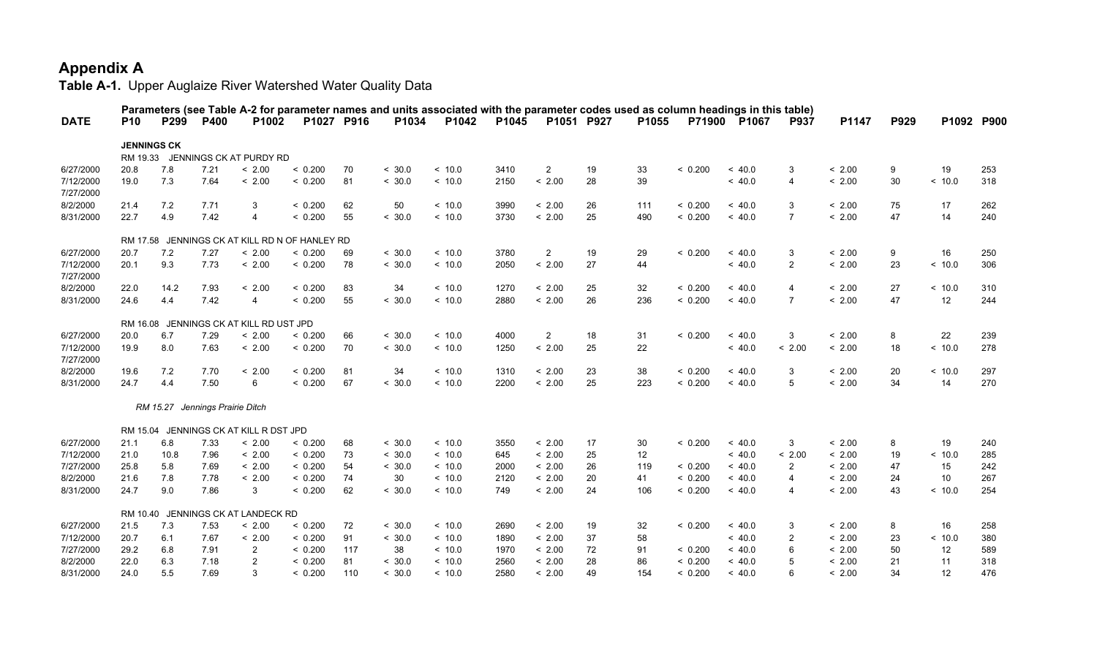|                        |            |                                 |      |                                         |                                                |     |        | Parameters (see Table A-2 for parameter names and units associated with the parameter codes used as column headings in this table) |       |                |            |       |         |         |                         |        |      |            |     |
|------------------------|------------|---------------------------------|------|-----------------------------------------|------------------------------------------------|-----|--------|------------------------------------------------------------------------------------------------------------------------------------|-------|----------------|------------|-------|---------|---------|-------------------------|--------|------|------------|-----|
| <b>DATE</b>            | <b>P10</b> | P <sub>299</sub>                | P400 | P <sub>1002</sub>                       | P1027 P916                                     |     | P1034  | P1042                                                                                                                              | P1045 |                | P1051 P927 | P1055 | P71900  | P1067   | <b>P937</b>             | P1147  | P929 | P1092 P900 |     |
|                        |            | <b>JENNINGS CK</b>              |      |                                         |                                                |     |        |                                                                                                                                    |       |                |            |       |         |         |                         |        |      |            |     |
|                        | RM 19.33   |                                 |      | JENNINGS CK AT PURDY RD                 |                                                |     |        |                                                                                                                                    |       |                |            |       |         |         |                         |        |      |            |     |
| 6/27/2000              | 20.8       | 7.8                             | 7.21 | < 2.00                                  | < 0.200                                        | 70  | < 30.0 | ~10.0                                                                                                                              | 3410  | $\overline{2}$ | 19         | 33    | < 0.200 | ~<~40.0 | 3                       | < 2.00 | 9    | 19         | 253 |
| 7/12/2000<br>7/27/2000 | 19.0       | 7.3                             | 7.64 | < 2.00                                  | < 0.200                                        | 81  | < 30.0 | < 10.0                                                                                                                             | 2150  | < 2.00         | 28         | 39    |         | ~< 40.0 | $\overline{4}$          | < 2.00 | 30   | < 10.0     | 318 |
| 8/2/2000               | 21.4       | 7.2                             | 7.71 | 3                                       | < 0.200                                        | 62  | 50     | ~10.0                                                                                                                              | 3990  | < 2.00         | 26         | 111   | < 0.200 | ~<~40.0 | 3                       | < 2.00 | 75   | 17         | 262 |
| 8/31/2000              | 22.7       | 4.9                             | 7.42 | 4                                       | < 0.200                                        | 55  | < 30.0 | ~<~10.0                                                                                                                            | 3730  | < 2.00         | 25         | 490   | < 0.200 | ~<~40.0 | $\overline{7}$          | < 2.00 | 47   | 14         | 240 |
|                        |            |                                 |      |                                         | RM 17.58 JENNINGS CK AT KILL RD N OF HANLEY RD |     |        |                                                                                                                                    |       |                |            |       |         |         |                         |        |      |            |     |
| 6/27/2000              | 20.7       | 7.2                             | 7.27 | < 2.00                                  | < 0.200                                        | 69  | < 30.0 | < 10.0                                                                                                                             | 3780  | $\overline{2}$ | 19         | 29    | < 0.200 | ~<~40.0 | 3                       | < 2.00 | 9    | 16         | 250 |
| 7/12/2000<br>7/27/2000 | 20.1       | 9.3                             | 7.73 | < 2.00                                  | < 0.200                                        | 78  | < 30.0 | ~10.0                                                                                                                              | 2050  | < 2.00         | 27         | 44    |         | ~<~40.0 | $\overline{2}$          | < 2.00 | 23   | < 10.0     | 306 |
| 8/2/2000               | 22.0       | 14.2                            | 7.93 | < 2.00                                  | < 0.200                                        | 83  | 34     | ~10.0                                                                                                                              | 1270  | < 2.00         | 25         | 32    | < 0.200 | ~<~40.0 | $\overline{4}$          | < 2.00 | 27   | < 10.0     | 310 |
| 8/31/2000              | 24.6       | 4.4                             | 7.42 | $\overline{4}$                          | < 0.200                                        | 55  | < 30.0 | < 10.0                                                                                                                             | 2880  | < 2.00         | 26         | 236   | < 0.200 | ~<~40.0 | $\overline{7}$          | < 2.00 | 47   | 12         | 244 |
|                        |            |                                 |      | RM 16.08 JENNINGS CK AT KILL RD UST JPD |                                                |     |        |                                                                                                                                    |       |                |            |       |         |         |                         |        |      |            |     |
| 6/27/2000              | 20.0       | 6.7                             | 7.29 | < 2.00                                  | < 0.200                                        | 66  | < 30.0 | ~10.0                                                                                                                              | 4000  | $\overline{2}$ | 18         | 31    | < 0.200 | ~<~40.0 | 3                       | < 2.00 | 8    | 22         | 239 |
| 7/12/2000<br>7/27/2000 | 19.9       | 8.0                             | 7.63 | < 2.00                                  | < 0.200                                        | 70  | < 30.0 | ~10.0                                                                                                                              | 1250  | < 2.00         | 25         | 22    |         | ~< 40.0 | < 2.00                  | < 2.00 | 18   | ~10.0      | 278 |
| 8/2/2000               | 19.6       | 7.2                             | 7.70 | < 2.00                                  | < 0.200                                        | 81  | 34     | ~10.0                                                                                                                              | 1310  | < 2.00         | 23         | 38    | < 0.200 | ~< 40.0 | 3                       | < 2.00 | 20   | < 10.0     | 297 |
| 8/31/2000              | 24.7       | 4.4                             | 7.50 | 6                                       | < 0.200                                        | 67  | < 30.0 | ~10.0                                                                                                                              | 2200  | < 2.00         | 25         | 223   | < 0.200 | ~<~40.0 | 5                       | < 2.00 | 34   | 14         | 270 |
|                        |            | RM 15.27 Jennings Prairie Ditch |      |                                         |                                                |     |        |                                                                                                                                    |       |                |            |       |         |         |                         |        |      |            |     |
|                        |            |                                 |      | RM 15.04 JENNINGS CK AT KILL R DST JPD  |                                                |     |        |                                                                                                                                    |       |                |            |       |         |         |                         |        |      |            |     |
| 6/27/2000              | 21.1       | 6.8                             | 7.33 | < 2.00                                  | < 0.200                                        | 68  | < 30.0 | ~10.0                                                                                                                              | 3550  | < 2.00         | 17         | 30    | < 0.200 | ~< 40.0 | 3                       | < 2.00 | 8    | 19         | 240 |
| 7/12/2000              | 21.0       | 10.8                            | 7.96 | < 2.00                                  | < 0.200                                        | 73  | < 30.0 | ~10.0                                                                                                                              | 645   | < 2.00         | 25         | 12    |         | ~<~40.0 | < 2.00                  | < 2.00 | 19   | < 10.0     | 285 |
| 7/27/2000              | 25.8       | 5.8                             | 7.69 | < 2.00                                  | < 0.200                                        | 54  | < 30.0 | ~10.0                                                                                                                              | 2000  | < 2.00         | 26         | 119   | < 0.200 | ~<~40.0 | $\overline{2}$          | < 2.00 | 47   | 15         | 242 |
| 8/2/2000               | 21.6       | 7.8                             | 7.78 | < 2.00                                  | < 0.200                                        | 74  | 30     | ~10.0                                                                                                                              | 2120  | < 2.00         | 20         | 41    | < 0.200 | ~<~40.0 | $\overline{\mathbf{4}}$ | < 2.00 | 24   | 10         | 267 |
| 8/31/2000              | 24.7       | 9.0                             | 7.86 | 3                                       | < 0.200                                        | 62  | < 30.0 | ~10.0                                                                                                                              | 749   | < 2.00         | 24         | 106   | < 0.200 | ~<~40.0 | $\overline{\mathbf{4}}$ | < 2.00 | 43   | < 10.0     | 254 |
|                        |            |                                 |      | RM 10.40 JENNINGS CK AT LANDECK RD      |                                                |     |        |                                                                                                                                    |       |                |            |       |         |         |                         |        |      |            |     |
| 6/27/2000              | 21.5       | 7.3                             | 7.53 | < 2.00                                  | < 0.200                                        | 72  | < 30.0 | ~10.0                                                                                                                              | 2690  | < 2.00         | 19         | 32    | < 0.200 | ~<~40.0 | 3                       | < 2.00 | 8    | 16         | 258 |
| 7/12/2000              | 20.7       | 6.1                             | 7.67 | < 2.00                                  | < 0.200                                        | 91  | < 30.0 | ~10.0                                                                                                                              | 1890  | < 2.00         | 37         | 58    |         | ~<~40.0 | $\overline{2}$          | < 2.00 | 23   | < 10.0     | 380 |
| 7/27/2000              | 29.2       | 6.8                             | 7.91 | $\mathbf{2}$                            | < 0.200                                        | 117 | 38     | ~10.0                                                                                                                              | 1970  | < 2.00         | 72         | 91    | < 0.200 | ~<~40.0 | 6                       | < 2.00 | 50   | 12         | 589 |
| 8/2/2000               | 22.0       | 6.3                             | 7.18 | $\overline{2}$                          | < 0.200                                        | 81  | < 30.0 | ~10.0                                                                                                                              | 2560  | < 2.00         | 28         | 86    | < 0.200 | < 40.0  |                         | < 2.00 | 21   | 11         | 318 |
| 8/31/2000              | 24.0       | 5.5                             | 7.69 | 3                                       | < 0.200                                        | 110 | < 30.0 | ~10.0                                                                                                                              | 2580  | < 2.00         | 49         | 154   | < 0.200 | ~<~40.0 | 6                       | < 2.00 | 34   | 12         | 476 |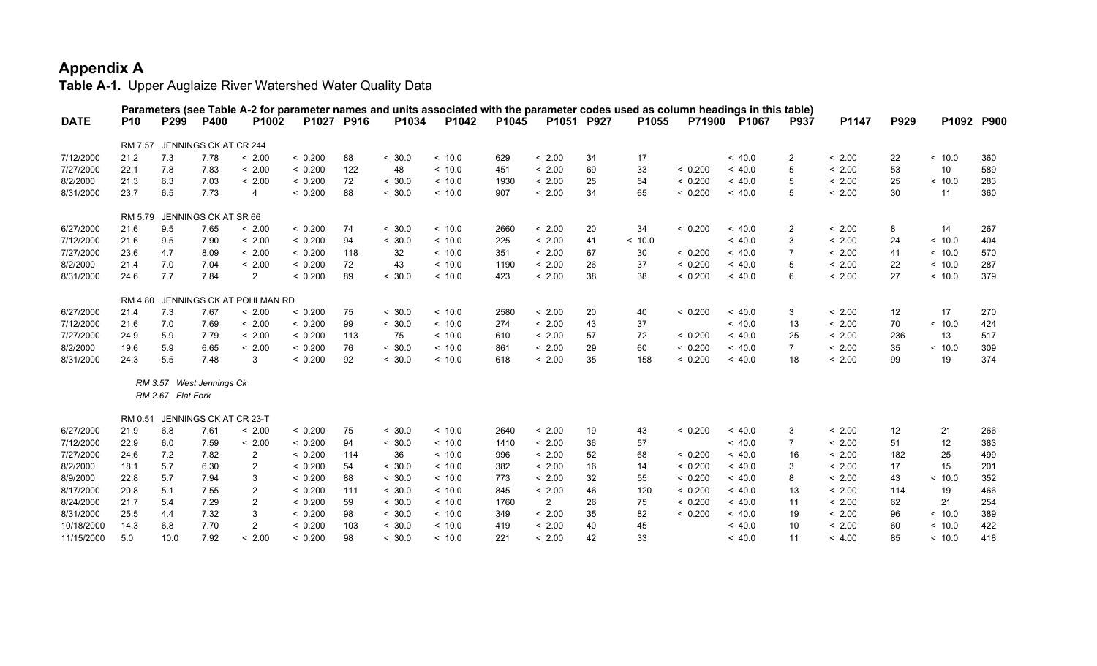|             |            |                   |                              |                                   |            |     | Parameters (see Table A-2 for parameter names and units associated with the parameter codes used as column headings in this table) |         |       |                |    |       |               |         |                |        |      |         |             |
|-------------|------------|-------------------|------------------------------|-----------------------------------|------------|-----|------------------------------------------------------------------------------------------------------------------------------------|---------|-------|----------------|----|-------|---------------|---------|----------------|--------|------|---------|-------------|
| <b>DATE</b> | <b>P10</b> | P299              | <b>P400</b>                  | P1002                             | P1027 P916 |     | P1034                                                                                                                              | P1042   | P1045 | P1051 P927     |    | P1055 | <b>P71900</b> | P1067   | <b>P937</b>    | P1147  | P929 | P1092   | <b>P900</b> |
|             | RM 7.57    |                   | JENNINGS CK AT CR 244        |                                   |            |     |                                                                                                                                    |         |       |                |    |       |               |         |                |        |      |         |             |
| 7/12/2000   | 21.2       | 7.3               | 7.78                         | < 2.00                            | < 0.200    | 88  | < 30.0                                                                                                                             | ~10.0   | 629   | < 2.00         | 34 | 17    |               | ~<~40.0 | $\overline{2}$ | < 2.00 | 22   | < 10.0  | 360         |
| 7/27/2000   | 22.1       | 7.8               | 7.83                         | < 2.00                            | < 0.200    | 122 | 48                                                                                                                                 | ~10.0   | 451   | < 2.00         | 69 | 33    | < 0.200       | ~<~40.0 | 5              | < 2.00 | 53   | 10      | 589         |
| 8/2/2000    | 21.3       | 6.3               | 7.03                         | < 2.00                            | < 0.200    | 72  | < 30.0                                                                                                                             | ~10.0   | 1930  | < 2.00         | 25 | 54    | < 0.200       | < 40.0  | 5              | < 2.00 | 25   | < 10.0  | 283         |
| 8/31/2000   | 23.7       | 6.5               | 7.73                         | 4                                 | < 0.200    | 88  | < 30.0                                                                                                                             | ~<~10.0 | 907   | < 2.00         | 34 | 65    | < 0.200       | < 40.0  | 5              | < 2.00 | 30   | 11      | 360         |
|             |            |                   | RM 5.79 JENNINGS CK AT SR 66 |                                   |            |     |                                                                                                                                    |         |       |                |    |       |               |         |                |        |      |         |             |
| 6/27/2000   | 21.6       | 9.5               | 7.65                         | < 2.00                            | < 0.200    | 74  | < 30.0                                                                                                                             | ~10.0   | 2660  | < 2.00         | 20 | 34    | < 0.200       | ~< 40.0 | $\overline{2}$ | < 2.00 | 8    | 14      | 267         |
| 7/12/2000   | 21.6       | 9.5               | 7.90                         | < 2.00                            | < 0.200    | 94  | < 30.0                                                                                                                             | ~10.0   | 225   | < 2.00         | 41 | ~10.0 |               | ~<~40.0 | 3              | < 2.00 | 24   | < 10.0  | 404         |
| 7/27/2000   | 23.6       | 4.7               | 8.09                         | < 2.00                            | < 0.200    | 118 | 32                                                                                                                                 | ~10.0   | 351   | < 2.00         | 67 | 30    | < 0.200       | ~<~40.0 | 7              | < 2.00 | 41   | ~<~10.0 | 570         |
| 8/2/2000    | 21.4       | 7.0               | 7.04                         | < 2.00                            | < 0.200    | 72  | 43                                                                                                                                 | ~10.0   | 1190  | < 2.00         | 26 | 37    | < 0.200       | < 40.0  | 5              | < 2.00 | 22   | < 10.0  | 287         |
| 8/31/2000   | 24.6       | 7.7               | 7.84                         | $\overline{2}$                    | < 0.200    | 89  | < 30.0                                                                                                                             | ~10.0   | 423   | < 2.00         | 38 | 38    | < 0.200       | ~<~40.0 | 6              | < 2.00 | 27   | < 10.0  | 379         |
|             |            |                   |                              | RM 4.80 JENNINGS CK AT POHLMAN RD |            |     |                                                                                                                                    |         |       |                |    |       |               |         |                |        |      |         |             |
| 6/27/2000   | 21.4       | 7.3               | 7.67                         | < 2.00                            | < 0.200    | 75  | < 30.0                                                                                                                             | < 10.0  | 2580  | < 2.00         | 20 | 40    | < 0.200       | < 40.0  | 3              | < 2.00 | 12   | 17      | 270         |
| 7/12/2000   | 21.6       | 7.0               | 7.69                         | < 2.00                            | < 0.200    | 99  | < 30.0                                                                                                                             | ~10.0   | 274   | < 2.00         | 43 | 37    |               | ~<~40.0 | 13             | < 2.00 | 70   | < 10.0  | 424         |
| 7/27/2000   | 24.9       | 5.9               | 7.79                         | < 2.00                            | < 0.200    | 113 | 75                                                                                                                                 | ~10.0   | 610   | < 2.00         | 57 | 72    | < 0.200       | ~<~40.0 | 25             | < 2.00 | 236  | 13      | 517         |
| 8/2/2000    | 19.6       | 5.9               | 6.65                         | < 2.00                            | < 0.200    | 76  | < 30.0                                                                                                                             | ~10.0   | 861   | < 2.00         | 29 | 60    | < 0.200       | ~<~40.0 | $\overline{7}$ | < 2.00 | 35   | < 10.0  | 309         |
| 8/31/2000   | 24.3       | 5.5               | 7.48                         | 3                                 | < 0.200    | 92  | < 30.0                                                                                                                             | ~10.0   | 618   | < 2.00         | 35 | 158   | < 0.200       | ~<~40.0 | 18             | < 2.00 | 99   | 19      | 374         |
|             |            |                   | RM 3.57 West Jennings Ck     |                                   |            |     |                                                                                                                                    |         |       |                |    |       |               |         |                |        |      |         |             |
|             |            | RM 2.67 Flat Fork |                              |                                   |            |     |                                                                                                                                    |         |       |                |    |       |               |         |                |        |      |         |             |
|             | RM 0.51    |                   | JENNINGS CK AT CR 23-T       |                                   |            |     |                                                                                                                                    |         |       |                |    |       |               |         |                |        |      |         |             |
| 6/27/2000   | 21.9       | 6.8               | 7.61                         | < 2.00                            | < 0.200    | 75  | < 30.0                                                                                                                             | ~10.0   | 2640  | < 2.00         | 19 | 43    | < 0.200       | ~<~40.0 | 3              | < 2.00 | 12   | 21      | 266         |
| 7/12/2000   | 22.9       | 6.0               | 7.59                         | < 2.00                            | < 0.200    | 94  | < 30.0                                                                                                                             | ~10.0   | 1410  | < 2.00         | 36 | 57    |               | ~<~40.0 | $\overline{7}$ | < 2.00 | 51   | 12      | 383         |
| 7/27/2000   | 24.6       | 7.2               | 7.82                         | $\overline{2}$                    | < 0.200    | 114 | 36                                                                                                                                 | ~10.0   | 996   | < 2.00         | 52 | 68    | < 0.200       | ~<~40.0 | 16             | < 2.00 | 182  | 25      | 499         |
| 8/2/2000    | 18.1       | 5.7               | 6.30                         | $\overline{2}$                    | < 0.200    | 54  | < 30.0                                                                                                                             | ~<~10.0 | 382   | < 2.00         | 16 | 14    | < 0.200       | < 40.0  | 3              | < 2.00 | 17   | 15      | 201         |
| 8/9/2000    | 22.8       | 5.7               | 7.94                         | 3                                 | < 0.200    | 88  | < 30.0                                                                                                                             | ~10.0   | 773   | < 2.00         | 32 | 55    | < 0.200       | ~<~40.0 | 8              | < 2.00 | 43   | ~<~10.0 | 352         |
| 8/17/2000   | 20.8       | 5.1               | 7.55                         | $\overline{c}$                    | < 0.200    | 111 | < 30.0                                                                                                                             | ~10.0   | 845   | < 2.00         | 46 | 120   | < 0.200       | ~<~40.0 | 13             | < 2.00 | 114  | 19      | 466         |
| 8/24/2000   | 21.7       | 5.4               | 7.29                         | 2                                 | < 0.200    | 59  | < 30.0                                                                                                                             | ~<~10.0 | 1760  | $\overline{2}$ | 26 | 75    | < 0.200       | < 40.0  | 11             | < 2.00 | 62   | 21      | 254         |
| 8/31/2000   | 25.5       | 4.4               | 7.32                         | 3                                 | < 0.200    | 98  | < 30.0                                                                                                                             | ~<~10.0 | 349   | < 2.00         | 35 | 82    | < 0.200       | < 40.0  | 19             | < 2.00 | 96   | < 10.0  | 389         |
| 10/18/2000  | 14.3       | 6.8               | 7.70                         | $\overline{2}$                    | < 0.200    | 103 | < 30.0                                                                                                                             | ~10.0   | 419   | < 2.00         | 40 | 45    |               | ~< 40.0 | 10             | < 2.00 | 60   | < 10.0  | 422         |
| 11/15/2000  | 5.0        | 10.0              | 7.92                         | < 2.00                            | < 0.200    | 98  | < 30.0                                                                                                                             | ~10.0   | 221   | < 2.00         | 42 | 33    |               | ~< 40.0 | 11             | < 4.00 | 85   | < 10.0  | 418         |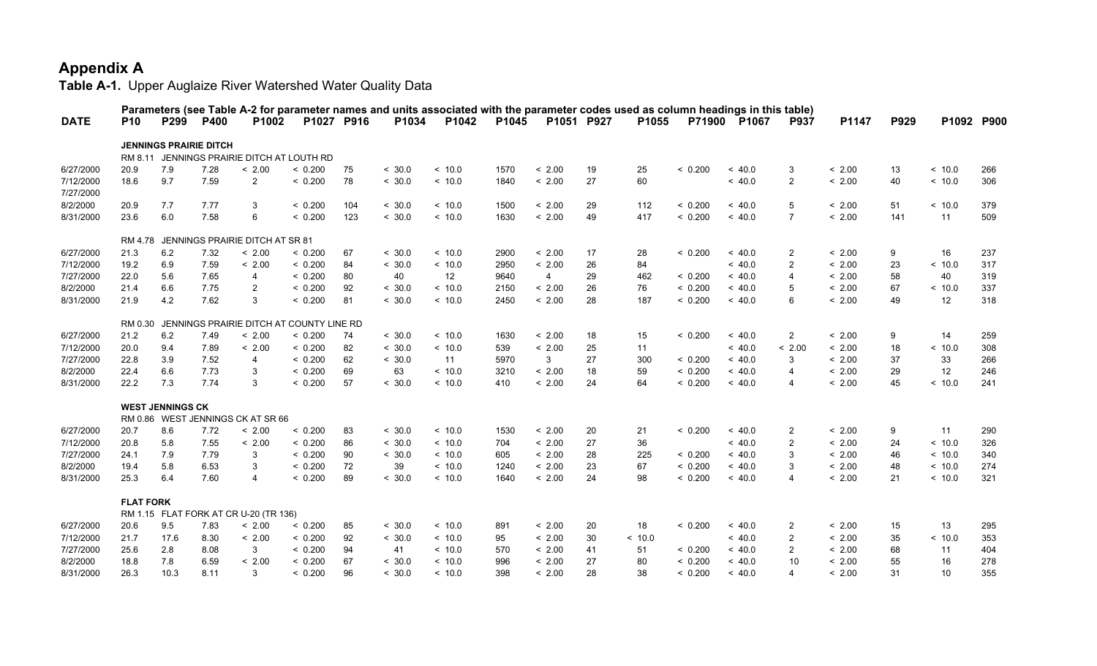|             |                  |                         |                               |                                            |            |     |        | Parameters (see Table A-2 for parameter names and units associated with the parameter codes used as column headings in this table) |       |                |    |         |         |         |                         |        |      |            |     |
|-------------|------------------|-------------------------|-------------------------------|--------------------------------------------|------------|-----|--------|------------------------------------------------------------------------------------------------------------------------------------|-------|----------------|----|---------|---------|---------|-------------------------|--------|------|------------|-----|
| <b>DATE</b> | <b>P10</b>       | P299                    | <b>P400</b>                   | P <sub>1002</sub>                          | P1027 P916 |     | P1034  | P1042                                                                                                                              | P1045 | P1051 P927     |    | P1055   | P71900  | P1067   | <b>P937</b>             | P1147  | P929 | P1092 P900 |     |
|             |                  |                         | <b>JENNINGS PRAIRIE DITCH</b> |                                            |            |     |        |                                                                                                                                    |       |                |    |         |         |         |                         |        |      |            |     |
|             |                  |                         |                               | RM 8.11 JENNINGS PRAIRIE DITCH AT LOUTH RD |            |     |        |                                                                                                                                    |       |                |    |         |         |         |                         |        |      |            |     |
| 6/27/2000   | 20.9             | 7.9                     | 7.28                          | < 2.00                                     | < 0.200    | 75  | < 30.0 | < 10.0                                                                                                                             | 1570  | < 2.00         | 19 | 25      | < 0.200 | ~<~40.0 | 3                       | < 2.00 | 13   | < 10.0     | 266 |
| 7/12/2000   | 18.6             | 9.7                     | 7.59                          | $\overline{2}$                             | < 0.200    | 78  | < 30.0 | < 10.0                                                                                                                             | 1840  | < 2.00         | 27 | 60      |         | ~< 40.0 | $\overline{2}$          | < 2.00 | 40   | < 10.0     | 306 |
| 7/27/2000   |                  |                         |                               |                                            |            |     |        |                                                                                                                                    |       |                |    |         |         |         |                         |        |      |            |     |
| 8/2/2000    | 20.9             | 7.7                     | 7.77                          | 3                                          | < 0.200    | 104 | < 30.0 | ~10.0                                                                                                                              | 1500  | < 2.00         | 29 | 112     | < 0.200 | ~<~40.0 | 5                       | < 2.00 | 51   | ~10.0      | 379 |
| 8/31/2000   | 23.6             | 6.0                     | 7.58                          | 6                                          | < 0.200    | 123 | < 30.0 | ~10.0                                                                                                                              | 1630  | < 2.00         | 49 | 417     | < 0.200 | ~<~40.0 | $\overline{7}$          | < 2.00 | 141  | 11         | 509 |
|             |                  |                         |                               | RM 4.78 JENNINGS PRAIRIE DITCH AT SR 81    |            |     |        |                                                                                                                                    |       |                |    |         |         |         |                         |        |      |            |     |
| 6/27/2000   | 21.3             | 6.2                     | 7.32                          | < 2.00                                     | < 0.200    | 67  | < 30.0 | < 10.0                                                                                                                             | 2900  | < 2.00         | 17 | 28      | < 0.200 | < 40.0  | $\overline{2}$          | < 2.00 | 9    | 16         | 237 |
| 7/12/2000   | 19.2             | 6.9                     | 7.59                          | < 2.00                                     | < 0.200    | 84  | < 30.0 | < 10.0                                                                                                                             | 2950  | < 2.00         | 26 | 84      |         | ~<~40.0 | $\overline{2}$          | < 2.00 | 23   | < 10.0     | 317 |
| 7/27/2000   | 22.0             | 5.6                     | 7.65                          | 4                                          | < 0.200    | 80  | 40     | 12                                                                                                                                 | 9640  | $\overline{4}$ | 29 | 462     | < 0.200 | < 40.0  | $\overline{4}$          | < 2.00 | 58   | 40         | 319 |
| 8/2/2000    | 21.4             | 6.6                     | 7.75                          | $\overline{2}$                             | < 0.200    | 92  | < 30.0 | ~10.0                                                                                                                              | 2150  | < 2.00         | 26 | 76      | < 0.200 | ~<~40.0 | 5                       | < 2.00 | 67   | ~<~10.0    | 337 |
| 8/31/2000   | 21.9             | 4.2                     | 7.62                          | 3                                          | < 0.200    | 81  | < 30.0 | ~10.0                                                                                                                              | 2450  | < 2.00         | 28 | 187     | < 0.200 | ~<~40.0 | 6                       | < 2.00 | 49   | 12         | 318 |
|             | RM 0.30          |                         |                               | JENNINGS PRAIRIE DITCH AT COUNTY LINE RD   |            |     |        |                                                                                                                                    |       |                |    |         |         |         |                         |        |      |            |     |
| 6/27/2000   | 21.2             | 6.2                     | 7.49                          | < 2.00                                     | < 0.200    | 74  | < 30.0 | < 10.0                                                                                                                             | 1630  | < 2.00         | 18 | 15      | < 0.200 | < 40.0  | $\overline{2}$          | < 2.00 | 9    | 14         | 259 |
| 7/12/2000   | 20.0             | 9.4                     | 7.89                          | < 2.00                                     | < 0.200    | 82  | < 30.0 | < 10.0                                                                                                                             | 539   | < 2.00         | 25 | 11      |         | ~<~40.0 | < 2.00                  | < 2.00 | 18   | < 10.0     | 308 |
| 7/27/2000   | 22.8             | 3.9                     | 7.52                          | $\overline{4}$                             | < 0.200    | 62  | < 30.0 | 11                                                                                                                                 | 5970  | 3              | 27 | 300     | < 0.200 | ~<~40.0 | 3                       | < 2.00 | 37   | 33         | 266 |
| 8/2/2000    | 22.4             | 6.6                     | 7.73                          | 3                                          | < 0.200    | 69  | 63     | ~<~10.0                                                                                                                            | 3210  | < 2.00         | 18 | 59      | < 0.200 | ~<~40.0 | $\overline{4}$          | < 2.00 | 29   | 12         | 246 |
| 8/31/2000   | 22.2             | 7.3                     | 7.74                          | 3                                          | < 0.200    | 57  | < 30.0 | ~10.0                                                                                                                              | 410   | < 2.00         | 24 | 64      | < 0.200 | ~<~40.0 | $\overline{4}$          | < 2.00 | 45   | ~<~10.0    | 241 |
|             |                  | <b>WEST JENNINGS CK</b> |                               |                                            |            |     |        |                                                                                                                                    |       |                |    |         |         |         |                         |        |      |            |     |
|             |                  |                         |                               | RM 0.86 WEST JENNINGS CK AT SR 66          |            |     |        |                                                                                                                                    |       |                |    |         |         |         |                         |        |      |            |     |
| 6/27/2000   | 20.7             | 8.6                     | 7.72                          | < 2.00                                     | < 0.200    | 83  | < 30.0 | ~10.0                                                                                                                              | 1530  | < 2.00         | 20 | 21      | < 0.200 | < 40.0  | $\overline{2}$          | < 2.00 | 9    | 11         | 290 |
| 7/12/2000   | 20.8             | 5.8                     | 7.55                          | < 2.00                                     | < 0.200    | 86  | < 30.0 | ~10.0                                                                                                                              | 704   | < 2.00         | 27 | 36      |         | ~<~40.0 | $\overline{2}$          | < 2.00 | 24   | ~10.0      | 326 |
| 7/27/2000   | 24.1             | 7.9                     | 7.79                          | 3                                          | < 0.200    | 90  | < 30.0 | ~10.0                                                                                                                              | 605   | < 2.00         | 28 | 225     | < 0.200 | ~<~40.0 | 3                       | < 2.00 | 46   | < 10.0     | 340 |
| 8/2/2000    | 19.4             | 5.8                     | 6.53                          | 3                                          | < 0.200    | 72  | 39     | ~10.0                                                                                                                              | 1240  | < 2.00         | 23 | 67      | < 0.200 | ~<~40.0 | 3                       | < 2.00 | 48   | < 10.0     | 274 |
| 8/31/2000   | 25.3             | 6.4                     | 7.60                          | $\overline{4}$                             | < 0.200    | 89  | < 30.0 | ~10.0                                                                                                                              | 1640  | < 2.00         | 24 | 98      | < 0.200 | < 40.0  | $\overline{\mathbf{4}}$ | < 2.00 | 21   | < 10.0     | 321 |
|             | <b>FLAT FORK</b> |                         |                               |                                            |            |     |        |                                                                                                                                    |       |                |    |         |         |         |                         |        |      |            |     |
|             |                  |                         |                               | RM 1.15 FLAT FORK AT CR U-20 (TR 136)      |            |     |        |                                                                                                                                    |       |                |    |         |         |         |                         |        |      |            |     |
| 6/27/2000   | 20.6             | 9.5                     | 7.83                          | < 2.00                                     | < 0.200    | 85  | < 30.0 | ~10.0                                                                                                                              | 891   | < 2.00         | 20 | 18      | < 0.200 | ~<~40.0 | 2                       | < 2.00 | 15   | 13         | 295 |
| 7/12/2000   | 21.7             | 17.6                    | 8.30                          | < 2.00                                     | < 0.200    | 92  | < 30.0 | ~10.0                                                                                                                              | 95    | < 2.00         | 30 | ~<~10.0 |         | ~<~40.0 | $\overline{2}$          | < 2.00 | 35   | ~<~10.0    | 353 |
| 7/27/2000   | 25.6             | 2.8                     | 8.08                          | 3                                          | < 0.200    | 94  | 41     | ~10.0                                                                                                                              | 570   | < 2.00         | 41 | 51      | < 0.200 | ~<~40.0 | $\overline{2}$          | < 2.00 | 68   | 11         | 404 |
| 8/2/2000    | 18.8             | 7.8                     | 6.59                          | < 2.00                                     | < 0.200    | 67  | < 30.0 | ~10.0                                                                                                                              | 996   | < 2.00         | 27 | 80      | < 0.200 | ~< 40.0 | 10                      | < 2.00 | 55   | 16         | 278 |
| 8/31/2000   | 26.3             | 10.3                    | 8.11                          | 3                                          | < 0.200    | 96  | < 30.0 | ~10.0                                                                                                                              | 398   | < 2.00         | 28 | 38      | < 0.200 | ~< 40.0 | $\overline{\mathbf{4}}$ | < 2.00 | 31   | 10         | 355 |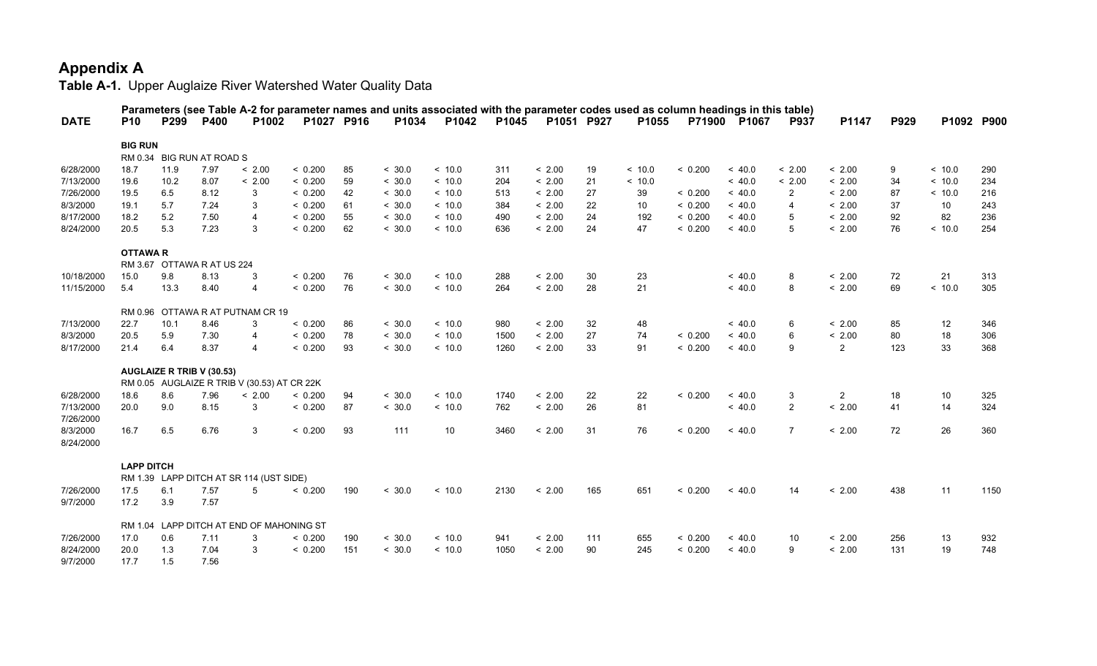| <b>DATE</b>           | <b>P10</b>        | P <sub>299</sub> | <b>P400</b>                      | Parameters (see Table A-2 for parameter names and units associated with the parameter codes used as column headings in this table)<br>P1002 |         | P1027 P916 | P1034  | P1042   | P1045 | P1051 P927 |     | P1055  |         | P71900 P1067 | P937           | P1147          | P929 | P1092 P900 |      |
|-----------------------|-------------------|------------------|----------------------------------|---------------------------------------------------------------------------------------------------------------------------------------------|---------|------------|--------|---------|-------|------------|-----|--------|---------|--------------|----------------|----------------|------|------------|------|
|                       | <b>BIG RUN</b>    |                  |                                  |                                                                                                                                             |         |            |        |         |       |            |     |        |         |              |                |                |      |            |      |
|                       |                   |                  | RM 0.34 BIG RUN AT ROAD S        |                                                                                                                                             |         |            |        |         |       |            |     |        |         |              |                |                |      |            |      |
| 6/28/2000             | 18.7              | 11.9             | 7.97                             | < 2.00                                                                                                                                      | < 0.200 | 85         | < 30.0 | ~10.0   | 311   | < 2.00     | 19  | < 10.0 | < 0.200 | ~<~40.0      | < 2.00         | < 2.00         | 9    | ~10.0      | 290  |
| 7/13/2000             | 19.6              | 10.2             | 8.07                             | < 2.00                                                                                                                                      | < 0.200 | 59         | < 30.0 | ~10.0   | 204   | < 2.00     | 21  | ~10.0  |         | ~<~40.0      | < 2.00         | < 2.00         | 34   | < 10.0     | 234  |
| 7/26/2000             | 19.5              | 6.5              | 8.12                             | 3                                                                                                                                           | < 0.200 | 42         | < 30.0 | ~10.0   | 513   | < 2.00     | 27  | 39     | < 0.200 | ~< 40.0      | $\overline{2}$ | < 2.00         | 87   | < 10.0     | 216  |
| 8/3/2000              | 19.1              | 5.7              | 7.24                             | 3                                                                                                                                           | < 0.200 | 61         | < 30.0 | ~10.0   | 384   | < 2.00     | 22  | 10     | < 0.200 | ~< 40.0      | $\overline{4}$ | < 2.00         | 37   | 10         | 243  |
| 8/17/2000             | 18.2              | 5.2              | 7.50                             | $\overline{4}$                                                                                                                              | < 0.200 | 55         | < 30.0 | ~10.0   | 490   | < 2.00     | 24  | 192    | < 0.200 | ~<~40.0      | 5              | < 2.00         | 92   | 82         | 236  |
| 8/24/2000             | 20.5              | 5.3              | 7.23                             | 3                                                                                                                                           | < 0.200 | 62         | < 30.0 | ~10.0   | 636   | < 2.00     | 24  | 47     | < 0.200 | ~< 40.0      | 5              | < 2.00         | 76   | < 10.0     | 254  |
|                       | <b>OTTAWAR</b>    |                  |                                  |                                                                                                                                             |         |            |        |         |       |            |     |        |         |              |                |                |      |            |      |
|                       |                   |                  | RM 3.67 OTTAWA R AT US 224       |                                                                                                                                             |         |            |        |         |       |            |     |        |         |              |                |                |      |            |      |
| 10/18/2000            | 15.0              | 9.8              | 8.13                             | 3                                                                                                                                           | < 0.200 | 76         | < 30.0 | ~10.0   | 288   | < 2.00     | 30  | 23     |         | ~<~40.0      | 8              | < 2.00         | 72   | 21         | 313  |
| 11/15/2000            | 5.4               | 13.3             | 8.40                             | $\overline{4}$                                                                                                                              | < 0.200 | 76         | < 30.0 | < 10.0  | 264   | < 2.00     | 28  | 21     |         | ~< 40.0      | 8              | < 2.00         | 69   | ~10.0      | 305  |
|                       |                   |                  |                                  | RM 0.96 OTTAWA R AT PUTNAM CR 19                                                                                                            |         |            |        |         |       |            |     |        |         |              |                |                |      |            |      |
| 7/13/2000             | 22.7              | 10.1             | 8.46                             | 3                                                                                                                                           | < 0.200 | 86         | < 30.0 | ~10.0   | 980   | < 2.00     | 32  | 48     |         | ~<~40.0      | 6              | < 2.00         | 85   | 12         | 346  |
| 8/3/2000              | 20.5              | 5.9              | 7.30                             | $\overline{4}$                                                                                                                              | < 0.200 | 78         | < 30.0 | ~<~10.0 | 1500  | < 2.00     | 27  | 74     | < 0.200 | ~<~40.0      | 6              | < 2.00         | 80   | 18         | 306  |
| 8/17/2000             | 21.4              | 6.4              | 8.37                             | $\overline{4}$                                                                                                                              | < 0.200 | 93         | < 30.0 | ~10.0   | 1260  | < 2.00     | 33  | 91     | < 0.200 | ~<~40.0      | 9              | $\overline{2}$ | 123  | 33         | 368  |
|                       |                   |                  | <b>AUGLAIZE R TRIB V (30.53)</b> |                                                                                                                                             |         |            |        |         |       |            |     |        |         |              |                |                |      |            |      |
|                       |                   |                  |                                  | RM 0.05 AUGLAIZE R TRIB V (30.53) AT CR 22K                                                                                                 |         |            |        |         |       |            |     |        |         |              |                |                |      |            |      |
| 6/28/2000             | 18.6              | 8.6              | 7.96                             | < 2.00                                                                                                                                      | < 0.200 | 94         | < 30.0 | ~10.0   | 1740  | < 2.00     | 22  | 22     | < 0.200 | ~<~40.0      | 3              | $\overline{2}$ | 18   | 10         | 325  |
| 7/13/2000             | 20.0              | 9.0              | 8.15                             | 3                                                                                                                                           | < 0.200 | 87         | < 30.0 | < 10.0  | 762   | < 2.00     | 26  | 81     |         | ~< 40.0      | $\overline{2}$ | < 2.00         | 41   | 14         | 324  |
| 7/26/2000             |                   |                  |                                  |                                                                                                                                             |         |            |        |         |       |            |     |        |         |              |                |                |      |            |      |
| 8/3/2000<br>8/24/2000 | 16.7              | 6.5              | 6.76                             | 3                                                                                                                                           | < 0.200 | 93         | 111    | 10      | 3460  | < 2.00     | 31  | 76     | < 0.200 | ~<~40.0      | $\overline{7}$ | < 2.00         | 72   | 26         | 360  |
|                       | <b>LAPP DITCH</b> |                  |                                  |                                                                                                                                             |         |            |        |         |       |            |     |        |         |              |                |                |      |            |      |
|                       |                   |                  |                                  | RM 1.39 LAPP DITCH AT SR 114 (UST SIDE)                                                                                                     |         |            |        |         |       |            |     |        |         |              |                |                |      |            |      |
| 7/26/2000             | 17.5              | 6.1              | 7.57                             | 5                                                                                                                                           | < 0.200 | 190        | < 30.0 | ~10.0   | 2130  | < 2.00     | 165 | 651    | < 0.200 | ~<~40.0      | 14             | < 2.00         | 438  | 11         | 1150 |
| 9/7/2000              | 17.2              | 3.9              | 7.57                             |                                                                                                                                             |         |            |        |         |       |            |     |        |         |              |                |                |      |            |      |
|                       |                   |                  |                                  | RM 1.04 LAPP DITCH AT END OF MAHONING ST                                                                                                    |         |            |        |         |       |            |     |        |         |              |                |                |      |            |      |
| 7/26/2000             | 17.0              | 0.6              | 7.11                             | 3                                                                                                                                           | < 0.200 | 190        | < 30.0 | ~10.0   | 941   | < 2.00     | 111 | 655    | < 0.200 | ~< 40.0      | 10             | < 2.00         | 256  | 13         | 932  |
| 8/24/2000             | 20.0              | 1.3              | 7.04                             | 3                                                                                                                                           | < 0.200 | 151        | < 30.0 | ~10.0   | 1050  | < 2.00     | 90  | 245    | < 0.200 | ~<~40.0      | 9              | < 2.00         | 131  | 19         | 748  |
| 9/7/2000              | 17.7              | 1.5              | 7.56                             |                                                                                                                                             |         |            |        |         |       |            |     |        |         |              |                |                |      |            |      |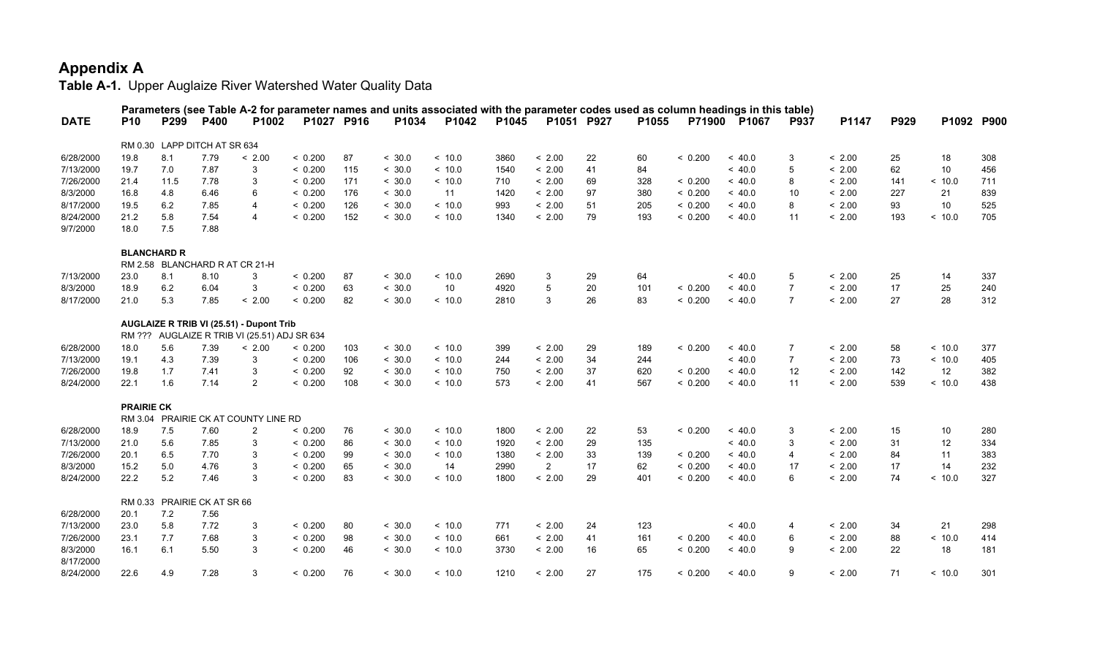|             |                   |                                |             |                                              |            |     |        |         |       |                |    |       |         | Parameters (see Table A-2 for parameter names and units associated with the parameter codes used as column headings in this table) |                |        |      |            |     |
|-------------|-------------------|--------------------------------|-------------|----------------------------------------------|------------|-----|--------|---------|-------|----------------|----|-------|---------|------------------------------------------------------------------------------------------------------------------------------------|----------------|--------|------|------------|-----|
| <b>DATE</b> | <b>P10</b>        | P299                           | <b>P400</b> | P1002                                        | P1027 P916 |     | P1034  | P1042   | P1045 | P1051 P927     |    | P1055 |         | P71900 P1067                                                                                                                       | P937           | P1147  | P929 | P1092 P900 |     |
|             |                   | RM 0.30 LAPP DITCH AT SR 634   |             |                                              |            |     |        |         |       |                |    |       |         |                                                                                                                                    |                |        |      |            |     |
| 6/28/2000   | 19.8              | 8.1                            | 7.79        | < 2.00                                       | < 0.200    | 87  | < 30.0 | < 10.0  | 3860  | < 2.00         | 22 | 60    | < 0.200 | ~< 40.0                                                                                                                            | 3              | < 2.00 | 25   | 18         | 308 |
| 7/13/2000   | 19.7              | 7.0                            | 7.87        | 3                                            | < 0.200    | 115 | < 30.0 | < 10.0  | 1540  | < 2.00         | 41 | 84    |         | ~<~40.0                                                                                                                            | 5              | < 2.00 | 62   | 10         | 456 |
| 7/26/2000   | 21.4              | 11.5                           | 7.78        | 3                                            | < 0.200    | 171 | < 30.0 | < 10.0  | 710   | < 2.00         | 69 | 328   | < 0.200 | ~<~40.0                                                                                                                            | 8              | < 2.00 | 141  | < 10.0     | 711 |
| 8/3/2000    | 16.8              | 4.8                            | 6.46        | 6                                            | < 0.200    | 176 | < 30.0 | 11      | 1420  | < 2.00         | 97 | 380   | < 0.200 | ~<~40.0                                                                                                                            | 10             | < 2.00 | 227  | 21         | 839 |
| 8/17/2000   | 19.5              | 6.2                            | 7.85        | $\overline{4}$                               | < 0.200    | 126 | < 30.0 | ~10.0   | 993   | < 2.00         | 51 | 205   | < 0.200 | ~<~40.0                                                                                                                            | 8              | < 2.00 | 93   | 10         | 525 |
| 8/24/2000   | 21.2              | 5.8                            | 7.54        | $\overline{4}$                               | < 0.200    | 152 | < 30.0 | ~<~10.0 | 1340  | < 2.00         | 79 | 193   | < 0.200 | ~<~40.0                                                                                                                            | 11             | < 2.00 | 193  | ~10.0      | 705 |
| 9/7/2000    | 18.0              | 7.5                            | 7.88        |                                              |            |     |        |         |       |                |    |       |         |                                                                                                                                    |                |        |      |            |     |
|             |                   | <b>BLANCHARD R</b>             |             |                                              |            |     |        |         |       |                |    |       |         |                                                                                                                                    |                |        |      |            |     |
|             |                   | RM 2.58 BLANCHARD R AT CR 21-H |             |                                              |            |     |        |         |       |                |    |       |         |                                                                                                                                    |                |        |      |            |     |
| 7/13/2000   | 23.0              | 8.1                            | 8.10        | 3                                            | < 0.200    | 87  | < 30.0 | ~10.0   | 2690  | 3              | 29 | 64    |         | ~<~40.0                                                                                                                            | 5              | < 2.00 | 25   | 14         | 337 |
| 8/3/2000    | 18.9              | 6.2                            | 6.04        | 3                                            | < 0.200    | 63  | < 30.0 | 10      | 4920  | 5              | 20 | 101   | < 0.200 | ~<~40.0                                                                                                                            | $\overline{7}$ | < 2.00 | 17   | 25         | 240 |
| 8/17/2000   | 21.0              | 5.3                            | 7.85        | < 2.00                                       | < 0.200    | 82  | < 30.0 | < 10.0  | 2810  | 3              | 26 | 83    | < 0.200 | ~< 40.0                                                                                                                            | $\overline{7}$ | < 2.00 | 27   | 28         | 312 |
|             |                   |                                |             | AUGLAIZE R TRIB VI (25.51) - Dupont Trib     |            |     |        |         |       |                |    |       |         |                                                                                                                                    |                |        |      |            |     |
|             |                   |                                |             | RM ??? AUGLAIZE R TRIB VI (25.51) ADJ SR 634 |            |     |        |         |       |                |    |       |         |                                                                                                                                    |                |        |      |            |     |
| 6/28/2000   | 18.0              | 5.6                            | 7.39        | < 2.00                                       | < 0.200    | 103 | < 30.0 | ~10.0   | 399   | < 2.00         | 29 | 189   | < 0.200 | ~<~40.0                                                                                                                            | 7              | < 2.00 | 58   | ~10.0      | 377 |
| 7/13/2000   | 19.1              | 4.3                            | 7.39        | 3                                            | < 0.200    | 106 | < 30.0 | < 10.0  | 244   | < 2.00         | 34 | 244   |         | ~< 40.0                                                                                                                            | $\overline{7}$ | < 2.00 | 73   | < 10.0     | 405 |
| 7/26/2000   | 19.8              | 1.7                            | 7.41        | 3                                            | < 0.200    | 92  | < 30.0 | < 10.0  | 750   | < 2.00         | 37 | 620   | < 0.200 | ~<~40.0                                                                                                                            | 12             | < 2.00 | 142  | 12         | 382 |
| 8/24/2000   | 22.1              | 1.6                            | 7.14        | $\overline{2}$                               | < 0.200    | 108 | < 30.0 | < 10.0  | 573   | < 2.00         | 41 | 567   | < 0.200 | ~< 40.0                                                                                                                            | 11             | < 2.00 | 539  | < 10.0     | 438 |
|             | <b>PRAIRIE CK</b> |                                |             |                                              |            |     |        |         |       |                |    |       |         |                                                                                                                                    |                |        |      |            |     |
|             |                   |                                |             | RM 3.04 PRAIRIE CK AT COUNTY LINE RD         |            |     |        |         |       |                |    |       |         |                                                                                                                                    |                |        |      |            |     |
| 6/28/2000   | 18.9              | 7.5                            | 7.60        | $\overline{2}$                               | < 0.200    | 76  | < 30.0 | < 10.0  | 1800  | < 2.00         | 22 | 53    | < 0.200 | ~< 40.0                                                                                                                            | 3              | < 2.00 | 15   | 10         | 280 |
| 7/13/2000   | 21.0              | 5.6                            | 7.85        | 3                                            | < 0.200    | 86  | < 30.0 | ~<~10.0 | 1920  | < 2.00         | 29 | 135   |         | ~<~40.0                                                                                                                            | 3              | < 2.00 | 31   | 12         | 334 |
| 7/26/2000   | 20.1              | 6.5                            | 7.70        | 3                                            | < 0.200    | 99  | < 30.0 | < 10.0  | 1380  | < 2.00         | 33 | 139   | < 0.200 | ~<~40.0                                                                                                                            | 4              | < 2.00 | 84   | 11         | 383 |
| 8/3/2000    | 15.2              | 5.0                            | 4.76        | 3                                            | < 0.200    | 65  | < 30.0 | 14      | 2990  | $\overline{2}$ | 17 | 62    | < 0.200 | ~<~40.0                                                                                                                            | 17             | < 2.00 | 17   | 14         | 232 |
| 8/24/2000   | 22.2              | 5.2                            | 7.46        | 3                                            | < 0.200    | 83  | < 30.0 | ~10.0   | 1800  | < 2.00         | 29 | 401   | < 0.200 | ~<~40.0                                                                                                                            | 6              | < 2.00 | 74   | < 10.0     | 327 |
|             |                   | RM 0.33 PRAIRIE CK AT SR 66    |             |                                              |            |     |        |         |       |                |    |       |         |                                                                                                                                    |                |        |      |            |     |
| 6/28/2000   | 20.1              | $7.2$                          | 7.56        |                                              |            |     |        |         |       |                |    |       |         |                                                                                                                                    |                |        |      |            |     |
| 7/13/2000   | 23.0              | 5.8                            | 7.72        | 3                                            | < 0.200    | 80  | < 30.0 | ~<~10.0 | 771   | < 2.00         | 24 | 123   |         | ~< 40.0                                                                                                                            | $\overline{4}$ | < 2.00 | 34   | 21         | 298 |
| 7/26/2000   | 23.1              | 7.7                            | 7.68        | 3                                            | < 0.200    | 98  | < 30.0 | ~<~10.0 | 661   | < 2.00         | 41 | 161   | < 0.200 | ~<~40.0                                                                                                                            | 6              | < 2.00 | 88   | < 10.0     | 414 |
| 8/3/2000    | 16.1              | 6.1                            | 5.50        | 3                                            | < 0.200    | 46  | < 30.0 | ~10.0   | 3730  | < 2.00         | 16 | 65    | < 0.200 | ~<~40.0                                                                                                                            | 9              | < 2.00 | 22   | 18         | 181 |
| 8/17/2000   |                   |                                |             |                                              |            |     |        |         |       |                |    |       |         |                                                                                                                                    |                |        |      |            |     |
| 8/24/2000   | 22.6              | 4.9                            | 7.28        | 3                                            | < 0.200    | 76  | < 30.0 | < 10.0  | 1210  | < 2.00         | 27 | 175   | < 0.200 | ~<~40.0                                                                                                                            | 9              | < 2.00 | 71   | < 10.0     | 301 |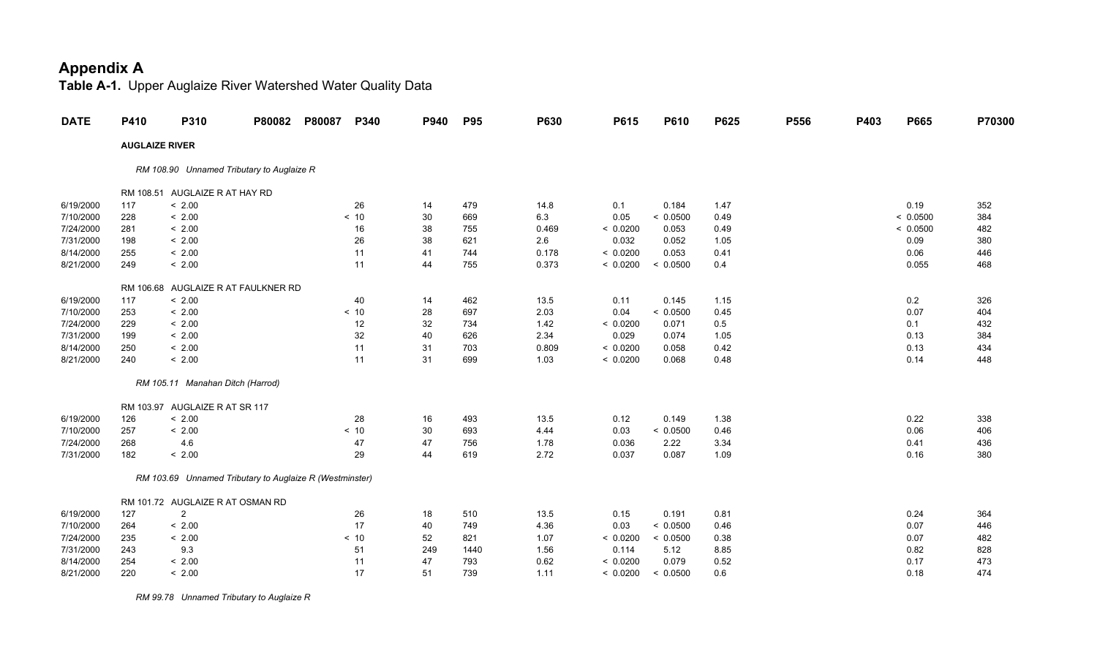**Table A-1.** Upper Auglaize River Watershed Water Quality Data

| <b>DATE</b> | P410 | P310                                                    | P80082 | P80087 | P340 | P940 | <b>P95</b> | P630  | P615     | P610     | P625 | P556 | P403 | P665     | P70300 |
|-------------|------|---------------------------------------------------------|--------|--------|------|------|------------|-------|----------|----------|------|------|------|----------|--------|
|             |      | <b>AUGLAIZE RIVER</b>                                   |        |        |      |      |            |       |          |          |      |      |      |          |        |
|             |      | RM 108.90 Unnamed Tributary to Auglaize R               |        |        |      |      |            |       |          |          |      |      |      |          |        |
|             |      | RM 108.51 AUGLAIZE R AT HAY RD                          |        |        |      |      |            |       |          |          |      |      |      |          |        |
| 6/19/2000   | 117  | < 2.00                                                  |        |        | 26   | 14   | 479        | 14.8  | 0.1      | 0.184    | 1.47 |      |      | 0.19     | 352    |
| 7/10/2000   | 228  | < 2.00                                                  |        |        | < 10 | 30   | 669        | 6.3   | 0.05     | < 0.0500 | 0.49 |      |      | < 0.0500 | 384    |
| 7/24/2000   | 281  | < 2.00                                                  |        |        | 16   | 38   | 755        | 0.469 | < 0.0200 | 0.053    | 0.49 |      |      | < 0.0500 | 482    |
| 7/31/2000   | 198  | < 2.00                                                  |        |        | 26   | 38   | 621        | 2.6   | 0.032    | 0.052    | 1.05 |      |      | 0.09     | 380    |
| 8/14/2000   | 255  | < 2.00                                                  |        |        | 11   | 41   | 744        | 0.178 | < 0.0200 | 0.053    | 0.41 |      |      | 0.06     | 446    |
| 8/21/2000   | 249  | < 2.00                                                  |        |        | 11   | 44   | 755        | 0.373 | < 0.0200 | < 0.0500 | 0.4  |      |      | 0.055    | 468    |
|             |      | RM 106.68 AUGLAIZE R AT FAULKNER RD                     |        |        |      |      |            |       |          |          |      |      |      |          |        |
| 6/19/2000   | 117  | < 2.00                                                  |        |        | 40   | 14   | 462        | 13.5  | 0.11     | 0.145    | 1.15 |      |      | 0.2      | 326    |
| 7/10/2000   | 253  | < 2.00                                                  |        |        | < 10 | 28   | 697        | 2.03  | 0.04     | < 0.0500 | 0.45 |      |      | 0.07     | 404    |
| 7/24/2000   | 229  | < 2.00                                                  |        |        | 12   | 32   | 734        | 1.42  | < 0.0200 | 0.071    | 0.5  |      |      | 0.1      | 432    |
| 7/31/2000   | 199  | < 2.00                                                  |        |        | 32   | 40   | 626        | 2.34  | 0.029    | 0.074    | 1.05 |      |      | 0.13     | 384    |
| 8/14/2000   | 250  | < 2.00                                                  |        |        | 11   | 31   | 703        | 0.809 | < 0.0200 | 0.058    | 0.42 |      |      | 0.13     | 434    |
| 8/21/2000   | 240  | < 2.00                                                  |        |        | 11   | 31   | 699        | 1.03  | < 0.0200 | 0.068    | 0.48 |      |      | 0.14     | 448    |
|             |      | RM 105.11 Manahan Ditch (Harrod)                        |        |        |      |      |            |       |          |          |      |      |      |          |        |
|             |      | RM 103.97 AUGLAIZE R AT SR 117                          |        |        |      |      |            |       |          |          |      |      |      |          |        |
| 6/19/2000   | 126  | < 2.00                                                  |        |        | 28   | 16   | 493        | 13.5  | 0.12     | 0.149    | 1.38 |      |      | 0.22     | 338    |
| 7/10/2000   | 257  | < 2.00                                                  |        |        | < 10 | 30   | 693        | 4.44  | 0.03     | < 0.0500 | 0.46 |      |      | 0.06     | 406    |
| 7/24/2000   | 268  | 4.6                                                     |        |        | 47   | 47   | 756        | 1.78  | 0.036    | 2.22     | 3.34 |      |      | 0.41     | 436    |
| 7/31/2000   | 182  | < 2.00                                                  |        |        | 29   | 44   | 619        | 2.72  | 0.037    | 0.087    | 1.09 |      |      | 0.16     | 380    |
|             |      | RM 103.69 Unnamed Tributary to Auglaize R (Westminster) |        |        |      |      |            |       |          |          |      |      |      |          |        |
|             |      | RM 101.72 AUGLAIZE R AT OSMAN RD                        |        |        |      |      |            |       |          |          |      |      |      |          |        |
| 6/19/2000   | 127  | $\overline{2}$                                          |        |        | 26   | 18   | 510        | 13.5  | 0.15     | 0.191    | 0.81 |      |      | 0.24     | 364    |
| 7/10/2000   | 264  | < 2.00                                                  |        |        | 17   | 40   | 749        | 4.36  | 0.03     | < 0.0500 | 0.46 |      |      | 0.07     | 446    |
| 7/24/2000   | 235  | < 2.00                                                  |        |        | < 10 | 52   | 821        | 1.07  | < 0.0200 | < 0.0500 | 0.38 |      |      | 0.07     | 482    |
| 7/31/2000   | 243  | 9.3                                                     |        |        | 51   | 249  | 1440       | 1.56  | 0.114    | 5.12     | 8.85 |      |      | 0.82     | 828    |
| 8/14/2000   | 254  | < 2.00                                                  |        |        | 11   | 47   | 793        | 0.62  | < 0.0200 | 0.079    | 0.52 |      |      | 0.17     | 473    |
| 8/21/2000   | 220  | < 2.00                                                  |        |        | 17   | 51   | 739        | 1.11  | < 0.0200 | < 0.0500 | 0.6  |      |      | 0.18     | 474    |

 *RM 99.78 Unnamed Tributary to Auglaize R*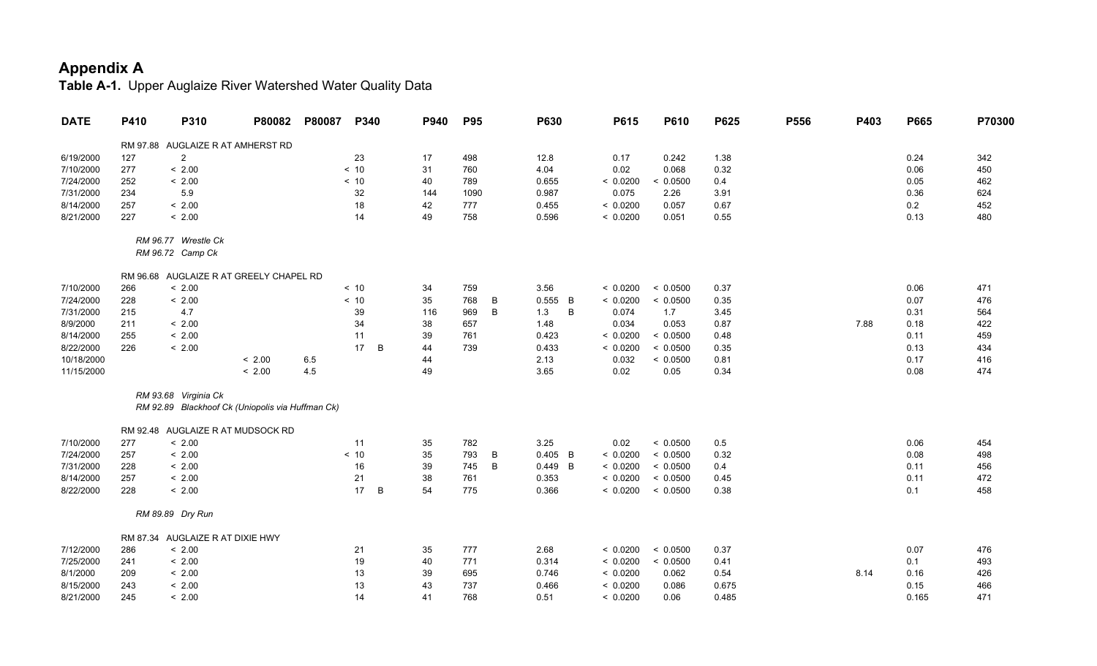| <b>DATE</b> | P410 | P310                                             | P80082 | P80087 | P340    | P940 | <b>P95</b> | P630       | P615     | P610     | P625  | P556 | P403 | P665  | P70300 |
|-------------|------|--------------------------------------------------|--------|--------|---------|------|------------|------------|----------|----------|-------|------|------|-------|--------|
|             |      | RM 97.88 AUGLAIZE R AT AMHERST RD                |        |        |         |      |            |            |          |          |       |      |      |       |        |
| 6/19/2000   | 127  | $\overline{2}$                                   |        |        | 23      | 17   | 498        | 12.8       | 0.17     | 0.242    | 1.38  |      |      | 0.24  | 342    |
| 7/10/2000   | 277  | < 2.00                                           |        |        | < 10    | 31   | 760        | 4.04       | 0.02     | 0.068    | 0.32  |      |      | 0.06  | 450    |
| 7/24/2000   | 252  | < 2.00                                           |        |        | < 10    | 40   | 789        | 0.655      | < 0.0200 | < 0.0500 | 0.4   |      |      | 0.05  | 462    |
| 7/31/2000   | 234  | 5.9                                              |        |        | 32      | 144  | 1090       | 0.987      | 0.075    | 2.26     | 3.91  |      |      | 0.36  | 624    |
| 8/14/2000   | 257  | < 2.00                                           |        |        | 18      | 42   | 777        | 0.455      | < 0.0200 | 0.057    | 0.67  |      |      | 0.2   | 452    |
| 8/21/2000   | 227  | < 2.00                                           |        |        | 14      | 49   | 758        | 0.596      | < 0.0200 | 0.051    | 0.55  |      |      | 0.13  | 480    |
|             |      | RM 96.77 Wrestle Ck                              |        |        |         |      |            |            |          |          |       |      |      |       |        |
|             |      | RM 96.72 Camp Ck                                 |        |        |         |      |            |            |          |          |       |      |      |       |        |
|             |      | RM 96.68 AUGLAIZE R AT GREELY CHAPEL RD          |        |        |         |      |            |            |          |          |       |      |      |       |        |
| 7/10/2000   | 266  | < 2.00                                           |        |        | < 10    | 34   | 759        | 3.56       | < 0.0200 | < 0.0500 | 0.37  |      |      | 0.06  | 471    |
| 7/24/2000   | 228  | < 2.00                                           |        |        | < 10    | 35   | 768<br>B   | 0.555<br>B | < 0.0200 | < 0.0500 | 0.35  |      |      | 0.07  | 476    |
| 7/31/2000   | 215  | 4.7                                              |        |        | 39      | 116  | B<br>969   | 1.3<br>B   | 0.074    | 1.7      | 3.45  |      |      | 0.31  | 564    |
| 8/9/2000    | 211  | < 2.00                                           |        |        | 34      | 38   | 657        | 1.48       | 0.034    | 0.053    | 0.87  |      | 7.88 | 0.18  | 422    |
| 8/14/2000   | 255  | < 2.00                                           |        |        | 11      | 39   | 761        | 0.423      | < 0.0200 | < 0.0500 | 0.48  |      |      | 0.11  | 459    |
| 8/22/2000   | 226  | < 2.00                                           |        |        | 17<br>B | 44   | 739        | 0.433      | < 0.0200 | < 0.0500 | 0.35  |      |      | 0.13  | 434    |
| 10/18/2000  |      |                                                  | < 2.00 | 6.5    |         | 44   |            | 2.13       | 0.032    | < 0.0500 | 0.81  |      |      | 0.17  | 416    |
| 11/15/2000  |      |                                                  | < 2.00 | 4.5    |         | 49   |            | 3.65       | 0.02     | 0.05     | 0.34  |      |      | 0.08  | 474    |
|             |      | RM 93.68 Virginia Ck                             |        |        |         |      |            |            |          |          |       |      |      |       |        |
|             |      | RM 92.89 Blackhoof Ck (Uniopolis via Huffman Ck) |        |        |         |      |            |            |          |          |       |      |      |       |        |
|             |      | RM 92.48 AUGLAIZE R AT MUDSOCK RD                |        |        |         |      |            |            |          |          |       |      |      |       |        |
| 7/10/2000   | 277  | < 2.00                                           |        |        | 11      | 35   | 782        | 3.25       | 0.02     | < 0.0500 | 0.5   |      |      | 0.06  | 454    |
| 7/24/2000   | 257  | < 2.00                                           |        |        | $< 10$  | 35   | 793<br>B   | $0.405$ B  | < 0.0200 | < 0.0500 | 0.32  |      |      | 0.08  | 498    |
| 7/31/2000   | 228  | < 2.00                                           |        |        | 16      | 39   | B<br>745   | $0.449$ B  | < 0.0200 | < 0.0500 | 0.4   |      |      | 0.11  | 456    |
| 8/14/2000   | 257  | < 2.00                                           |        |        | 21      | 38   | 761        | 0.353      | < 0.0200 | < 0.0500 | 0.45  |      |      | 0.11  | 472    |
| 8/22/2000   | 228  | < 2.00                                           |        |        | 17<br>В | 54   | 775        | 0.366      | < 0.0200 | < 0.0500 | 0.38  |      |      | 0.1   | 458    |
|             |      | RM 89.89 Dry Run                                 |        |        |         |      |            |            |          |          |       |      |      |       |        |
|             |      | RM 87.34 AUGLAIZE R AT DIXIE HWY                 |        |        |         |      |            |            |          |          |       |      |      |       |        |
| 7/12/2000   | 286  | < 2.00                                           |        |        | 21      | 35   | 777        | 2.68       | < 0.0200 | < 0.0500 | 0.37  |      |      | 0.07  | 476    |
| 7/25/2000   | 241  | < 2.00                                           |        |        | 19      | 40   | 771        | 0.314      | < 0.0200 | < 0.0500 | 0.41  |      |      | 0.1   | 493    |
| 8/1/2000    | 209  | < 2.00                                           |        |        | 13      | 39   | 695        | 0.746      | < 0.0200 | 0.062    | 0.54  |      | 8.14 | 0.16  | 426    |
| 8/15/2000   | 243  | < 2.00                                           |        |        | 13      | 43   | 737        | 0.466      | < 0.0200 | 0.086    | 0.675 |      |      | 0.15  | 466    |
| 8/21/2000   | 245  | < 2.00                                           |        |        | 14      | 41   | 768        | 0.51       | < 0.0200 | 0.06     | 0.485 |      |      | 0.165 | 471    |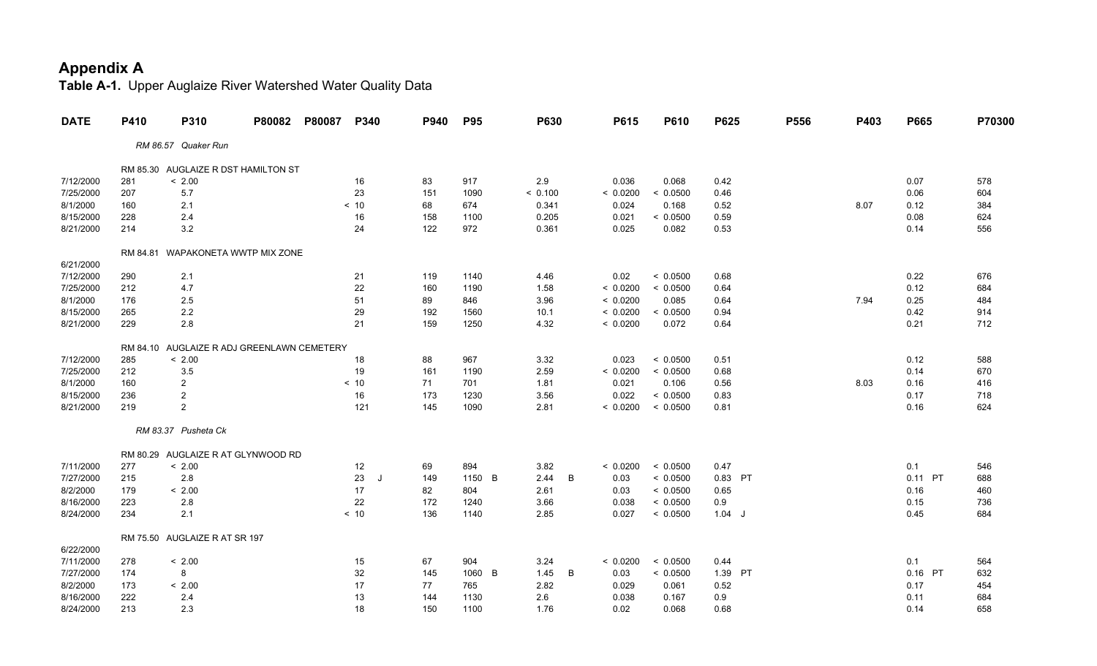| 0.07<br>578    |
|----------------|
|                |
|                |
|                |
| 0.06<br>604    |
| 0.12<br>384    |
| 0.08<br>624    |
| 0.14<br>556    |
|                |
|                |
|                |
| 0.22<br>676    |
| 0.12<br>684    |
| 0.25<br>484    |
| 0.42<br>914    |
| 0.21<br>712    |
|                |
|                |
| 0.12<br>588    |
| 0.14<br>670    |
| 0.16<br>416    |
| 0.17<br>718    |
| 624<br>0.16    |
|                |
|                |
|                |
| 0.1<br>546     |
| 0.11 PT<br>688 |
| 460<br>0.16    |
| 0.15<br>736    |
| 0.45<br>684    |
|                |
|                |
| 0.1<br>564     |
| 0.16 PT<br>632 |
| 0.17<br>454    |
| 684<br>0.11    |
| 0.14<br>658    |
|                |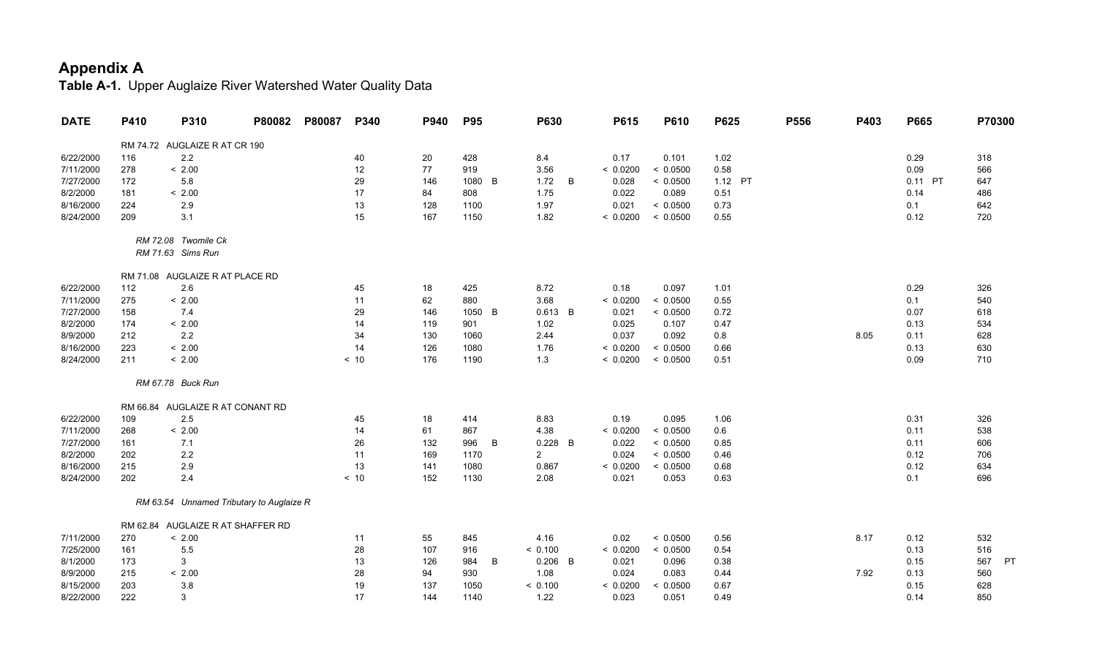| <b>DATE</b> | P410 | P310                                     | P80082 | P80087 | P340 | P940 | <b>P95</b> |   | P630           | P615     | P610     | P625    | P556 | P403 | P665    | P70300           |
|-------------|------|------------------------------------------|--------|--------|------|------|------------|---|----------------|----------|----------|---------|------|------|---------|------------------|
|             |      | RM 74.72 AUGLAIZE R AT CR 190            |        |        |      |      |            |   |                |          |          |         |      |      |         |                  |
| 6/22/2000   | 116  | 2.2                                      |        |        | 40   | 20   | 428        |   | 8.4            | 0.17     | 0.101    | 1.02    |      |      | 0.29    | 318              |
| 7/11/2000   | 278  | < 2.00                                   |        |        | 12   | 77   | 919        |   | 3.56           | < 0.0200 | < 0.0500 | 0.58    |      |      | 0.09    | 566              |
| 7/27/2000   | 172  | 5.8                                      |        |        | 29   | 146  | 1080       | B | 1.72<br>B      | 0.028    | < 0.0500 | 1.12 PT |      |      | 0.11 PT | 647              |
| 8/2/2000    | 181  | < 2.00                                   |        |        | 17   | 84   | 808        |   | 1.75           | 0.022    | 0.089    | 0.51    |      |      | 0.14    | 486              |
| 8/16/2000   | 224  | 2.9                                      |        |        | 13   | 128  | 1100       |   | 1.97           | 0.021    | < 0.0500 | 0.73    |      |      | 0.1     | 642              |
| 8/24/2000   | 209  | 3.1                                      |        |        | 15   | 167  | 1150       |   | 1.82           | < 0.0200 | < 0.0500 | 0.55    |      |      | 0.12    | 720              |
|             |      | RM 72.08 Twomile Ck                      |        |        |      |      |            |   |                |          |          |         |      |      |         |                  |
|             |      | RM 71.63 Sims Run                        |        |        |      |      |            |   |                |          |          |         |      |      |         |                  |
|             |      | RM 71.08 AUGLAIZE R AT PLACE RD          |        |        |      |      |            |   |                |          |          |         |      |      |         |                  |
| 6/22/2000   | 112  | 2.6                                      |        |        | 45   | 18   | 425        |   | 8.72           | 0.18     | 0.097    | 1.01    |      |      | 0.29    | 326              |
| 7/11/2000   | 275  | < 2.00                                   |        |        | 11   | 62   | 880        |   | 3.68           | < 0.0200 | < 0.0500 | 0.55    |      |      | 0.1     | 540              |
| 7/27/2000   | 158  | 7.4                                      |        |        | 29   | 146  | 1050       | B | $0.613$ B      | 0.021    | < 0.0500 | 0.72    |      |      | 0.07    | 618              |
| 8/2/2000    | 174  | < 2.00                                   |        |        | 14   | 119  | 901        |   | 1.02           | 0.025    | 0.107    | 0.47    |      |      | 0.13    | 534              |
| 8/9/2000    | 212  | 2.2                                      |        |        | 34   | 130  | 1060       |   | 2.44           | 0.037    | 0.092    | $0.8\,$ |      | 8.05 | 0.11    | 628              |
| 8/16/2000   | 223  | < 2.00                                   |        |        | 14   | 126  | 1080       |   | 1.76           | < 0.0200 | < 0.0500 | 0.66    |      |      | 0.13    | 630              |
| 8/24/2000   | 211  | < 2.00                                   |        |        | < 10 | 176  | 1190       |   | 1.3            | < 0.0200 | < 0.0500 | 0.51    |      |      | 0.09    | 710              |
|             |      | RM 67.78 Buck Run                        |        |        |      |      |            |   |                |          |          |         |      |      |         |                  |
|             |      | RM 66.84 AUGLAIZE R AT CONANT RD         |        |        |      |      |            |   |                |          |          |         |      |      |         |                  |
| 6/22/2000   | 109  | 2.5                                      |        |        | 45   | 18   | 414        |   | 8.83           | 0.19     | 0.095    | 1.06    |      |      | 0.31    | 326              |
| 7/11/2000   | 268  | < 2.00                                   |        |        | 14   | 61   | 867        |   | 4.38           | < 0.0200 | < 0.0500 | 0.6     |      |      | 0.11    | 538              |
| 7/27/2000   | 161  | 7.1                                      |        |        | 26   | 132  | 996        | B | $0.228$ B      | 0.022    | < 0.0500 | 0.85    |      |      | 0.11    | 606              |
| 8/2/2000    | 202  | 2.2                                      |        |        | 11   | 169  | 1170       |   | $\overline{2}$ | 0.024    | < 0.0500 | 0.46    |      |      | 0.12    | 706              |
| 8/16/2000   | 215  | 2.9                                      |        |        | 13   | 141  | 1080       |   | 0.867          | < 0.0200 | < 0.0500 | 0.68    |      |      | 0.12    | 634              |
| 8/24/2000   | 202  | 2.4                                      |        |        | < 10 | 152  | 1130       |   | 2.08           | 0.021    | 0.053    | 0.63    |      |      | 0.1     | 696              |
|             |      | RM 63.54 Unnamed Tributary to Auglaize R |        |        |      |      |            |   |                |          |          |         |      |      |         |                  |
|             |      | RM 62.84 AUGLAIZE R AT SHAFFER RD        |        |        |      |      |            |   |                |          |          |         |      |      |         |                  |
| 7/11/2000   | 270  | < 2.00                                   |        |        | 11   | 55   | 845        |   | 4.16           | 0.02     | < 0.0500 | 0.56    |      | 8.17 | 0.12    | 532              |
| 7/25/2000   | 161  | 5.5                                      |        |        | 28   | 107  | 916        |   | < 0.100        | < 0.0200 | < 0.0500 | 0.54    |      |      | 0.13    | 516              |
| 8/1/2000    | 173  | 3                                        |        |        | 13   | 126  | 984        | B | $0.206$ B      | 0.021    | 0.096    | 0.38    |      |      | 0.15    | 567<br><b>PT</b> |
| 8/9/2000    | 215  | < 2.00                                   |        |        | 28   | 94   | 930        |   | 1.08           | 0.024    | 0.083    | 0.44    |      | 7.92 | 0.13    | 560              |
| 8/15/2000   | 203  | 3.8                                      |        |        | 19   | 137  | 1050       |   | < 0.100        | < 0.0200 | < 0.0500 | 0.67    |      |      | 0.15    | 628              |
| 8/22/2000   | 222  | 3                                        |        |        | 17   | 144  | 1140       |   | 1.22           | 0.023    | 0.051    | 0.49    |      |      | 0.14    | 850              |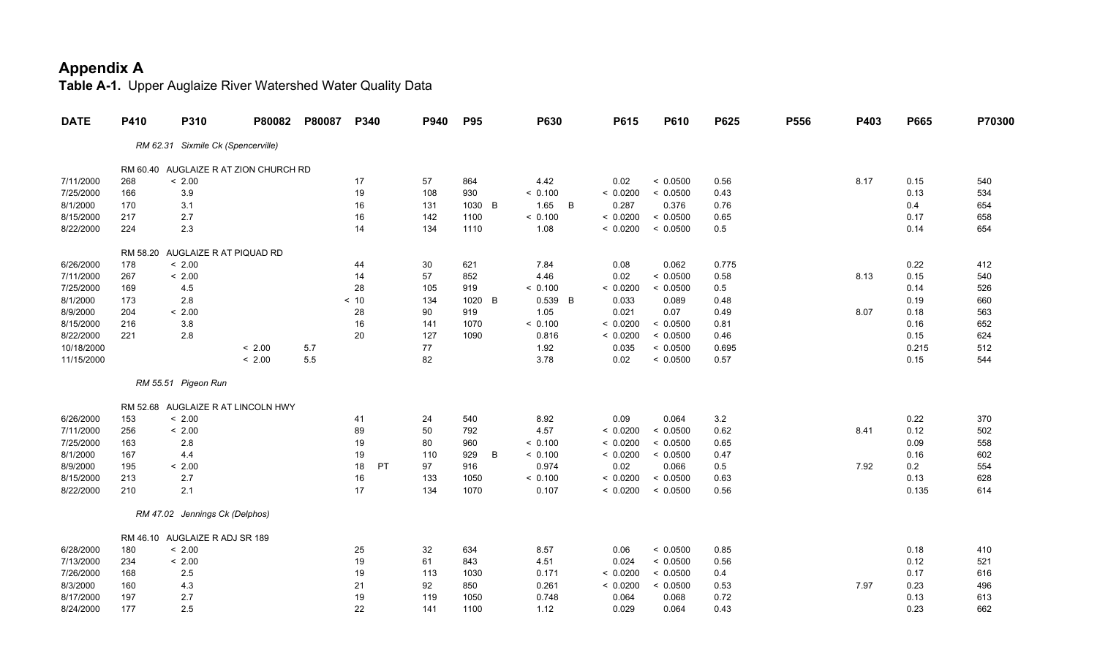| <b>DATE</b> | P410     | P310                               | P80082                                | P80087 | P340     | P940 | <b>P95</b> | <b>P630</b>            | P615     | P610     | P625    | P556 | P403 | P665  | P70300 |
|-------------|----------|------------------------------------|---------------------------------------|--------|----------|------|------------|------------------------|----------|----------|---------|------|------|-------|--------|
|             |          | RM 62.31 Sixmile Ck (Spencerville) |                                       |        |          |      |            |                        |          |          |         |      |      |       |        |
|             |          |                                    | RM 60.40 AUGLAIZE R AT ZION CHURCH RD |        |          |      |            |                        |          |          |         |      |      |       |        |
| 7/11/2000   | 268      | < 2.00                             |                                       |        | 17       | 57   | 864        | 4.42                   | 0.02     | < 0.0500 | 0.56    |      | 8.17 | 0.15  | 540    |
| 7/25/2000   | 166      | 3.9                                |                                       |        | 19       | 108  | 930        | < 0.100                | < 0.0200 | < 0.0500 | 0.43    |      |      | 0.13  | 534    |
| 8/1/2000    | 170      | 3.1                                |                                       |        | 16       | 131  | 1030 B     | 1.65<br>$\overline{B}$ | 0.287    | 0.376    | 0.76    |      |      | 0.4   | 654    |
| 8/15/2000   | 217      | 2.7                                |                                       |        | 16       | 142  | 1100       | < 0.100                | < 0.0200 | < 0.0500 | 0.65    |      |      | 0.17  | 658    |
| 8/22/2000   | 224      | 2.3                                |                                       |        | 14       | 134  | 1110       | 1.08                   | < 0.0200 | < 0.0500 | 0.5     |      |      | 0.14  | 654    |
|             | RM 58.20 |                                    | AUGLAIZE R AT PIQUAD RD               |        |          |      |            |                        |          |          |         |      |      |       |        |
| 6/26/2000   | 178      | < 2.00                             |                                       |        | 44       | 30   | 621        | 7.84                   | 0.08     | 0.062    | 0.775   |      |      | 0.22  | 412    |
| 7/11/2000   | 267      | < 2.00                             |                                       |        | 14       | 57   | 852        | 4.46                   | 0.02     | < 0.0500 | 0.58    |      | 8.13 | 0.15  | 540    |
| 7/25/2000   | 169      | 4.5                                |                                       |        | 28       | 105  | 919        | < 0.100                | < 0.0200 | < 0.0500 | 0.5     |      |      | 0.14  | 526    |
| 8/1/2000    | 173      | 2.8                                |                                       |        | < 10     | 134  | 1020<br>B  | 0.539 B                | 0.033    | 0.089    | 0.48    |      |      | 0.19  | 660    |
| 8/9/2000    | 204      | < 2.00                             |                                       |        | 28       | 90   | 919        | 1.05                   | 0.021    | 0.07     | 0.49    |      | 8.07 | 0.18  | 563    |
| 8/15/2000   | 216      | 3.8                                |                                       |        | 16       | 141  | 1070       | < 0.100                | < 0.0200 | < 0.0500 | 0.81    |      |      | 0.16  | 652    |
| 8/22/2000   | 221      | $2.8\,$                            |                                       |        | 20       | 127  | 1090       | 0.816                  | < 0.0200 | < 0.0500 | 0.46    |      |      | 0.15  | 624    |
| 10/18/2000  |          |                                    | < 2.00                                | 5.7    |          | 77   |            | 1.92                   | 0.035    | < 0.0500 | 0.695   |      |      | 0.215 | 512    |
| 11/15/2000  |          |                                    | < 2.00                                | 5.5    |          | 82   |            | 3.78                   | 0.02     | < 0.0500 | 0.57    |      |      | 0.15  | 544    |
|             |          | RM 55.51 Pigeon Run                |                                       |        |          |      |            |                        |          |          |         |      |      |       |        |
|             |          |                                    | RM 52.68 AUGLAIZE R AT LINCOLN HWY    |        |          |      |            |                        |          |          |         |      |      |       |        |
| 6/26/2000   | 153      | < 2.00                             |                                       |        | 41       | 24   | 540        | 8.92                   | 0.09     | 0.064    | $3.2\,$ |      |      | 0.22  | 370    |
| 7/11/2000   | 256      | < 2.00                             |                                       |        | 89       | 50   | 792        | 4.57                   | < 0.0200 | < 0.0500 | 0.62    |      | 8.41 | 0.12  | 502    |
| 7/25/2000   | 163      | 2.8                                |                                       |        | 19       | 80   | 960        | < 0.100                | < 0.0200 | < 0.0500 | 0.65    |      |      | 0.09  | 558    |
| 8/1/2000    | 167      | 4.4                                |                                       |        | 19       | 110  | 929<br>B   | < 0.100                | < 0.0200 | < 0.0500 | 0.47    |      |      | 0.16  | 602    |
| 8/9/2000    | 195      | < 2.00                             |                                       |        | PT<br>18 | 97   | 916        | 0.974                  | 0.02     | 0.066    | $0.5\,$ |      | 7.92 | 0.2   | 554    |
| 8/15/2000   | 213      | 2.7                                |                                       |        | 16       | 133  | 1050       | < 0.100                | < 0.0200 | < 0.0500 | 0.63    |      |      | 0.13  | 628    |
| 8/22/2000   | 210      | 2.1                                |                                       |        | 17       | 134  | 1070       | 0.107                  | < 0.0200 | < 0.0500 | 0.56    |      |      | 0.135 | 614    |
|             |          | RM 47.02 Jennings Ck (Delphos)     |                                       |        |          |      |            |                        |          |          |         |      |      |       |        |
|             |          | RM 46.10 AUGLAIZE R ADJ SR 189     |                                       |        |          |      |            |                        |          |          |         |      |      |       |        |
| 6/28/2000   | 180      | < 2.00                             |                                       |        | 25       | 32   | 634        | 8.57                   | 0.06     | < 0.0500 | 0.85    |      |      | 0.18  | 410    |
| 7/13/2000   | 234      | < 2.00                             |                                       |        | 19       | 61   | 843        | 4.51                   | 0.024    | < 0.0500 | 0.56    |      |      | 0.12  | 521    |
| 7/26/2000   | 168      | 2.5                                |                                       |        | 19       | 113  | 1030       | 0.171                  | < 0.0200 | < 0.0500 | 0.4     |      |      | 0.17  | 616    |
| 8/3/2000    | 160      | 4.3                                |                                       |        | 21       | 92   | 850        | 0.261                  | < 0.0200 | < 0.0500 | 0.53    |      | 7.97 | 0.23  | 496    |
| 8/17/2000   | 197      | 2.7                                |                                       |        | 19       | 119  | 1050       | 0.748                  | 0.064    | 0.068    | 0.72    |      |      | 0.13  | 613    |
| 8/24/2000   | 177      | 2.5                                |                                       |        | 22       | 141  | 1100       | 1.12                   | 0.029    | 0.064    | 0.43    |      |      | 0.23  | 662    |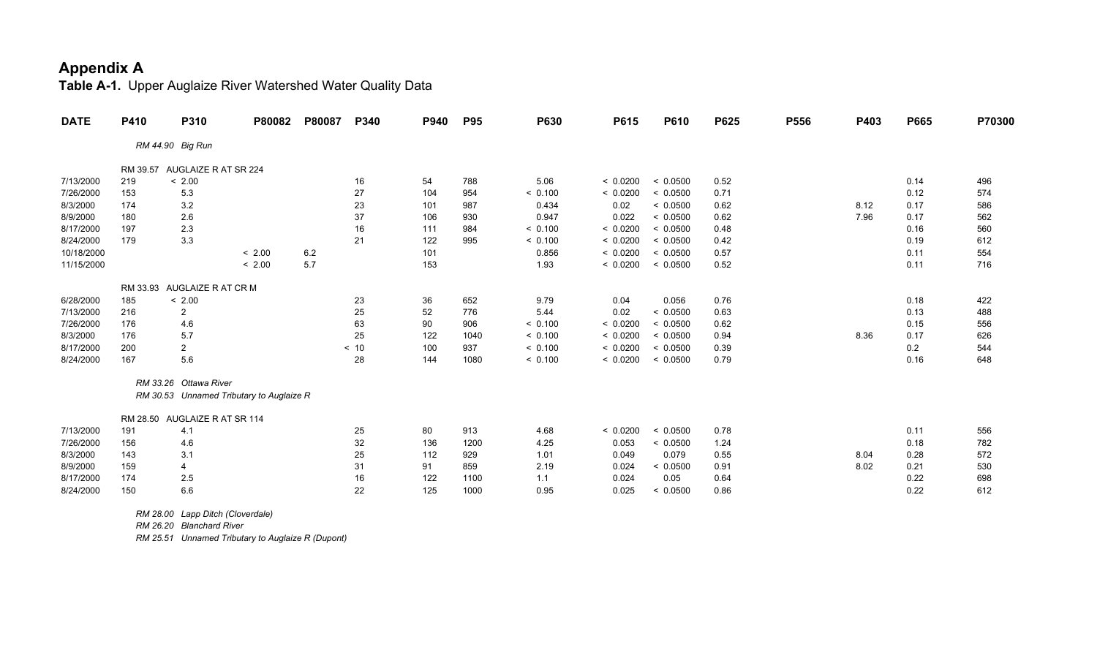**Table A-1.** Upper Auglaize River Watershed Water Quality Data

| <b>DATE</b> | P410     | P310                          | P80082                                   | P80087 | P340 | P940 | <b>P95</b> | <b>P630</b> | P615     | P610     | P625 | P556 | P403 | P665 | P70300 |
|-------------|----------|-------------------------------|------------------------------------------|--------|------|------|------------|-------------|----------|----------|------|------|------|------|--------|
|             |          | RM 44.90 Big Run              |                                          |        |      |      |            |             |          |          |      |      |      |      |        |
|             | RM 39.57 | AUGLAIZE R AT SR 224          |                                          |        |      |      |            |             |          |          |      |      |      |      |        |
| 7/13/2000   | 219      | < 2.00                        |                                          |        | 16   | 54   | 788        | 5.06        | < 0.0200 | < 0.0500 | 0.52 |      |      | 0.14 | 496    |
| 7/26/2000   | 153      | 5.3                           |                                          |        | 27   | 104  | 954        | < 0.100     | < 0.0200 | < 0.0500 | 0.71 |      |      | 0.12 | 574    |
| 8/3/2000    | 174      | 3.2                           |                                          |        | 23   | 101  | 987        | 0.434       | 0.02     | < 0.0500 | 0.62 |      | 8.12 | 0.17 | 586    |
| 8/9/2000    | 180      | 2.6                           |                                          |        | 37   | 106  | 930        | 0.947       | 0.022    | < 0.0500 | 0.62 |      | 7.96 | 0.17 | 562    |
| 8/17/2000   | 197      | 2.3                           |                                          |        | 16   | 111  | 984        | < 0.100     | < 0.0200 | < 0.0500 | 0.48 |      |      | 0.16 | 560    |
| 8/24/2000   | 179      | 3.3                           |                                          |        | 21   | 122  | 995        | < 0.100     | < 0.0200 | < 0.0500 | 0.42 |      |      | 0.19 | 612    |
| 10/18/2000  |          |                               | < 2.00                                   | 6.2    |      | 101  |            | 0.856       | < 0.0200 | < 0.0500 | 0.57 |      |      | 0.11 | 554    |
| 11/15/2000  |          |                               | < 2.00                                   | 5.7    |      | 153  |            | 1.93        | < 0.0200 | < 0.0500 | 0.52 |      |      | 0.11 | 716    |
|             |          | RM 33.93 AUGLAIZE R AT CR M   |                                          |        |      |      |            |             |          |          |      |      |      |      |        |
| 6/28/2000   | 185      | < 2.00                        |                                          |        | 23   | 36   | 652        | 9.79        | 0.04     | 0.056    | 0.76 |      |      | 0.18 | 422    |
| 7/13/2000   | 216      | $\overline{2}$                |                                          |        | 25   | 52   | 776        | 5.44        | 0.02     | < 0.0500 | 0.63 |      |      | 0.13 | 488    |
| 7/26/2000   | 176      | 4.6                           |                                          |        | 63   | 90   | 906        | < 0.100     | < 0.0200 | < 0.0500 | 0.62 |      |      | 0.15 | 556    |
| 8/3/2000    | 176      | 5.7                           |                                          |        | 25   | 122  | 1040       | < 0.100     | < 0.0200 | < 0.0500 | 0.94 |      | 8.36 | 0.17 | 626    |
| 8/17/2000   | 200      | $\overline{a}$                |                                          |        | < 10 | 100  | 937        | < 0.100     | < 0.0200 | < 0.0500 | 0.39 |      |      | 0.2  | 544    |
| 8/24/2000   | 167      | 5.6                           |                                          |        | 28   | 144  | 1080       | < 0.100     | < 0.0200 | < 0.0500 | 0.79 |      |      | 0.16 | 648    |
|             |          | RM 33.26 Ottawa River         |                                          |        |      |      |            |             |          |          |      |      |      |      |        |
|             |          |                               | RM 30.53 Unnamed Tributary to Auglaize R |        |      |      |            |             |          |          |      |      |      |      |        |
|             |          | RM 28.50 AUGLAIZE R AT SR 114 |                                          |        |      |      |            |             |          |          |      |      |      |      |        |
| 7/13/2000   | 191      | 4.1                           |                                          |        | 25   | 80   | 913        | 4.68        | < 0.0200 | < 0.0500 | 0.78 |      |      | 0.11 | 556    |
| 7/26/2000   | 156      | 4.6                           |                                          |        | 32   | 136  | 1200       | 4.25        | 0.053    | < 0.0500 | 1.24 |      |      | 0.18 | 782    |
| 8/3/2000    | 143      | 3.1                           |                                          |        | 25   | 112  | 929        | 1.01        | 0.049    | 0.079    | 0.55 |      | 8.04 | 0.28 | 572    |
| 8/9/2000    | 159      | 4                             |                                          |        | 31   | 91   | 859        | 2.19        | 0.024    | < 0.0500 | 0.91 |      | 8.02 | 0.21 | 530    |
| 8/17/2000   | 174      | 2.5                           |                                          |        | 16   | 122  | 1100       | 1.1         | 0.024    | 0.05     | 0.64 |      |      | 0.22 | 698    |
| 8/24/2000   | 150      | $6.6\,$                       |                                          |        | 22   | 125  | 1000       | 0.95        | 0.025    | < 0.0500 | 0.86 |      |      | 0.22 | 612    |
|             |          |                               |                                          |        |      |      |            |             |          |          |      |      |      |      |        |

 *RM 28.00 Lapp Ditch (Cloverdale)*

 *RM 26.20 Blanchard River*

 *RM 25.51 Unnamed Tributary to Auglaize R (Dupont)*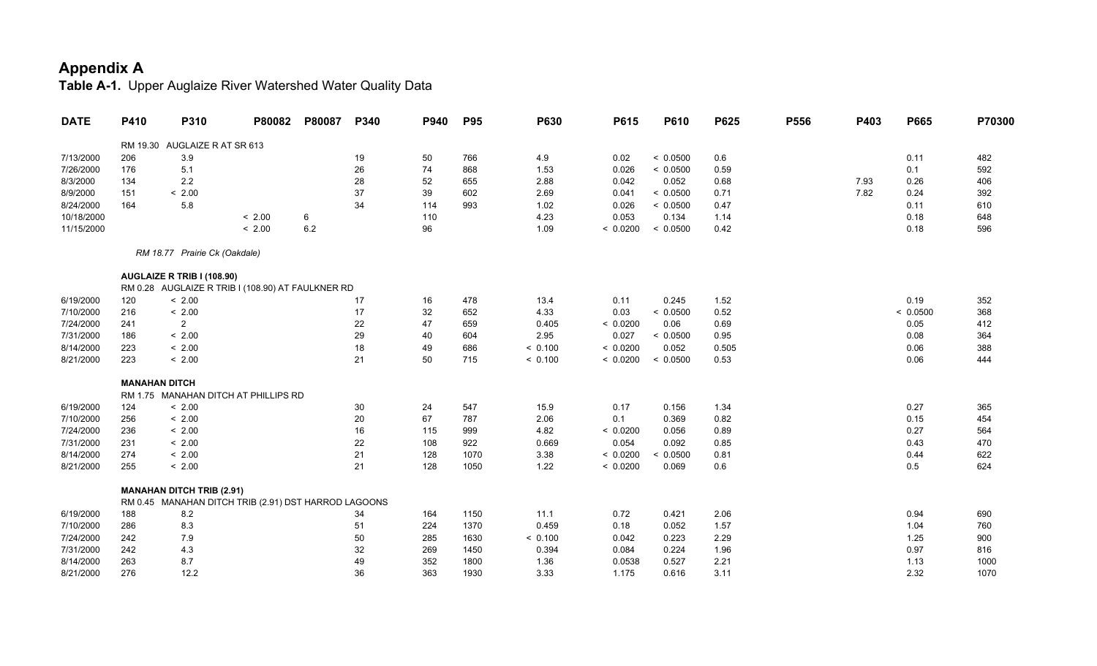| <b>DATE</b> | P410 | P310                             | P80082                                               | P80087 | P340 | P940 | <b>P95</b> | P630    | P615     | P610     | P625  | P556 | P403 | P665     | P70300 |
|-------------|------|----------------------------------|------------------------------------------------------|--------|------|------|------------|---------|----------|----------|-------|------|------|----------|--------|
|             |      | RM 19.30 AUGLAIZE R AT SR 613    |                                                      |        |      |      |            |         |          |          |       |      |      |          |        |
| 7/13/2000   | 206  | 3.9                              |                                                      |        | 19   | 50   | 766        | 4.9     | 0.02     | < 0.0500 | 0.6   |      |      | 0.11     | 482    |
| 7/26/2000   | 176  | 5.1                              |                                                      |        | 26   | 74   | 868        | 1.53    | 0.026    | < 0.0500 | 0.59  |      |      | 0.1      | 592    |
| 8/3/2000    | 134  | 2.2                              |                                                      |        | 28   | 52   | 655        | 2.88    | 0.042    | 0.052    | 0.68  |      | 7.93 | 0.26     | 406    |
| 8/9/2000    | 151  | < 2.00                           |                                                      |        | 37   | 39   | 602        | 2.69    | 0.041    | < 0.0500 | 0.71  |      | 7.82 | 0.24     | 392    |
| 8/24/2000   | 164  | 5.8                              |                                                      |        | 34   | 114  | 993        | 1.02    | 0.026    | < 0.0500 | 0.47  |      |      | 0.11     | 610    |
| 10/18/2000  |      |                                  | < 2.00                                               | 6      |      | 110  |            | 4.23    | 0.053    | 0.134    | 1.14  |      |      | 0.18     | 648    |
| 11/15/2000  |      |                                  | < 2.00                                               | 6.2    |      | 96   |            | 1.09    | < 0.0200 | < 0.0500 | 0.42  |      |      | 0.18     | 596    |
|             |      | RM 18.77 Prairie Ck (Oakdale)    |                                                      |        |      |      |            |         |          |          |       |      |      |          |        |
|             |      | AUGLAIZE R TRIB I (108.90)       |                                                      |        |      |      |            |         |          |          |       |      |      |          |        |
|             |      |                                  | RM 0.28 AUGLAIZE R TRIB I (108.90) AT FAULKNER RD    |        |      |      |            |         |          |          |       |      |      |          |        |
| 6/19/2000   | 120  | < 2.00                           |                                                      |        | 17   | 16   | 478        | 13.4    | 0.11     | 0.245    | 1.52  |      |      | 0.19     | 352    |
| 7/10/2000   | 216  | < 2.00                           |                                                      |        | 17   | 32   | 652        | 4.33    | 0.03     | < 0.0500 | 0.52  |      |      | < 0.0500 | 368    |
| 7/24/2000   | 241  | $\overline{2}$                   |                                                      |        | 22   | 47   | 659        | 0.405   | < 0.0200 | 0.06     | 0.69  |      |      | 0.05     | 412    |
| 7/31/2000   | 186  | < 2.00                           |                                                      |        | 29   | 40   | 604        | 2.95    | 0.027    | < 0.0500 | 0.95  |      |      | 0.08     | 364    |
| 8/14/2000   | 223  | < 2.00                           |                                                      |        | 18   | 49   | 686        | < 0.100 | < 0.0200 | 0.052    | 0.505 |      |      | 0.06     | 388    |
| 8/21/2000   | 223  | < 2.00                           |                                                      |        | 21   | 50   | 715        | < 0.100 | < 0.0200 | < 0.0500 | 0.53  |      |      | 0.06     | 444    |
|             |      | <b>MANAHAN DITCH</b>             |                                                      |        |      |      |            |         |          |          |       |      |      |          |        |
|             |      |                                  | RM 1.75 MANAHAN DITCH AT PHILLIPS RD                 |        |      |      |            |         |          |          |       |      |      |          |        |
| 6/19/2000   | 124  | < 2.00                           |                                                      |        | 30   | 24   | 547        | 15.9    | 0.17     | 0.156    | 1.34  |      |      | 0.27     | 365    |
| 7/10/2000   | 256  | < 2.00                           |                                                      |        | 20   | 67   | 787        | 2.06    | 0.1      | 0.369    | 0.82  |      |      | 0.15     | 454    |
| 7/24/2000   | 236  | < 2.00                           |                                                      |        | 16   | 115  | 999        | 4.82    | < 0.0200 | 0.056    | 0.89  |      |      | 0.27     | 564    |
| 7/31/2000   | 231  | < 2.00                           |                                                      |        | 22   | 108  | 922        | 0.669   | 0.054    | 0.092    | 0.85  |      |      | 0.43     | 470    |
| 8/14/2000   | 274  | < 2.00                           |                                                      |        | 21   | 128  | 1070       | 3.38    | < 0.0200 | < 0.0500 | 0.81  |      |      | 0.44     | 622    |
| 8/21/2000   | 255  | < 2.00                           |                                                      |        | 21   | 128  | 1050       | 1.22    | < 0.0200 | 0.069    | 0.6   |      |      | 0.5      | 624    |
|             |      | <b>MANAHAN DITCH TRIB (2.91)</b> |                                                      |        |      |      |            |         |          |          |       |      |      |          |        |
|             |      |                                  | RM 0.45 MANAHAN DITCH TRIB (2.91) DST HARROD LAGOONS |        |      |      |            |         |          |          |       |      |      |          |        |
| 6/19/2000   | 188  | 8.2                              |                                                      |        | 34   | 164  | 1150       | 11.1    | 0.72     | 0.421    | 2.06  |      |      | 0.94     | 690    |
| 7/10/2000   | 286  | 8.3                              |                                                      |        | 51   | 224  | 1370       | 0.459   | 0.18     | 0.052    | 1.57  |      |      | 1.04     | 760    |
| 7/24/2000   | 242  | 7.9                              |                                                      |        | 50   | 285  | 1630       | < 0.100 | 0.042    | 0.223    | 2.29  |      |      | 1.25     | 900    |
| 7/31/2000   | 242  | 4.3                              |                                                      |        | 32   | 269  | 1450       | 0.394   | 0.084    | 0.224    | 1.96  |      |      | 0.97     | 816    |
| 8/14/2000   | 263  | 8.7                              |                                                      |        | 49   | 352  | 1800       | 1.36    | 0.0538   | 0.527    | 2.21  |      |      | 1.13     | 1000   |
| 8/21/2000   | 276  | 12.2                             |                                                      |        | 36   | 363  | 1930       | 3.33    | 1.175    | 0.616    | 3.11  |      |      | 2.32     | 1070   |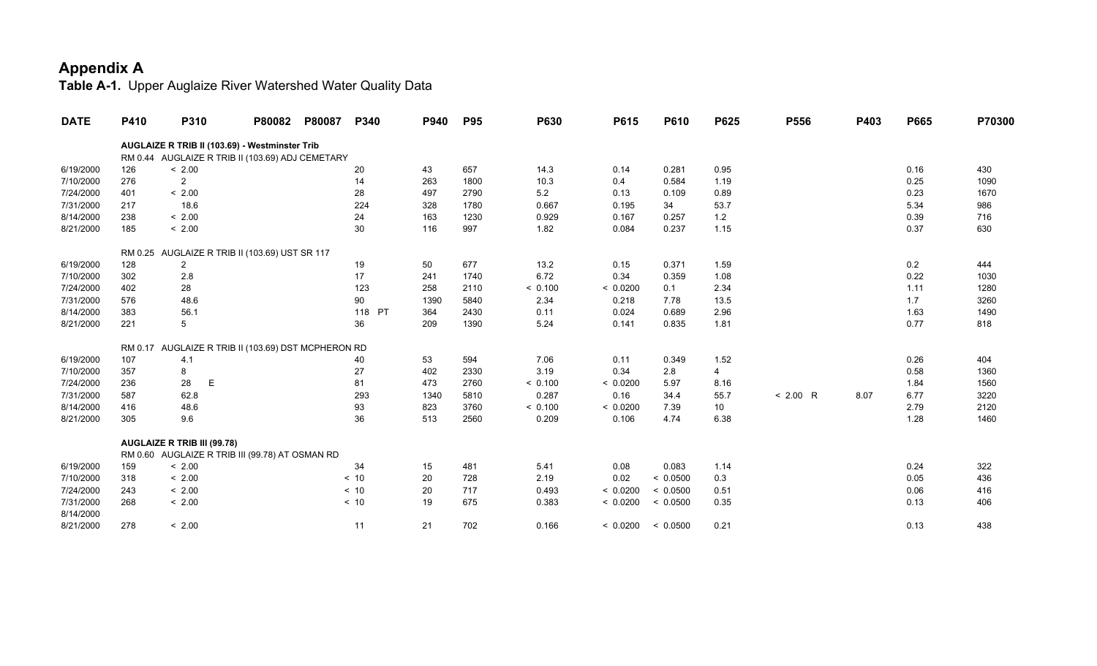| <b>DATE</b> | P410 | <b>P310</b>                                         | P80082 | P80087 | P340   | P940 | <b>P95</b> | <b>P630</b> | P615     | P610     | P625  | P556       | P403 | P665 | P70300 |
|-------------|------|-----------------------------------------------------|--------|--------|--------|------|------------|-------------|----------|----------|-------|------------|------|------|--------|
|             |      | AUGLAIZE R TRIB II (103.69) - Westminster Trib      |        |        |        |      |            |             |          |          |       |            |      |      |        |
|             |      | RM 0.44 AUGLAIZE R TRIB II (103.69) ADJ CEMETARY    |        |        |        |      |            |             |          |          |       |            |      |      |        |
| 6/19/2000   | 126  | < 2.00                                              |        |        | 20     | 43   | 657        | 14.3        | 0.14     | 0.281    | 0.95  |            |      | 0.16 | 430    |
| 7/10/2000   | 276  | $\overline{2}$                                      |        |        | 14     | 263  | 1800       | 10.3        | 0.4      | 0.584    | 1.19  |            |      | 0.25 | 1090   |
| 7/24/2000   | 401  | < 2.00                                              |        |        | 28     | 497  | 2790       | 5.2         | 0.13     | 0.109    | 0.89  |            |      | 0.23 | 1670   |
| 7/31/2000   | 217  | 18.6                                                |        |        | 224    | 328  | 1780       | 0.667       | 0.195    | 34       | 53.7  |            |      | 5.34 | 986    |
| 8/14/2000   | 238  | < 2.00                                              |        |        | 24     | 163  | 1230       | 0.929       | 0.167    | 0.257    | $1.2$ |            |      | 0.39 | 716    |
| 8/21/2000   | 185  | < 2.00                                              |        |        | 30     | 116  | 997        | 1.82        | 0.084    | 0.237    | 1.15  |            |      | 0.37 | 630    |
|             |      | RM 0.25 AUGLAIZE R TRIB II (103.69) UST SR 117      |        |        |        |      |            |             |          |          |       |            |      |      |        |
| 6/19/2000   | 128  | $\overline{\mathbf{c}}$                             |        |        | 19     | 50   | 677        | 13.2        | 0.15     | 0.371    | 1.59  |            |      | 0.2  | 444    |
| 7/10/2000   | 302  | 2.8                                                 |        |        | 17     | 241  | 1740       | 6.72        | 0.34     | 0.359    | 1.08  |            |      | 0.22 | 1030   |
| 7/24/2000   | 402  | 28                                                  |        |        | 123    | 258  | 2110       | < 0.100     | < 0.0200 | 0.1      | 2.34  |            |      | 1.11 | 1280   |
| 7/31/2000   | 576  | 48.6                                                |        |        | 90     | 1390 | 5840       | 2.34        | 0.218    | 7.78     | 13.5  |            |      | 1.7  | 3260   |
| 8/14/2000   | 383  | 56.1                                                |        |        | 118 PT | 364  | 2430       | 0.11        | 0.024    | 0.689    | 2.96  |            |      | 1.63 | 1490   |
| 8/21/2000   | 221  | 5                                                   |        |        | 36     | 209  | 1390       | 5.24        | 0.141    | 0.835    | 1.81  |            |      | 0.77 | 818    |
|             |      | RM 0.17 AUGLAIZE R TRIB II (103.69) DST MCPHERON RD |        |        |        |      |            |             |          |          |       |            |      |      |        |
| 6/19/2000   | 107  | 4.1                                                 |        |        | 40     | 53   | 594        | 7.06        | 0.11     | 0.349    | 1.52  |            |      | 0.26 | 404    |
| 7/10/2000   | 357  | 8                                                   |        |        | 27     | 402  | 2330       | 3.19        | 0.34     | 2.8      | 4     |            |      | 0.58 | 1360   |
| 7/24/2000   | 236  | $\mathsf E$<br>28                                   |        |        | 81     | 473  | 2760       | < 0.100     | < 0.0200 | 5.97     | 8.16  |            |      | 1.84 | 1560   |
| 7/31/2000   | 587  | 62.8                                                |        |        | 293    | 1340 | 5810       | 0.287       | 0.16     | 34.4     | 55.7  | $< 2.00$ R | 8.07 | 6.77 | 3220   |
| 8/14/2000   | 416  | 48.6                                                |        |        | 93     | 823  | 3760       | < 0.100     | < 0.0200 | 7.39     | 10    |            |      | 2.79 | 2120   |
| 8/21/2000   | 305  | 9.6                                                 |        |        | 36     | 513  | 2560       | 0.209       | 0.106    | 4.74     | 6.38  |            |      | 1.28 | 1460   |
|             |      | <b>AUGLAIZE R TRIB III (99.78)</b>                  |        |        |        |      |            |             |          |          |       |            |      |      |        |
|             |      | RM 0.60 AUGLAIZE R TRIB III (99.78) AT OSMAN RD     |        |        |        |      |            |             |          |          |       |            |      |      |        |
| 6/19/2000   | 159  | < 2.00                                              |        |        | 34     | 15   | 481        | 5.41        | 0.08     | 0.083    | 1.14  |            |      | 0.24 | 322    |
| 7/10/2000   | 318  | < 2.00                                              |        |        | < 10   | 20   | 728        | 2.19        | 0.02     | < 0.0500 | 0.3   |            |      | 0.05 | 436    |
| 7/24/2000   | 243  | < 2.00                                              |        |        | < 10   | 20   | 717        | 0.493       | < 0.0200 | < 0.0500 | 0.51  |            |      | 0.06 | 416    |
| 7/31/2000   | 268  | < 2.00                                              |        |        | < 10   | 19   | 675        | 0.383       | < 0.0200 | < 0.0500 | 0.35  |            |      | 0.13 | 406    |
| 8/14/2000   |      |                                                     |        |        |        |      |            |             |          |          |       |            |      |      |        |
| 8/21/2000   | 278  | < 2.00                                              |        |        | 11     | 21   | 702        | 0.166       | < 0.0200 | < 0.0500 | 0.21  |            |      | 0.13 | 438    |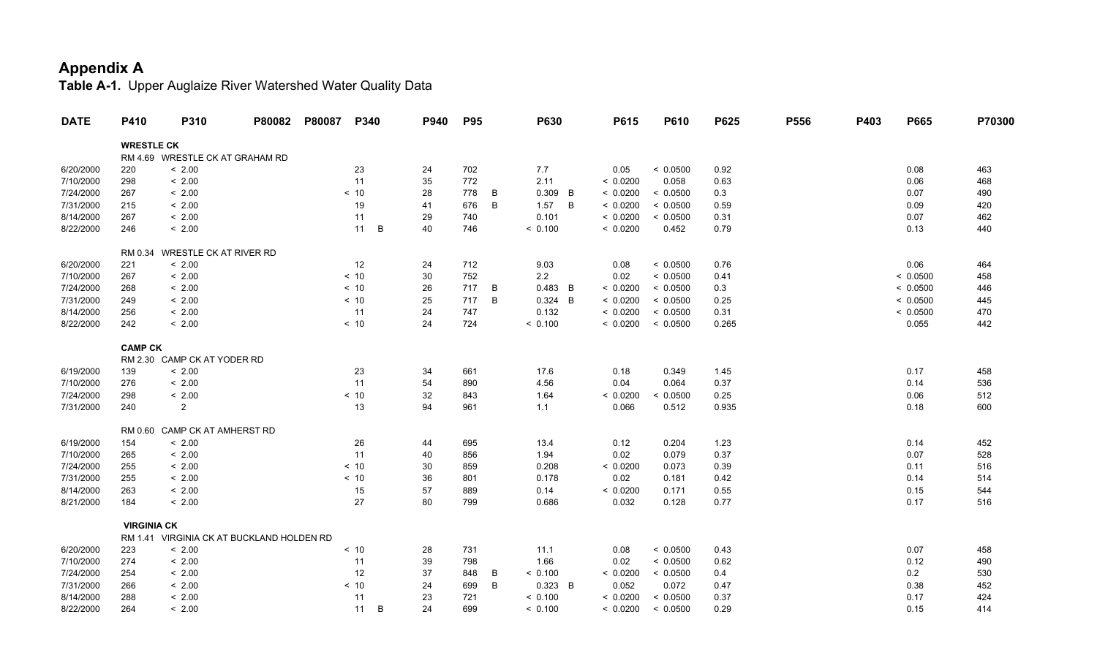| <b>WRESTLE CK</b><br>RM 4.69 WRESTLE CK AT GRAHAM RD<br>< 2.00<br>23<br>702<br>0.05<br>< 0.0500<br>0.92<br>463<br>6/20/2000<br>220<br>24<br>7.7<br>0.08<br>298<br>35<br>772<br>7/10/2000<br>< 2.00<br>11<br>2.11<br>< 0.0200<br>0.058<br>0.63<br>0.06<br>468<br>7/24/2000<br>< 10<br>778<br>< 0.0200<br>< 2.00<br>28<br>B<br>0.309 B<br>< 0.0500<br>0.3<br>0.07<br>490<br>267<br>19<br>B<br>7/31/2000<br>215<br>< 2.00<br>41<br>676<br>B<br>< 0.0200<br>< 0.0500<br>0.59<br>420<br>1.57<br>0.09<br>8/14/2000<br>< 0.0200<br>267<br>< 2.00<br>11<br>29<br>0.101<br>< 0.0500<br>0.31<br>0.07<br>462<br>740<br>< 0.0200<br>8/22/2000<br>246<br>11<br>B<br>40<br>0.452<br>0.79<br>0.13<br>440<br>< 2.00<br>746<br>< 0.100<br>WRESTLE CK AT RIVER RD<br>RM 0.34<br>6/20/2000<br>221<br>< 2.00<br>12<br>24<br>712<br>9.03<br>0.08<br>< 0.0500<br>0.76<br>0.06<br>464<br>30<br>2.2<br>7/10/2000<br>267<br>< 2.00<br>< 10<br>752<br>0.02<br>< 0.0500<br>0.41<br>< 0.0500<br>458<br>7/24/2000<br>< 2.00<br>$< 10$<br>26<br>717<br>< 0.0200<br>0.3<br>268<br>B<br>0.483 B<br>< 0.0500<br>< 0.0500<br>446<br>7/31/2000<br>$< 10$<br>25<br>717<br>B<br>0.324 B<br>< 0.0200<br>< 0.0500<br>0.25<br>< 2.00<br>< 0.0500<br>249<br>445<br>< 0.0200<br>8/14/2000<br>256<br>< 2.00<br>11<br>24<br>747<br>0.132<br>< 0.0500<br>0.31<br>< 0.0500<br>470<br>< 0.0200<br>8/22/2000<br>242<br>< 2.00<br>< 10<br>24<br>724<br>< 0.100<br>< 0.0500<br>0.265<br>0.055<br>442<br><b>CAMP CK</b><br>RM 2.30 CAMP CK AT YODER RD<br>< 2.00<br>23<br>0.18<br>6/19/2000<br>139<br>34<br>661<br>17.6<br>0.349<br>1.45<br>0.17<br>458<br>11<br>54<br>7/10/2000<br>276<br>< 2.00<br>890<br>4.56<br>0.04<br>0.064<br>0.37<br>536<br>0.14<br>< 10<br>32<br>7/24/2000<br>298<br>< 2.00<br>843<br>1.64<br>< 0.0200<br>< 0.0500<br>0.25<br>0.06<br>512<br>7/31/2000<br>$\overline{2}$<br>13<br>94<br>240<br>961<br>0.066<br>0.512<br>0.935<br>0.18<br>600<br>1.1<br>RM 0.60 CAMP CK AT AMHERST RD<br>< 2.00<br>26<br>0.12<br>1.23<br>6/19/2000<br>154<br>44<br>695<br>13.4<br>0.204<br>0.14<br>452<br>7/10/2000<br>< 2.00<br>11<br>40<br>1.94<br>0.02<br>0.079<br>0.37<br>0.07<br>528<br>265<br>856<br>7/24/2000<br>255<br>< 10<br>30<br>0.208<br>< 0.0200<br>0.073<br>0.39<br>< 2.00<br>859<br>0.11<br>516<br>7/31/2000<br>< 10<br>36<br>0.178<br>255<br>< 2.00<br>801<br>0.02<br>0.181<br>0.42<br>0.14<br>514<br>15<br>57<br>8/14/2000<br>263<br>< 2.00<br>889<br>0.14<br>< 0.0200<br>0.171<br>0.55<br>0.15<br>544<br>8/21/2000<br>27<br>80<br>184<br>< 2.00<br>799<br>0.686<br>0.032<br>0.128<br>0.77<br>0.17<br>516<br><b>VIRGINIA CK</b><br>RM 1.41 VIRGINIA CK AT BUCKLAND HOLDEN RD<br>223<br>< 2.00<br>< 0.0500<br>0.07<br>6/20/2000<br>< 10<br>28<br>731<br>11.1<br>0.08<br>0.43<br>458<br>7/10/2000<br>< 0.0500<br>274<br>< 2.00<br>11<br>39<br>798<br>1.66<br>0.02<br>0.62<br>0.12<br>490<br>7/24/2000<br>12<br>37<br>< 0.100<br>< 0.0200<br>254<br>< 2.00<br>848<br>B<br>< 0.0500<br>0.4<br>0.2<br>530<br>7/31/2000<br>< 10<br>24<br>B<br>0.323 B<br>0.052<br>0.072<br>0.47<br>452<br>266<br>< 2.00<br>699<br>0.38<br>11<br>8/14/2000<br>288<br>23<br>< 0.100<br>< 0.0200<br>< 0.0500<br>0.37<br>0.17<br>424<br>< 2.00<br>721<br>264<br>11<br>B<br>24<br>699<br>< 0.0500<br>0.29<br>< 0.100<br>0.15<br>414 | <b>DATE</b> | P410 | P310   | P80082 | P80087 | P340 | P940 | <b>P95</b> | P630 | P615     | P610 | P625 | P556 | P403 | P665 | P70300 |
|---------------------------------------------------------------------------------------------------------------------------------------------------------------------------------------------------------------------------------------------------------------------------------------------------------------------------------------------------------------------------------------------------------------------------------------------------------------------------------------------------------------------------------------------------------------------------------------------------------------------------------------------------------------------------------------------------------------------------------------------------------------------------------------------------------------------------------------------------------------------------------------------------------------------------------------------------------------------------------------------------------------------------------------------------------------------------------------------------------------------------------------------------------------------------------------------------------------------------------------------------------------------------------------------------------------------------------------------------------------------------------------------------------------------------------------------------------------------------------------------------------------------------------------------------------------------------------------------------------------------------------------------------------------------------------------------------------------------------------------------------------------------------------------------------------------------------------------------------------------------------------------------------------------------------------------------------------------------------------------------------------------------------------------------------------------------------------------------------------------------------------------------------------------------------------------------------------------------------------------------------------------------------------------------------------------------------------------------------------------------------------------------------------------------------------------------------------------------------------------------------------------------------------------------------------------------------------------------------------------------------------------------------------------------------------------------------------------------------------------------------------------------------------------------------------------------------------------------------------------------------------------------------------------------------------------------------------------------------------------------------------------------------------------------------------------------------------------------------------------------------------------------------------------------------------------------------------------------------------------------------------------------------------|-------------|------|--------|--------|--------|------|------|------------|------|----------|------|------|------|------|------|--------|
|                                                                                                                                                                                                                                                                                                                                                                                                                                                                                                                                                                                                                                                                                                                                                                                                                                                                                                                                                                                                                                                                                                                                                                                                                                                                                                                                                                                                                                                                                                                                                                                                                                                                                                                                                                                                                                                                                                                                                                                                                                                                                                                                                                                                                                                                                                                                                                                                                                                                                                                                                                                                                                                                                                                                                                                                                                                                                                                                                                                                                                                                                                                                                                                                                                                                                 |             |      |        |        |        |      |      |            |      |          |      |      |      |      |      |        |
|                                                                                                                                                                                                                                                                                                                                                                                                                                                                                                                                                                                                                                                                                                                                                                                                                                                                                                                                                                                                                                                                                                                                                                                                                                                                                                                                                                                                                                                                                                                                                                                                                                                                                                                                                                                                                                                                                                                                                                                                                                                                                                                                                                                                                                                                                                                                                                                                                                                                                                                                                                                                                                                                                                                                                                                                                                                                                                                                                                                                                                                                                                                                                                                                                                                                                 |             |      |        |        |        |      |      |            |      |          |      |      |      |      |      |        |
|                                                                                                                                                                                                                                                                                                                                                                                                                                                                                                                                                                                                                                                                                                                                                                                                                                                                                                                                                                                                                                                                                                                                                                                                                                                                                                                                                                                                                                                                                                                                                                                                                                                                                                                                                                                                                                                                                                                                                                                                                                                                                                                                                                                                                                                                                                                                                                                                                                                                                                                                                                                                                                                                                                                                                                                                                                                                                                                                                                                                                                                                                                                                                                                                                                                                                 |             |      |        |        |        |      |      |            |      |          |      |      |      |      |      |        |
|                                                                                                                                                                                                                                                                                                                                                                                                                                                                                                                                                                                                                                                                                                                                                                                                                                                                                                                                                                                                                                                                                                                                                                                                                                                                                                                                                                                                                                                                                                                                                                                                                                                                                                                                                                                                                                                                                                                                                                                                                                                                                                                                                                                                                                                                                                                                                                                                                                                                                                                                                                                                                                                                                                                                                                                                                                                                                                                                                                                                                                                                                                                                                                                                                                                                                 |             |      |        |        |        |      |      |            |      |          |      |      |      |      |      |        |
|                                                                                                                                                                                                                                                                                                                                                                                                                                                                                                                                                                                                                                                                                                                                                                                                                                                                                                                                                                                                                                                                                                                                                                                                                                                                                                                                                                                                                                                                                                                                                                                                                                                                                                                                                                                                                                                                                                                                                                                                                                                                                                                                                                                                                                                                                                                                                                                                                                                                                                                                                                                                                                                                                                                                                                                                                                                                                                                                                                                                                                                                                                                                                                                                                                                                                 |             |      |        |        |        |      |      |            |      |          |      |      |      |      |      |        |
|                                                                                                                                                                                                                                                                                                                                                                                                                                                                                                                                                                                                                                                                                                                                                                                                                                                                                                                                                                                                                                                                                                                                                                                                                                                                                                                                                                                                                                                                                                                                                                                                                                                                                                                                                                                                                                                                                                                                                                                                                                                                                                                                                                                                                                                                                                                                                                                                                                                                                                                                                                                                                                                                                                                                                                                                                                                                                                                                                                                                                                                                                                                                                                                                                                                                                 |             |      |        |        |        |      |      |            |      |          |      |      |      |      |      |        |
|                                                                                                                                                                                                                                                                                                                                                                                                                                                                                                                                                                                                                                                                                                                                                                                                                                                                                                                                                                                                                                                                                                                                                                                                                                                                                                                                                                                                                                                                                                                                                                                                                                                                                                                                                                                                                                                                                                                                                                                                                                                                                                                                                                                                                                                                                                                                                                                                                                                                                                                                                                                                                                                                                                                                                                                                                                                                                                                                                                                                                                                                                                                                                                                                                                                                                 |             |      |        |        |        |      |      |            |      |          |      |      |      |      |      |        |
|                                                                                                                                                                                                                                                                                                                                                                                                                                                                                                                                                                                                                                                                                                                                                                                                                                                                                                                                                                                                                                                                                                                                                                                                                                                                                                                                                                                                                                                                                                                                                                                                                                                                                                                                                                                                                                                                                                                                                                                                                                                                                                                                                                                                                                                                                                                                                                                                                                                                                                                                                                                                                                                                                                                                                                                                                                                                                                                                                                                                                                                                                                                                                                                                                                                                                 |             |      |        |        |        |      |      |            |      |          |      |      |      |      |      |        |
|                                                                                                                                                                                                                                                                                                                                                                                                                                                                                                                                                                                                                                                                                                                                                                                                                                                                                                                                                                                                                                                                                                                                                                                                                                                                                                                                                                                                                                                                                                                                                                                                                                                                                                                                                                                                                                                                                                                                                                                                                                                                                                                                                                                                                                                                                                                                                                                                                                                                                                                                                                                                                                                                                                                                                                                                                                                                                                                                                                                                                                                                                                                                                                                                                                                                                 |             |      |        |        |        |      |      |            |      |          |      |      |      |      |      |        |
|                                                                                                                                                                                                                                                                                                                                                                                                                                                                                                                                                                                                                                                                                                                                                                                                                                                                                                                                                                                                                                                                                                                                                                                                                                                                                                                                                                                                                                                                                                                                                                                                                                                                                                                                                                                                                                                                                                                                                                                                                                                                                                                                                                                                                                                                                                                                                                                                                                                                                                                                                                                                                                                                                                                                                                                                                                                                                                                                                                                                                                                                                                                                                                                                                                                                                 |             |      |        |        |        |      |      |            |      |          |      |      |      |      |      |        |
|                                                                                                                                                                                                                                                                                                                                                                                                                                                                                                                                                                                                                                                                                                                                                                                                                                                                                                                                                                                                                                                                                                                                                                                                                                                                                                                                                                                                                                                                                                                                                                                                                                                                                                                                                                                                                                                                                                                                                                                                                                                                                                                                                                                                                                                                                                                                                                                                                                                                                                                                                                                                                                                                                                                                                                                                                                                                                                                                                                                                                                                                                                                                                                                                                                                                                 |             |      |        |        |        |      |      |            |      |          |      |      |      |      |      |        |
|                                                                                                                                                                                                                                                                                                                                                                                                                                                                                                                                                                                                                                                                                                                                                                                                                                                                                                                                                                                                                                                                                                                                                                                                                                                                                                                                                                                                                                                                                                                                                                                                                                                                                                                                                                                                                                                                                                                                                                                                                                                                                                                                                                                                                                                                                                                                                                                                                                                                                                                                                                                                                                                                                                                                                                                                                                                                                                                                                                                                                                                                                                                                                                                                                                                                                 |             |      |        |        |        |      |      |            |      |          |      |      |      |      |      |        |
|                                                                                                                                                                                                                                                                                                                                                                                                                                                                                                                                                                                                                                                                                                                                                                                                                                                                                                                                                                                                                                                                                                                                                                                                                                                                                                                                                                                                                                                                                                                                                                                                                                                                                                                                                                                                                                                                                                                                                                                                                                                                                                                                                                                                                                                                                                                                                                                                                                                                                                                                                                                                                                                                                                                                                                                                                                                                                                                                                                                                                                                                                                                                                                                                                                                                                 |             |      |        |        |        |      |      |            |      |          |      |      |      |      |      |        |
|                                                                                                                                                                                                                                                                                                                                                                                                                                                                                                                                                                                                                                                                                                                                                                                                                                                                                                                                                                                                                                                                                                                                                                                                                                                                                                                                                                                                                                                                                                                                                                                                                                                                                                                                                                                                                                                                                                                                                                                                                                                                                                                                                                                                                                                                                                                                                                                                                                                                                                                                                                                                                                                                                                                                                                                                                                                                                                                                                                                                                                                                                                                                                                                                                                                                                 |             |      |        |        |        |      |      |            |      |          |      |      |      |      |      |        |
|                                                                                                                                                                                                                                                                                                                                                                                                                                                                                                                                                                                                                                                                                                                                                                                                                                                                                                                                                                                                                                                                                                                                                                                                                                                                                                                                                                                                                                                                                                                                                                                                                                                                                                                                                                                                                                                                                                                                                                                                                                                                                                                                                                                                                                                                                                                                                                                                                                                                                                                                                                                                                                                                                                                                                                                                                                                                                                                                                                                                                                                                                                                                                                                                                                                                                 |             |      |        |        |        |      |      |            |      |          |      |      |      |      |      |        |
|                                                                                                                                                                                                                                                                                                                                                                                                                                                                                                                                                                                                                                                                                                                                                                                                                                                                                                                                                                                                                                                                                                                                                                                                                                                                                                                                                                                                                                                                                                                                                                                                                                                                                                                                                                                                                                                                                                                                                                                                                                                                                                                                                                                                                                                                                                                                                                                                                                                                                                                                                                                                                                                                                                                                                                                                                                                                                                                                                                                                                                                                                                                                                                                                                                                                                 |             |      |        |        |        |      |      |            |      |          |      |      |      |      |      |        |
|                                                                                                                                                                                                                                                                                                                                                                                                                                                                                                                                                                                                                                                                                                                                                                                                                                                                                                                                                                                                                                                                                                                                                                                                                                                                                                                                                                                                                                                                                                                                                                                                                                                                                                                                                                                                                                                                                                                                                                                                                                                                                                                                                                                                                                                                                                                                                                                                                                                                                                                                                                                                                                                                                                                                                                                                                                                                                                                                                                                                                                                                                                                                                                                                                                                                                 |             |      |        |        |        |      |      |            |      |          |      |      |      |      |      |        |
|                                                                                                                                                                                                                                                                                                                                                                                                                                                                                                                                                                                                                                                                                                                                                                                                                                                                                                                                                                                                                                                                                                                                                                                                                                                                                                                                                                                                                                                                                                                                                                                                                                                                                                                                                                                                                                                                                                                                                                                                                                                                                                                                                                                                                                                                                                                                                                                                                                                                                                                                                                                                                                                                                                                                                                                                                                                                                                                                                                                                                                                                                                                                                                                                                                                                                 |             |      |        |        |        |      |      |            |      |          |      |      |      |      |      |        |
|                                                                                                                                                                                                                                                                                                                                                                                                                                                                                                                                                                                                                                                                                                                                                                                                                                                                                                                                                                                                                                                                                                                                                                                                                                                                                                                                                                                                                                                                                                                                                                                                                                                                                                                                                                                                                                                                                                                                                                                                                                                                                                                                                                                                                                                                                                                                                                                                                                                                                                                                                                                                                                                                                                                                                                                                                                                                                                                                                                                                                                                                                                                                                                                                                                                                                 |             |      |        |        |        |      |      |            |      |          |      |      |      |      |      |        |
|                                                                                                                                                                                                                                                                                                                                                                                                                                                                                                                                                                                                                                                                                                                                                                                                                                                                                                                                                                                                                                                                                                                                                                                                                                                                                                                                                                                                                                                                                                                                                                                                                                                                                                                                                                                                                                                                                                                                                                                                                                                                                                                                                                                                                                                                                                                                                                                                                                                                                                                                                                                                                                                                                                                                                                                                                                                                                                                                                                                                                                                                                                                                                                                                                                                                                 |             |      |        |        |        |      |      |            |      |          |      |      |      |      |      |        |
|                                                                                                                                                                                                                                                                                                                                                                                                                                                                                                                                                                                                                                                                                                                                                                                                                                                                                                                                                                                                                                                                                                                                                                                                                                                                                                                                                                                                                                                                                                                                                                                                                                                                                                                                                                                                                                                                                                                                                                                                                                                                                                                                                                                                                                                                                                                                                                                                                                                                                                                                                                                                                                                                                                                                                                                                                                                                                                                                                                                                                                                                                                                                                                                                                                                                                 |             |      |        |        |        |      |      |            |      |          |      |      |      |      |      |        |
|                                                                                                                                                                                                                                                                                                                                                                                                                                                                                                                                                                                                                                                                                                                                                                                                                                                                                                                                                                                                                                                                                                                                                                                                                                                                                                                                                                                                                                                                                                                                                                                                                                                                                                                                                                                                                                                                                                                                                                                                                                                                                                                                                                                                                                                                                                                                                                                                                                                                                                                                                                                                                                                                                                                                                                                                                                                                                                                                                                                                                                                                                                                                                                                                                                                                                 |             |      |        |        |        |      |      |            |      |          |      |      |      |      |      |        |
|                                                                                                                                                                                                                                                                                                                                                                                                                                                                                                                                                                                                                                                                                                                                                                                                                                                                                                                                                                                                                                                                                                                                                                                                                                                                                                                                                                                                                                                                                                                                                                                                                                                                                                                                                                                                                                                                                                                                                                                                                                                                                                                                                                                                                                                                                                                                                                                                                                                                                                                                                                                                                                                                                                                                                                                                                                                                                                                                                                                                                                                                                                                                                                                                                                                                                 |             |      |        |        |        |      |      |            |      |          |      |      |      |      |      |        |
|                                                                                                                                                                                                                                                                                                                                                                                                                                                                                                                                                                                                                                                                                                                                                                                                                                                                                                                                                                                                                                                                                                                                                                                                                                                                                                                                                                                                                                                                                                                                                                                                                                                                                                                                                                                                                                                                                                                                                                                                                                                                                                                                                                                                                                                                                                                                                                                                                                                                                                                                                                                                                                                                                                                                                                                                                                                                                                                                                                                                                                                                                                                                                                                                                                                                                 |             |      |        |        |        |      |      |            |      |          |      |      |      |      |      |        |
|                                                                                                                                                                                                                                                                                                                                                                                                                                                                                                                                                                                                                                                                                                                                                                                                                                                                                                                                                                                                                                                                                                                                                                                                                                                                                                                                                                                                                                                                                                                                                                                                                                                                                                                                                                                                                                                                                                                                                                                                                                                                                                                                                                                                                                                                                                                                                                                                                                                                                                                                                                                                                                                                                                                                                                                                                                                                                                                                                                                                                                                                                                                                                                                                                                                                                 |             |      |        |        |        |      |      |            |      |          |      |      |      |      |      |        |
|                                                                                                                                                                                                                                                                                                                                                                                                                                                                                                                                                                                                                                                                                                                                                                                                                                                                                                                                                                                                                                                                                                                                                                                                                                                                                                                                                                                                                                                                                                                                                                                                                                                                                                                                                                                                                                                                                                                                                                                                                                                                                                                                                                                                                                                                                                                                                                                                                                                                                                                                                                                                                                                                                                                                                                                                                                                                                                                                                                                                                                                                                                                                                                                                                                                                                 |             |      |        |        |        |      |      |            |      |          |      |      |      |      |      |        |
|                                                                                                                                                                                                                                                                                                                                                                                                                                                                                                                                                                                                                                                                                                                                                                                                                                                                                                                                                                                                                                                                                                                                                                                                                                                                                                                                                                                                                                                                                                                                                                                                                                                                                                                                                                                                                                                                                                                                                                                                                                                                                                                                                                                                                                                                                                                                                                                                                                                                                                                                                                                                                                                                                                                                                                                                                                                                                                                                                                                                                                                                                                                                                                                                                                                                                 |             |      |        |        |        |      |      |            |      |          |      |      |      |      |      |        |
|                                                                                                                                                                                                                                                                                                                                                                                                                                                                                                                                                                                                                                                                                                                                                                                                                                                                                                                                                                                                                                                                                                                                                                                                                                                                                                                                                                                                                                                                                                                                                                                                                                                                                                                                                                                                                                                                                                                                                                                                                                                                                                                                                                                                                                                                                                                                                                                                                                                                                                                                                                                                                                                                                                                                                                                                                                                                                                                                                                                                                                                                                                                                                                                                                                                                                 |             |      |        |        |        |      |      |            |      |          |      |      |      |      |      |        |
|                                                                                                                                                                                                                                                                                                                                                                                                                                                                                                                                                                                                                                                                                                                                                                                                                                                                                                                                                                                                                                                                                                                                                                                                                                                                                                                                                                                                                                                                                                                                                                                                                                                                                                                                                                                                                                                                                                                                                                                                                                                                                                                                                                                                                                                                                                                                                                                                                                                                                                                                                                                                                                                                                                                                                                                                                                                                                                                                                                                                                                                                                                                                                                                                                                                                                 |             |      |        |        |        |      |      |            |      |          |      |      |      |      |      |        |
|                                                                                                                                                                                                                                                                                                                                                                                                                                                                                                                                                                                                                                                                                                                                                                                                                                                                                                                                                                                                                                                                                                                                                                                                                                                                                                                                                                                                                                                                                                                                                                                                                                                                                                                                                                                                                                                                                                                                                                                                                                                                                                                                                                                                                                                                                                                                                                                                                                                                                                                                                                                                                                                                                                                                                                                                                                                                                                                                                                                                                                                                                                                                                                                                                                                                                 |             |      |        |        |        |      |      |            |      |          |      |      |      |      |      |        |
|                                                                                                                                                                                                                                                                                                                                                                                                                                                                                                                                                                                                                                                                                                                                                                                                                                                                                                                                                                                                                                                                                                                                                                                                                                                                                                                                                                                                                                                                                                                                                                                                                                                                                                                                                                                                                                                                                                                                                                                                                                                                                                                                                                                                                                                                                                                                                                                                                                                                                                                                                                                                                                                                                                                                                                                                                                                                                                                                                                                                                                                                                                                                                                                                                                                                                 |             |      |        |        |        |      |      |            |      |          |      |      |      |      |      |        |
|                                                                                                                                                                                                                                                                                                                                                                                                                                                                                                                                                                                                                                                                                                                                                                                                                                                                                                                                                                                                                                                                                                                                                                                                                                                                                                                                                                                                                                                                                                                                                                                                                                                                                                                                                                                                                                                                                                                                                                                                                                                                                                                                                                                                                                                                                                                                                                                                                                                                                                                                                                                                                                                                                                                                                                                                                                                                                                                                                                                                                                                                                                                                                                                                                                                                                 |             |      |        |        |        |      |      |            |      |          |      |      |      |      |      |        |
|                                                                                                                                                                                                                                                                                                                                                                                                                                                                                                                                                                                                                                                                                                                                                                                                                                                                                                                                                                                                                                                                                                                                                                                                                                                                                                                                                                                                                                                                                                                                                                                                                                                                                                                                                                                                                                                                                                                                                                                                                                                                                                                                                                                                                                                                                                                                                                                                                                                                                                                                                                                                                                                                                                                                                                                                                                                                                                                                                                                                                                                                                                                                                                                                                                                                                 |             |      |        |        |        |      |      |            |      |          |      |      |      |      |      |        |
|                                                                                                                                                                                                                                                                                                                                                                                                                                                                                                                                                                                                                                                                                                                                                                                                                                                                                                                                                                                                                                                                                                                                                                                                                                                                                                                                                                                                                                                                                                                                                                                                                                                                                                                                                                                                                                                                                                                                                                                                                                                                                                                                                                                                                                                                                                                                                                                                                                                                                                                                                                                                                                                                                                                                                                                                                                                                                                                                                                                                                                                                                                                                                                                                                                                                                 |             |      |        |        |        |      |      |            |      |          |      |      |      |      |      |        |
|                                                                                                                                                                                                                                                                                                                                                                                                                                                                                                                                                                                                                                                                                                                                                                                                                                                                                                                                                                                                                                                                                                                                                                                                                                                                                                                                                                                                                                                                                                                                                                                                                                                                                                                                                                                                                                                                                                                                                                                                                                                                                                                                                                                                                                                                                                                                                                                                                                                                                                                                                                                                                                                                                                                                                                                                                                                                                                                                                                                                                                                                                                                                                                                                                                                                                 |             |      |        |        |        |      |      |            |      |          |      |      |      |      |      |        |
|                                                                                                                                                                                                                                                                                                                                                                                                                                                                                                                                                                                                                                                                                                                                                                                                                                                                                                                                                                                                                                                                                                                                                                                                                                                                                                                                                                                                                                                                                                                                                                                                                                                                                                                                                                                                                                                                                                                                                                                                                                                                                                                                                                                                                                                                                                                                                                                                                                                                                                                                                                                                                                                                                                                                                                                                                                                                                                                                                                                                                                                                                                                                                                                                                                                                                 | 8/22/2000   |      | < 2.00 |        |        |      |      |            |      | < 0.0200 |      |      |      |      |      |        |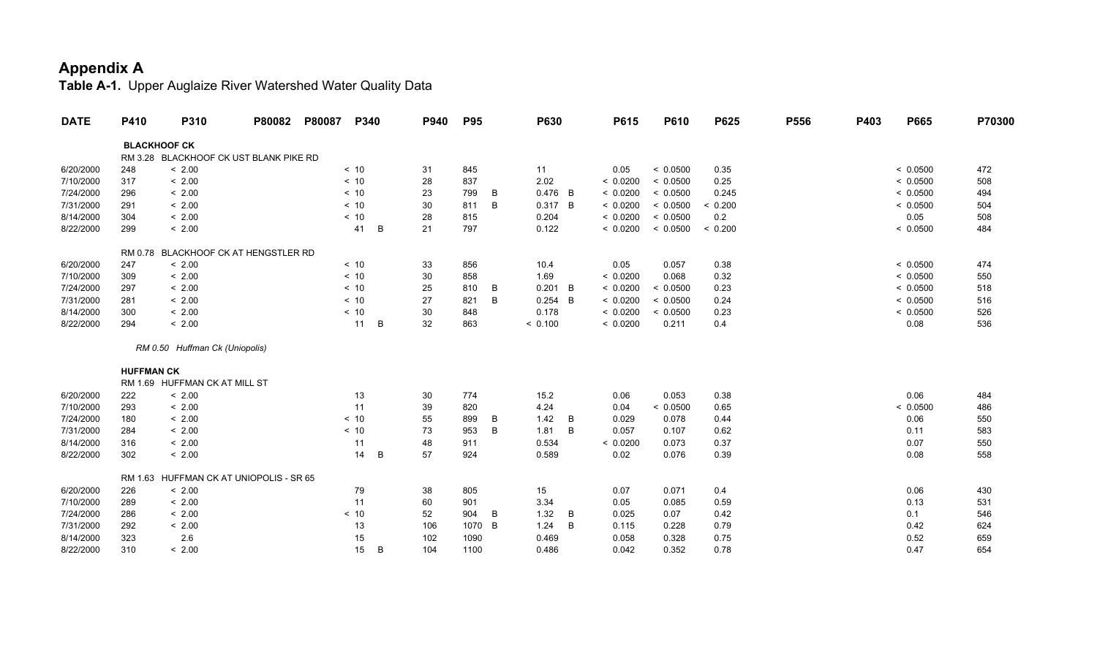| <b>DATE</b> | P410              | P310                                    | P80082 | P80087 | P340    | P940 | <b>P95</b> |   | P630      |   | P615     | P610     | P625    | P556 | P403 | P665     | P70300 |
|-------------|-------------------|-----------------------------------------|--------|--------|---------|------|------------|---|-----------|---|----------|----------|---------|------|------|----------|--------|
|             |                   | <b>BLACKHOOF CK</b>                     |        |        |         |      |            |   |           |   |          |          |         |      |      |          |        |
|             |                   | RM 3.28 BLACKHOOF CK UST BLANK PIKE RD  |        |        |         |      |            |   |           |   |          |          |         |      |      |          |        |
| 6/20/2000   | 248               | < 2.00                                  |        |        | < 10    | 31   | 845        |   | 11        |   | 0.05     | < 0.0500 | 0.35    |      |      | < 0.0500 | 472    |
| 7/10/2000   | 317               | < 2.00                                  |        |        | < 10    | 28   | 837        |   | 2.02      |   | < 0.0200 | < 0.0500 | 0.25    |      |      | < 0.0500 | 508    |
| 7/24/2000   | 296               | < 2.00                                  |        |        | < 10    | 23   | 799        | B | $0.476$ B |   | < 0.0200 | < 0.0500 | 0.245   |      |      | < 0.0500 | 494    |
| 7/31/2000   | 291               | < 2.00                                  |        |        | < 10    | 30   | 811        | B | 0.317 B   |   | < 0.0200 | < 0.0500 | < 0.200 |      |      | < 0.0500 | 504    |
| 8/14/2000   | 304               | < 2.00                                  |        |        | < 10    | 28   | 815        |   | 0.204     |   | < 0.0200 | < 0.0500 | 0.2     |      |      | 0.05     | 508    |
| 8/22/2000   | 299               | < 2.00                                  |        |        | B<br>41 | 21   | 797        |   | 0.122     |   | < 0.0200 | < 0.0500 | < 0.200 |      |      | < 0.0500 | 484    |
|             |                   | RM 0.78 BLACKHOOF CK AT HENGSTLER RD    |        |        |         |      |            |   |           |   |          |          |         |      |      |          |        |
| 6/20/2000   | 247               | < 2.00                                  |        |        | < 10    | 33   | 856        |   | 10.4      |   | 0.05     | 0.057    | 0.38    |      |      | < 0.0500 | 474    |
| 7/10/2000   | 309               | < 2.00                                  |        |        | < 10    | 30   | 858        |   | 1.69      |   | < 0.0200 | 0.068    | 0.32    |      |      | < 0.0500 | 550    |
| 7/24/2000   | 297               | < 2.00                                  |        |        | < 10    | 25   | 810        | B | $0.201$ B |   | < 0.0200 | < 0.0500 | 0.23    |      |      | < 0.0500 | 518    |
| 7/31/2000   | 281               | < 2.00                                  |        |        | < 10    | 27   | 821        | B | $0.254$ B |   | < 0.0200 | < 0.0500 | 0.24    |      |      | < 0.0500 | 516    |
| 8/14/2000   | 300               | < 2.00                                  |        |        | < 10    | 30   | 848        |   | 0.178     |   | < 0.0200 | < 0.0500 | 0.23    |      |      | < 0.0500 | 526    |
| 8/22/2000   | 294               | < 2.00                                  |        |        | B<br>11 | 32   | 863        |   | < 0.100   |   | < 0.0200 | 0.211    | 0.4     |      |      | 0.08     | 536    |
|             |                   | RM 0.50 Huffman Ck (Uniopolis)          |        |        |         |      |            |   |           |   |          |          |         |      |      |          |        |
|             | <b>HUFFMAN CK</b> |                                         |        |        |         |      |            |   |           |   |          |          |         |      |      |          |        |
|             |                   | RM 1.69 HUFFMAN CK AT MILL ST           |        |        |         |      |            |   |           |   |          |          |         |      |      |          |        |
| 6/20/2000   | 222               | < 2.00                                  |        |        | 13      | 30   | 774        |   | 15.2      |   | 0.06     | 0.053    | 0.38    |      |      | 0.06     | 484    |
| 7/10/2000   | 293               | < 2.00                                  |        |        | 11      | 39   | 820        |   | 4.24      |   | 0.04     | < 0.0500 | 0.65    |      |      | < 0.0500 | 486    |
| 7/24/2000   | 180               | < 2.00                                  |        |        | < 10    | 55   | 899        | B | 1.42      | B | 0.029    | 0.078    | 0.44    |      |      | 0.06     | 550    |
| 7/31/2000   | 284               | < 2.00                                  |        |        | < 10    | 73   | 953        | B | 1.81      | B | 0.057    | 0.107    | 0.62    |      |      | 0.11     | 583    |
| 8/14/2000   | 316               | < 2.00                                  |        |        | 11      | 48   | 911        |   | 0.534     |   | < 0.0200 | 0.073    | 0.37    |      |      | 0.07     | 550    |
| 8/22/2000   | 302               | < 2.00                                  |        |        | 14<br>B | 57   | 924        |   | 0.589     |   | 0.02     | 0.076    | 0.39    |      |      | 0.08     | 558    |
|             |                   | RM 1.63 HUFFMAN CK AT UNIOPOLIS - SR 65 |        |        |         |      |            |   |           |   |          |          |         |      |      |          |        |
| 6/20/2000   | 226               | < 2.00                                  |        |        | 79      | 38   | 805        |   | 15        |   | 0.07     | 0.071    | 0.4     |      |      | 0.06     | 430    |
| 7/10/2000   | 289               | < 2.00                                  |        |        | 11      | 60   | 901        |   | 3.34      |   | 0.05     | 0.085    | 0.59    |      |      | 0.13     | 531    |
| 7/24/2000   | 286               | < 2.00                                  |        |        | < 10    | 52   | 904        | B | 1.32      | B | 0.025    | 0.07     | 0.42    |      |      | 0.1      | 546    |
| 7/31/2000   | 292               | < 2.00                                  |        |        | 13      | 106  | 1070       | B | 1.24      | B | 0.115    | 0.228    | 0.79    |      |      | 0.42     | 624    |
| 8/14/2000   | 323               | 2.6                                     |        |        | 15      | 102  | 1090       |   | 0.469     |   | 0.058    | 0.328    | 0.75    |      |      | 0.52     | 659    |
| 8/22/2000   | 310               | < 2.00                                  |        |        | B<br>15 | 104  | 1100       |   | 0.486     |   | 0.042    | 0.352    | 0.78    |      |      | 0.47     | 654    |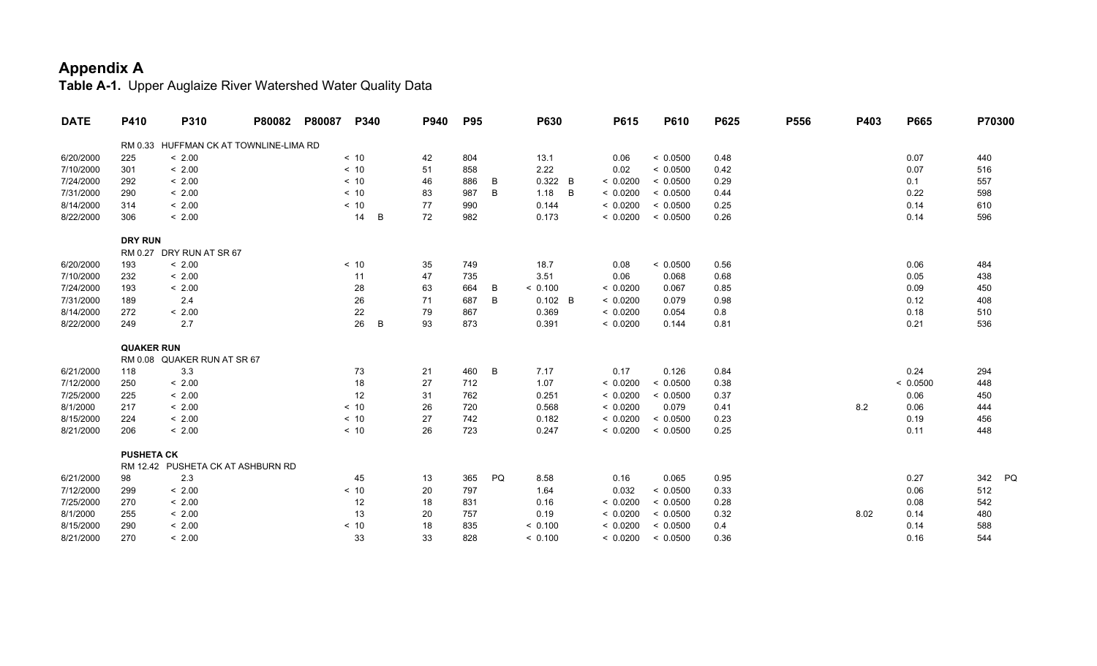| <b>DATE</b> | P410              | P310                                   | P80082 | P80087 | P340    | P940 | <b>P95</b> |    | P630      | P615     | P610     | P625 | P556 | P403 | P665     | P70300    |
|-------------|-------------------|----------------------------------------|--------|--------|---------|------|------------|----|-----------|----------|----------|------|------|------|----------|-----------|
|             |                   | RM 0.33 HUFFMAN CK AT TOWNLINE-LIMA RD |        |        |         |      |            |    |           |          |          |      |      |      |          |           |
| 6/20/2000   | 225               | < 2.00                                 |        |        | < 10    | 42   | 804        |    | 13.1      | 0.06     | < 0.0500 | 0.48 |      |      | 0.07     | 440       |
| 7/10/2000   | 301               | < 2.00                                 |        |        | < 10    | 51   | 858        |    | 2.22      | 0.02     | < 0.0500 | 0.42 |      |      | 0.07     | 516       |
| 7/24/2000   | 292               | < 2.00                                 |        |        | < 10    | 46   | 886        | B  | 0.322 B   | < 0.0200 | < 0.0500 | 0.29 |      |      | 0.1      | 557       |
| 7/31/2000   | 290               | < 2.00                                 |        |        | < 10    | 83   | 987        | B  | 1.18<br>B | < 0.0200 | < 0.0500 | 0.44 |      |      | 0.22     | 598       |
| 8/14/2000   | 314               | < 2.00                                 |        |        | < 10    | 77   | 990        |    | 0.144     | < 0.0200 | < 0.0500 | 0.25 |      |      | 0.14     | 610       |
| 8/22/2000   | 306               | < 2.00                                 |        |        | 14<br>B | 72   | 982        |    | 0.173     | < 0.0200 | < 0.0500 | 0.26 |      |      | 0.14     | 596       |
|             | <b>DRY RUN</b>    |                                        |        |        |         |      |            |    |           |          |          |      |      |      |          |           |
|             |                   | RM 0.27 DRY RUN AT SR 67               |        |        |         |      |            |    |           |          |          |      |      |      |          |           |
| 6/20/2000   | 193               | < 2.00                                 |        |        | < 10    | 35   | 749        |    | 18.7      | 0.08     | < 0.0500 | 0.56 |      |      | 0.06     | 484       |
| 7/10/2000   | 232               | < 2.00                                 |        |        | 11      | 47   | 735        |    | 3.51      | 0.06     | 0.068    | 0.68 |      |      | 0.05     | 438       |
| 7/24/2000   | 193               | < 2.00                                 |        |        | 28      | 63   | 664        | B  | < 0.100   | < 0.0200 | 0.067    | 0.85 |      |      | 0.09     | 450       |
| 7/31/2000   | 189               | 2.4                                    |        |        | 26      | 71   | 687        | B  | $0.102$ B | < 0.0200 | 0.079    | 0.98 |      |      | 0.12     | 408       |
| 8/14/2000   | 272               | < 2.00                                 |        |        | 22      | 79   | 867        |    | 0.369     | < 0.0200 | 0.054    | 0.8  |      |      | 0.18     | 510       |
| 8/22/2000   | 249               | 2.7                                    |        |        | 26<br>B | 93   | 873        |    | 0.391     | < 0.0200 | 0.144    | 0.81 |      |      | 0.21     | 536       |
|             | <b>QUAKER RUN</b> |                                        |        |        |         |      |            |    |           |          |          |      |      |      |          |           |
|             |                   | RM 0.08 QUAKER RUN AT SR 67            |        |        |         |      |            |    |           |          |          |      |      |      |          |           |
| 6/21/2000   | 118               | 3.3                                    |        |        | 73      | 21   | 460        | B  | 7.17      | 0.17     | 0.126    | 0.84 |      |      | 0.24     | 294       |
| 7/12/2000   | 250               | < 2.00                                 |        |        | 18      | 27   | 712        |    | 1.07      | < 0.0200 | < 0.0500 | 0.38 |      |      | < 0.0500 | 448       |
| 7/25/2000   | 225               | < 2.00                                 |        |        | 12      | 31   | 762        |    | 0.251     | < 0.0200 | < 0.0500 | 0.37 |      |      | 0.06     | 450       |
| 8/1/2000    | 217               | < 2.00                                 |        |        | < 10    | 26   | 720        |    | 0.568     | < 0.0200 | 0.079    | 0.41 |      | 8.2  | 0.06     | 444       |
| 8/15/2000   | 224               | < 2.00                                 |        |        | < 10    | 27   | 742        |    | 0.182     | < 0.0200 | < 0.0500 | 0.23 |      |      | 0.19     | 456       |
| 8/21/2000   | 206               | < 2.00                                 |        |        | < 10    | 26   | 723        |    | 0.247     | < 0.0200 | < 0.0500 | 0.25 |      |      | 0.11     | 448       |
|             | <b>PUSHETA CK</b> |                                        |        |        |         |      |            |    |           |          |          |      |      |      |          |           |
|             |                   | RM 12.42 PUSHETA CK AT ASHBURN RD      |        |        |         |      |            |    |           |          |          |      |      |      |          |           |
| 6/21/2000   | 98                | 2.3                                    |        |        | 45      | 13   | 365        | PQ | 8.58      | 0.16     | 0.065    | 0.95 |      |      | 0.27     | 342<br>PQ |
| 7/12/2000   | 299               | < 2.00                                 |        |        | < 10    | 20   | 797        |    | 1.64      | 0.032    | < 0.0500 | 0.33 |      |      | 0.06     | 512       |
| 7/25/2000   | 270               | < 2.00                                 |        |        | 12      | 18   | 831        |    | 0.16      | < 0.0200 | < 0.0500 | 0.28 |      |      | 0.08     | 542       |
| 8/1/2000    | 255               | < 2.00                                 |        |        | 13      | 20   | 757        |    | 0.19      | < 0.0200 | < 0.0500 | 0.32 |      | 8.02 | 0.14     | 480       |
| 8/15/2000   | 290               | < 2.00                                 |        |        | < 10    | 18   | 835        |    | < 0.100   | < 0.0200 | < 0.0500 | 0.4  |      |      | 0.14     | 588       |
| 8/21/2000   | 270               | < 2.00                                 |        |        | 33      | 33   | 828        |    | < 0.100   | < 0.0200 | < 0.0500 | 0.36 |      |      | 0.16     | 544       |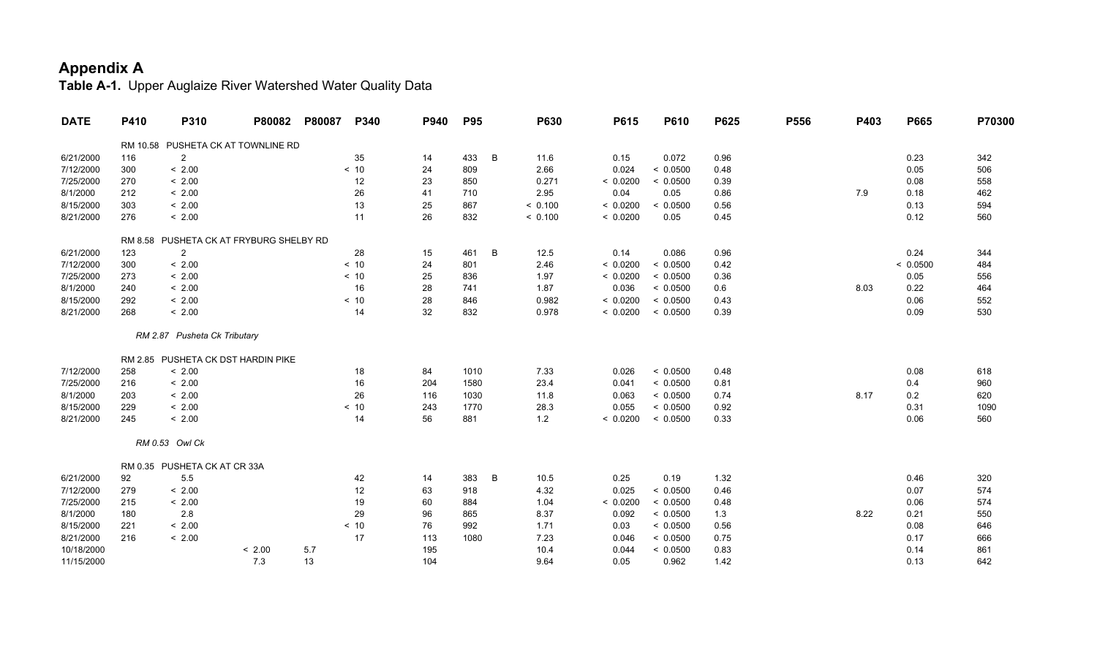| <b>DATE</b> | P410    | P310                               | P80082 | P80087 | P340 | P940 | <b>P95</b> |   | <b>P630</b> | P615     | <b>P610</b> | P625 | P556 | P403 | P665     | P70300 |
|-------------|---------|------------------------------------|--------|--------|------|------|------------|---|-------------|----------|-------------|------|------|------|----------|--------|
|             |         | RM 10.58 PUSHETA CK AT TOWNLINE RD |        |        |      |      |            |   |             |          |             |      |      |      |          |        |
| 6/21/2000   | 116     | $\overline{2}$                     |        |        | 35   | 14   | 433        | B | 11.6        | 0.15     | 0.072       | 0.96 |      |      | 0.23     | 342    |
| 7/12/2000   | 300     | < 2.00                             |        |        | < 10 | 24   | 809        |   | 2.66        | 0.024    | < 0.0500    | 0.48 |      |      | 0.05     | 506    |
| 7/25/2000   | 270     | < 2.00                             |        |        | 12   | 23   | 850        |   | 0.271       | < 0.0200 | < 0.0500    | 0.39 |      |      | 0.08     | 558    |
| 8/1/2000    | 212     | < 2.00                             |        |        | 26   | 41   | 710        |   | 2.95        | 0.04     | 0.05        | 0.86 |      | 7.9  | 0.18     | 462    |
| 8/15/2000   | 303     | < 2.00                             |        |        | 13   | 25   | 867        |   | < 0.100     | < 0.0200 | < 0.0500    | 0.56 |      |      | 0.13     | 594    |
| 8/21/2000   | 276     | < 2.00                             |        |        | 11   | 26   | 832        |   | < 0.100     | < 0.0200 | 0.05        | 0.45 |      |      | 0.12     | 560    |
|             | RM 8.58 | PUSHETA CK AT FRYBURG SHELBY RD    |        |        |      |      |            |   |             |          |             |      |      |      |          |        |
| 6/21/2000   | 123     | $\overline{2}$                     |        |        | 28   | 15   | 461        | B | 12.5        | 0.14     | 0.086       | 0.96 |      |      | 0.24     | 344    |
| 7/12/2000   | 300     | < 2.00                             |        |        | < 10 | 24   | 801        |   | 2.46        | < 0.0200 | < 0.0500    | 0.42 |      |      | < 0.0500 | 484    |
| 7/25/2000   | 273     | < 2.00                             |        |        | < 10 | 25   | 836        |   | 1.97        | < 0.0200 | < 0.0500    | 0.36 |      |      | 0.05     | 556    |
| 8/1/2000    | 240     | < 2.00                             |        |        | 16   | 28   | 741        |   | 1.87        | 0.036    | < 0.0500    | 0.6  |      | 8.03 | 0.22     | 464    |
| 8/15/2000   | 292     | < 2.00                             |        |        | < 10 | 28   | 846        |   | 0.982       | < 0.0200 | < 0.0500    | 0.43 |      |      | 0.06     | 552    |
| 8/21/2000   | 268     | < 2.00                             |        |        | 14   | 32   | 832        |   | 0.978       | < 0.0200 | < 0.0500    | 0.39 |      |      | 0.09     | 530    |
|             |         | RM 2.87 Pusheta Ck Tributary       |        |        |      |      |            |   |             |          |             |      |      |      |          |        |
|             |         | RM 2.85 PUSHETA CK DST HARDIN PIKE |        |        |      |      |            |   |             |          |             |      |      |      |          |        |
| 7/12/2000   | 258     | < 2.00                             |        |        | 18   | 84   | 1010       |   | 7.33        | 0.026    | < 0.0500    | 0.48 |      |      | 0.08     | 618    |
| 7/25/2000   | 216     | < 2.00                             |        |        | 16   | 204  | 1580       |   | 23.4        | 0.041    | < 0.0500    | 0.81 |      |      | 0.4      | 960    |
| 8/1/2000    | 203     | < 2.00                             |        |        | 26   | 116  | 1030       |   | 11.8        | 0.063    | < 0.0500    | 0.74 |      | 8.17 | 0.2      | 620    |
| 8/15/2000   | 229     | < 2.00                             |        |        | < 10 | 243  | 1770       |   | 28.3        | 0.055    | < 0.0500    | 0.92 |      |      | 0.31     | 1090   |
| 8/21/2000   | 245     | < 2.00                             |        |        | 14   | 56   | 881        |   | 1.2         | < 0.0200 | < 0.0500    | 0.33 |      |      | 0.06     | 560    |
|             |         | RM 0.53 Owl Ck                     |        |        |      |      |            |   |             |          |             |      |      |      |          |        |
|             |         | RM 0.35 PUSHETA CK AT CR 33A       |        |        |      |      |            |   |             |          |             |      |      |      |          |        |
| 6/21/2000   | 92      | 5.5                                |        |        | 42   | 14   | 383        | B | 10.5        | 0.25     | 0.19        | 1.32 |      |      | 0.46     | 320    |
| 7/12/2000   | 279     | < 2.00                             |        |        | 12   | 63   | 918        |   | 4.32        | 0.025    | < 0.0500    | 0.46 |      |      | 0.07     | 574    |
| 7/25/2000   | 215     | < 2.00                             |        |        | 19   | 60   | 884        |   | 1.04        | < 0.0200 | < 0.0500    | 0.48 |      |      | 0.06     | 574    |
| 8/1/2000    | 180     | 2.8                                |        |        | 29   | 96   | 865        |   | 8.37        | 0.092    | < 0.0500    | 1.3  |      | 8.22 | 0.21     | 550    |
| 8/15/2000   | 221     | < 2.00                             |        |        | < 10 | 76   | 992        |   | 1.71        | 0.03     | < 0.0500    | 0.56 |      |      | 0.08     | 646    |
| 8/21/2000   | 216     | < 2.00                             |        |        | 17   | 113  | 1080       |   | 7.23        | 0.046    | < 0.0500    | 0.75 |      |      | 0.17     | 666    |
| 10/18/2000  |         |                                    | < 2.00 | 5.7    |      | 195  |            |   | 10.4        | 0.044    | < 0.0500    | 0.83 |      |      | 0.14     | 861    |
| 11/15/2000  |         |                                    | 7.3    | 13     |      | 104  |            |   | 9.64        | 0.05     | 0.962       | 1.42 |      |      | 0.13     | 642    |
|             |         |                                    |        |        |      |      |            |   |             |          |             |      |      |      |          |        |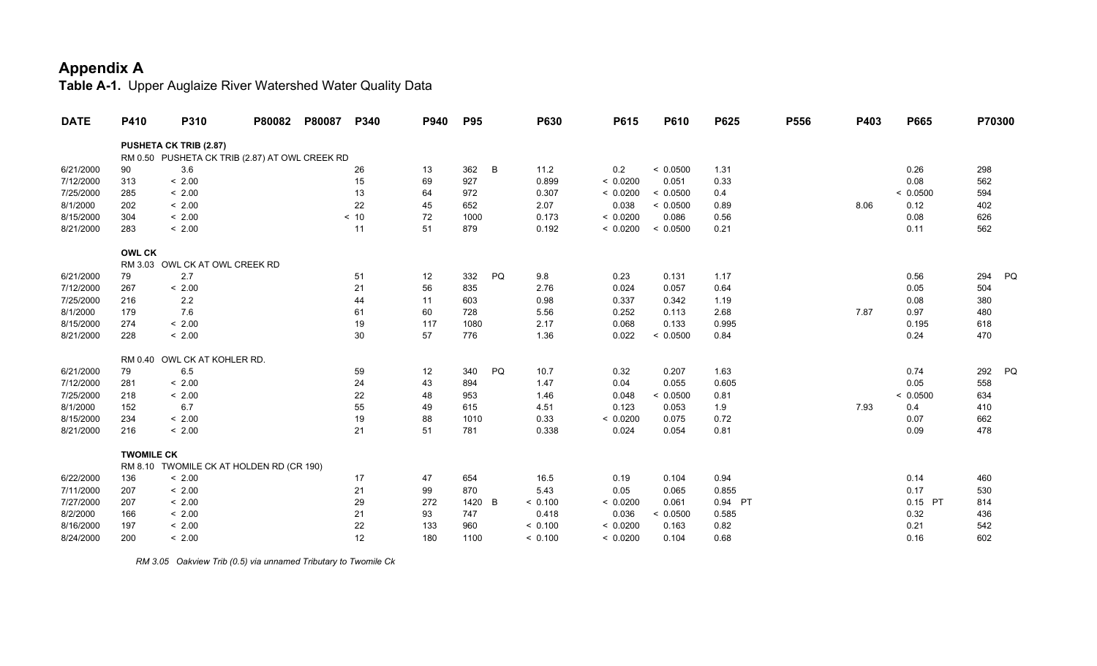**Table A-1.** Upper Auglaize River Watershed Water Quality Data

| <b>DATE</b> | P410              | P310                                           | P80082 | P80087 | P340 | P940 | <b>P95</b> |    | P630    | P615     | P610     | P625    | P556 | P403 | P665     | P70300 |    |
|-------------|-------------------|------------------------------------------------|--------|--------|------|------|------------|----|---------|----------|----------|---------|------|------|----------|--------|----|
|             |                   | <b>PUSHETA CK TRIB (2.87)</b>                  |        |        |      |      |            |    |         |          |          |         |      |      |          |        |    |
|             |                   | RM 0.50 PUSHETA CK TRIB (2.87) AT OWL CREEK RD |        |        |      |      |            |    |         |          |          |         |      |      |          |        |    |
| 6/21/2000   | 90                | 3.6                                            |        |        | 26   | 13   | 362        | B  | 11.2    | 0.2      | < 0.0500 | 1.31    |      |      | 0.26     | 298    |    |
| 7/12/2000   | 313               | < 2.00                                         |        |        | 15   | 69   | 927        |    | 0.899   | < 0.0200 | 0.051    | 0.33    |      |      | 0.08     | 562    |    |
| 7/25/2000   | 285               | < 2.00                                         |        |        | 13   | 64   | 972        |    | 0.307   | < 0.0200 | < 0.0500 | 0.4     |      |      | < 0.0500 | 594    |    |
| 8/1/2000    | 202               | < 2.00                                         |        |        | 22   | 45   | 652        |    | 2.07    | 0.038    | < 0.0500 | 0.89    |      | 8.06 | 0.12     | 402    |    |
| 8/15/2000   | 304               | < 2.00                                         |        |        | < 10 | 72   | 1000       |    | 0.173   | < 0.0200 | 0.086    | 0.56    |      |      | 0.08     | 626    |    |
| 8/21/2000   | 283               | < 2.00                                         |        |        | 11   | 51   | 879        |    | 0.192   | < 0.0200 | < 0.0500 | 0.21    |      |      | 0.11     | 562    |    |
|             | <b>OWL CK</b>     |                                                |        |        |      |      |            |    |         |          |          |         |      |      |          |        |    |
|             |                   | RM 3.03 OWL CK AT OWL CREEK RD                 |        |        |      |      |            |    |         |          |          |         |      |      |          |        |    |
| 6/21/2000   | 79                | 2.7                                            |        |        | 51   | 12   | 332        | PQ | 9.8     | 0.23     | 0.131    | 1.17    |      |      | 0.56     | 294    | PQ |
| 7/12/2000   | 267               | < 2.00                                         |        |        | 21   | 56   | 835        |    | 2.76    | 0.024    | 0.057    | 0.64    |      |      | 0.05     | 504    |    |
| 7/25/2000   | 216               | $2.2\,$                                        |        |        | 44   | 11   | 603        |    | 0.98    | 0.337    | 0.342    | 1.19    |      |      | 0.08     | 380    |    |
| 8/1/2000    | 179               | 7.6                                            |        |        | 61   | 60   | 728        |    | 5.56    | 0.252    | 0.113    | 2.68    |      | 7.87 | 0.97     | 480    |    |
| 8/15/2000   | 274               | < 2.00                                         |        |        | 19   | 117  | 1080       |    | 2.17    | 0.068    | 0.133    | 0.995   |      |      | 0.195    | 618    |    |
| 8/21/2000   | 228               | < 2.00                                         |        |        | 30   | 57   | 776        |    | 1.36    | 0.022    | < 0.0500 | 0.84    |      |      | 0.24     | 470    |    |
|             |                   | RM 0.40 OWL CK AT KOHLER RD.                   |        |        |      |      |            |    |         |          |          |         |      |      |          |        |    |
| 6/21/2000   | 79                | 6.5                                            |        |        | 59   | 12   | 340        | PQ | 10.7    | 0.32     | 0.207    | 1.63    |      |      | 0.74     | 292    | PQ |
| 7/12/2000   | 281               | < 2.00                                         |        |        | 24   | 43   | 894        |    | 1.47    | 0.04     | 0.055    | 0.605   |      |      | 0.05     | 558    |    |
| 7/25/2000   | 218               | < 2.00                                         |        |        | 22   | 48   | 953        |    | 1.46    | 0.048    | < 0.0500 | 0.81    |      |      | < 0.0500 | 634    |    |
| 8/1/2000    | 152               | 6.7                                            |        |        | 55   | 49   | 615        |    | 4.51    | 0.123    | 0.053    | 1.9     |      | 7.93 | 0.4      | 410    |    |
| 8/15/2000   | 234               | < 2.00                                         |        |        | 19   | 88   | 1010       |    | 0.33    | < 0.0200 | 0.075    | 0.72    |      |      | 0.07     | 662    |    |
| 8/21/2000   | 216               | < 2.00                                         |        |        | 21   | 51   | 781        |    | 0.338   | 0.024    | 0.054    | 0.81    |      |      | 0.09     | 478    |    |
|             | <b>TWOMILE CK</b> |                                                |        |        |      |      |            |    |         |          |          |         |      |      |          |        |    |
|             |                   | RM 8.10 TWOMILE CK AT HOLDEN RD (CR 190)       |        |        |      |      |            |    |         |          |          |         |      |      |          |        |    |
| 6/22/2000   | 136               | < 2.00                                         |        |        | 17   | 47   | 654        |    | 16.5    | 0.19     | 0.104    | 0.94    |      |      | 0.14     | 460    |    |
| 7/11/2000   | 207               | < 2.00                                         |        |        | 21   | 99   | 870        |    | 5.43    | 0.05     | 0.065    | 0.855   |      |      | 0.17     | 530    |    |
| 7/27/2000   | 207               | < 2.00                                         |        |        | 29   | 272  | 1420       | B  | < 0.100 | < 0.0200 | 0.061    | 0.94 PT |      |      | 0.15 PT  | 814    |    |
| 8/2/2000    | 166               | < 2.00                                         |        |        | 21   | 93   | 747        |    | 0.418   | 0.036    | < 0.0500 | 0.585   |      |      | 0.32     | 436    |    |
| 8/16/2000   | 197               | < 2.00                                         |        |        | 22   | 133  | 960        |    | < 0.100 | < 0.0200 | 0.163    | 0.82    |      |      | 0.21     | 542    |    |
| 8/24/2000   | 200               | < 2.00                                         |        |        | 12   | 180  | 1100       |    | < 0.100 | < 0.0200 | 0.104    | 0.68    |      |      | 0.16     | 602    |    |

 *RM 3.05 Oakview Trib (0.5) via unnamed Tributary to Twomile Ck*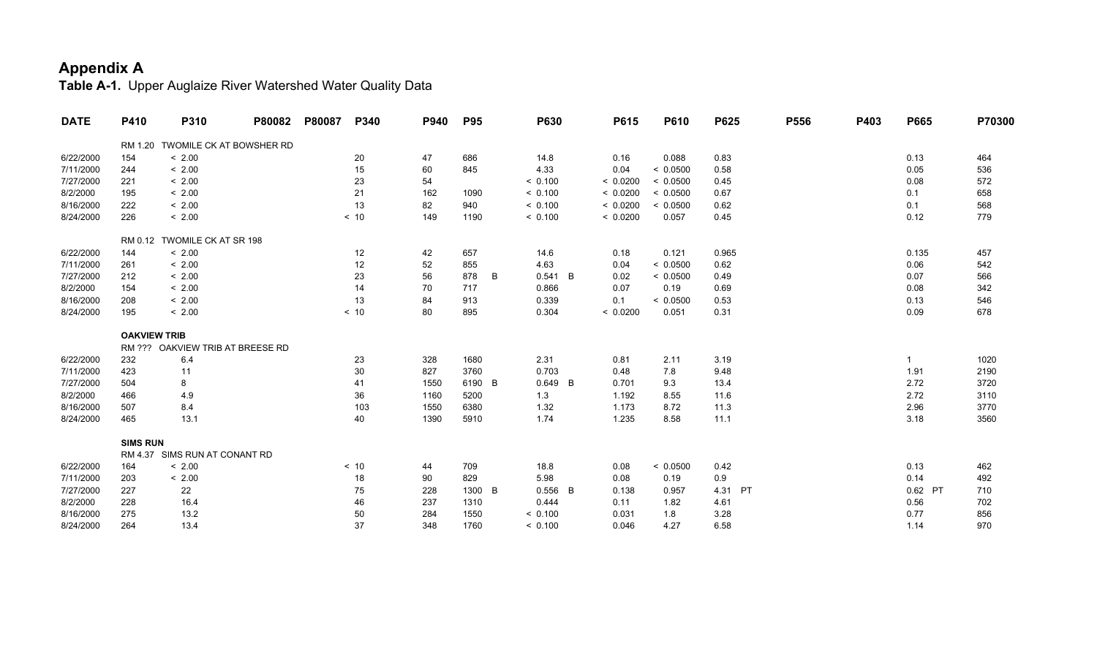| <b>DATE</b> | P410                | P310                             | P80082 | P80087 | P340 | P940 | <b>P95</b> |   | P630      | P615     | P610     | P625    | P556 | P403 | P665         | P70300 |
|-------------|---------------------|----------------------------------|--------|--------|------|------|------------|---|-----------|----------|----------|---------|------|------|--------------|--------|
|             | RM 1.20             | <b>TWOMILE CK AT BOWSHER RD</b>  |        |        |      |      |            |   |           |          |          |         |      |      |              |        |
| 6/22/2000   | 154                 | < 2.00                           |        |        | 20   | 47   | 686        |   | 14.8      | 0.16     | 0.088    | 0.83    |      |      | 0.13         | 464    |
| 7/11/2000   | 244                 | < 2.00                           |        |        | 15   | 60   | 845        |   | 4.33      | 0.04     | < 0.0500 | 0.58    |      |      | 0.05         | 536    |
| 7/27/2000   | 221                 | < 2.00                           |        |        | 23   | 54   |            |   | < 0.100   | < 0.0200 | < 0.0500 | 0.45    |      |      | 0.08         | 572    |
| 8/2/2000    | 195                 | < 2.00                           |        |        | 21   | 162  | 1090       |   | < 0.100   | < 0.0200 | < 0.0500 | 0.67    |      |      | 0.1          | 658    |
| 8/16/2000   | 222                 | < 2.00                           |        |        | 13   | 82   | 940        |   | < 0.100   | < 0.0200 | < 0.0500 | 0.62    |      |      | 0.1          | 568    |
| 8/24/2000   | 226                 | < 2.00                           |        |        | < 10 | 149  | 1190       |   | < 0.100   | < 0.0200 | 0.057    | 0.45    |      |      | 0.12         | 779    |
|             |                     | RM 0.12 TWOMILE CK AT SR 198     |        |        |      |      |            |   |           |          |          |         |      |      |              |        |
| 6/22/2000   | 144                 | < 2.00                           |        |        | 12   | 42   | 657        |   | 14.6      | 0.18     | 0.121    | 0.965   |      |      | 0.135        | 457    |
| 7/11/2000   | 261                 | < 2.00                           |        |        | 12   | 52   | 855        |   | 4.63      | 0.04     | < 0.0500 | 0.62    |      |      | 0.06         | 542    |
| 7/27/2000   | 212                 | < 2.00                           |        |        | 23   | 56   | 878        | B | 0.541 B   | 0.02     | < 0.0500 | 0.49    |      |      | 0.07         | 566    |
| 8/2/2000    | 154                 | < 2.00                           |        |        | 14   | 70   | 717        |   | 0.866     | 0.07     | 0.19     | 0.69    |      |      | 0.08         | 342    |
| 8/16/2000   | 208                 | < 2.00                           |        |        | 13   | 84   | 913        |   | 0.339     | 0.1      | < 0.0500 | 0.53    |      |      | 0.13         | 546    |
| 8/24/2000   | 195                 | < 2.00                           |        |        | < 10 | 80   | 895        |   | 0.304     | < 0.0200 | 0.051    | 0.31    |      |      | 0.09         | 678    |
|             | <b>OAKVIEW TRIB</b> |                                  |        |        |      |      |            |   |           |          |          |         |      |      |              |        |
|             |                     | RM ??? OAKVIEW TRIB AT BREESE RD |        |        |      |      |            |   |           |          |          |         |      |      |              |        |
| 6/22/2000   | 232                 | 6.4                              |        |        | 23   | 328  | 1680       |   | 2.31      | 0.81     | 2.11     | 3.19    |      |      | $\mathbf{1}$ | 1020   |
| 7/11/2000   | 423                 | 11                               |        |        | 30   | 827  | 3760       |   | 0.703     | 0.48     | 7.8      | 9.48    |      |      | 1.91         | 2190   |
| 7/27/2000   | 504                 | 8                                |        |        | 41   | 1550 | 6190 B     |   | 0.649 B   | 0.701    | 9.3      | 13.4    |      |      | 2.72         | 3720   |
| 8/2/2000    | 466                 | 4.9                              |        |        | 36   | 1160 | 5200       |   | 1.3       | 1.192    | 8.55     | 11.6    |      |      | 2.72         | 3110   |
| 8/16/2000   | 507                 | 8.4                              |        |        | 103  | 1550 | 6380       |   | 1.32      | 1.173    | 8.72     | 11.3    |      |      | 2.96         | 3770   |
| 8/24/2000   | 465                 | 13.1                             |        |        | 40   | 1390 | 5910       |   | 1.74      | 1.235    | 8.58     | 11.1    |      |      | 3.18         | 3560   |
|             | <b>SIMS RUN</b>     |                                  |        |        |      |      |            |   |           |          |          |         |      |      |              |        |
|             |                     | RM 4.37 SIMS RUN AT CONANT RD    |        |        |      |      |            |   |           |          |          |         |      |      |              |        |
| 6/22/2000   | 164                 | < 2.00                           |        |        | < 10 | 44   | 709        |   | 18.8      | 0.08     | < 0.0500 | 0.42    |      |      | 0.13         | 462    |
| 7/11/2000   | 203                 | < 2.00                           |        |        | 18   | 90   | 829        |   | 5.98      | 0.08     | 0.19     | 0.9     |      |      | 0.14         | 492    |
| 7/27/2000   | 227                 | 22                               |        |        | 75   | 228  | 1300 B     |   | $0.556$ B | 0.138    | 0.957    | 4.31 PT |      |      | 0.62 PT      | 710    |
| 8/2/2000    | 228                 | 16.4                             |        |        | 46   | 237  | 1310       |   | 0.444     | 0.11     | 1.82     | 4.61    |      |      | 0.56         | 702    |
| 8/16/2000   | 275                 | 13.2                             |        |        | 50   | 284  | 1550       |   | < 0.100   | 0.031    | 1.8      | 3.28    |      |      | 0.77         | 856    |
| 8/24/2000   | 264                 | 13.4                             |        |        | 37   | 348  | 1760       |   | < 0.100   | 0.046    | 4.27     | 6.58    |      |      | 1.14         | 970    |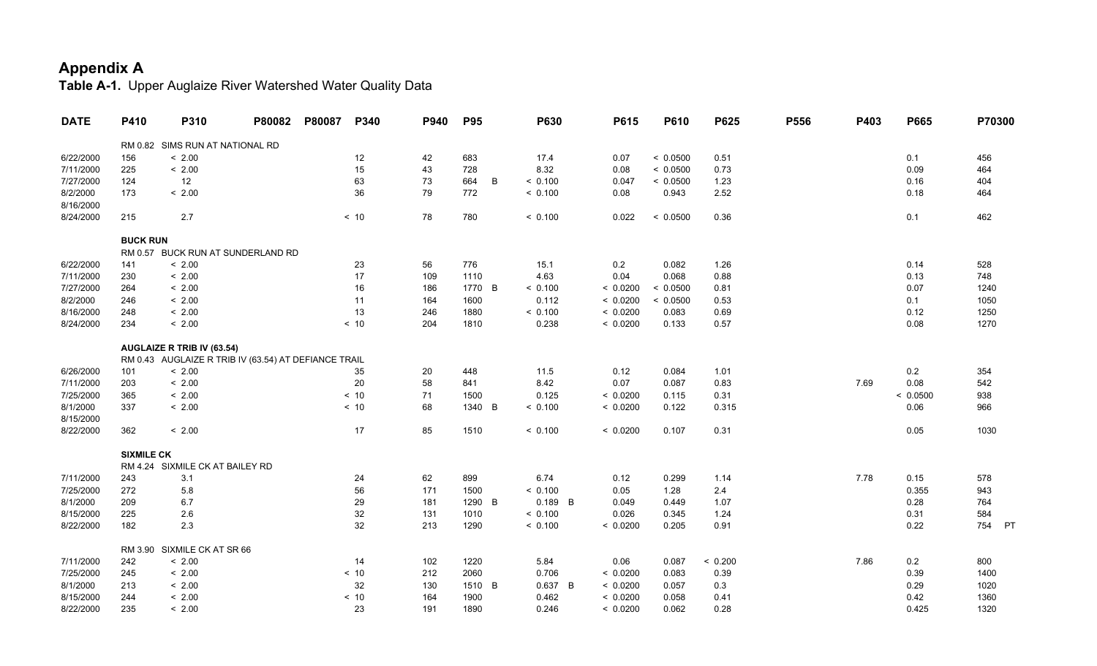| <b>DATE</b> | P410              | P310                                                 | P80082 | P80087 | P340              | P940 | <b>P95</b> |   | <b>P630</b> | P615     | P610     | P625    | P556 | P403 | P665     | P70300    |
|-------------|-------------------|------------------------------------------------------|--------|--------|-------------------|------|------------|---|-------------|----------|----------|---------|------|------|----------|-----------|
|             |                   | RM 0.82 SIMS RUN AT NATIONAL RD                      |        |        |                   |      |            |   |             |          |          |         |      |      |          |           |
| 6/22/2000   | 156               | < 2.00                                               |        |        | $12 \overline{ }$ | 42   | 683        |   | 17.4        | 0.07     | < 0.0500 | 0.51    |      |      | 0.1      | 456       |
| 7/11/2000   | 225               | < 2.00                                               |        |        | 15                | 43   | 728        |   | 8.32        | 0.08     | < 0.0500 | 0.73    |      |      | 0.09     | 464       |
| 7/27/2000   | 124               | 12                                                   |        |        | 63                | 73   | 664        | B | < 0.100     | 0.047    | < 0.0500 | 1.23    |      |      | 0.16     | 404       |
| 8/2/2000    | 173               | < 2.00                                               |        |        | 36                | 79   | 772        |   | < 0.100     | 0.08     | 0.943    | 2.52    |      |      | 0.18     | 464       |
| 8/16/2000   |                   |                                                      |        |        |                   |      |            |   |             |          |          |         |      |      |          |           |
| 8/24/2000   | 215               | 2.7                                                  |        |        | < 10              | 78   | 780        |   | < 0.100     | 0.022    | < 0.0500 | 0.36    |      |      | 0.1      | 462       |
|             | <b>BUCK RUN</b>   |                                                      |        |        |                   |      |            |   |             |          |          |         |      |      |          |           |
|             |                   | RM 0.57 BUCK RUN AT SUNDERLAND RD                    |        |        |                   |      |            |   |             |          |          |         |      |      |          |           |
| 6/22/2000   | 141               | < 2.00                                               |        |        | 23                | 56   | 776        |   | 15.1        | 0.2      | 0.082    | 1.26    |      |      | 0.14     | 528       |
| 7/11/2000   | 230               | < 2.00                                               |        |        | 17                | 109  | 1110       |   | 4.63        | 0.04     | 0.068    | 0.88    |      |      | 0.13     | 748       |
| 7/27/2000   | 264               | < 2.00                                               |        |        | 16                | 186  | 1770 B     |   | < 0.100     | < 0.0200 | < 0.0500 | 0.81    |      |      | 0.07     | 1240      |
| 8/2/2000    | 246               | < 2.00                                               |        |        | 11                | 164  | 1600       |   | 0.112       | < 0.0200 | < 0.0500 | 0.53    |      |      | 0.1      | 1050      |
| 8/16/2000   | 248               | < 2.00                                               |        |        | 13                | 246  | 1880       |   | < 0.100     | < 0.0200 | 0.083    | 0.69    |      |      | 0.12     | 1250      |
| 8/24/2000   | 234               | < 2.00                                               |        |        | < 10              | 204  | 1810       |   | 0.238       | < 0.0200 | 0.133    | 0.57    |      |      | 0.08     | 1270      |
|             |                   | <b>AUGLAIZE R TRIB IV (63.54)</b>                    |        |        |                   |      |            |   |             |          |          |         |      |      |          |           |
|             |                   | RM 0.43 AUGLAIZE R TRIB IV (63.54) AT DEFIANCE TRAIL |        |        |                   |      |            |   |             |          |          |         |      |      |          |           |
| 6/26/2000   | 101               | < 2.00                                               |        |        | 35                | 20   | 448        |   | 11.5        | 0.12     | 0.084    | 1.01    |      |      | 0.2      | 354       |
| 7/11/2000   | 203               | < 2.00                                               |        |        | 20                | 58   | 841        |   | 8.42        | 0.07     | 0.087    | 0.83    |      | 7.69 | 0.08     | 542       |
| 7/25/2000   | 365               | < 2.00                                               |        |        | < 10              | 71   | 1500       |   | 0.125       | < 0.0200 | 0.115    | 0.31    |      |      | < 0.0500 | 938       |
| 8/1/2000    | 337               | < 2.00                                               |        |        | < 10              | 68   | 1340 B     |   | < 0.100     | < 0.0200 | 0.122    | 0.315   |      |      | 0.06     | 966       |
| 8/15/2000   |                   |                                                      |        |        |                   |      |            |   |             |          |          |         |      |      |          |           |
| 8/22/2000   | 362               | < 2.00                                               |        |        | 17                | 85   | 1510       |   | < 0.100     | < 0.0200 | 0.107    | 0.31    |      |      | 0.05     | 1030      |
|             | <b>SIXMILE CK</b> |                                                      |        |        |                   |      |            |   |             |          |          |         |      |      |          |           |
|             |                   | RM 4.24 SIXMILE CK AT BAILEY RD                      |        |        |                   |      |            |   |             |          |          |         |      |      |          |           |
| 7/11/2000   | 243               | 3.1                                                  |        |        | 24                | 62   | 899        |   | 6.74        | 0.12     | 0.299    | 1.14    |      | 7.78 | 0.15     | 578       |
| 7/25/2000   | 272               | 5.8                                                  |        |        | 56                | 171  | 1500       |   | < 0.100     | 0.05     | 1.28     | 2.4     |      |      | 0.355    | 943       |
| 8/1/2000    | 209               | 6.7                                                  |        |        | 29                | 181  | 1290       | B | $0.189$ B   | 0.049    | 0.449    | 1.07    |      |      | 0.28     | 764       |
| 8/15/2000   | 225               | 2.6                                                  |        |        | 32                | 131  | 1010       |   | < 0.100     | 0.026    | 0.345    | 1.24    |      |      | 0.31     | 584       |
| 8/22/2000   | 182               | 2.3                                                  |        |        | 32                | 213  | 1290       |   | < 0.100     | < 0.0200 | 0.205    | 0.91    |      |      | 0.22     | 754<br>PT |
|             | RM 3.90           | SIXMILE CK AT SR 66                                  |        |        |                   |      |            |   |             |          |          |         |      |      |          |           |
| 7/11/2000   | 242               | < 2.00                                               |        |        | 14                | 102  | 1220       |   | 5.84        | 0.06     | 0.087    | < 0.200 |      | 7.86 | 0.2      | 800       |
| 7/25/2000   | 245               | < 2.00                                               |        |        | < 10              | 212  | 2060       |   | 0.706       | < 0.0200 | 0.083    | 0.39    |      |      | 0.39     | 1400      |
| 8/1/2000    | 213               | < 2.00                                               |        |        | 32                | 130  | 1510 B     |   | 0.637 B     | < 0.0200 | 0.057    | 0.3     |      |      | 0.29     | 1020      |
| 8/15/2000   | 244               | < 2.00                                               |        |        | $< 10$            | 164  | 1900       |   | 0.462       | < 0.0200 | 0.058    | 0.41    |      |      | 0.42     | 1360      |
| 8/22/2000   | 235               | < 2.00                                               |        |        | 23                | 191  | 1890       |   | 0.246       | < 0.0200 | 0.062    | 0.28    |      |      | 0.425    | 1320      |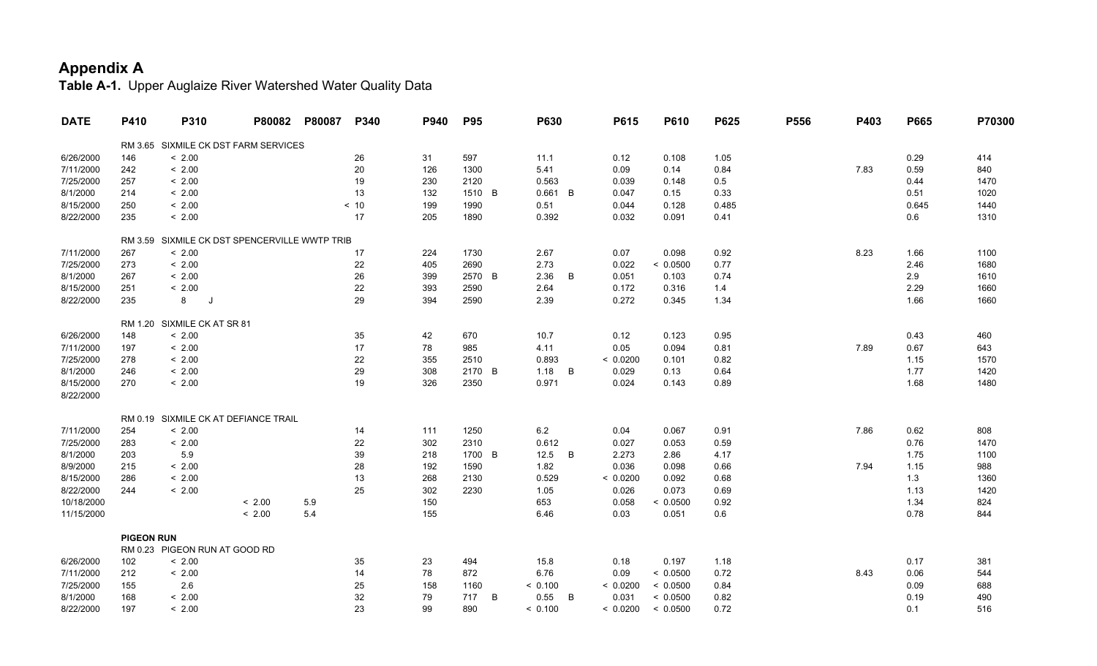| <b>DATE</b> | P410              | P310                                  | P80082 | P80087 | P340 | P940 | <b>P95</b> |   | <b>P630</b> |   | P615     | P610     | P625  | P556 | P403 | P665  | P70300 |
|-------------|-------------------|---------------------------------------|--------|--------|------|------|------------|---|-------------|---|----------|----------|-------|------|------|-------|--------|
|             |                   | RM 3.65 SIXMILE CK DST FARM SERVICES  |        |        |      |      |            |   |             |   |          |          |       |      |      |       |        |
| 6/26/2000   | 146               | < 2.00                                |        |        | 26   | 31   | 597        |   | 11.1        |   | 0.12     | 0.108    | 1.05  |      |      | 0.29  | 414    |
| 7/11/2000   | 242               | < 2.00                                |        |        | 20   | 126  | 1300       |   | 5.41        |   | 0.09     | 0.14     | 0.84  |      | 7.83 | 0.59  | 840    |
| 7/25/2000   | 257               | < 2.00                                |        |        | 19   | 230  | 2120       |   | 0.563       |   | 0.039    | 0.148    | 0.5   |      |      | 0.44  | 1470   |
| 8/1/2000    | 214               | < 2.00                                |        |        | 13   | 132  | 1510 B     |   | $0.661$ B   |   | 0.047    | 0.15     | 0.33  |      |      | 0.51  | 1020   |
| 8/15/2000   | 250               | < 2.00                                |        |        | < 10 | 199  | 1990       |   | 0.51        |   | 0.044    | 0.128    | 0.485 |      |      | 0.645 | 1440   |
| 8/22/2000   | 235               | < 2.00                                |        |        | 17   | 205  | 1890       |   | 0.392       |   | 0.032    | 0.091    | 0.41  |      |      | 0.6   | 1310   |
|             |                   |                                       |        |        |      |      |            |   |             |   |          |          |       |      |      |       |        |
|             | RM 3.59           | SIXMILE CK DST SPENCERVILLE WWTP TRIB |        |        |      |      |            |   |             |   |          |          |       |      |      |       |        |
| 7/11/2000   | 267               | < 2.00                                |        |        | 17   | 224  | 1730       |   | 2.67        |   | 0.07     | 0.098    | 0.92  |      | 8.23 | 1.66  | 1100   |
| 7/25/2000   | 273               | < 2.00                                |        |        | 22   | 405  | 2690       |   | 2.73        |   | 0.022    | < 0.0500 | 0.77  |      |      | 2.46  | 1680   |
| 8/1/2000    | 267               | < 2.00                                |        |        | 26   | 399  | 2570 B     |   | 2.36        | B | 0.051    | 0.103    | 0.74  |      |      | 2.9   | 1610   |
| 8/15/2000   | 251               | < 2.00                                |        |        | 22   | 393  | 2590       |   | 2.64        |   | 0.172    | 0.316    | 1.4   |      |      | 2.29  | 1660   |
| 8/22/2000   | 235               | 8<br>IJ                               |        |        | 29   | 394  | 2590       |   | 2.39        |   | 0.272    | 0.345    | 1.34  |      |      | 1.66  | 1660   |
|             |                   |                                       |        |        |      |      |            |   |             |   |          |          |       |      |      |       |        |
|             |                   | RM 1.20 SIXMILE CK AT SR 81           |        |        |      |      |            |   |             |   |          |          |       |      |      |       |        |
| 6/26/2000   | 148               | < 2.00                                |        |        | 35   | 42   | 670        |   | 10.7        |   | 0.12     | 0.123    | 0.95  |      |      | 0.43  | 460    |
| 7/11/2000   | 197               | < 2.00                                |        |        | 17   | 78   | 985        |   | 4.11        |   | 0.05     | 0.094    | 0.81  |      | 7.89 | 0.67  | 643    |
| 7/25/2000   | 278               | < 2.00                                |        |        | 22   | 355  | 2510       |   | 0.893       |   | < 0.0200 | 0.101    | 0.82  |      |      | 1.15  | 1570   |
| 8/1/2000    | 246               | < 2.00                                |        |        | 29   | 308  | 2170 B     |   | 1.18        | B | 0.029    | 0.13     | 0.64  |      |      | 1.77  | 1420   |
| 8/15/2000   | 270               | < 2.00                                |        |        | 19   | 326  | 2350       |   | 0.971       |   | 0.024    | 0.143    | 0.89  |      |      | 1.68  | 1480   |
| 8/22/2000   |                   |                                       |        |        |      |      |            |   |             |   |          |          |       |      |      |       |        |
|             |                   | RM 0.19 SIXMILE CK AT DEFIANCE TRAIL  |        |        |      |      |            |   |             |   |          |          |       |      |      |       |        |
| 7/11/2000   | 254               | < 2.00                                |        |        | 14   | 111  | 1250       |   | 6.2         |   | 0.04     | 0.067    | 0.91  |      | 7.86 | 0.62  | 808    |
| 7/25/2000   | 283               | < 2.00                                |        |        | 22   | 302  | 2310       |   | 0.612       |   | 0.027    | 0.053    | 0.59  |      |      | 0.76  | 1470   |
| 8/1/2000    | 203               | 5.9                                   |        |        | 39   | 218  | 1700 B     |   | 12.5        | B | 2.273    | 2.86     | 4.17  |      |      | 1.75  | 1100   |
| 8/9/2000    | 215               | < 2.00                                |        |        | 28   | 192  | 1590       |   | 1.82        |   | 0.036    | 0.098    | 0.66  |      | 7.94 | 1.15  | 988    |
| 8/15/2000   | 286               | < 2.00                                |        |        | 13   | 268  | 2130       |   | 0.529       |   | < 0.0200 | 0.092    | 0.68  |      |      | 1.3   | 1360   |
| 8/22/2000   | 244               | < 2.00                                |        |        | 25   | 302  | 2230       |   | 1.05        |   | 0.026    | 0.073    | 0.69  |      |      | 1.13  | 1420   |
| 10/18/2000  |                   |                                       | < 2.00 | 5.9    |      | 150  |            |   | 653         |   | 0.058    | < 0.0500 | 0.92  |      |      | 1.34  | 824    |
| 11/15/2000  |                   |                                       | < 2.00 | 5.4    |      | 155  |            |   | 6.46        |   | 0.03     | 0.051    | 0.6   |      |      | 0.78  | 844    |
|             |                   |                                       |        |        |      |      |            |   |             |   |          |          |       |      |      |       |        |
|             | <b>PIGEON RUN</b> |                                       |        |        |      |      |            |   |             |   |          |          |       |      |      |       |        |
|             |                   | RM 0.23 PIGEON RUN AT GOOD RD         |        |        |      |      |            |   |             |   |          |          |       |      |      |       |        |
| 6/26/2000   | 102               | < 2.00                                |        |        | 35   | 23   | 494        |   | 15.8        |   | 0.18     | 0.197    | 1.18  |      |      | 0.17  | 381    |
| 7/11/2000   | 212               | < 2.00                                |        |        | 14   | 78   | 872        |   | 6.76        |   | 0.09     | < 0.0500 | 0.72  |      | 8.43 | 0.06  | 544    |
| 7/25/2000   | 155               | 2.6                                   |        |        | 25   | 158  | 1160       |   | < 0.100     |   | < 0.0200 | < 0.0500 | 0.84  |      |      | 0.09  | 688    |
| 8/1/2000    | 168               | < 2.00                                |        |        | 32   | 79   | 717        | B | 0.55        | B | 0.031    | < 0.0500 | 0.82  |      |      | 0.19  | 490    |
| 8/22/2000   | 197               | < 2.00                                |        |        | 23   | 99   | 890        |   | < 0.100     |   | < 0.0200 | < 0.0500 | 0.72  |      |      | 0.1   | 516    |
|             |                   |                                       |        |        |      |      |            |   |             |   |          |          |       |      |      |       |        |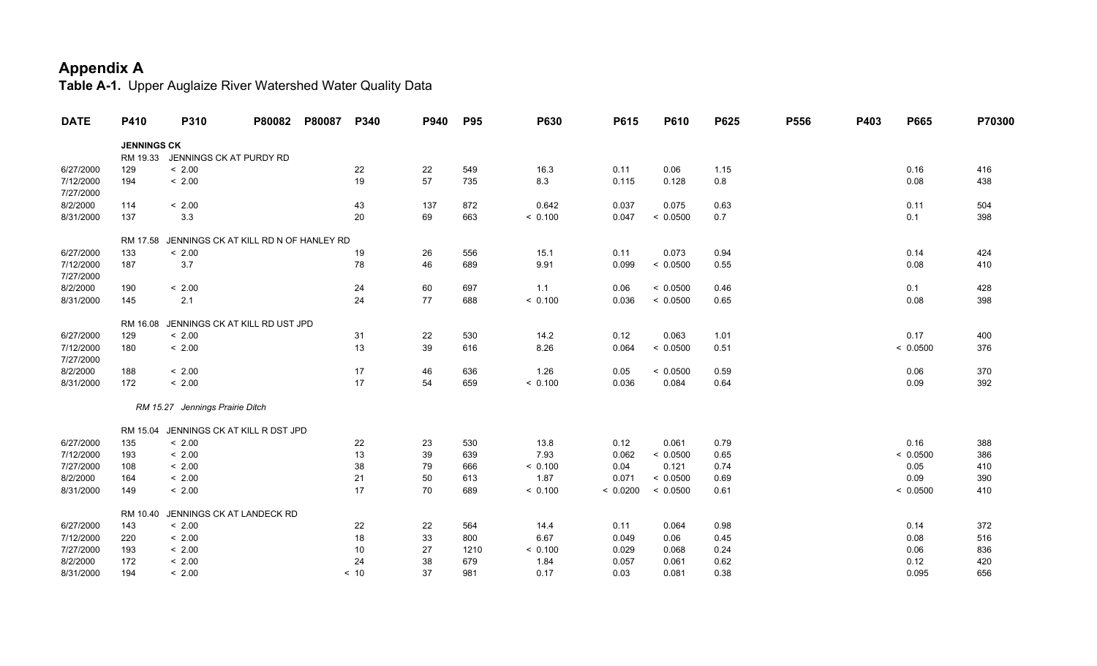| <b>DATE</b> | P410               | P310                            | P80082                                | P80087 | P340 | P940 | <b>P95</b> | P630    | P615     | P610     | P625 | P556 | P403 | P665     | P70300 |
|-------------|--------------------|---------------------------------|---------------------------------------|--------|------|------|------------|---------|----------|----------|------|------|------|----------|--------|
|             | <b>JENNINGS CK</b> |                                 |                                       |        |      |      |            |         |          |          |      |      |      |          |        |
|             | RM 19.33           |                                 | JENNINGS CK AT PURDY RD               |        |      |      |            |         |          |          |      |      |      |          |        |
| 6/27/2000   | 129                | < 2.00                          |                                       |        | 22   | 22   | 549        | 16.3    | 0.11     | 0.06     | 1.15 |      |      | 0.16     | 416    |
| 7/12/2000   | 194                | < 2.00                          |                                       |        | 19   | 57   | 735        | 8.3     | 0.115    | 0.128    | 0.8  |      |      | 0.08     | 438    |
| 7/27/2000   |                    |                                 |                                       |        |      |      |            |         |          |          |      |      |      |          |        |
| 8/2/2000    | 114                | < 2.00                          |                                       |        | 43   | 137  | 872        | 0.642   | 0.037    | 0.075    | 0.63 |      |      | 0.11     | 504    |
| 8/31/2000   | 137                | 3.3                             |                                       |        | 20   | 69   | 663        | < 0.100 | 0.047    | < 0.0500 | 0.7  |      |      | 0.1      | 398    |
|             | RM 17.58           |                                 | JENNINGS CK AT KILL RD N OF HANLEY RD |        |      |      |            |         |          |          |      |      |      |          |        |
| 6/27/2000   | 133                | < 2.00                          |                                       |        | 19   | 26   | 556        | 15.1    | 0.11     | 0.073    | 0.94 |      |      | 0.14     | 424    |
| 7/12/2000   | 187                | $3.7\,$                         |                                       |        | 78   | 46   | 689        | 9.91    | 0.099    | < 0.0500 | 0.55 |      |      | 0.08     | 410    |
| 7/27/2000   |                    |                                 |                                       |        |      |      |            |         |          |          |      |      |      |          |        |
| 8/2/2000    | 190                | < 2.00                          |                                       |        | 24   | 60   | 697        | 1.1     | 0.06     | < 0.0500 | 0.46 |      |      | 0.1      | 428    |
| 8/31/2000   | 145                | 2.1                             |                                       |        | 24   | 77   | 688        | < 0.100 | 0.036    | < 0.0500 | 0.65 |      |      | 0.08     | 398    |
|             | RM 16.08           |                                 | JENNINGS CK AT KILL RD UST JPD        |        |      |      |            |         |          |          |      |      |      |          |        |
| 6/27/2000   | 129                | < 2.00                          |                                       |        | 31   | 22   | 530        | 14.2    | 0.12     | 0.063    | 1.01 |      |      | 0.17     | 400    |
| 7/12/2000   | 180                | < 2.00                          |                                       |        | 13   | 39   | 616        | 8.26    | 0.064    | < 0.0500 | 0.51 |      |      | < 0.0500 | 376    |
| 7/27/2000   |                    |                                 |                                       |        |      |      |            |         |          |          |      |      |      |          |        |
| 8/2/2000    | 188                | < 2.00                          |                                       |        | 17   | 46   | 636        | 1.26    | 0.05     | < 0.0500 | 0.59 |      |      | 0.06     | 370    |
| 8/31/2000   | 172                | < 2.00                          |                                       |        | 17   | 54   | 659        | < 0.100 | 0.036    | 0.084    | 0.64 |      |      | 0.09     | 392    |
|             |                    | RM 15.27 Jennings Prairie Ditch |                                       |        |      |      |            |         |          |          |      |      |      |          |        |
|             |                    |                                 |                                       |        |      |      |            |         |          |          |      |      |      |          |        |
|             | RM 15.04           |                                 | JENNINGS CK AT KILL R DST JPD         |        |      |      |            |         |          |          |      |      |      |          |        |
| 6/27/2000   | 135                | < 2.00                          |                                       |        | 22   | 23   | 530        | 13.8    | 0.12     | 0.061    | 0.79 |      |      | 0.16     | 388    |
| 7/12/2000   | 193                | < 2.00                          |                                       |        | 13   | 39   | 639        | 7.93    | 0.062    | < 0.0500 | 0.65 |      |      | < 0.0500 | 386    |
| 7/27/2000   | 108                | < 2.00                          |                                       |        | 38   | 79   | 666        | < 0.100 | 0.04     | 0.121    | 0.74 |      |      | 0.05     | 410    |
| 8/2/2000    | 164                | < 2.00                          |                                       |        | 21   | 50   | 613        | 1.87    | 0.071    | < 0.0500 | 0.69 |      |      | 0.09     | 390    |
| 8/31/2000   | 149                | < 2.00                          |                                       |        | 17   | 70   | 689        | < 0.100 | < 0.0200 | < 0.0500 | 0.61 |      |      | < 0.0500 | 410    |
|             | RM 10.40           |                                 | JENNINGS CK AT LANDECK RD             |        |      |      |            |         |          |          |      |      |      |          |        |
| 6/27/2000   | 143                | < 2.00                          |                                       |        | 22   | 22   | 564        | 14.4    | 0.11     | 0.064    | 0.98 |      |      | 0.14     | 372    |
| 7/12/2000   | 220                | < 2.00                          |                                       |        | 18   | 33   | 800        | 6.67    | 0.049    | 0.06     | 0.45 |      |      | 0.08     | 516    |
| 7/27/2000   | 193                | < 2.00                          |                                       |        | 10   | 27   | 1210       | < 0.100 | 0.029    | 0.068    | 0.24 |      |      | 0.06     | 836    |
| 8/2/2000    | 172                | < 2.00                          |                                       |        | 24   | 38   | 679        | 1.84    | 0.057    | 0.061    | 0.62 |      |      | 0.12     | 420    |
| 8/31/2000   | 194                | < 2.00                          |                                       |        | < 10 | 37   | 981        | 0.17    | 0.03     | 0.081    | 0.38 |      |      | 0.095    | 656    |
|             |                    |                                 |                                       |        |      |      |            |         |          |          |      |      |      |          |        |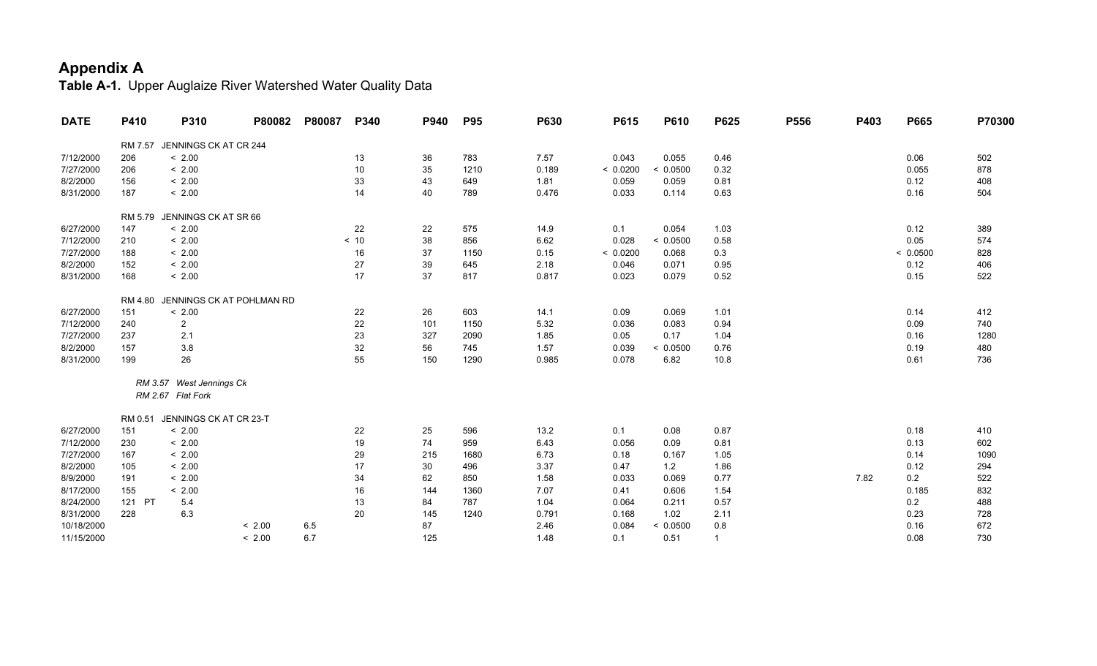| <b>DATE</b> | P410    | P310                     | P80082                    | P80087 | P340 | P940 | <b>P95</b> | P630  | P615     | P610     | P625         | P556 | P403 | P665     | P70300 |
|-------------|---------|--------------------------|---------------------------|--------|------|------|------------|-------|----------|----------|--------------|------|------|----------|--------|
|             | RM 7.57 | JENNINGS CK AT CR 244    |                           |        |      |      |            |       |          |          |              |      |      |          |        |
| 7/12/2000   | 206     | < 2.00                   |                           |        | 13   | 36   | 783        | 7.57  | 0.043    | 0.055    | 0.46         |      |      | 0.06     | 502    |
| 7/27/2000   | 206     | < 2.00                   |                           |        | 10   | 35   | 1210       | 0.189 | < 0.0200 | < 0.0500 | 0.32         |      |      | 0.055    | 878    |
| 8/2/2000    | 156     | < 2.00                   |                           |        | 33   | 43   | 649        | 1.81  | 0.059    | 0.059    | 0.81         |      |      | 0.12     | 408    |
| 8/31/2000   | 187     | < 2.00                   |                           |        | 14   | 40   | 789        | 0.476 | 0.033    | 0.114    | 0.63         |      |      | 0.16     | 504    |
|             | RM 5.79 | JENNINGS CK AT SR 66     |                           |        |      |      |            |       |          |          |              |      |      |          |        |
| 6/27/2000   | 147     | < 2.00                   |                           |        | 22   | 22   | 575        | 14.9  | 0.1      | 0.054    | 1.03         |      |      | 0.12     | 389    |
| 7/12/2000   | 210     | < 2.00                   |                           |        | < 10 | 38   | 856        | 6.62  | 0.028    | < 0.0500 | 0.58         |      |      | 0.05     | 574    |
| 7/27/2000   | 188     | < 2.00                   |                           |        | 16   | 37   | 1150       | 0.15  | < 0.0200 | 0.068    | $0.3\,$      |      |      | < 0.0500 | 828    |
| 8/2/2000    | 152     | < 2.00                   |                           |        | 27   | 39   | 645        | 2.18  | 0.046    | 0.071    | 0.95         |      |      | 0.12     | 406    |
| 8/31/2000   | 168     | < 2.00                   |                           |        | 17   | 37   | 817        | 0.817 | 0.023    | 0.079    | 0.52         |      |      | 0.15     | 522    |
|             | RM 4.80 |                          | JENNINGS CK AT POHLMAN RD |        |      |      |            |       |          |          |              |      |      |          |        |
| 6/27/2000   | 151     | < 2.00                   |                           |        | 22   | 26   | 603        | 14.1  | 0.09     | 0.069    | 1.01         |      |      | 0.14     | 412    |
| 7/12/2000   | 240     | $\overline{2}$           |                           |        | 22   | 101  | 1150       | 5.32  | 0.036    | 0.083    | 0.94         |      |      | 0.09     | 740    |
| 7/27/2000   | 237     | 2.1                      |                           |        | 23   | 327  | 2090       | 1.85  | 0.05     | 0.17     | 1.04         |      |      | 0.16     | 1280   |
| 8/2/2000    | 157     | 3.8                      |                           |        | 32   | 56   | 745        | 1.57  | 0.039    | < 0.0500 | 0.76         |      |      | 0.19     | 480    |
| 8/31/2000   | 199     | 26                       |                           |        | 55   | 150  | 1290       | 0.985 | 0.078    | 6.82     | 10.8         |      |      | 0.61     | 736    |
|             |         | RM 3.57 West Jennings Ck |                           |        |      |      |            |       |          |          |              |      |      |          |        |
|             |         | RM 2.67 Flat Fork        |                           |        |      |      |            |       |          |          |              |      |      |          |        |
|             | RM 0.51 | JENNINGS CK AT CR 23-T   |                           |        |      |      |            |       |          |          |              |      |      |          |        |
| 6/27/2000   | 151     | < 2.00                   |                           |        | 22   | 25   | 596        | 13.2  | 0.1      | 0.08     | 0.87         |      |      | 0.18     | 410    |
| 7/12/2000   | 230     | < 2.00                   |                           |        | 19   | 74   | 959        | 6.43  | 0.056    | 0.09     | 0.81         |      |      | 0.13     | 602    |
| 7/27/2000   | 167     | < 2.00                   |                           |        | 29   | 215  | 1680       | 6.73  | 0.18     | 0.167    | 1.05         |      |      | 0.14     | 1090   |
| 8/2/2000    | 105     | < 2.00                   |                           |        | 17   | 30   | 496        | 3.37  | 0.47     | 1.2      | 1.86         |      |      | 0.12     | 294    |
| 8/9/2000    | 191     | < 2.00                   |                           |        | 34   | 62   | 850        | 1.58  | 0.033    | 0.069    | 0.77         |      | 7.82 | 0.2      | 522    |
| 8/17/2000   | 155     | < 2.00                   |                           |        | 16   | 144  | 1360       | 7.07  | 0.41     | 0.606    | 1.54         |      |      | 0.185    | 832    |
| 8/24/2000   | 121 PT  | 5.4                      |                           |        | 13   | 84   | 787        | 1.04  | 0.064    | 0.211    | 0.57         |      |      | 0.2      | 488    |
| 8/31/2000   | 228     | 6.3                      |                           |        | 20   | 145  | 1240       | 0.791 | 0.168    | 1.02     | 2.11         |      |      | 0.23     | 728    |
| 10/18/2000  |         |                          | < 2.00                    | 6.5    |      | 87   |            | 2.46  | 0.084    | < 0.0500 | 0.8          |      |      | 0.16     | 672    |
| 11/15/2000  |         |                          | < 2.00                    | 6.7    |      | 125  |            | 1.48  | 0.1      | 0.51     | $\mathbf{1}$ |      |      | 0.08     | 730    |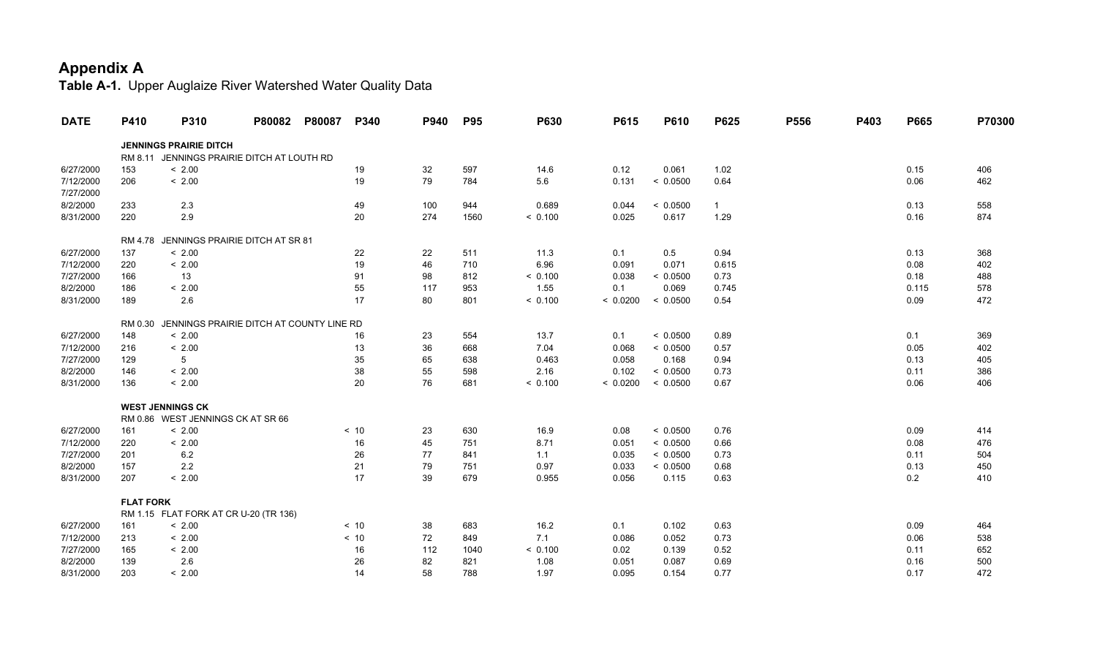| <b>DATE</b> | P410             | P310                                       | P80082 | P80087 | P340 | P940 | <b>P95</b> | P630    | P615     | P610     | P625         | P556 | P403 | P665  | P70300 |
|-------------|------------------|--------------------------------------------|--------|--------|------|------|------------|---------|----------|----------|--------------|------|------|-------|--------|
|             |                  | <b>JENNINGS PRAIRIE DITCH</b>              |        |        |      |      |            |         |          |          |              |      |      |       |        |
|             |                  | RM 8.11 JENNINGS PRAIRIE DITCH AT LOUTH RD |        |        |      |      |            |         |          |          |              |      |      |       |        |
| 6/27/2000   | 153              | < 2.00                                     |        |        | 19   | 32   | 597        | 14.6    | 0.12     | 0.061    | 1.02         |      |      | 0.15  | 406    |
| 7/12/2000   | 206              | < 2.00                                     |        |        | 19   | 79   | 784        | 5.6     | 0.131    | < 0.0500 | 0.64         |      |      | 0.06  | 462    |
| 7/27/2000   |                  |                                            |        |        |      |      |            |         |          |          |              |      |      |       |        |
| 8/2/2000    | 233              | 2.3                                        |        |        | 49   | 100  | 944        | 0.689   | 0.044    | < 0.0500 | $\mathbf{1}$ |      |      | 0.13  | 558    |
| 8/31/2000   | 220              | 2.9                                        |        |        | 20   | 274  | 1560       | < 0.100 | 0.025    | 0.617    | 1.29         |      |      | 0.16  | 874    |
|             |                  | RM 4.78 JENNINGS PRAIRIE DITCH AT SR 81    |        |        |      |      |            |         |          |          |              |      |      |       |        |
| 6/27/2000   | 137              | < 2.00                                     |        |        | 22   | 22   | 511        | 11.3    | 0.1      | 0.5      | 0.94         |      |      | 0.13  | 368    |
| 7/12/2000   | 220              | < 2.00                                     |        |        | 19   | 46   | 710        | 6.96    | 0.091    | 0.071    | 0.615        |      |      | 0.08  | 402    |
| 7/27/2000   | 166              | 13                                         |        |        | 91   | 98   | 812        | < 0.100 | 0.038    | < 0.0500 | 0.73         |      |      | 0.18  | 488    |
| 8/2/2000    | 186              | < 2.00                                     |        |        | 55   | 117  | 953        | 1.55    | 0.1      | 0.069    | 0.745        |      |      | 0.115 | 578    |
| 8/31/2000   | 189              | 2.6                                        |        |        | 17   | 80   | 801        | < 0.100 | < 0.0200 | < 0.0500 | 0.54         |      |      | 0.09  | 472    |
|             | RM 0.30          | JENNINGS PRAIRIE DITCH AT COUNTY LINE RD   |        |        |      |      |            |         |          |          |              |      |      |       |        |
| 6/27/2000   | 148              | < 2.00                                     |        |        | 16   | 23   | 554        | 13.7    | 0.1      | < 0.0500 | 0.89         |      |      | 0.1   | 369    |
| 7/12/2000   | 216              | < 2.00                                     |        |        | 13   | 36   | 668        | 7.04    | 0.068    | < 0.0500 | 0.57         |      |      | 0.05  | 402    |
| 7/27/2000   | 129              | 5                                          |        |        | 35   | 65   | 638        | 0.463   | 0.058    | 0.168    | 0.94         |      |      | 0.13  | 405    |
| 8/2/2000    | 146              | < 2.00                                     |        |        | 38   | 55   | 598        | 2.16    | 0.102    | < 0.0500 | 0.73         |      |      | 0.11  | 386    |
| 8/31/2000   | 136              | < 2.00                                     |        |        | 20   | 76   | 681        | < 0.100 | < 0.0200 | < 0.0500 | 0.67         |      |      | 0.06  | 406    |
|             |                  | <b>WEST JENNINGS CK</b>                    |        |        |      |      |            |         |          |          |              |      |      |       |        |
|             |                  | RM 0.86 WEST JENNINGS CK AT SR 66          |        |        |      |      |            |         |          |          |              |      |      |       |        |
| 6/27/2000   | 161              | < 2.00                                     |        |        | < 10 | 23   | 630        | 16.9    | 0.08     | < 0.0500 | 0.76         |      |      | 0.09  | 414    |
| 7/12/2000   | 220              | < 2.00                                     |        |        | 16   | 45   | 751        | 8.71    | 0.051    | < 0.0500 | 0.66         |      |      | 0.08  | 476    |
| 7/27/2000   | 201              | 6.2                                        |        |        | 26   | 77   | 841        | 1.1     | 0.035    | < 0.0500 | 0.73         |      |      | 0.11  | 504    |
| 8/2/2000    | 157              | 2.2                                        |        |        | 21   | 79   | 751        | 0.97    | 0.033    | < 0.0500 | 0.68         |      |      | 0.13  | 450    |
| 8/31/2000   | 207              | < 2.00                                     |        |        | 17   | 39   | 679        | 0.955   | 0.056    | 0.115    | 0.63         |      |      | 0.2   | 410    |
|             | <b>FLAT FORK</b> |                                            |        |        |      |      |            |         |          |          |              |      |      |       |        |
|             |                  | RM 1.15 FLAT FORK AT CR U-20 (TR 136)      |        |        |      |      |            |         |          |          |              |      |      |       |        |
| 6/27/2000   | 161              | < 2.00                                     |        |        | < 10 | 38   | 683        | 16.2    | 0.1      | 0.102    | 0.63         |      |      | 0.09  | 464    |
| 7/12/2000   | 213              | < 2.00                                     |        |        | < 10 | 72   | 849        | 7.1     | 0.086    | 0.052    | 0.73         |      |      | 0.06  | 538    |
| 7/27/2000   | 165              | < 2.00                                     |        |        | 16   | 112  | 1040       | < 0.100 | 0.02     | 0.139    | 0.52         |      |      | 0.11  | 652    |
| 8/2/2000    | 139              | 2.6                                        |        |        | 26   | 82   | 821        | 1.08    | 0.051    | 0.087    | 0.69         |      |      | 0.16  | 500    |
| 8/31/2000   | 203              | < 2.00                                     |        |        | 14   | 58   | 788        | 1.97    | 0.095    | 0.154    | 0.77         |      |      | 0.17  | 472    |
|             |                  |                                            |        |        |      |      |            |         |          |          |              |      |      |       |        |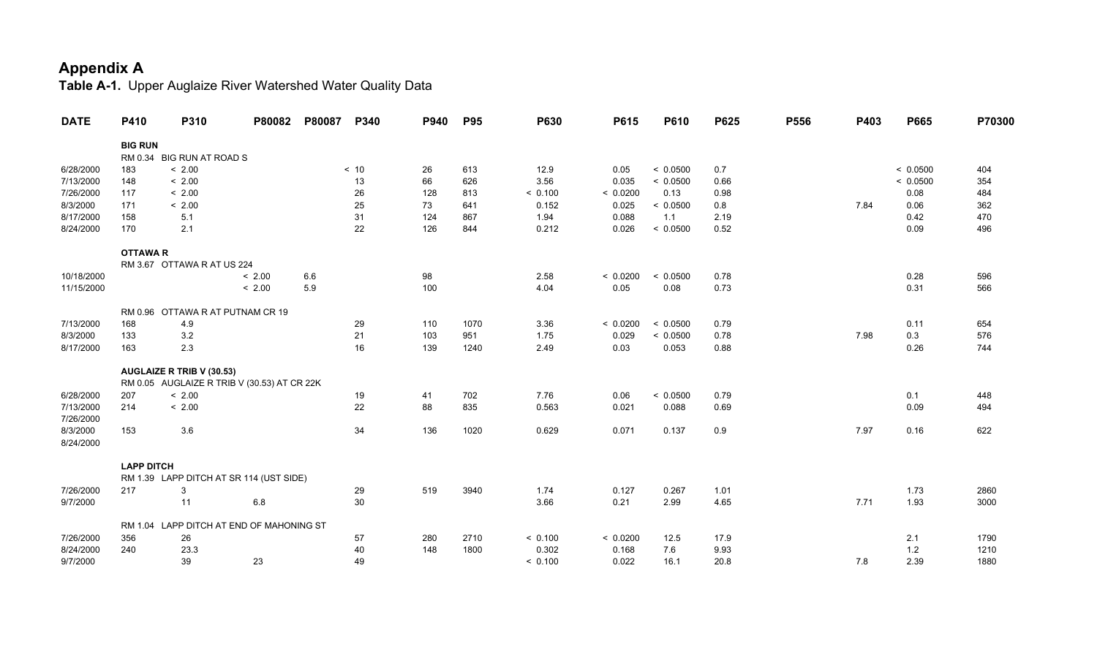| <b>DATE</b>           | P410              | P310                                        | P80082 | P80087 | P340   | P940 | <b>P95</b> | P630    | P615     | P610     | P625 | P556 | P403 | P665     | P70300 |
|-----------------------|-------------------|---------------------------------------------|--------|--------|--------|------|------------|---------|----------|----------|------|------|------|----------|--------|
|                       | <b>BIG RUN</b>    |                                             |        |        |        |      |            |         |          |          |      |      |      |          |        |
|                       |                   | RM 0.34 BIG RUN AT ROAD S                   |        |        |        |      |            |         |          |          |      |      |      |          |        |
| 6/28/2000             | 183               | < 2.00                                      |        |        | < 10   | 26   | 613        | 12.9    | 0.05     | < 0.0500 | 0.7  |      |      | < 0.0500 | 404    |
| 7/13/2000             | 148               | < 2.00                                      |        |        | 13     | 66   | 626        | 3.56    | 0.035    | < 0.0500 | 0.66 |      |      | < 0.0500 | 354    |
| 7/26/2000             | 117               | < 2.00                                      |        |        | 26     | 128  | 813        | < 0.100 | < 0.0200 | 0.13     | 0.98 |      |      | 0.08     | 484    |
| 8/3/2000              | 171               | < 2.00                                      |        |        | 25     | 73   | 641        | 0.152   | 0.025    | < 0.0500 | 0.8  |      | 7.84 | 0.06     | 362    |
| 8/17/2000             | 158               | 5.1                                         |        |        | 31     | 124  | 867        | 1.94    | 0.088    | 1.1      | 2.19 |      |      | 0.42     | 470    |
| 8/24/2000             | 170               | 2.1                                         |        |        | 22     | 126  | 844        | 0.212   | 0.026    | < 0.0500 | 0.52 |      |      | 0.09     | 496    |
|                       | <b>OTTAWAR</b>    |                                             |        |        |        |      |            |         |          |          |      |      |      |          |        |
|                       |                   | RM 3.67 OTTAWA R AT US 224                  |        |        |        |      |            |         |          |          |      |      |      |          |        |
| 10/18/2000            |                   |                                             | < 2.00 | 6.6    |        | 98   |            | 2.58    | < 0.0200 | < 0.0500 | 0.78 |      |      | 0.28     | 596    |
| 11/15/2000            |                   |                                             | < 2.00 | 5.9    |        | 100  |            | 4.04    | 0.05     | 0.08     | 0.73 |      |      | 0.31     | 566    |
|                       |                   | RM 0.96 OTTAWA R AT PUTNAM CR 19            |        |        |        |      |            |         |          |          |      |      |      |          |        |
| 7/13/2000             | 168               | 4.9                                         |        |        | 29     | 110  | 1070       | 3.36    | < 0.0200 | < 0.0500 | 0.79 |      |      | 0.11     | 654    |
| 8/3/2000              | 133               | 3.2                                         |        |        | 21     | 103  | 951        | 1.75    | 0.029    | < 0.0500 | 0.78 |      | 7.98 | 0.3      | 576    |
| 8/17/2000             | 163               | 2.3                                         |        |        | 16     | 139  | 1240       | 2.49    | 0.03     | 0.053    | 0.88 |      |      | 0.26     | 744    |
|                       |                   | AUGLAIZE R TRIB V (30.53)                   |        |        |        |      |            |         |          |          |      |      |      |          |        |
|                       |                   | RM 0.05 AUGLAIZE R TRIB V (30.53) AT CR 22K |        |        |        |      |            |         |          |          |      |      |      |          |        |
| 6/28/2000             | 207               | < 2.00                                      |        |        | 19     | 41   | 702        | 7.76    | 0.06     | < 0.0500 | 0.79 |      |      | 0.1      | 448    |
| 7/13/2000             | 214               | < 2.00                                      |        |        | 22     | 88   | 835        | 0.563   | 0.021    | 0.088    | 0.69 |      |      | 0.09     | 494    |
| 7/26/2000<br>8/3/2000 | 153               | 3.6                                         |        |        | 34     | 136  | 1020       | 0.629   | 0.071    | 0.137    | 0.9  |      | 7.97 | 0.16     | 622    |
| 8/24/2000             |                   |                                             |        |        |        |      |            |         |          |          |      |      |      |          |        |
|                       | <b>LAPP DITCH</b> |                                             |        |        |        |      |            |         |          |          |      |      |      |          |        |
|                       |                   | RM 1.39 LAPP DITCH AT SR 114 (UST SIDE)     |        |        |        |      |            |         |          |          |      |      |      |          |        |
| 7/26/2000             | 217               | 3                                           |        |        | 29     | 519  | 3940       | 1.74    | 0.127    | 0.267    | 1.01 |      |      | 1.73     | 2860   |
| 9/7/2000              |                   | 11                                          | 6.8    |        | $30\,$ |      |            | 3.66    | 0.21     | 2.99     | 4.65 |      | 7.71 | 1.93     | 3000   |
|                       |                   |                                             |        |        |        |      |            |         |          |          |      |      |      |          |        |
| 7/26/2000             | 356               | RM 1.04 LAPP DITCH AT END OF MAHONING ST    |        |        |        | 280  | 2710       | < 0.100 | < 0.0200 | 12.5     | 17.9 |      |      |          | 1790   |
|                       |                   | 26                                          |        |        | 57     |      |            |         |          |          |      |      |      | 2.1      |        |
| 8/24/2000             | 240               | 23.3                                        |        |        | 40     | 148  | 1800       | 0.302   | 0.168    | 7.6      | 9.93 |      |      | 1.2      | 1210   |
| 9/7/2000              |                   | 39                                          | 23     |        | 49     |      |            | < 0.100 | 0.022    | 16.1     | 20.8 |      | 7.8  | 2.39     | 1880   |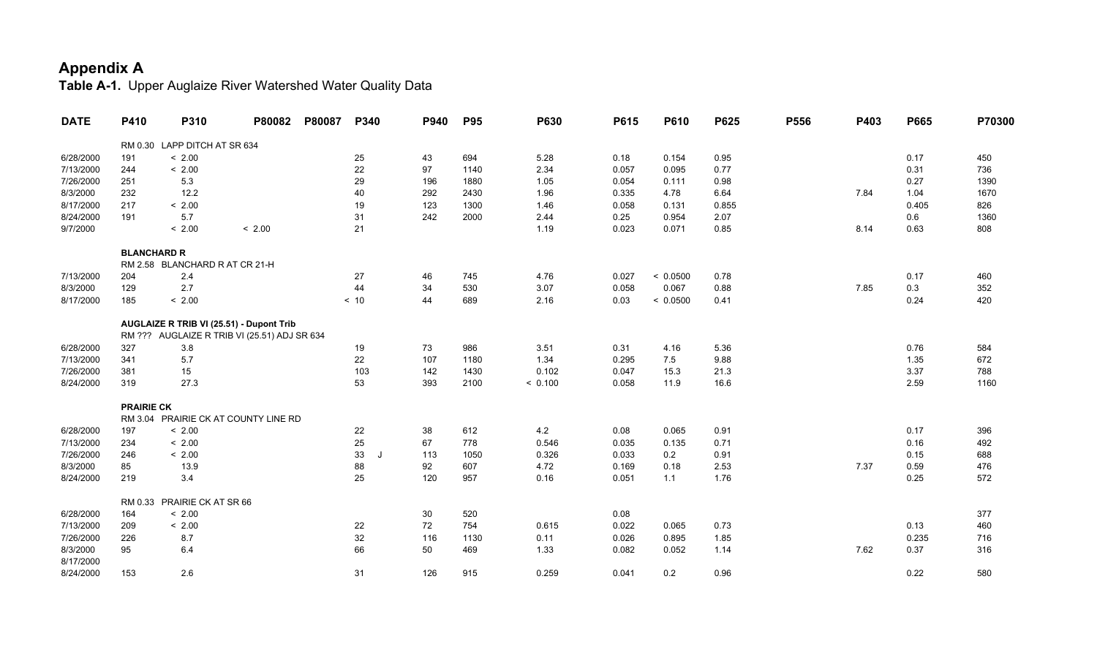| <b>DATE</b>           | P410               | P310                           | P80082                                       | P80087 | P340          | P940 | <b>P95</b> | P630    | P615  | P610     | P625  | P556 | P403 | P665  | P70300 |
|-----------------------|--------------------|--------------------------------|----------------------------------------------|--------|---------------|------|------------|---------|-------|----------|-------|------|------|-------|--------|
|                       |                    | RM 0.30 LAPP DITCH AT SR 634   |                                              |        |               |      |            |         |       |          |       |      |      |       |        |
| 6/28/2000             | 191                | < 2.00                         |                                              |        | 25            | 43   | 694        | 5.28    | 0.18  | 0.154    | 0.95  |      |      | 0.17  | 450    |
| 7/13/2000             | 244                | < 2.00                         |                                              |        | 22            | 97   | 1140       | 2.34    | 0.057 | 0.095    | 0.77  |      |      | 0.31  | 736    |
| 7/26/2000             | 251                | $5.3\,$                        |                                              |        | 29            | 196  | 1880       | 1.05    | 0.054 | 0.111    | 0.98  |      |      | 0.27  | 1390   |
| 8/3/2000              | 232                | 12.2                           |                                              |        | 40            | 292  | 2430       | 1.96    | 0.335 | 4.78     | 6.64  |      | 7.84 | 1.04  | 1670   |
| 8/17/2000             | 217                | < 2.00                         |                                              |        | 19            | 123  | 1300       | 1.46    | 0.058 | 0.131    | 0.855 |      |      | 0.405 | 826    |
| 8/24/2000             | 191                | 5.7                            |                                              |        | 31            | 242  | 2000       | 2.44    | 0.25  | 0.954    | 2.07  |      |      | 0.6   | 1360   |
| 9/7/2000              |                    | < 2.00                         | < 2.00                                       |        | 21            |      |            | 1.19    | 0.023 | 0.071    | 0.85  |      | 8.14 | 0.63  | 808    |
|                       | <b>BLANCHARD R</b> |                                |                                              |        |               |      |            |         |       |          |       |      |      |       |        |
|                       |                    | RM 2.58 BLANCHARD R AT CR 21-H |                                              |        |               |      |            |         |       |          |       |      |      |       |        |
| 7/13/2000             | 204                | 2.4                            |                                              |        | 27            | 46   | 745        | 4.76    | 0.027 | < 0.0500 | 0.78  |      |      | 0.17  | 460    |
| 8/3/2000              | 129                | 2.7                            |                                              |        | 44            | 34   | 530        | 3.07    | 0.058 | 0.067    | 0.88  |      | 7.85 | 0.3   | 352    |
| 8/17/2000             | 185                | < 2.00                         |                                              |        | < 10          | 44   | 689        | 2.16    | 0.03  | < 0.0500 | 0.41  |      |      | 0.24  | 420    |
|                       |                    |                                | AUGLAIZE R TRIB VI (25.51) - Dupont Trib     |        |               |      |            |         |       |          |       |      |      |       |        |
|                       |                    |                                | RM ??? AUGLAIZE R TRIB VI (25.51) ADJ SR 634 |        |               |      |            |         |       |          |       |      |      |       |        |
| 6/28/2000             | 327                | 3.8                            |                                              |        | 19            | 73   | 986        | 3.51    | 0.31  | 4.16     | 5.36  |      |      | 0.76  | 584    |
| 7/13/2000             | 341                | 5.7                            |                                              |        | 22            | 107  | 1180       | 1.34    | 0.295 | 7.5      | 9.88  |      |      | 1.35  | 672    |
| 7/26/2000             | 381                | 15                             |                                              |        | 103           | 142  | 1430       | 0.102   | 0.047 | 15.3     | 21.3  |      |      | 3.37  | 788    |
| 8/24/2000             | 319                | 27.3                           |                                              |        | 53            | 393  | 2100       | < 0.100 | 0.058 | 11.9     | 16.6  |      |      | 2.59  | 1160   |
|                       | <b>PRAIRIE CK</b>  |                                |                                              |        |               |      |            |         |       |          |       |      |      |       |        |
|                       |                    |                                | RM 3.04 PRAIRIE CK AT COUNTY LINE RD         |        |               |      |            |         |       |          |       |      |      |       |        |
| 6/28/2000             | 197                | < 2.00                         |                                              |        | 22            | 38   | 612        | 4.2     | 0.08  | 0.065    | 0.91  |      |      | 0.17  | 396    |
| 7/13/2000             | 234                | < 2.00                         |                                              |        | 25            | 67   | 778        | 0.546   | 0.035 | 0.135    | 0.71  |      |      | 0.16  | 492    |
| 7/26/2000             | 246                | < 2.00                         |                                              |        | 33<br>$\cdot$ | 113  | 1050       | 0.326   | 0.033 | 0.2      | 0.91  |      |      | 0.15  | 688    |
| 8/3/2000              | 85                 | 13.9                           |                                              |        | 88            | 92   | 607        | 4.72    | 0.169 | 0.18     | 2.53  |      | 7.37 | 0.59  | 476    |
| 8/24/2000             | 219                | 3.4                            |                                              |        | 25            | 120  | 957        | 0.16    | 0.051 | $1.1$    | 1.76  |      |      | 0.25  | 572    |
|                       |                    | RM 0.33 PRAIRIE CK AT SR 66    |                                              |        |               |      |            |         |       |          |       |      |      |       |        |
| 6/28/2000             | 164                | < 2.00                         |                                              |        |               | 30   | 520        |         | 0.08  |          |       |      |      |       | 377    |
| 7/13/2000             | 209                | < 2.00                         |                                              |        | 22            | 72   | 754        | 0.615   | 0.022 | 0.065    | 0.73  |      |      | 0.13  | 460    |
| 7/26/2000             | 226                | 8.7                            |                                              |        | 32            | 116  | 1130       | 0.11    | 0.026 | 0.895    | 1.85  |      |      | 0.235 | 716    |
| 8/3/2000<br>8/17/2000 | 95                 | 6.4                            |                                              |        | 66            | 50   | 469        | 1.33    | 0.082 | 0.052    | 1.14  |      | 7.62 | 0.37  | 316    |
| 8/24/2000             | 153                | 2.6                            |                                              |        | 31            | 126  | 915        | 0.259   | 0.041 | 0.2      | 0.96  |      |      | 0.22  | 580    |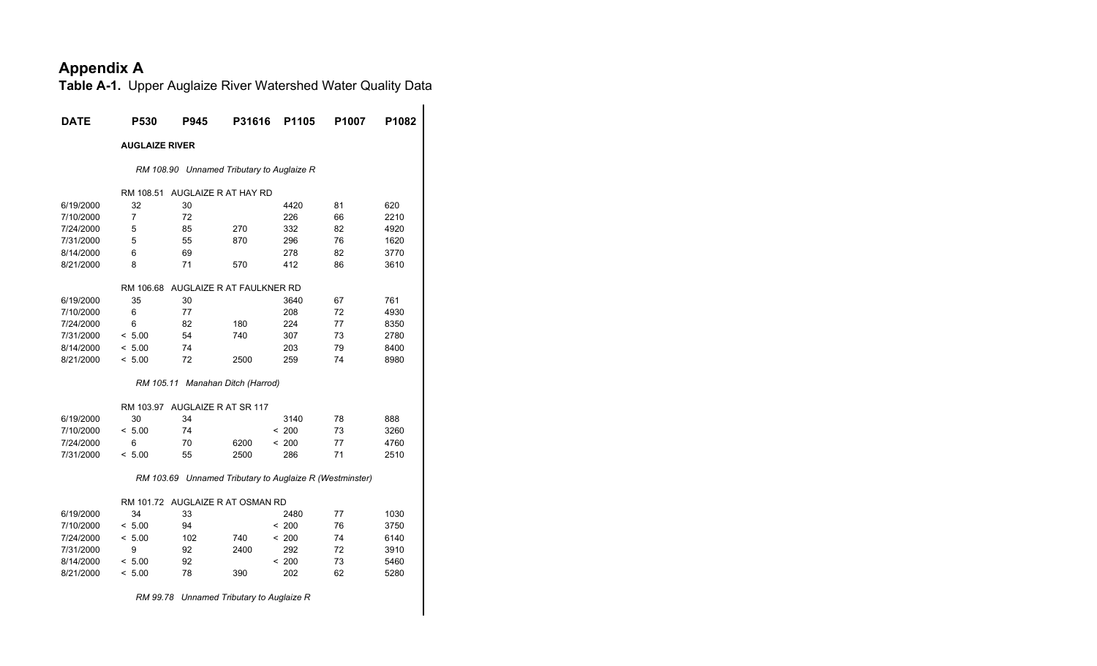| DATE      | P530                  | P945                           | <b>P31616</b>                                           | P1105 | P1007 | P1082 |
|-----------|-----------------------|--------------------------------|---------------------------------------------------------|-------|-------|-------|
|           | <b>AUGLAIZE RIVER</b> |                                |                                                         |       |       |       |
|           |                       |                                | RM 108.90 Unnamed Tributary to Auglaize R               |       |       |       |
|           | RM 108.51             |                                | AUGLAIZE R AT HAY RD                                    |       |       |       |
| 6/19/2000 | 32                    | 30                             |                                                         | 4420  | 81    | 620   |
| 7/10/2000 | 7                     | 72                             |                                                         | 226   | 66    | 2210  |
| 7/24/2000 | 5                     | 85                             | 270                                                     | 332   | 82    | 4920  |
| 7/31/2000 | 5                     | 55                             | 870                                                     | 296   | 76    | 1620  |
| 8/14/2000 | 6                     | 69                             |                                                         | 278   | 82    | 3770  |
| 8/21/2000 | 8                     | 71                             | 570                                                     | 412   | 86    | 3610  |
|           |                       |                                | RM 106.68 AUGLAIZE R AT FAULKNER RD                     |       |       |       |
| 6/19/2000 | 35                    | 30                             |                                                         | 3640  | 67    | 761   |
| 7/10/2000 | 6                     | 77                             |                                                         | 208   | 72    | 4930  |
| 7/24/2000 | 6                     | 82                             | 180                                                     | 224   | 77    | 8350  |
| 7/31/2000 | < 5.00                | 54                             | 740                                                     | 307   | 73    | 2780  |
| 8/14/2000 | < 5.00                | 74                             |                                                         | 203   | 79    | 8400  |
| 8/21/2000 | < 5.00                | 72                             | 2500                                                    | 259   | 74    | 8980  |
|           |                       |                                | RM 105.11 Manahan Ditch (Harrod)                        |       |       |       |
|           |                       | RM 103.97 AUGLAIZE R AT SR 117 |                                                         |       |       |       |
| 6/19/2000 | 30                    | 34                             |                                                         | 3140  | 78    | 888   |
| 7/10/2000 | < 5.00                | 74                             |                                                         | < 200 | 73    | 3260  |
| 7/24/2000 | 6                     | 70                             | 6200                                                    | < 200 | 77    | 4760  |
| 7/31/2000 | < 5.00                | 55                             | 2500                                                    | 286   | 71    | 2510  |
|           |                       |                                | RM 103.69 Unnamed Tributary to Auglaize R (Westminster) |       |       |       |
|           |                       |                                | RM 101.72 AUGLAIZE R AT OSMAN RD                        |       |       |       |
| 6/19/2000 | 34                    | 33                             |                                                         | 2480  | 77    | 1030  |
| 7/10/2000 | < 5.00                | 94                             |                                                         | < 200 | 76    | 3750  |
| 7/24/2000 | < 5.00                | 102                            | 740                                                     | < 200 | 74    | 6140  |
| 7/31/2000 | 9                     | 92                             | 2400                                                    | 292   | 72    | 3910  |
| 8/14/2000 | < 5.00                | 92                             |                                                         | < 200 | 73    | 5460  |
| 8/21/2000 | < 5.00                | 78                             | 390                                                     | 202   | 62    | 5280  |
|           |                       |                                | RM 99.78 Unnamed Tributary to Auglaize R                |       |       |       |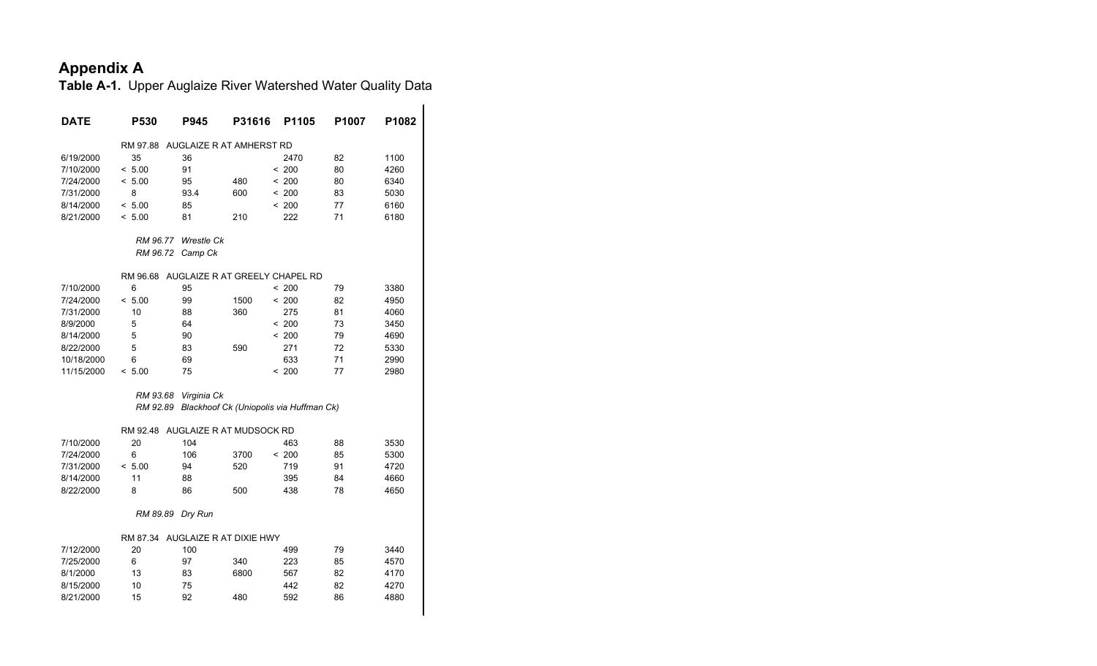| <b>DATE</b> | P530                                    | P945                     | P31616 | P <sub>1105</sub>                       | P1007 | P <sub>1082</sub> |
|-------------|-----------------------------------------|--------------------------|--------|-----------------------------------------|-------|-------------------|
|             |                                         |                          |        |                                         |       |                   |
|             | RM 97.88                                | AUGLAIZE R AT AMHERST RD |        |                                         |       |                   |
| 6/19/2000   | 35                                      | 36                       |        | 2470                                    | 82    | 1100              |
| 7/10/2000   | < 5.00                                  | 91                       |        | < 200                                   | 80    | 4260              |
| 7/24/2000   | < 5.00                                  | 95                       | 480    | < 200                                   | 80    | 6340              |
| 7/31/2000   | 8                                       | 93.4                     | 600    | < 200                                   | 83    | 5030              |
| 8/14/2000   | < 5.00                                  | 85                       |        | < 200                                   | 77    | 6160              |
| 8/21/2000   | < 5.00                                  | 81                       | 210    | 222                                     | 71    | 6180              |
|             | RM 96.77                                | Wrestle Ck               |        |                                         |       |                   |
|             | RM 96.72                                | Camp Ck                  |        |                                         |       |                   |
|             | RM 96.68 AUGLAIZE R AT GREELY CHAPEL RD |                          |        |                                         |       |                   |
| 7/10/2000   | 6                                       | 95                       |        | < 200                                   | 79    | 3380              |
| 7/24/2000   | < 5.00                                  | 99                       | 1500   | < 200                                   | 82    | 4950              |
| 7/31/2000   | 10                                      | 88                       | 360    | 275                                     | 81    | 4060              |
| 8/9/2000    | 5                                       | 64                       |        | < 200                                   | 73    | 3450              |
| 8/14/2000   | 5                                       | 90                       |        | < 200                                   | 79    | 4690              |
| 8/22/2000   | 5                                       | 83                       | 590    | 271                                     | 72    | 5330              |
| 10/18/2000  | 6                                       | 69                       |        | 633                                     | 71    | 2990              |
| 11/15/2000  | < 5.00                                  | 75                       |        | < 200                                   | 77    | 2980              |
|             | RM 93.68                                | Virginia Ck              |        |                                         |       |                   |
|             | RM 92.89                                |                          |        | Blackhoof Ck (Uniopolis via Huffman Ck) |       |                   |
|             | RM 92.48                                | AUGLAIZE R AT MUDSOCK RD |        |                                         |       |                   |
| 7/10/2000   | 20                                      | 104                      |        | 463                                     | 88    | 3530              |
| 7/24/2000   | 6                                       | 106                      | 3700   | < 200                                   | 85    | 5300              |
| 7/31/2000   | < 5.00                                  | 94                       | 520    | 719                                     | 91    | 4720              |
| 8/14/2000   | 11                                      | 88                       |        | 395                                     | 84    | 4660              |
| 8/22/2000   | 8                                       | 86                       | 500    | 438                                     | 78    | 4650              |
|             | RM 89.89                                | Dry Run                  |        |                                         |       |                   |
|             | RM 87.34 AUGLAIZE R AT DIXIE HWY        |                          |        |                                         |       |                   |
| 7/12/2000   | 20                                      | 100                      |        | 499                                     | 79    | 3440              |
| 7/25/2000   | 6                                       | 97                       | 340    | 223                                     | 85    | 4570              |
| 8/1/2000    | 13                                      | 83                       | 6800   | 567                                     | 82    | 4170              |
| 8/15/2000   | 10                                      | 75                       |        | 442                                     | 82    | 4270              |
| 8/21/2000   | 15                                      | 92                       | 480    | 592                                     | 86    | 4880              |
|             |                                         |                          |        |                                         |       |                   |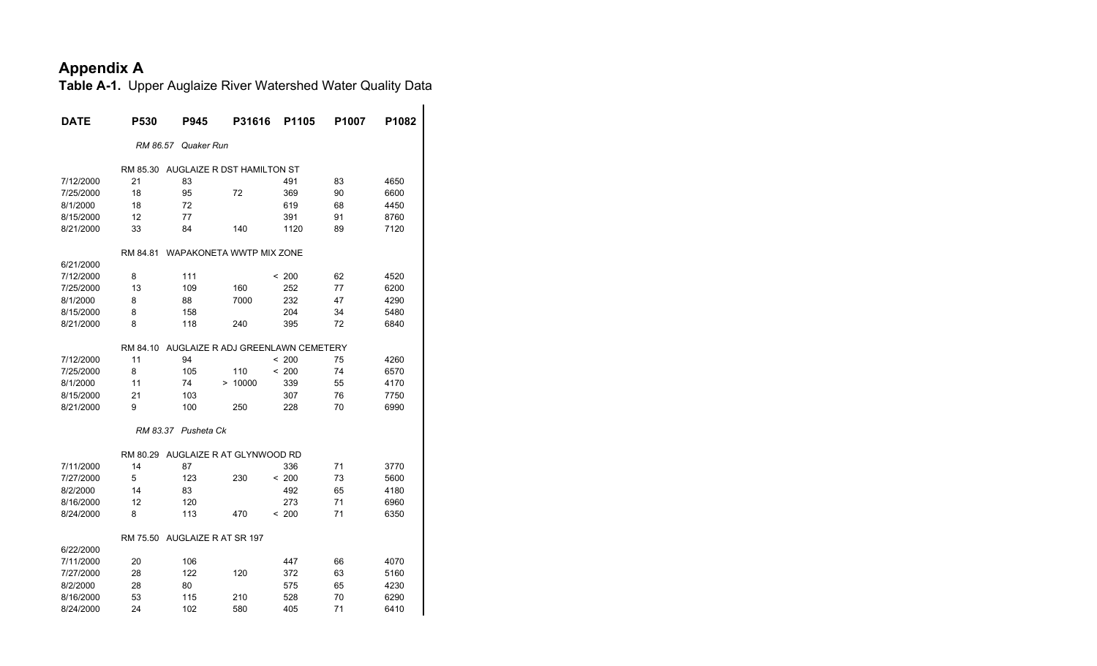| <b>DATE</b> | <b>P530</b> | P945                 | P31616                            | P1105 | P1007 | P1082 |
|-------------|-------------|----------------------|-----------------------------------|-------|-------|-------|
|             |             | RM 86.57 Quaker Run  |                                   |       |       |       |
|             | RM 85.30    |                      | AUGLAIZE R DST HAMILTON ST        |       |       |       |
| 7/12/2000   | 21          | 83                   |                                   | 491   | 83    | 4650  |
| 7/25/2000   | 18          | 95                   | 72                                | 369   | 90    | 6600  |
| 8/1/2000    | 18          | 72                   |                                   | 619   | 68    | 4450  |
| 8/15/2000   | 12          | 77                   |                                   | 391   | 91    | 8760  |
| 8/21/2000   | 33          | 84                   | 140                               | 1120  | 89    | 7120  |
|             | RM 84.81    |                      | WAPAKONETA WWTP MIX ZONE          |       |       |       |
| 6/21/2000   |             |                      |                                   |       |       |       |
| 7/12/2000   | 8           | 111                  |                                   | < 200 | 62    | 4520  |
| 7/25/2000   | 13          | 109                  | 160                               | 252   | 77    | 6200  |
| 8/1/2000    | 8           | 88                   | 7000                              | 232   | 47    | 4290  |
| 8/15/2000   | 8           | 158                  |                                   | 204   | 34    | 5480  |
| 8/21/2000   | 8           | 118                  | 240                               | 395   | 72    | 6840  |
|             | RM 84.10    |                      | AUGLAIZE R ADJ GREENLAWN CEMETERY |       |       |       |
| 7/12/2000   | 11          | 94                   |                                   | < 200 | 75    | 4260  |
| 7/25/2000   | 8           | 105                  | 110                               | < 200 | 74    | 6570  |
| 8/1/2000    | 11          | 74                   | > 10000                           | 339   | 55    | 4170  |
| 8/15/2000   | 21          | 103                  |                                   | 307   | 76    | 7750  |
| 8/21/2000   | 9           | 100                  | 250                               | 228   | 70    | 6990  |
|             |             | RM 83.37 Pusheta Ck  |                                   |       |       |       |
|             | RM 80.29    |                      | AUGLAIZE R AT GLYNWOOD RD         |       |       |       |
| 7/11/2000   | 14          | 87                   |                                   | 336   | 71    | 3770  |
| 7/27/2000   | 5           | 123                  | 230                               | < 200 | 73    | 5600  |
| 8/2/2000    | 14          | 83                   |                                   | 492   | 65    | 4180  |
| 8/16/2000   | 12          | 120                  |                                   | 273   | 71    | 6960  |
| 8/24/2000   | 8           | 113                  | 470                               | < 200 | 71    | 6350  |
|             | RM 75.50    | AUGLAIZE R AT SR 197 |                                   |       |       |       |
| 6/22/2000   |             |                      |                                   |       |       |       |
| 7/11/2000   | 20          | 106                  |                                   | 447   | 66    | 4070  |
| 7/27/2000   | 28          | 122                  | 120                               | 372   | 63    | 5160  |
| 8/2/2000    | 28          | 80                   |                                   | 575   | 65    | 4230  |
| 8/16/2000   | 53          | 115                  | 210                               | 528   | 70    | 6290  |
| 8/24/2000   | 24          | 102                  | 580                               | 405   | 71    | 6410  |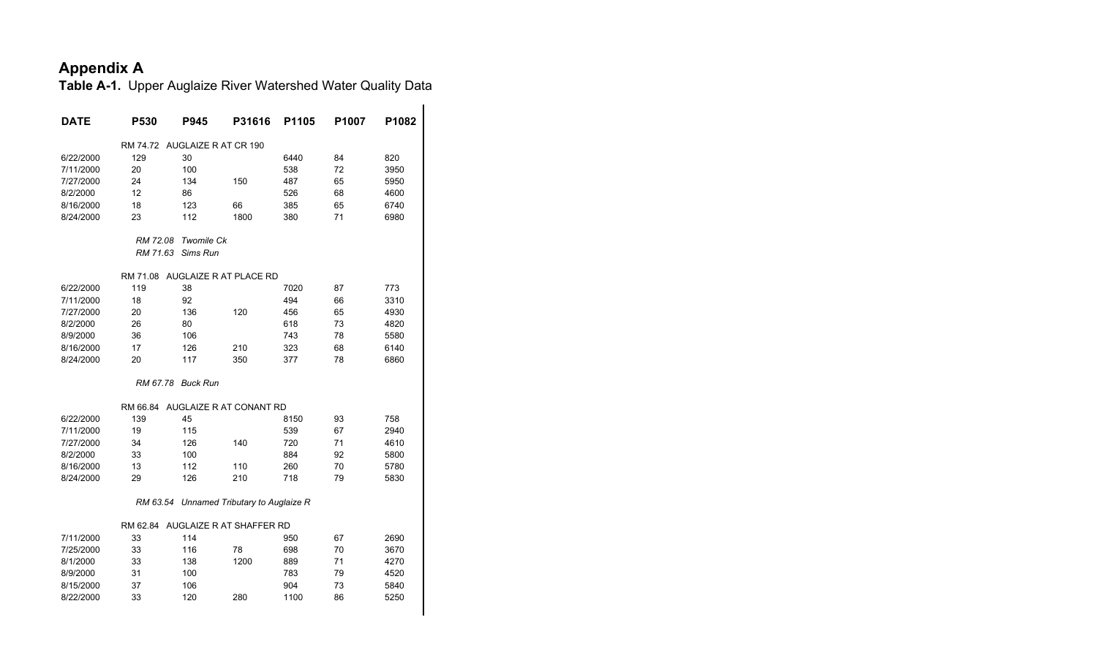| <b>DATE</b> | P530                          | P945              | P31616                                   | P <sub>1105</sub> | P <sub>1007</sub> | P1082 |
|-------------|-------------------------------|-------------------|------------------------------------------|-------------------|-------------------|-------|
|             | RM 74.72 AUGLAIZE R AT CR 190 |                   |                                          |                   |                   |       |
| 6/22/2000   | 129                           | 30                |                                          | 6440              | 84                | 820   |
| 7/11/2000   | 20                            | 100               |                                          | 538               | 72                | 3950  |
| 7/27/2000   | 24                            | 134               | 150                                      | 487               | 65                | 5950  |
| 8/2/2000    | 12                            | 86                |                                          | 526               | 68                | 4600  |
| 8/16/2000   | 18                            | 123               | 66                                       | 385               | 65                | 6740  |
| 8/24/2000   | 23                            | 112               | 1800                                     | 380               | 71                | 6980  |
|             | RM 72.08                      | <b>Twomile Ck</b> |                                          |                   |                   |       |
|             | RM 71.63                      | Sims Run          |                                          |                   |                   |       |
|             | RM 71.08                      |                   | AUGLAIZE R AT PLACE RD                   |                   |                   |       |
| 6/22/2000   | 119                           | 38                |                                          | 7020              | 87                | 773   |
| 7/11/2000   | 18                            | 92                |                                          | 494               | 66                | 3310  |
| 7/27/2000   | 20                            | 136               | 120                                      | 456               | 65                | 4930  |
| 8/2/2000    | 26                            | 80                |                                          | 618               | 73                | 4820  |
| 8/9/2000    | 36                            | 106               |                                          | 743               | 78                | 5580  |
| 8/16/2000   | 17                            | 126               | 210                                      | 323               | 68                | 6140  |
| 8/24/2000   | 20                            | 117               | 350                                      | 377               | 78                | 6860  |
|             | RM 67.78                      | <b>Buck Run</b>   |                                          |                   |                   |       |
|             |                               |                   |                                          |                   |                   |       |
|             |                               |                   | RM 66.84 AUGLAIZE R AT CONANT RD         |                   |                   |       |
| 6/22/2000   | 139                           | 45                |                                          | 8150              | 93                | 758   |
| 7/11/2000   | 19                            | 115               |                                          | 539               | 67                | 2940  |
| 7/27/2000   | 34                            | 126               | 140                                      | 720               | 71                | 4610  |
| 8/2/2000    | 33                            | 100               |                                          | 884               | 92                | 5800  |
| 8/16/2000   | 13                            | 112               | 110                                      | 260               | 70                | 5780  |
| 8/24/2000   | 29                            | 126               | 210                                      | 718               | 79                | 5830  |
|             |                               |                   | RM 63.54 Unnamed Tributary to Auglaize R |                   |                   |       |
|             |                               |                   | RM 62.84 AUGLAIZE R AT SHAFFER RD        |                   |                   |       |
| 7/11/2000   | 33                            | 114               |                                          | 950               | 67                | 2690  |
| 7/25/2000   | 33                            | 116               | 78                                       | 698               | 70                | 3670  |
| 8/1/2000    | 33                            | 138               | 1200                                     | 889               | 71                | 4270  |
| 8/9/2000    | 31                            | 100               |                                          | 783               | 79                | 4520  |
| 8/15/2000   | 37                            | 106               |                                          | 904               | 73                | 5840  |
| 8/22/2000   | 33                            | 120               | 280                                      | 1100              | 86                | 5250  |
|             |                               |                   |                                          |                   |                   |       |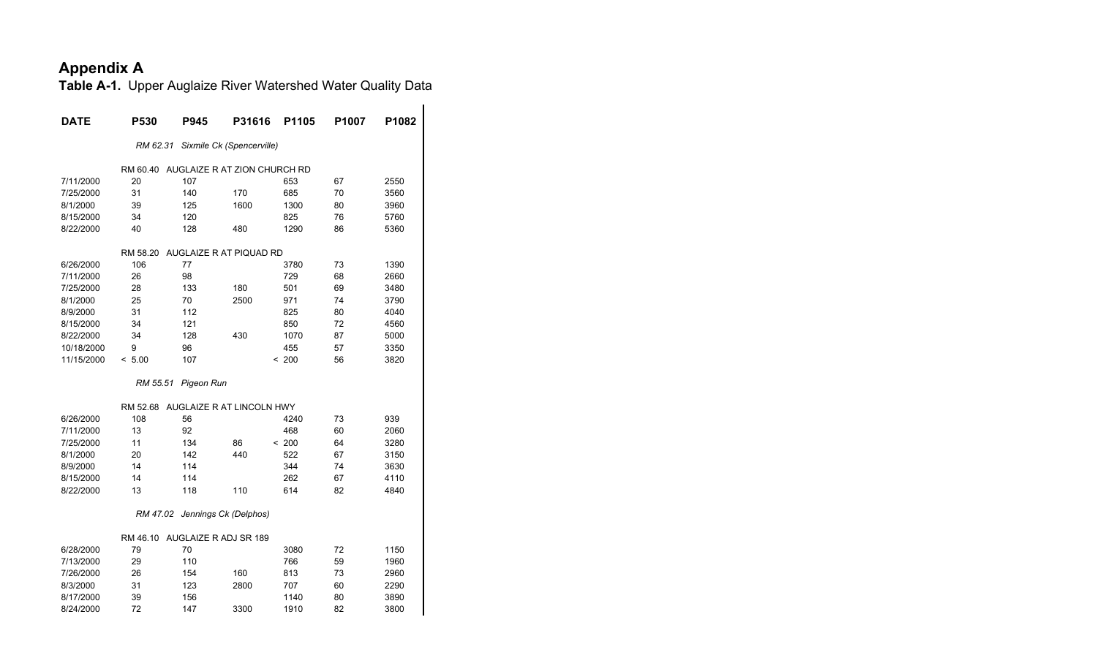| <b>DATE</b> | P530     | <b>P945</b>                    | P31616                                | P1105 | P1007 | P1082 |
|-------------|----------|--------------------------------|---------------------------------------|-------|-------|-------|
|             | RM 62.31 |                                | Sixmile Ck (Spencerville)             |       |       |       |
|             |          |                                |                                       |       |       |       |
|             |          |                                | RM 60.40 AUGLAIZE R AT ZION CHURCH RD |       |       |       |
| 7/11/2000   | 20       | 107                            |                                       | 653   | 67    | 2550  |
| 7/25/2000   | 31       | 140                            | 170                                   | 685   | 70    | 3560  |
| 8/1/2000    | 39       | 125                            | 1600                                  | 1300  | 80    | 3960  |
| 8/15/2000   | 34       | 120                            |                                       | 825   | 76    | 5760  |
| 8/22/2000   | 40       | 128                            | 480                                   | 1290  | 86    | 5360  |
|             | RM 58.20 |                                | AUGLAIZE R AT PIQUAD RD               |       |       |       |
| 6/26/2000   | 106      | 77                             |                                       | 3780  | 73    | 1390  |
| 7/11/2000   | 26       | 98                             |                                       | 729   | 68    | 2660  |
| 7/25/2000   | 28       | 133                            | 180                                   | 501   | 69    | 3480  |
| 8/1/2000    | 25       | 70                             | 2500                                  | 971   | 74    | 3790  |
| 8/9/2000    | 31       | 112                            |                                       | 825   | 80    | 4040  |
| 8/15/2000   | 34       | 121                            |                                       | 850   | 72    | 4560  |
| 8/22/2000   | 34       | 128                            | 430                                   | 1070  | 87    | 5000  |
| 10/18/2000  | 9        | 96                             |                                       | 455   | 57    | 3350  |
| 11/15/2000  | < 5.00   | 107                            |                                       | < 200 | 56    | 3820  |
|             | RM 55.51 | Pigeon Run                     |                                       |       |       |       |
|             |          |                                | RM 52.68 AUGLAIZE R AT LINCOLN HWY    |       |       |       |
| 6/26/2000   | 108      | 56                             |                                       | 4240  | 73    | 939   |
| 7/11/2000   | 13       | 92                             |                                       | 468   | 60    | 2060  |
| 7/25/2000   | 11       | 134                            | 86                                    | < 200 | 64    | 3280  |
| 8/1/2000    | 20       | 142                            | 440                                   | 522   | 67    | 3150  |
| 8/9/2000    | 14       | 114                            |                                       | 344   | 74    | 3630  |
| 8/15/2000   | 14       | 114                            |                                       | 262   | 67    | 4110  |
| 8/22/2000   | 13       | 118                            | 110                                   | 614   | 82    | 4840  |
|             |          | RM 47.02 Jennings Ck (Delphos) |                                       |       |       |       |
|             |          | RM 46.10 AUGLAIZE R ADJ SR 189 |                                       |       |       |       |
| 6/28/2000   | 79       | 70                             |                                       | 3080  | 72    | 1150  |
| 7/13/2000   | 29       | 110                            |                                       | 766   | 59    | 1960  |
| 7/26/2000   | 26       | 154                            | 160                                   | 813   | 73    | 2960  |
| 8/3/2000    | 31       | 123                            | 2800                                  | 707   | 60    | 2290  |
| 8/17/2000   | 39       | 156                            |                                       | 1140  | 80    | 3890  |
| 8/24/2000   | 72       | 147                            | 3300                                  | 1910  | 82    | 3800  |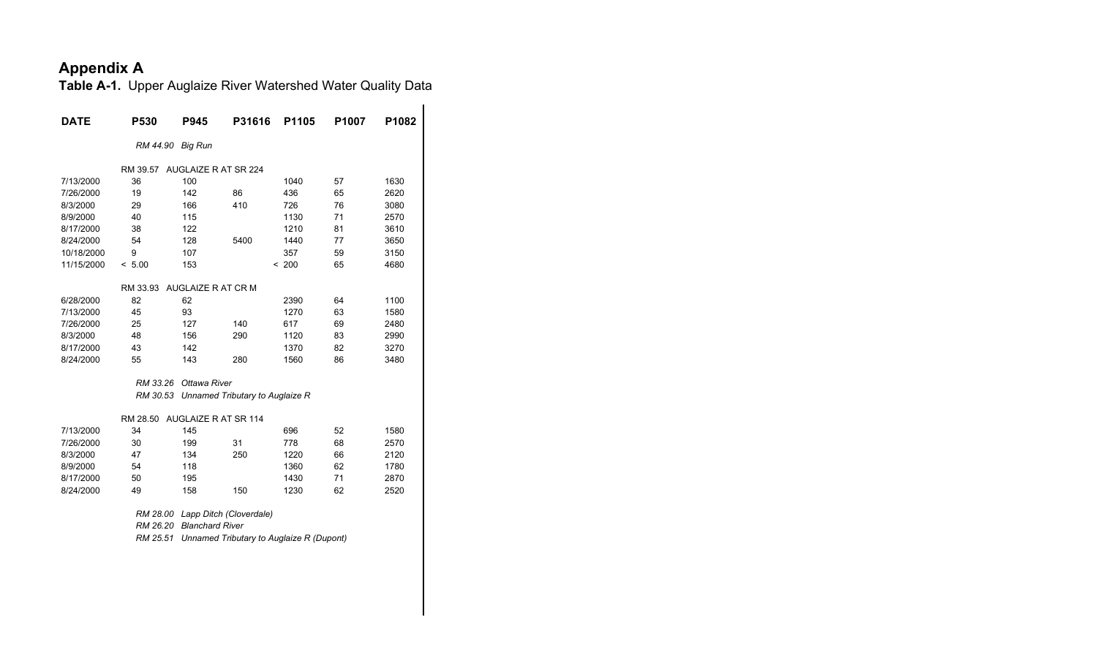**Table A-1.** Upper Auglaize River Watershed Water Quality Data

| <b>DATE</b> | P530     | <b>P945</b>                 | P31616                          | P1105 | P <sub>1007</sub> | P <sub>1082</sub> |
|-------------|----------|-----------------------------|---------------------------------|-------|-------------------|-------------------|
|             | RM 44.90 | <b>Big Run</b>              |                                 |       |                   |                   |
|             | RM 39.57 | AUGLAIZE R AT SR 224        |                                 |       |                   |                   |
| 7/13/2000   | 36       | 100                         |                                 | 1040  | 57                | 1630              |
| 7/26/2000   | 19       | 142                         | 86                              | 436   | 65                | 2620              |
| 8/3/2000    | 29       | 166                         | 410                             | 726   | 76                | 3080              |
| 8/9/2000    | 40       | 115                         |                                 | 1130  | 71                | 2570              |
| 8/17/2000   | 38       | 122                         |                                 | 1210  | 81                | 3610              |
| 8/24/2000   | 54       | 128                         | 5400                            | 1440  | 77                | 3650              |
| 10/18/2000  | 9        | 107                         |                                 | 357   | 59                | 3150              |
| 11/15/2000  | < 5.00   | 153                         |                                 | < 200 | 65                | 4680              |
|             | RM 33.93 | AUGLAIZE R AT CR M          |                                 |       |                   |                   |
| 6/28/2000   | 82       | 62                          |                                 | 2390  | 64                | 1100              |
| 7/13/2000   | 45       | 93                          |                                 | 1270  | 63                | 1580              |
| 7/26/2000   | 25       | 127                         | 140                             | 617   | 69                | 2480              |
| 8/3/2000    | 48       | 156                         | 290                             | 1120  | 83                | 2990              |
| 8/17/2000   | 43       | 142                         |                                 | 1370  | 82                | 3270              |
| 8/24/2000   | 55       | 143                         | 280                             | 1560  | 86                | 3480              |
|             | RM 33.26 | Ottawa River                |                                 |       |                   |                   |
|             | RM 30.53 |                             | Unnamed Tributary to Auglaize R |       |                   |                   |
|             | RM 28.50 | <b>AUGLAIZE R AT SR 114</b> |                                 |       |                   |                   |
| 7/13/2000   | 34       | 145                         |                                 | 696   | 52                | 1580              |
| 7/26/2000   | 30       | 199                         | 31                              | 778   | 68                | 2570              |
| 8/3/2000    | 47       | 134                         | 250                             | 1220  | 66                | 2120              |
| 8/9/2000    | 54       | 118                         |                                 | 1360  | 62                | 1780              |
| 8/17/2000   | 50       | 195                         |                                 | 1430  | 71                | 2870              |
| 8/24/2000   | 49       | 158                         | 150                             | 1230  | 62                | 2520              |
|             | RM 28.00 |                             | Lapp Ditch (Cloverdale)         |       |                   |                   |

 *RM 26.20 Blanchard River*

 *RM 25.51 Unnamed Tributary to Auglaize R (Dupont)*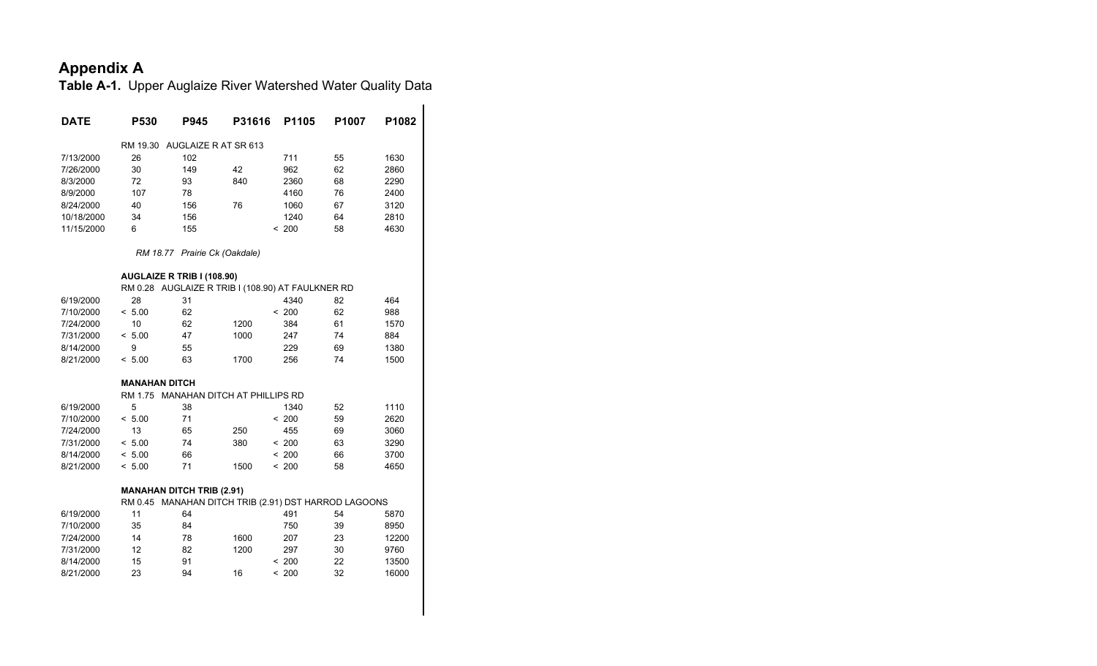| <b>DATE</b> | P530                 | P945                                 | P31616 | P1105                                             | P1007                                                | P1082 |
|-------------|----------------------|--------------------------------------|--------|---------------------------------------------------|------------------------------------------------------|-------|
|             | RM 19.30             | AUGLAIZE R AT SR 613                 |        |                                                   |                                                      |       |
| 7/13/2000   | 26                   | 102                                  |        | 711                                               | 55                                                   | 1630  |
| 7/26/2000   | 30                   | 149                                  | 42     | 962                                               | 62                                                   | 2860  |
| 8/3/2000    | 72                   | 93                                   | 840    | 2360                                              | 68                                                   | 2290  |
| 8/9/2000    | 107                  | 78                                   |        | 4160                                              | 76                                                   | 2400  |
| 8/24/2000   | 40                   | 156                                  | 76     | 1060                                              | 67                                                   | 3120  |
| 10/18/2000  | 34                   | 156                                  |        | 1240                                              | 64                                                   | 2810  |
| 11/15/2000  | 6                    | 155                                  |        | < 200                                             | 58                                                   | 4630  |
|             |                      | RM 18.77 Prairie Ck (Oakdale)        |        |                                                   |                                                      |       |
|             |                      | AUGLAIZE R TRIB I (108.90)           |        |                                                   |                                                      |       |
|             |                      |                                      |        | RM 0.28 AUGLAIZE R TRIB I (108.90) AT FAULKNER RD |                                                      |       |
| 6/19/2000   | 28                   | 31                                   |        | 4340                                              | 82                                                   | 464   |
| 7/10/2000   | < 5.00               | 62                                   |        | < 200                                             | 62                                                   | 988   |
| 7/24/2000   | 10                   | 62                                   | 1200   | 384                                               | 61                                                   | 1570  |
| 7/31/2000   | < 5.00               | 47                                   | 1000   | 247                                               | 74                                                   | 884   |
| 8/14/2000   | 9                    | 55                                   |        | 229                                               | 69                                                   | 1380  |
| 8/21/2000   | < 5.00               | 63                                   | 1700   | 256                                               | 74                                                   | 1500  |
|             | <b>MANAHAN DITCH</b> |                                      |        |                                                   |                                                      |       |
|             |                      | RM 1.75 MANAHAN DITCH AT PHILLIPS RD |        |                                                   |                                                      |       |
| 6/19/2000   | 5                    | 38                                   |        | 1340                                              | 52                                                   | 1110  |
| 7/10/2000   | < 5.00               | 71                                   |        | < 200                                             | 59                                                   | 2620  |
| 7/24/2000   | 13                   | 65                                   | 250    | 455                                               | 69                                                   | 3060  |
| 7/31/2000   | < 5.00               | 74                                   | 380    | < 200                                             | 63                                                   | 3290  |
| 8/14/2000   | < 5.00               | 66                                   |        | < 200                                             | 66                                                   | 3700  |
| 8/21/2000   | < 5.00               | 71                                   | 1500   | < 200                                             | 58                                                   | 4650  |
|             |                      | <b>MANAHAN DITCH TRIB (2.91)</b>     |        |                                                   |                                                      |       |
|             |                      |                                      |        |                                                   | RM 0.45 MANAHAN DITCH TRIB (2.91) DST HARROD LAGOONS |       |
| 6/19/2000   | 11                   | 64                                   |        | 491                                               | 54                                                   | 5870  |
| 7/10/2000   | 35                   | 84                                   |        | 750                                               | 39                                                   | 8950  |
| 7/24/2000   | 14                   | 78                                   | 1600   | 207                                               | 23                                                   | 12200 |
| 7/31/2000   | 12                   | 82                                   | 1200   | 297                                               | 30                                                   | 9760  |
| 8/14/2000   | 15                   | 91                                   |        | < 200                                             | 22                                                   | 13500 |
| 8/21/2000   | 23                   | 94                                   | 16     | ~1200                                             | 32                                                   | 16000 |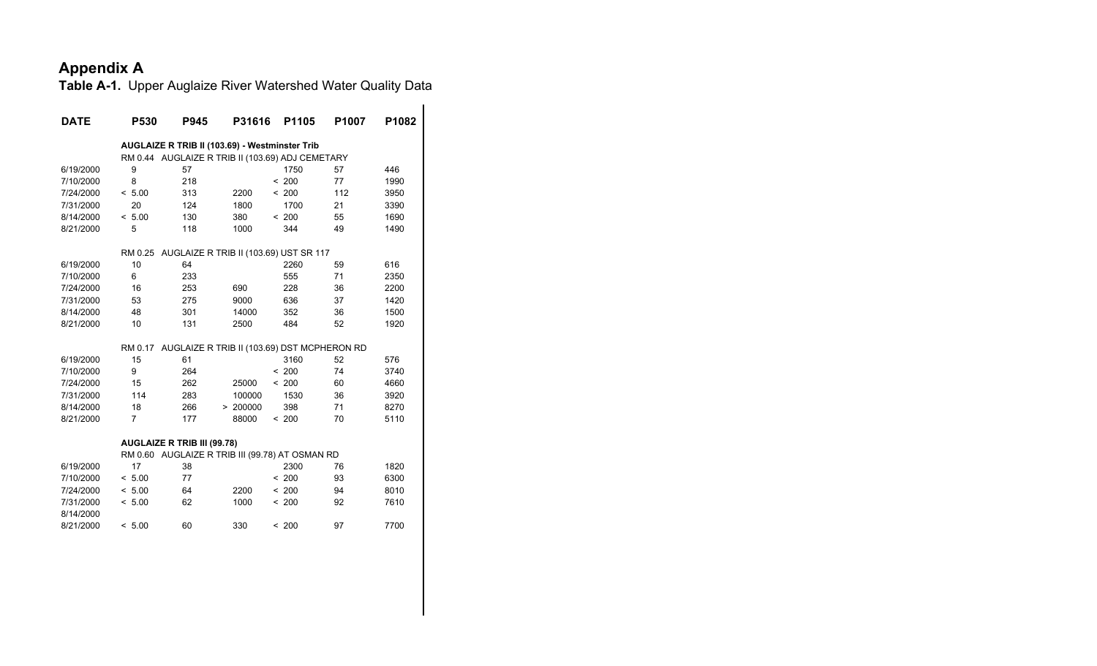| <b>DATE</b> | P530                                           | P945 | P31616   | P1105                                            | P1007 | P1082 |
|-------------|------------------------------------------------|------|----------|--------------------------------------------------|-------|-------|
|             | AUGLAIZE R TRIB II (103.69) - Westminster Trib |      |          |                                                  |       |       |
|             |                                                |      |          | RM 0.44 AUGLAIZE R TRIB II (103.69) ADJ CEMETARY |       |       |
| 6/19/2000   | 9                                              | 57   |          | 1750                                             | 57    | 446   |
| 7/10/2000   | 8                                              | 218  |          | < 200                                            | 77    | 1990  |
| 7/24/2000   | < 5.00                                         | 313  | 2200     | < 200                                            | 112   | 3950  |
| 7/31/2000   | 20                                             | 124  | 1800     | 1700                                             | 21    | 3390  |
| 8/14/2000   | < 5.00                                         | 130  | 380      | < 200                                            | 55    | 1690  |
| 8/21/2000   | 5                                              | 118  | 1000     | 344                                              | 49    | 1490  |
|             | RM 0.25                                        |      |          | AUGLAIZE R TRIB II (103.69) UST SR 117           |       |       |
| 6/19/2000   | 10                                             | 64   |          | 2260                                             | 59    | 616   |
| 7/10/2000   | 6                                              | 233  |          | 555                                              | 71    | 2350  |
| 7/24/2000   | 16                                             | 253  | 690      | 228                                              | 36    | 2200  |
| 7/31/2000   | 53                                             | 275  | 9000     | 636                                              | 37    | 1420  |
| 8/14/2000   | 48                                             | 301  | 14000    | 352                                              | 36    | 1500  |
| 8/21/2000   | 10                                             | 131  | 2500     | 484                                              | 52    | 1920  |
|             | RM 0.17                                        |      |          | AUGLAIZE R TRIB II (103.69) DST MCPHERON RD      |       |       |
| 6/19/2000   | 15                                             | 61   |          | 3160                                             | 52    | 576   |
| 7/10/2000   | 9                                              | 264  |          | < 200                                            | 74    | 3740  |
| 7/24/2000   | 15                                             | 262  | 25000    | < 200                                            | 60    | 4660  |
| 7/31/2000   | 114                                            | 283  | 100000   | 1530                                             | 36    | 3920  |
| 8/14/2000   | 18                                             | 266  | > 200000 | 398                                              | 71    | 8270  |
| 8/21/2000   | $\overline{7}$                                 | 177  | 88000    | < 200                                            | 70    | 5110  |
|             | AUGLAIZE R TRIB III (99.78)                    |      |          |                                                  |       |       |
|             |                                                |      |          | RM 0.60 AUGLAIZE R TRIB III (99.78) AT OSMAN RD  |       |       |
| 6/19/2000   | 17                                             | 38   |          | 2300                                             | 76    | 1820  |
| 7/10/2000   | < 5.00                                         | 77   |          | < 200                                            | 93    | 6300  |
| 7/24/2000   | < 5.00                                         | 64   | 2200     | < 200                                            | 94    | 8010  |
| 7/31/2000   | < 5.00                                         | 62   | 1000     | < 200                                            | 92    | 7610  |
| 8/14/2000   |                                                |      |          |                                                  |       |       |
| 8/21/2000   | < 5.00                                         | 60   | 330      | < 200                                            | 97    | 7700  |
|             |                                                |      |          |                                                  |       |       |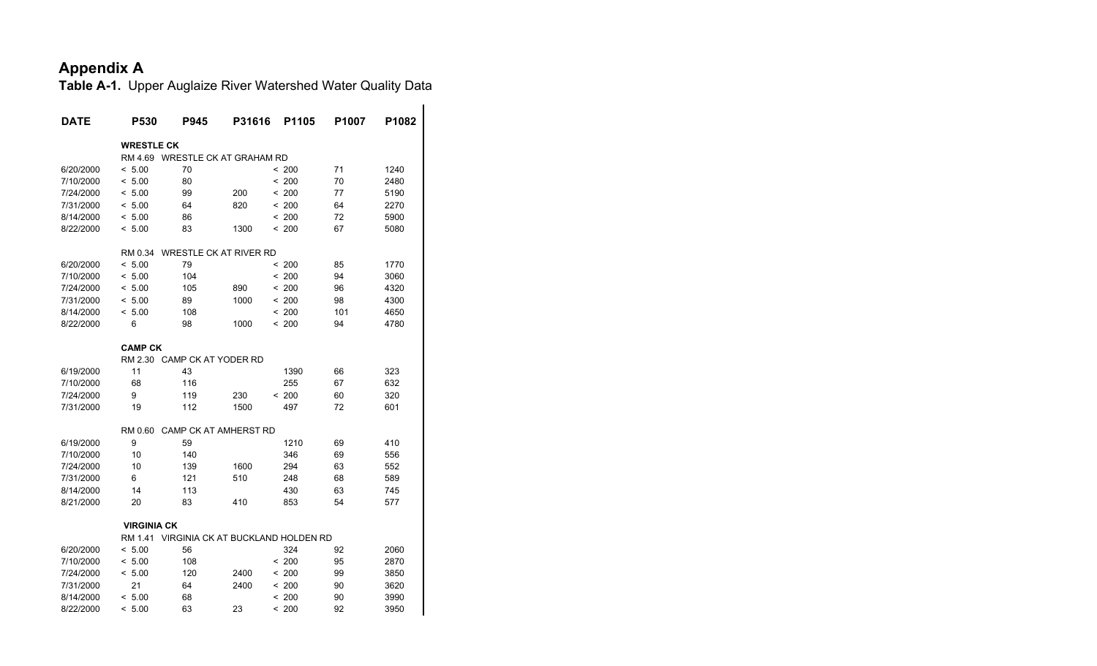| <b>DATE</b> | P530               | P945                              | P31616 | P1105  | P1007 | P1082 |
|-------------|--------------------|-----------------------------------|--------|--------|-------|-------|
|             | <b>WRESTLE CK</b>  |                                   |        |        |       |       |
|             | RM 4.69            | <b>WRESTLE CK AT GRAHAM RD</b>    |        |        |       |       |
| 6/20/2000   | < 5.00             | 70                                |        | < 200  | 71    | 1240  |
| 7/10/2000   | < 5.00             | 80                                |        | < 200  | 70    | 2480  |
| 7/24/2000   | < 5.00             | 99                                | 200    | < 200  | 77    | 5190  |
| 7/31/2000   | < 5.00             | 64                                | 820    | < 200  | 64    | 2270  |
| 8/14/2000   | < 5.00             | 86                                |        | < 200  | 72    | 5900  |
| 8/22/2000   | < 5.00             | 83                                | 1300   | ~<~200 | 67    | 5080  |
|             | RM 0.34            | WRESTLE CK AT RIVER RD            |        |        |       |       |
| 6/20/2000   | < 5.00             | 79                                |        | < 200  | 85    | 1770  |
| 7/10/2000   | < 5.00             | 104                               |        | < 200  | 94    | 3060  |
| 7/24/2000   | < 5.00             | 105                               | 890    | < 200  | 96    | 4320  |
| 7/31/2000   | < 5.00             | 89                                | 1000   | < 200  | 98    | 4300  |
| 8/14/2000   | < 5.00             | 108                               |        | ~<~200 | 101   | 4650  |
| 8/22/2000   | 6                  | 98                                | 1000   | < 200  | 94    | 4780  |
|             | <b>CAMP CK</b>     |                                   |        |        |       |       |
|             |                    | RM 2.30 CAMP CK AT YODER RD       |        |        |       |       |
| 6/19/2000   | 11                 | 43                                |        | 1390   | 66    | 323   |
| 7/10/2000   | 68                 | 116                               |        | 255    | 67    | 632   |
| 7/24/2000   | 9                  | 119                               | 230    | ~<~200 | 60    | 320   |
| 7/31/2000   | 19                 | 112                               | 1500   | 497    | 72    | 601   |
|             | RM 0.60            | <b>CAMP CK AT AMHERST RD</b>      |        |        |       |       |
| 6/19/2000   | 9                  | 59                                |        | 1210   | 69    | 410   |
| 7/10/2000   | 10                 | 140                               |        | 346    | 69    | 556   |
| 7/24/2000   | 10                 | 139                               | 1600   | 294    | 63    | 552   |
| 7/31/2000   | 6                  | 121                               | 510    | 248    | 68    | 589   |
| 8/14/2000   | 14                 | 113                               |        | 430    | 63    | 745   |
| 8/21/2000   | 20                 | 83                                | 410    | 853    | 54    | 577   |
|             | <b>VIRGINIA CK</b> |                                   |        |        |       |       |
|             | RM 1.41            | VIRGINIA CK AT BUCKLAND HOLDEN RD |        |        |       |       |
| 6/20/2000   | < 5.00             | 56                                |        | 324    | 92    | 2060  |
| 7/10/2000   | < 5.00             | 108                               |        | ~<~200 | 95    | 2870  |
| 7/24/2000   | < 5.00             | 120                               | 2400   | ~<~200 | 99    | 3850  |
| 7/31/2000   | 21                 | 64                                | 2400   | ~<~200 | 90    | 3620  |
| 8/14/2000   | < 5.00             | 68                                |        | ~<~200 | 90    | 3990  |
| 8/22/2000   | < 5.00             | 63                                | 23     | ~<~200 | 92    | 3950  |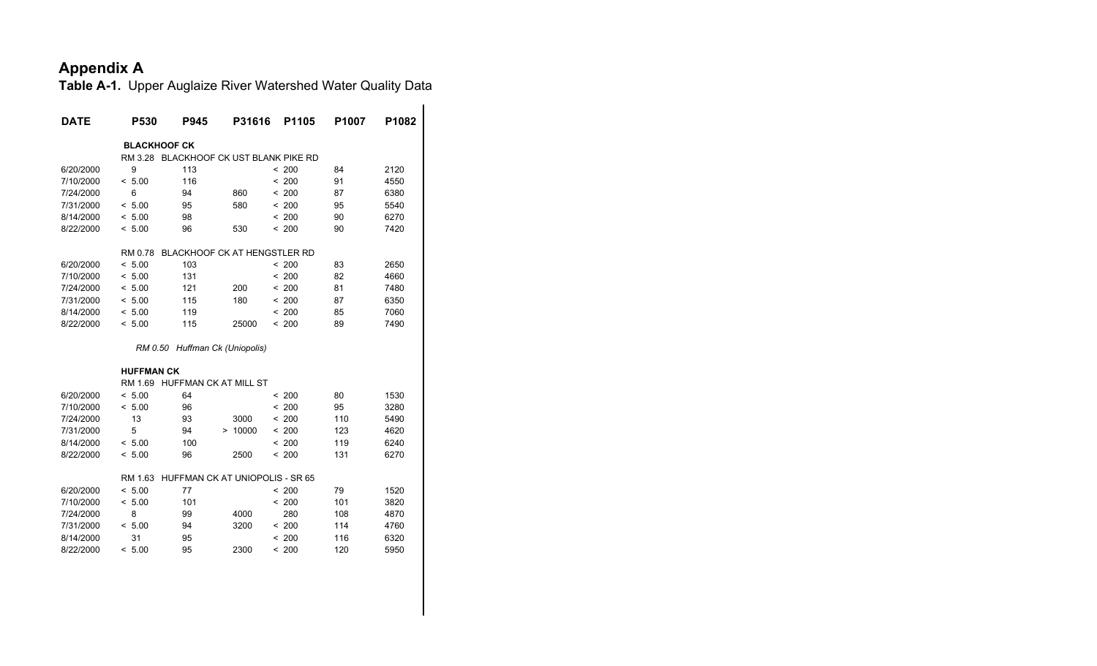| <b>DATE</b> | <b>P530</b>         | <b>P945</b>                            | P31616  | P1105                                  | P <sub>1007</sub> | P1082 |
|-------------|---------------------|----------------------------------------|---------|----------------------------------------|-------------------|-------|
|             | <b>BLACKHOOF CK</b> |                                        |         |                                        |                   |       |
|             |                     |                                        |         | RM 3.28 BLACKHOOF CK UST BLANK PIKE RD |                   |       |
| 6/20/2000   | 9                   | 113                                    |         | < 200                                  | 84                | 2120  |
| 7/10/2000   | < 5.00              | 116                                    |         | < 200                                  | 91                | 4550  |
| 7/24/2000   | 6                   | 94                                     | 860     | < 200                                  | 87                | 6380  |
| 7/31/2000   | < 5.00              | 95                                     | 580     | < 200                                  | 95                | 5540  |
| 8/14/2000   | < 5.00              | 98                                     |         | < 200                                  | 90                | 6270  |
| 8/22/2000   | < 5.00              | 96                                     | 530     | < 200                                  | 90                | 7420  |
|             | RM 0.78             | <b>BLACKHOOF CK AT HENGSTLER RD</b>    |         |                                        |                   |       |
| 6/20/2000   | < 5.00              | 103                                    |         | < 200                                  | 83                | 2650  |
| 7/10/2000   | < 5.00              | 131                                    |         | < 200                                  | 82                | 4660  |
| 7/24/2000   | < 5.00              | 121                                    | 200     | < 200                                  | 81                | 7480  |
| 7/31/2000   | < 5.00              | 115                                    | 180     | < 200                                  | 87                | 6350  |
| 8/14/2000   | < 5.00              | 119                                    |         | < 200                                  | 85                | 7060  |
| 8/22/2000   | < 5.00              | 115                                    | 25000   | < 200                                  | 89                | 7490  |
|             |                     | RM 0.50 Huffman Ck (Uniopolis)         |         |                                        |                   |       |
|             | <b>HUFFMAN CK</b>   |                                        |         |                                        |                   |       |
|             |                     | RM 1.69 HUFFMAN CK AT MILL ST          |         |                                        |                   |       |
| 6/20/2000   | < 5.00              | 64                                     |         | < 200                                  | 80                | 1530  |
| 7/10/2000   | < 5.00              | 96                                     |         | < 200                                  | 95                | 3280  |
| 7/24/2000   | 13                  | 93                                     | 3000    | < 200                                  | 110               | 5490  |
| 7/31/2000   | 5                   | 94                                     | > 10000 | < 200                                  | 123               | 4620  |
| 8/14/2000   | < 5.00              | 100                                    |         | < 200                                  | 119               | 6240  |
| 8/22/2000   | < 5.00              | 96                                     | 2500    | < 200                                  | 131               | 6270  |
|             | RM 1.63             | <b>HUFFMAN CK AT UNIOPOLIS - SR 65</b> |         |                                        |                   |       |
| 6/20/2000   | < 5.00              | 77                                     |         | < 200                                  | 79                | 1520  |
| 7/10/2000   | < 5.00              | 101                                    |         | < 200                                  | 101               | 3820  |
| 7/24/2000   | 8                   | 99                                     | 4000    | 280                                    | 108               | 4870  |
| 7/31/2000   | < 5.00              | 94                                     | 3200    | < 200                                  | 114               | 4760  |
| 8/14/2000   | 31                  | 95                                     |         | < 200                                  | 116               | 6320  |
| 8/22/2000   | < 5.00              | 95                                     | 2300    | < 200                                  | 120               | 5950  |
|             |                     |                                        |         |                                        |                   |       |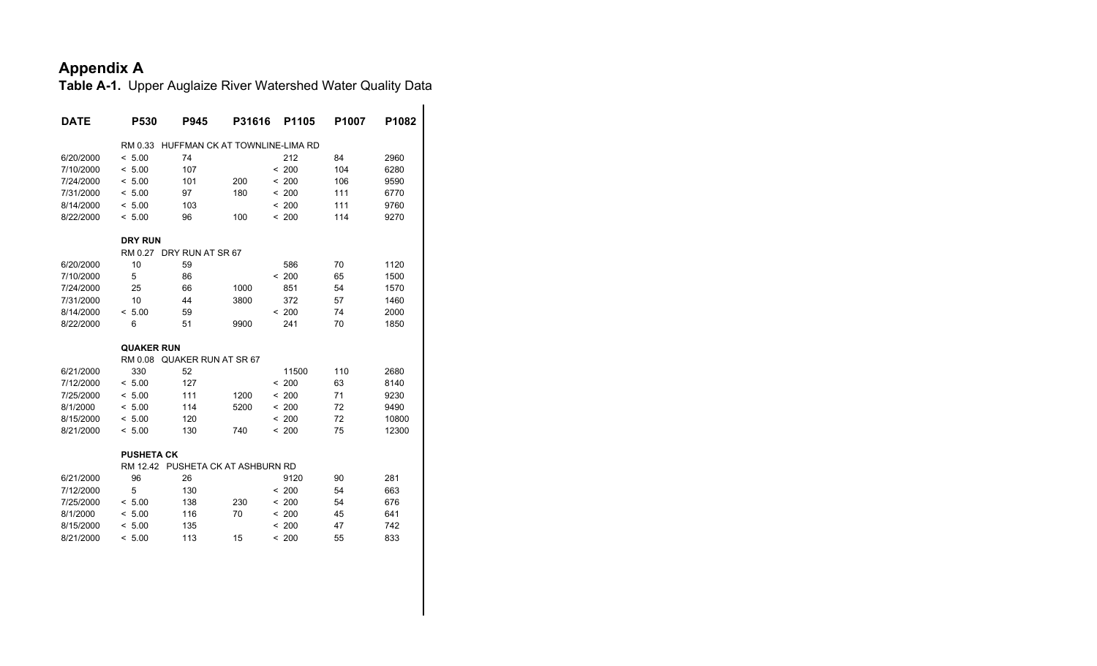| <b>DATE</b> | P530                              | <b>P945</b>                    | P31616 | P1105 | P <sub>1007</sub> | P1082 |
|-------------|-----------------------------------|--------------------------------|--------|-------|-------------------|-------|
|             | RM 0.33                           | HUFFMAN CK AT TOWNLINE-LIMA RD |        |       |                   |       |
| 6/20/2000   | < 5.00                            | 74                             |        | 212   | 84                | 2960  |
| 7/10/2000   | < 5.00                            | 107                            |        | < 200 | 104               | 6280  |
| 7/24/2000   | < 5.00                            | 101                            | 200    | < 200 | 106               | 9590  |
| 7/31/2000   | < 5.00                            | 97                             | 180    | < 200 | 111               | 6770  |
| 8/14/2000   | < 5.00                            | 103                            |        | < 200 | 111               | 9760  |
| 8/22/2000   | < 5.00                            | 96                             | 100    | < 200 | 114               | 9270  |
|             | <b>DRY RUN</b>                    |                                |        |       |                   |       |
|             | RM 0.27 DRY RUN AT SR 67          |                                |        |       |                   |       |
| 6/20/2000   | 10                                | 59                             |        | 586   | 70                | 1120  |
| 7/10/2000   | 5                                 | 86                             |        | < 200 | 65                | 1500  |
| 7/24/2000   | 25                                | 66                             | 1000   | 851   | 54                | 1570  |
| 7/31/2000   | 10                                | 44                             | 3800   | 372   | 57                | 1460  |
| 8/14/2000   | < 5.00                            | 59                             |        | < 200 | 74                | 2000  |
| 8/22/2000   | 6                                 | 51                             | 9900   | 241   | 70                | 1850  |
|             | <b>QUAKER RUN</b>                 |                                |        |       |                   |       |
|             | RM 0.08                           | QUAKER RUN AT SR 67            |        |       |                   |       |
| 6/21/2000   | 330                               | 52                             |        | 11500 | 110               | 2680  |
| 7/12/2000   | < 5.00                            | 127                            |        | < 200 | 63                | 8140  |
| 7/25/2000   | < 5.00                            | 111                            | 1200   | < 200 | 71                | 9230  |
| 8/1/2000    | < 5.00                            | 114                            | 5200   | < 200 | 72                | 9490  |
| 8/15/2000   | < 5.00                            | 120                            |        | < 200 | 72                | 10800 |
| 8/21/2000   | < 5.00                            | 130                            | 740    | < 200 | 75                | 12300 |
|             | <b>PUSHETA CK</b>                 |                                |        |       |                   |       |
|             | RM 12.42 PUSHETA CK AT ASHBURN RD |                                |        |       |                   |       |
| 6/21/2000   | 96                                | 26                             |        | 9120  | 90                | 281   |
| 7/12/2000   | 5                                 | 130                            |        | < 200 | 54                | 663   |
| 7/25/2000   | < 5.00                            | 138                            | 230    | < 200 | 54                | 676   |
| 8/1/2000    | < 5.00                            | 116                            | 70     | < 200 | 45                | 641   |
| 8/15/2000   | < 5.00                            | 135                            |        | < 200 | 47                | 742   |
| 8/21/2000   | < 5.00                            | 113                            | 15     | < 200 | 55                | 833   |
|             |                                   |                                |        |       |                   |       |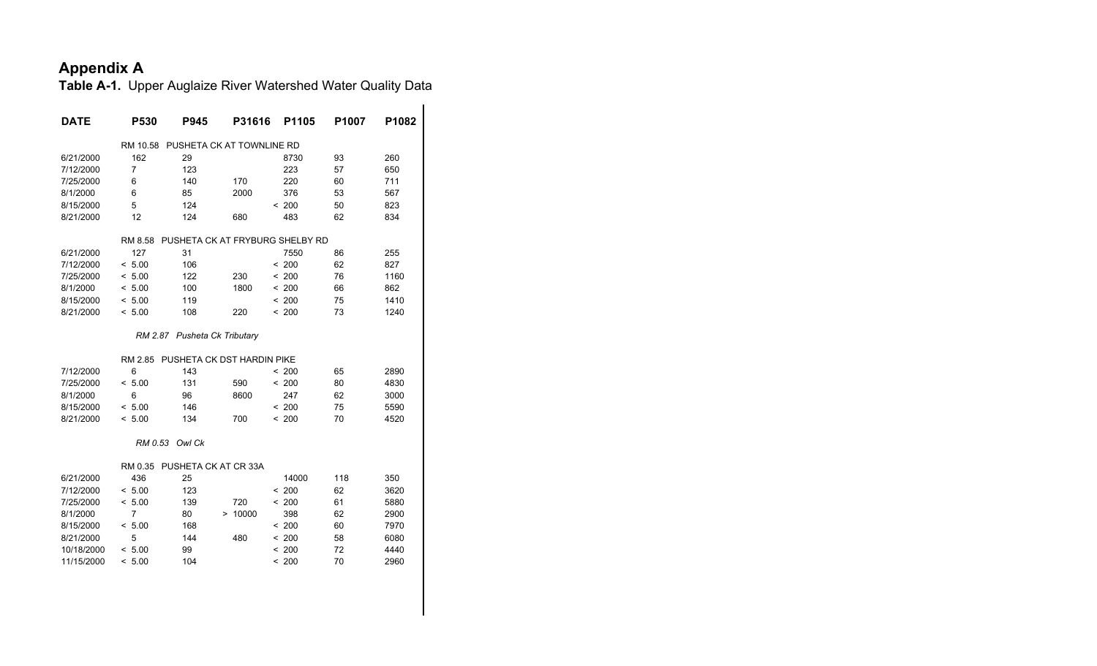| DATE       | <b>P530</b>    | <b>P945</b>                  | P31616                     | P1105                           | P1007 | P1082 |
|------------|----------------|------------------------------|----------------------------|---------------------------------|-------|-------|
|            | RM 10.58       |                              | PUSHETA CK AT TOWNLINE RD  |                                 |       |       |
| 6/21/2000  | 162            | 29                           |                            | 8730                            | 93    | 260   |
| 7/12/2000  | 7              | 123                          |                            | 223                             | 57    | 650   |
| 7/25/2000  | 6              | 140                          | 170                        | 220                             | 60    | 711   |
| 8/1/2000   | 6              | 85                           | 2000                       | 376                             | 53    | 567   |
| 8/15/2000  | 5              | 124                          |                            | < 200                           | 50    | 823   |
| 8/21/2000  | 12             | 124                          | 680                        | 483                             | 62    | 834   |
|            | RM 8.58        |                              |                            | PUSHETA CK AT FRYBURG SHELBY RD |       |       |
| 6/21/2000  | 127            | 31                           |                            | 7550                            | 86    | 255   |
| 7/12/2000  | < 5.00         | 106                          |                            | < 200                           | 62    | 827   |
| 7/25/2000  | < 5.00         | 122                          | 230                        | < 200                           | 76    | 1160  |
| 8/1/2000   | < 5.00         | 100                          | 1800                       | < 200                           | 66    | 862   |
| 8/15/2000  | < 5.00         | 119                          |                            | < 200                           | 75    | 1410  |
| 8/21/2000  | < 5.00         | 108                          | 220                        | < 200                           | 73    | 1240  |
|            |                | RM 2.87 Pusheta Ck Tributary |                            |                                 |       |       |
|            | RM 2.85        |                              | PUSHETA CK DST HARDIN PIKE |                                 |       |       |
| 7/12/2000  | 6              | 143                          |                            | < 200                           | 65    | 2890  |
| 7/25/2000  | < 5.00         | 131                          | 590                        | < 200                           | 80    | 4830  |
| 8/1/2000   | 6              | 96                           | 8600                       | 247                             | 62    | 3000  |
| 8/15/2000  | < 5.00         | 146                          |                            | < 200                           | 75    | 5590  |
| 8/21/2000  | < 5.00         | 134                          | 700                        | < 200                           | 70    | 4520  |
|            | RM 0.53        | Owl Ck                       |                            |                                 |       |       |
|            | RM 0.35        | PUSHETA CK AT CR 33A         |                            |                                 |       |       |
| 6/21/2000  | 436            | 25                           |                            | 14000                           | 118   | 350   |
| 7/12/2000  | < 5.00         | 123                          |                            | < 200                           | 62    | 3620  |
| 7/25/2000  | < 5.00         | 139                          | 720                        | < 200                           | 61    | 5880  |
| 8/1/2000   | $\overline{7}$ | 80                           | > 10000                    | 398                             | 62    | 2900  |
| 8/15/2000  | < 5.00         | 168                          |                            | < 200                           | 60    | 7970  |
| 8/21/2000  | 5              | 144                          | 480                        | < 200                           | 58    | 6080  |
| 10/18/2000 | < 5.00         | 99                           |                            | < 200                           | 72    | 4440  |
| 11/15/2000 | < 5.00         | 104                          |                            | < 200                           | 70    | 2960  |
|            |                |                              |                            |                                 |       |       |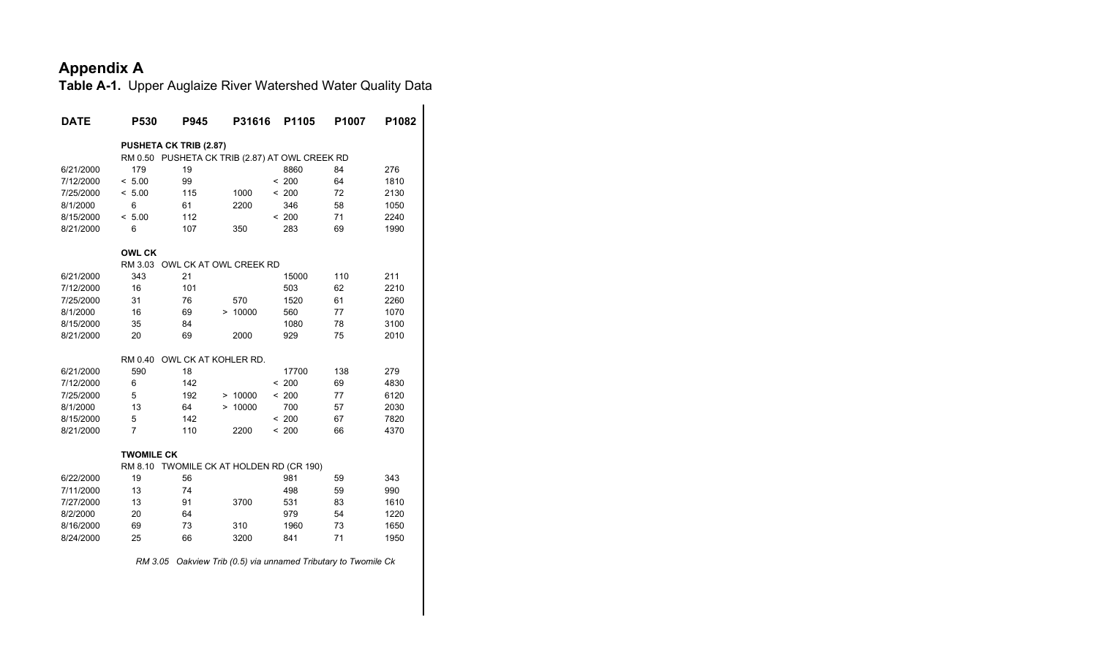**Table A-1.** Upper Auglaize River Watershed Water Quality Data

| <b>DATE</b> | <b>P530</b>                                    | <b>P945</b>          |         | P31616 | P1105 | P <sub>1007</sub> | P1082 |
|-------------|------------------------------------------------|----------------------|---------|--------|-------|-------------------|-------|
|             | <b>PUSHETA CK TRIB (2.87)</b>                  |                      |         |        |       |                   |       |
|             | RM 0.50 PUSHETA CK TRIB (2.87) AT OWL CREEK RD |                      |         |        |       |                   |       |
| 6/21/2000   | 179                                            | 19                   |         |        | 8860  | 84                | 276   |
| 7/12/2000   | < 5.00                                         | 99                   |         | < 200  |       | 64                | 1810  |
| 7/25/2000   | < 5.00                                         | 115                  | 1000    | < 200  |       | 72                | 2130  |
| 8/1/2000    | 6                                              | 61                   | 2200    |        | 346   | 58                | 1050  |
| 8/15/2000   | < 5.00                                         | 112                  |         | < 200  |       | 71                | 2240  |
| 8/21/2000   | 6                                              | 107                  | 350     |        | 283   | 69                | 1990  |
|             | <b>OWL CK</b>                                  |                      |         |        |       |                   |       |
|             | RM 3.03 OWL CK AT OWL CREEK RD                 |                      |         |        |       |                   |       |
| 6/21/2000   | 343                                            | 21                   |         |        | 15000 | 110               | 211   |
| 7/12/2000   | 16                                             | 101                  |         |        | 503   | 62                | 2210  |
| 7/25/2000   | 31                                             | 76                   | 570     |        | 1520  | 61                | 2260  |
| 8/1/2000    | 16                                             | 69                   | > 10000 |        | 560   | 77                | 1070  |
| 8/15/2000   | 35                                             | 84                   |         |        | 1080  | 78                | 3100  |
| 8/21/2000   | 20                                             | 69                   | 2000    |        | 929   | 75                | 2010  |
|             | RM 0.40                                        | OWL CK AT KOHLER RD. |         |        |       |                   |       |
| 6/21/2000   | 590                                            | 18                   |         |        | 17700 | 138               | 279   |
| 7/12/2000   | 6                                              | 142                  |         | < 200  |       | 69                | 4830  |
| 7/25/2000   | 5                                              | 192                  | > 10000 | < 200  |       | 77                | 6120  |
| 8/1/2000    | 13                                             | 64                   | > 10000 |        | 700   | 57                | 2030  |
| 8/15/2000   | 5                                              | 142                  |         | < 200  |       | 67                | 7820  |
| 8/21/2000   | $\overline{7}$                                 | 110                  | 2200    | < 200  |       | 66                | 4370  |
|             | <b>TWOMILE CK</b>                              |                      |         |        |       |                   |       |
|             | RM 8.10 TWOMILE CK AT HOLDEN RD (CR 190)       |                      |         |        |       |                   |       |
| 6/22/2000   | 19                                             | 56                   |         |        | 981   | 59                | 343   |
| 7/11/2000   | 13                                             | 74                   |         |        | 498   | 59                | 990   |
| 7/27/2000   | 13                                             | 91                   | 3700    |        | 531   | 83                | 1610  |
| 8/2/2000    | 20                                             | 64                   |         |        | 979   | 54                | 1220  |
| 8/16/2000   | 69                                             | 73                   | 310     |        | 1960  | 73                | 1650  |
| 8/24/2000   | 25                                             | 66                   | 3200    |        | 841   | 71                | 1950  |
|             |                                                |                      |         |        |       |                   |       |

 *RM 3.05 Oakview Trib (0.5) via unnamed Tributary to Twomile Ck*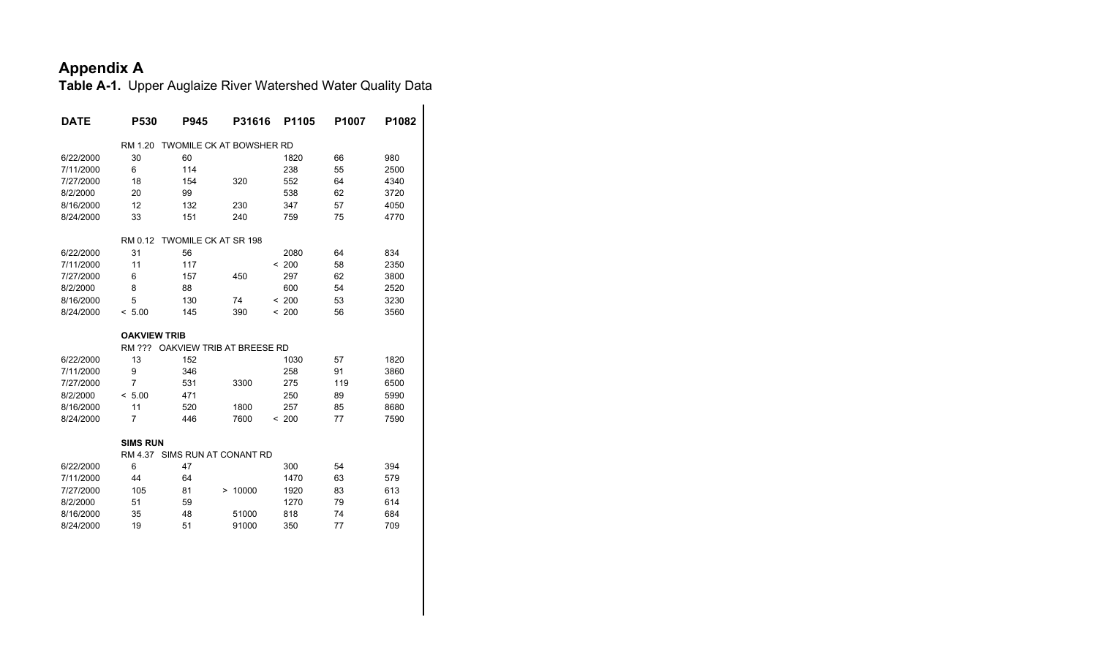| DATE      | P530                | P945                            | P31616  | P1105 | P1007 | P1082 |
|-----------|---------------------|---------------------------------|---------|-------|-------|-------|
|           | RM 1.20             | <b>TWOMILE CK AT BOWSHER RD</b> |         |       |       |       |
| 6/22/2000 | 30                  | 60                              |         | 1820  | 66    | 980   |
| 7/11/2000 | 6                   | 114                             |         | 238   | 55    | 2500  |
| 7/27/2000 | 18                  | 154                             | 320     | 552   | 64    | 4340  |
| 8/2/2000  | 20                  | 99                              |         | 538   | 62    | 3720  |
| 8/16/2000 | 12                  | 132                             | 230     | 347   | 57    | 4050  |
| 8/24/2000 | 33                  | 151                             | 240     | 759   | 75    | 4770  |
|           | RM 0.12             | TWOMILE CK AT SR 198            |         |       |       |       |
| 6/22/2000 | 31                  | 56                              |         | 2080  | 64    | 834   |
| 7/11/2000 | 11                  | 117                             |         | < 200 | 58    | 2350  |
| 7/27/2000 | 6                   | 157                             | 450     | 297   | 62    | 3800  |
| 8/2/2000  | 8                   | 88                              |         | 600   | 54    | 2520  |
| 8/16/2000 | 5                   | 130                             | 74      | < 200 | 53    | 3230  |
| 8/24/2000 | < 5.00              | 145                             | 390     | < 200 | 56    | 3560  |
|           | <b>OAKVIEW TRIB</b> |                                 |         |       |       |       |
|           | RM ???              | OAKVIEW TRIB AT BREESE RD       |         |       |       |       |
| 6/22/2000 | 13                  | 152                             |         | 1030  | 57    | 1820  |
| 7/11/2000 | 9                   | 346                             |         | 258   | 91    | 3860  |
|           |                     |                                 | 3300    |       | 119   | 6500  |
| 7/27/2000 | $\overline{7}$      | 531                             |         | 275   |       |       |
| 8/2/2000  | < 5.00              | 471                             |         | 250   | 89    | 5990  |
| 8/16/2000 | 11                  | 520                             | 1800    | 257   | 85    | 8680  |
| 8/24/2000 | 7                   | 446                             | 7600    | < 200 | 77    | 7590  |
|           | <b>SIMS RUN</b>     |                                 |         |       |       |       |
|           |                     | RM 4.37 SIMS RUN AT CONANT RD   |         |       |       |       |
| 6/22/2000 | 6                   | 47                              |         | 300   | 54    | 394   |
| 7/11/2000 | 44                  | 64                              |         | 1470  | 63    | 579   |
| 7/27/2000 | 105                 | 81                              | > 10000 | 1920  | 83    | 613   |
| 8/2/2000  | 51                  | 59                              |         | 1270  | 79    | 614   |
| 8/16/2000 | 35                  | 48                              | 51000   | 818   | 74    | 684   |
| 8/24/2000 | 19                  | 51                              | 91000   | 350   | 77    | 709   |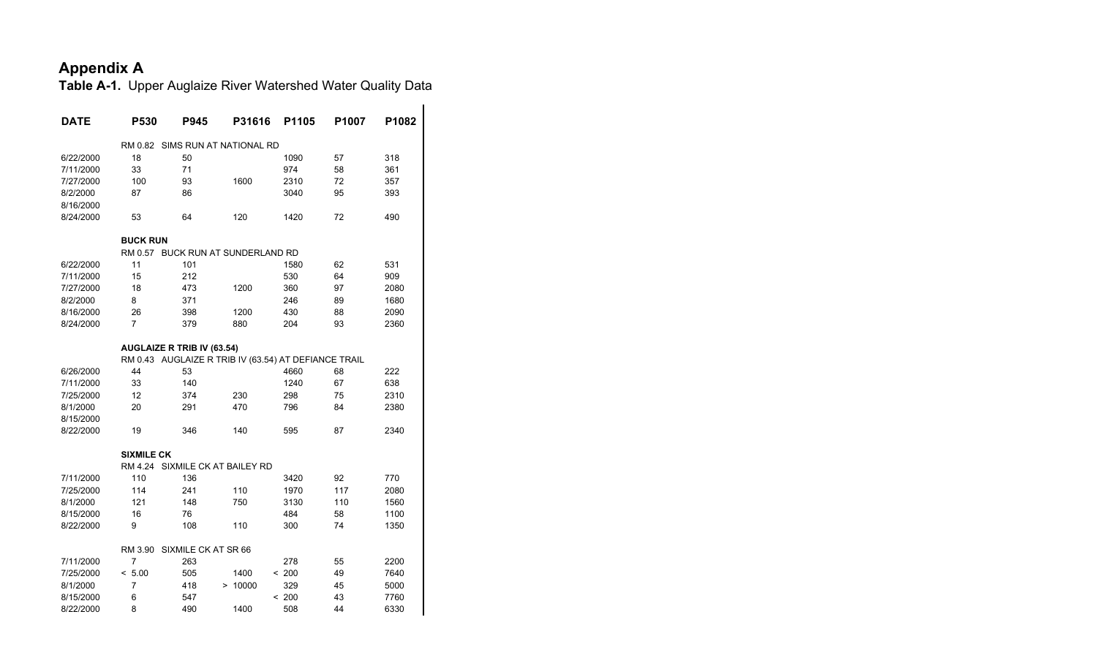| <b>DATE</b> | <b>P530</b>                       | P945                | P31616                                               | P1105 | P1007 | P1082 |
|-------------|-----------------------------------|---------------------|------------------------------------------------------|-------|-------|-------|
|             | RM 0.82                           |                     | SIMS RUN AT NATIONAL RD                              |       |       |       |
| 6/22/2000   | 18                                | 50                  |                                                      | 1090  | 57    | 318   |
| 7/11/2000   | 33                                | 71                  |                                                      | 974   | 58    | 361   |
| 7/27/2000   | 100                               | 93                  | 1600                                                 | 2310  | 72    | 357   |
| 8/2/2000    | 87                                | 86                  |                                                      | 3040  | 95    | 393   |
| 8/16/2000   |                                   |                     |                                                      |       |       |       |
| 8/24/2000   | 53                                | 64                  | 120                                                  | 1420  | 72    | 490   |
|             | <b>BUCK RUN</b>                   |                     |                                                      |       |       |       |
|             | RM 0.57                           |                     | <b>BUCK RUN AT SUNDERLAND RD</b>                     |       |       |       |
| 6/22/2000   | 11                                | 101                 |                                                      | 1580  | 62    | 531   |
| 7/11/2000   | 15                                | 212                 |                                                      | 530   | 64    | 909   |
| 7/27/2000   | 18                                | 473                 | 1200                                                 | 360   | 97    | 2080  |
| 8/2/2000    | 8                                 | 371                 |                                                      | 246   | 89    | 1680  |
| 8/16/2000   | 26                                | 398                 | 1200                                                 | 430   | 88    | 2090  |
| 8/24/2000   | 7                                 | 379                 | 880                                                  | 204   | 93    | 2360  |
|             | <b>AUGLAIZE R TRIB IV (63.54)</b> |                     |                                                      |       |       |       |
|             |                                   |                     | RM 0.43 AUGLAIZE R TRIB IV (63.54) AT DEFIANCE TRAIL |       |       |       |
| 6/26/2000   | 44                                | 53                  |                                                      | 4660  | 68    | 222   |
| 7/11/2000   | 33                                | 140                 |                                                      | 1240  | 67    | 638   |
| 7/25/2000   | 12                                | 374                 | 230                                                  | 298   | 75    | 2310  |
| 8/1/2000    | 20                                | 291                 | 470                                                  | 796   | 84    | 2380  |
| 8/15/2000   |                                   |                     |                                                      |       |       |       |
| 8/22/2000   | 19                                | 346                 | 140                                                  | 595   | 87    | 2340  |
|             | <b>SIXMILE CK</b>                 |                     |                                                      |       |       |       |
|             | RM 4.24                           |                     | SIXMILE CK AT BAILEY RD                              |       |       |       |
| 7/11/2000   | 110                               | 136                 |                                                      | 3420  | 92    | 770   |
| 7/25/2000   | 114                               | 241                 | 110                                                  | 1970  | 117   | 2080  |
| 8/1/2000    | 121                               | 148                 | 750                                                  | 3130  | 110   | 1560  |
| 8/15/2000   | 16                                | 76                  |                                                      | 484   | 58    | 1100  |
| 8/22/2000   | 9                                 | 108                 | 110                                                  | 300   | 74    | 1350  |
|             | RM 3.90                           | SIXMILE CK AT SR 66 |                                                      |       |       |       |
| 7/11/2000   | 7                                 | 263                 |                                                      | 278   | 55    | 2200  |
| 7/25/2000   | < 5.00                            | 505                 | 1400                                                 | < 200 | 49    | 7640  |
| 8/1/2000    | 7                                 | 418                 | > 10000                                              | 329   | 45    | 5000  |
| 8/15/2000   | 6                                 | 547                 |                                                      | < 200 | 43    | 7760  |
| 8/22/2000   | 8                                 | 490                 | 1400                                                 | 508   | 44    | 6330  |
|             |                                   |                     |                                                      |       |       |       |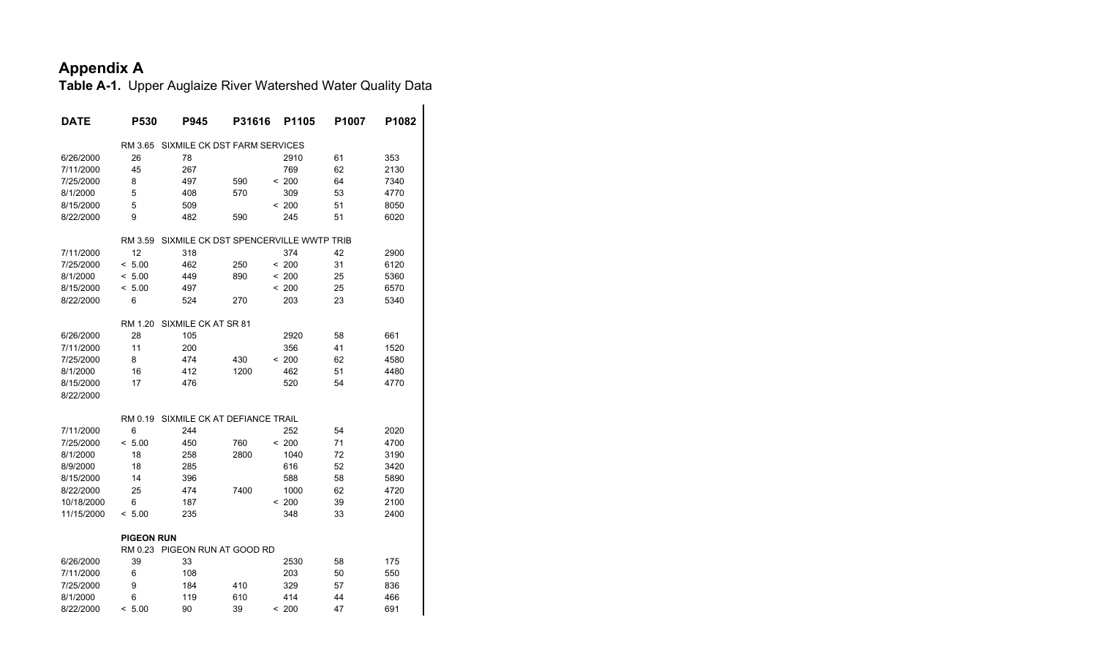| <b>DATE</b> | P530              | P945                                  | P31616 | P1105  | P1007 | P1082 |
|-------------|-------------------|---------------------------------------|--------|--------|-------|-------|
|             | RM 3.65           | SIXMILE CK DST FARM SERVICES          |        |        |       |       |
| 6/26/2000   | 26                | 78                                    |        | 2910   | 61    | 353   |
| 7/11/2000   | 45                | 267                                   |        | 769    | 62    | 2130  |
| 7/25/2000   | 8                 | 497                                   | 590    | < 200  | 64    | 7340  |
| 8/1/2000    | 5                 | 408                                   | 570    | 309    | 53    | 4770  |
| 8/15/2000   | 5                 | 509                                   |        | < 200  | 51    | 8050  |
| 8/22/2000   | 9                 | 482                                   | 590    | 245    | 51    | 6020  |
|             | RM 3.59           | SIXMILE CK DST SPENCERVILLE WWTP TRIB |        |        |       |       |
| 7/11/2000   | 12                | 318                                   |        | 374    | 42    | 2900  |
| 7/25/2000   | < 5.00            | 462                                   | 250    | < 200  | 31    | 6120  |
| 8/1/2000    | < 5.00            | 449                                   | 890    | < 200  | 25    | 5360  |
| 8/15/2000   | < 5.00            | 497                                   |        | < 200  | 25    | 6570  |
| 8/22/2000   | 6                 | 524                                   | 270    | 203    | 23    | 5340  |
|             | RM 1.20           | SIXMILE CK AT SR 81                   |        |        |       |       |
| 6/26/2000   | 28                | 105                                   |        | 2920   | 58    | 661   |
| 7/11/2000   | 11                | 200                                   |        | 356    | 41    | 1520  |
| 7/25/2000   | 8                 | 474                                   | 430    | < 200  | 62    | 4580  |
| 8/1/2000    | 16                | 412                                   | 1200   | 462    | 51    | 4480  |
| 8/15/2000   | 17                | 476                                   |        | 520    | 54    | 4770  |
| 8/22/2000   |                   |                                       |        |        |       |       |
|             | RM 0.19           | SIXMILE CK AT DEFIANCE TRAIL          |        |        |       |       |
| 7/11/2000   | 6                 | 244                                   |        | 252    | 54    | 2020  |
| 7/25/2000   | < 5.00            | 450                                   | 760    | < 200  | 71    | 4700  |
| 8/1/2000    | 18                | 258                                   | 2800   | 1040   | 72    | 3190  |
| 8/9/2000    | 18                | 285                                   |        | 616    | 52    | 3420  |
| 8/15/2000   | 14                | 396                                   |        | 588    | 58    | 5890  |
| 8/22/2000   | 25                | 474                                   | 7400   | 1000   | 62    | 4720  |
| 10/18/2000  | 6                 | 187                                   |        | < 200  | 39    | 2100  |
| 11/15/2000  | < 5.00            | 235                                   |        | 348    | 33    | 2400  |
|             | <b>PIGEON RUN</b> |                                       |        |        |       |       |
|             | RM 0.23           | PIGEON RUN AT GOOD RD                 |        |        |       |       |
| 6/26/2000   | 39                | 33                                    |        | 2530   | 58    | 175   |
| 7/11/2000   | 6                 | 108                                   |        | 203    | 50    | 550   |
| 7/25/2000   | 9                 | 184                                   | 410    | 329    | 57    | 836   |
| 8/1/2000    | 6                 | 119                                   | 610    | 414    | 44    | 466   |
| 8/22/2000   | < 5.00            | 90                                    | 39     | ~<~200 | 47    | 691   |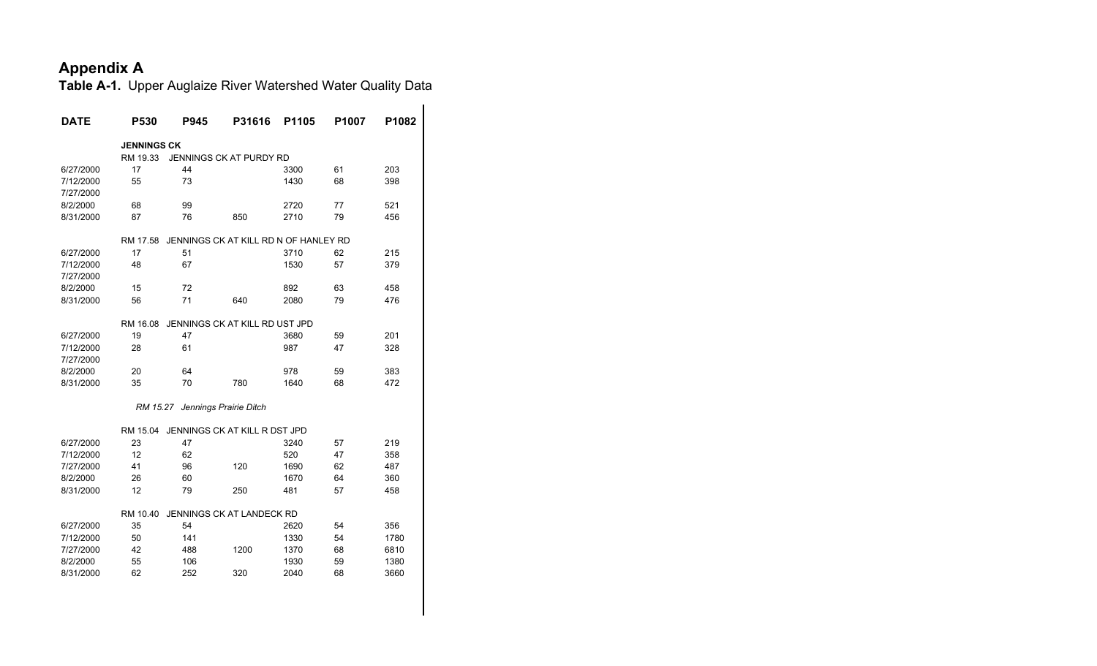| <b>DATE</b> | P530               | P945                                  | P31616                  | P1105 | P1007 | P1082 |
|-------------|--------------------|---------------------------------------|-------------------------|-------|-------|-------|
|             | <b>JENNINGS CK</b> |                                       |                         |       |       |       |
|             | RM 19.33           |                                       | JENNINGS CK AT PURDY RD |       |       |       |
| 6/27/2000   | 17                 | 44                                    |                         | 3300  | 61    | 203   |
| 7/12/2000   | 55                 | 73                                    |                         | 1430  | 68    | 398   |
| 7/27/2000   |                    |                                       |                         |       |       |       |
| 8/2/2000    | 68                 | 99                                    |                         | 2720  | 77    | 521   |
| 8/31/2000   | 87                 | 76                                    | 850                     | 2710  | 79    | 456   |
|             | RM 17.58           | JENNINGS CK AT KILL RD N OF HANLEY RD |                         |       |       |       |
| 6/27/2000   | 17                 | 51                                    |                         | 3710  | 62    | 215   |
| 7/12/2000   | 48                 | 67                                    |                         | 1530  | 57    | 379   |
| 7/27/2000   |                    |                                       |                         |       |       |       |
| 8/2/2000    | 15                 | 72                                    |                         | 892   | 63    | 458   |
| 8/31/2000   | 56                 | 71                                    | 640                     | 2080  | 79    | 476   |
|             | RM 16.08           | JENNINGS CK AT KILL RD UST JPD        |                         |       |       |       |
| 6/27/2000   | 19                 | 47                                    |                         | 3680  | 59    | 201   |
| 7/12/2000   | 28                 | 61                                    |                         | 987   | 47    | 328   |
| 7/27/2000   |                    |                                       |                         |       |       |       |
| 8/2/2000    | 20                 | 64                                    |                         | 978   | 59    | 383   |
| 8/31/2000   | 35                 | 70                                    | 780                     | 1640  | 68    | 472   |
|             |                    |                                       |                         |       |       |       |
|             | RM 15.27           |                                       | Jennings Prairie Ditch  |       |       |       |
|             | RM 15.04           | JENNINGS CK AT KILL R DST JPD         |                         |       |       |       |
| 6/27/2000   | 23                 | 47                                    |                         | 3240  | 57    | 219   |
| 7/12/2000   | 12                 | 62                                    |                         | 520   | 47    | 358   |
| 7/27/2000   | 41                 | 96                                    | 120                     | 1690  | 62    | 487   |
| 8/2/2000    | 26                 | 60                                    |                         | 1670  | 64    | 360   |
| 8/31/2000   | 12                 | 79                                    | 250                     | 481   | 57    | 458   |
|             | RM 10.40           | JENNINGS CK AT LANDECK RD             |                         |       |       |       |
| 6/27/2000   | 35                 | 54                                    |                         | 2620  | 54    | 356   |
| 7/12/2000   | 50                 | 141                                   |                         | 1330  | 54    | 1780  |
| 7/27/2000   | 42                 | 488                                   | 1200                    | 1370  | 68    | 6810  |
| 8/2/2000    | 55                 | 106                                   |                         | 1930  | 59    | 1380  |
| 8/31/2000   | 62                 | 252                                   | 320                     | 2040  | 68    | 3660  |
|             |                    |                                       |                         |       |       |       |
|             |                    |                                       |                         |       |       |       |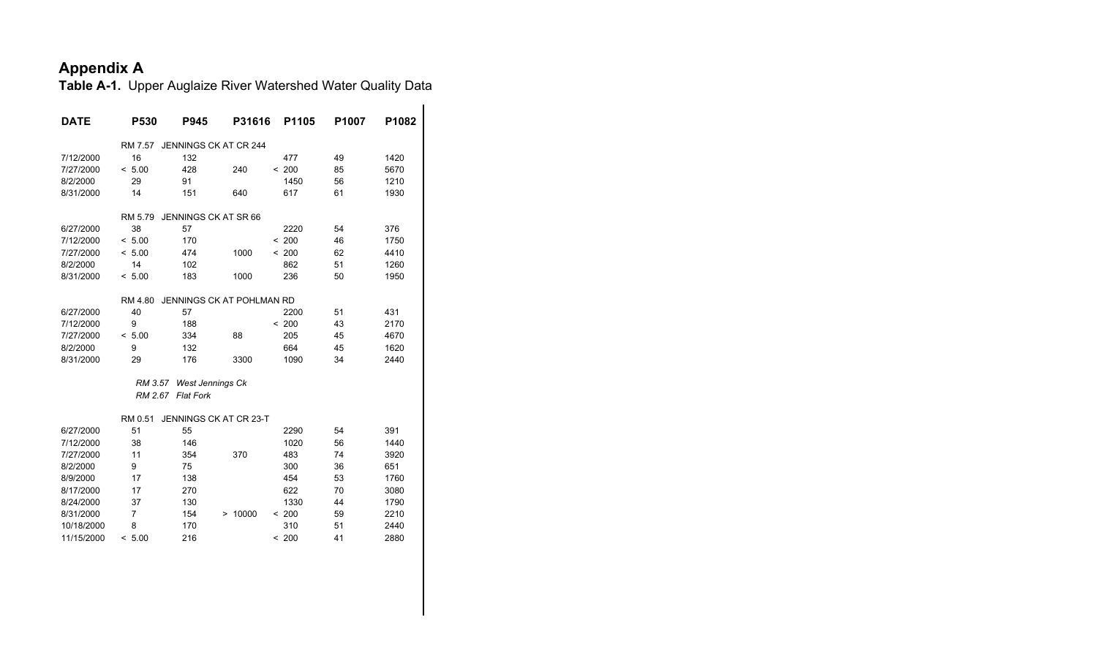| <b>DATE</b> | P530    | <b>P945</b>              | P31616                    | P1105 | P <sub>1007</sub> | P1082 |
|-------------|---------|--------------------------|---------------------------|-------|-------------------|-------|
|             | RM 7.57 |                          | JENNINGS CK AT CR 244     |       |                   |       |
| 7/12/2000   | 16      | 132                      |                           | 477   | 49                | 1420  |
| 7/27/2000   | < 5.00  | 428                      | 240                       | < 200 | 85                | 5670  |
| 8/2/2000    | 29      | 91                       |                           | 1450  | 56                | 1210  |
| 8/31/2000   | 14      | 151                      | 640                       | 617   | 61                | 1930  |
|             | RM 5.79 | JENNINGS CK AT SR 66     |                           |       |                   |       |
| 6/27/2000   | 38      | 57                       |                           | 2220  | 54                | 376   |
| 7/12/2000   | < 5.00  | 170                      |                           | < 200 | 46                | 1750  |
| 7/27/2000   | < 5.00  | 474                      | 1000                      | < 200 | 62                | 4410  |
| 8/2/2000    | 14      | 102                      |                           | 862   | 51                | 1260  |
| 8/31/2000   | < 5.00  | 183                      | 1000                      | 236   | 50                | 1950  |
|             | RM 4.80 |                          | JENNINGS CK AT POHLMAN RD |       |                   |       |
| 6/27/2000   | 40      | 57                       |                           | 2200  | 51                | 431   |
| 7/12/2000   | 9       | 188                      |                           | < 200 | 43                | 2170  |
| 7/27/2000   | < 5.00  | 334                      | 88                        | 205   | 45                | 4670  |
| 8/2/2000    | 9       | 132                      |                           | 664   | 45                | 1620  |
| 8/31/2000   | 29      | 176                      | 3300                      | 1090  | 34                | 2440  |
|             |         | RM 3.57 West Jennings Ck |                           |       |                   |       |
|             |         | RM 2.67 Flat Fork        |                           |       |                   |       |
|             | RM 0.51 |                          | JENNINGS CK AT CR 23-T    |       |                   |       |
| 6/27/2000   | 51      | 55                       |                           | 2290  | 54                | 391   |
| 7/12/2000   | 38      | 146                      |                           | 1020  | 56                | 1440  |
| 7/27/2000   | 11      | 354                      | 370                       | 483   | 74                | 3920  |
| 8/2/2000    | 9       | 75                       |                           | 300   | 36                | 651   |
| 8/9/2000    | 17      | 138                      |                           | 454   | 53                | 1760  |
| 8/17/2000   | 17      | 270                      |                           | 622   | 70                | 3080  |
| 8/24/2000   | 37      | 130                      |                           | 1330  | 44                | 1790  |
| 8/31/2000   | 7       | 154                      | > 10000                   | < 200 | 59                | 2210  |
| 10/18/2000  | 8       | 170                      |                           | 310   | 51                | 2440  |
| 11/15/2000  | < 5.00  | 216                      |                           | < 200 | 41                | 2880  |
|             |         |                          |                           |       |                   |       |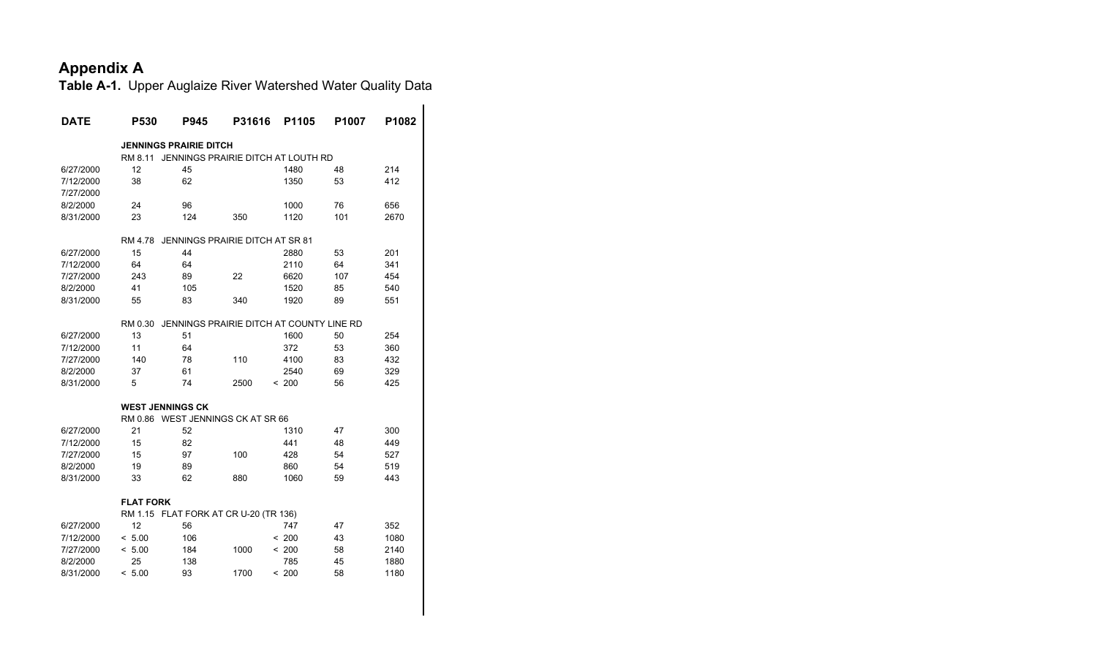| <b>DATE</b> | P530                    | P945                          | P31616                                   | P1105 | P1007 | P1082 |
|-------------|-------------------------|-------------------------------|------------------------------------------|-------|-------|-------|
|             |                         | <b>JENNINGS PRAIRIE DITCH</b> |                                          |       |       |       |
|             | RM 8.11                 |                               | JENNINGS PRAIRIE DITCH AT LOUTH RD       |       |       |       |
| 6/27/2000   | 12                      | 45                            |                                          | 1480  | 48    | 214   |
| 7/12/2000   | 38                      | 62                            |                                          | 1350  | 53    | 412   |
| 7/27/2000   |                         |                               |                                          |       |       |       |
| 8/2/2000    | 24                      | 96                            |                                          | 1000  | 76    | 656   |
| 8/31/2000   | 23                      | 124                           | 350                                      | 1120  | 101   | 2670  |
|             | RM 4.78                 |                               | JENNINGS PRAIRIE DITCH AT SR 81          |       |       |       |
| 6/27/2000   | 15                      | 44                            |                                          | 2880  | 53    | 201   |
| 7/12/2000   | 64                      | 64                            |                                          | 2110  | 64    | 341   |
| 7/27/2000   | 243                     | 89                            | 22                                       | 6620  | 107   | 454   |
| 8/2/2000    | 41                      | 105                           |                                          | 1520  | 85    | 540   |
| 8/31/2000   | 55                      | 83                            | 340                                      | 1920  | 89    | 551   |
|             | RM 0.30                 |                               | JENNINGS PRAIRIE DITCH AT COUNTY LINE RD |       |       |       |
| 6/27/2000   | 13                      | 51                            |                                          | 1600  | 50    | 254   |
| 7/12/2000   | 11                      | 64                            |                                          | 372   | 53    | 360   |
| 7/27/2000   | 140                     | 78                            | 110                                      | 4100  | 83    | 432   |
| 8/2/2000    | 37                      | 61                            |                                          | 2540  | 69    | 329   |
| 8/31/2000   | 5                       | 74                            | 2500                                     | < 200 | 56    | 425   |
|             | <b>WEST JENNINGS CK</b> |                               |                                          |       |       |       |
|             |                         |                               | RM 0.86 WEST JENNINGS CK AT SR 66        |       |       |       |
| 6/27/2000   | 21                      | 52                            |                                          | 1310  | 47    | 300   |
| 7/12/2000   | 15                      | 82                            |                                          | 441   | 48    | 449   |
| 7/27/2000   | 15                      | 97                            | 100                                      | 428   | 54    | 527   |
| 8/2/2000    | 19                      | 89                            |                                          | 860   | 54    | 519   |
| 8/31/2000   | 33                      | 62                            | 880                                      | 1060  | 59    | 443   |
|             | <b>FLAT FORK</b>        |                               |                                          |       |       |       |
|             |                         |                               | RM 1.15 FLAT FORK AT CR U-20 (TR 136)    |       |       |       |
| 6/27/2000   | 12                      | 56                            |                                          | 747   | 47    | 352   |
| 7/12/2000   | < 5.00                  | 106                           |                                          | < 200 | 43    | 1080  |
| 7/27/2000   | < 5.00                  | 184                           | 1000                                     | < 200 | 58    | 2140  |
| 8/2/2000    | 25                      | 138                           |                                          | 785   | 45    | 1880  |
| 8/31/2000   | < 5.00                  | 93                            | 1700                                     | < 200 | 58    | 1180  |
|             |                         |                               |                                          |       |       |       |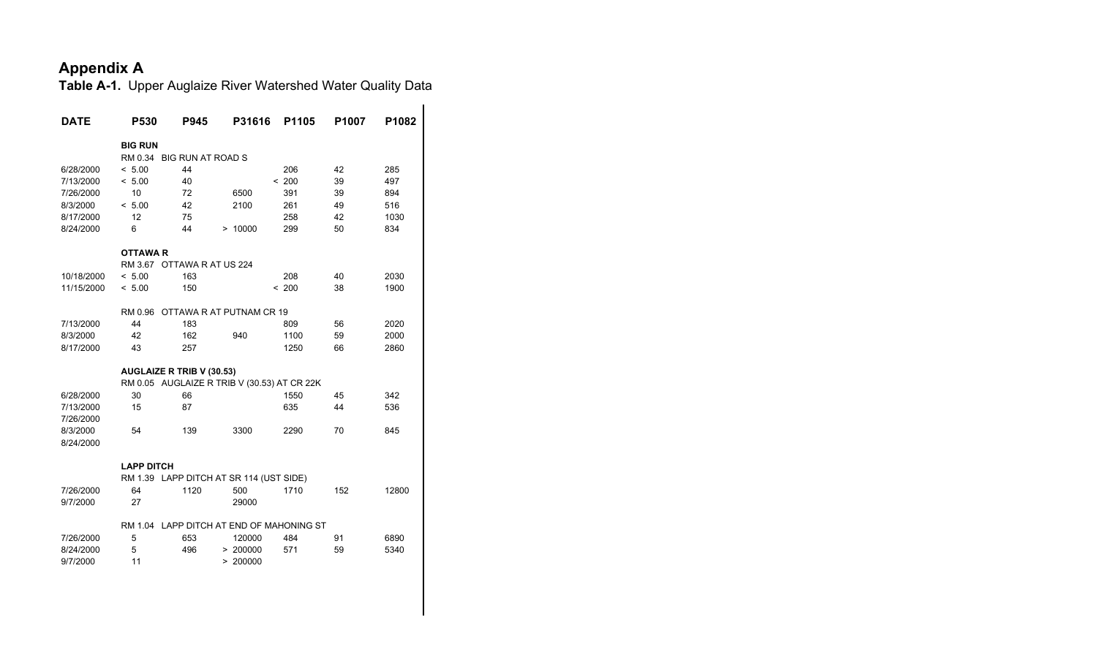| <b>DATE</b>           | P530                             | P945 | P31616                                      | P1105 | P1007 | P1082 |
|-----------------------|----------------------------------|------|---------------------------------------------|-------|-------|-------|
|                       | <b>BIG RUN</b>                   |      |                                             |       |       |       |
|                       | RM 0.34 BIG RUN AT ROAD S        |      |                                             |       |       |       |
| 6/28/2000             | < 5.00                           | 44   |                                             | 206   | 42    | 285   |
| 7/13/2000             | < 5.00                           | 40   |                                             | < 200 | 39    | 497   |
| 7/26/2000             | 10                               | 72   | 6500                                        | 391   | 39    | 894   |
| 8/3/2000              | < 5.00                           | 42   | 2100                                        | 261   | 49    | 516   |
| 8/17/2000             | 12                               | 75   |                                             | 258   | 42    | 1030  |
| 8/24/2000             | 6                                | 44   | > 10000                                     | 299   | 50    | 834   |
|                       | <b>OTTAWA R</b>                  |      |                                             |       |       |       |
|                       | RM 3.67 OTTAWA R AT US 224       |      |                                             |       |       |       |
| 10/18/2000            | < 5.00                           | 163  |                                             | 208   | 40    | 2030  |
| 11/15/2000            | < 5.00                           | 150  |                                             | < 200 | 38    | 1900  |
|                       | RM 0.96                          |      | OTTAWA R AT PUTNAM CR 19                    |       |       |       |
| 7/13/2000             | 44                               | 183  |                                             | 809   | 56    | 2020  |
| 8/3/2000              | 42                               | 162  | 940                                         | 1100  | 59    | 2000  |
| 8/17/2000             | 43                               | 257  |                                             | 1250  | 66    | 2860  |
|                       | <b>AUGLAIZE R TRIB V (30.53)</b> |      |                                             |       |       |       |
|                       |                                  |      | RM 0.05 AUGLAIZE R TRIB V (30.53) AT CR 22K |       |       |       |
| 6/28/2000             | 30                               | 66   |                                             | 1550  | 45    | 342   |
| 7/13/2000             | 15                               | 87   |                                             | 635   | 44    | 536   |
| 7/26/2000             |                                  |      |                                             |       |       |       |
| 8/3/2000<br>8/24/2000 | 54                               | 139  | 3300                                        | 2290  | 70    | 845   |
|                       |                                  |      |                                             |       |       |       |
|                       | <b>LAPP DITCH</b>                |      |                                             |       |       |       |
|                       |                                  |      | RM 1.39 LAPP DITCH AT SR 114 (UST SIDE)     |       |       |       |
| 7/26/2000             | 64                               | 1120 | 500                                         | 1710  | 152   | 12800 |
| 9/7/2000              | 27                               |      | 29000                                       |       |       |       |
|                       |                                  |      | RM 1.04 LAPP DITCH AT END OF MAHONING ST    |       |       |       |
| 7/26/2000             | 5                                | 653  | 120000                                      | 484   | 91    | 6890  |
| 8/24/2000             | 5                                | 496  | > 200000                                    | 571   | 59    | 5340  |
| 9/7/2000              | 11                               |      | > 200000                                    |       |       |       |
|                       |                                  |      |                                             |       |       |       |
|                       |                                  |      |                                             |       |       |       |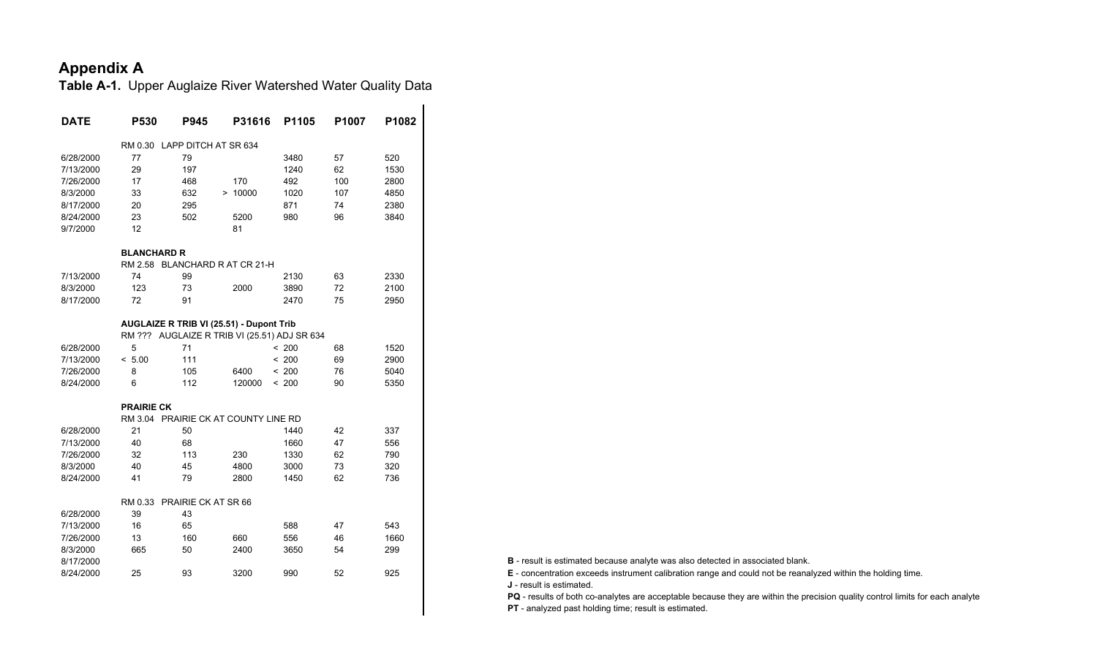**Table A-1.** Upper Auglaize River Watershed Water Quality Data

| <b>DATE</b> | P530               | P945                 | P31616                                       | P1105 | P1007 | P1082 |
|-------------|--------------------|----------------------|----------------------------------------------|-------|-------|-------|
|             | RM 0.30            | LAPP DITCH AT SR 634 |                                              |       |       |       |
| 6/28/2000   | 77                 | 79                   |                                              | 3480  | 57    | 520   |
| 7/13/2000   | 29                 | 197                  |                                              | 1240  | 62    | 1530  |
| 7/26/2000   | 17                 | 468                  | 170                                          | 492   | 100   | 2800  |
| 8/3/2000    | 33                 | 632                  | > 10000                                      | 1020  | 107   | 4850  |
| 8/17/2000   | 20                 | 295                  |                                              | 871   | 74    | 2380  |
| 8/24/2000   | 23                 | 502                  | 5200                                         | 980   | 96    | 3840  |
| 9/7/2000    | 12                 |                      | 81                                           |       |       |       |
|             | <b>BLANCHARD R</b> |                      |                                              |       |       |       |
|             |                    |                      | RM 2.58 BLANCHARD R AT CR 21-H               |       |       |       |
| 7/13/2000   | 74                 | 99                   |                                              | 2130  | 63    | 2330  |
| 8/3/2000    | 123                | 73                   | 2000                                         | 3890  | 72    | 2100  |
| 8/17/2000   | 72                 | 91                   |                                              | 2470  | 75    | 2950  |
|             |                    |                      | AUGLAIZE R TRIB VI (25.51) - Dupont Trib     |       |       |       |
|             |                    |                      | RM ??? AUGLAIZE R TRIB VI (25.51) ADJ SR 634 |       |       |       |
| 6/28/2000   | 5                  | 71                   |                                              | < 200 | 68    | 1520  |
| 7/13/2000   | < 5.00             | 111                  |                                              | < 200 | 69    | 2900  |
| 7/26/2000   | 8                  | 105                  | 6400                                         | < 200 | 76    | 5040  |
| 8/24/2000   | 6                  | 112                  | 120000                                       | < 200 | 90    | 5350  |
|             | <b>PRAIRIE CK</b>  |                      |                                              |       |       |       |
|             |                    |                      | RM 3.04 PRAIRIE CK AT COUNTY LINE RD         |       |       |       |
| 6/28/2000   | 21                 | 50                   |                                              | 1440  | 42    | 337   |
| 7/13/2000   | 40                 | 68                   |                                              | 1660  | 47    | 556   |
| 7/26/2000   | 32                 | 113                  | 230                                          | 1330  | 62    | 790   |
| 8/3/2000    | 40                 | 45                   | 4800                                         | 3000  | 73    | 320   |
| 8/24/2000   | 41                 | 79                   | 2800                                         | 1450  | 62    | 736   |
|             | RM 0.33            | PRAIRIE CK AT SR 66  |                                              |       |       |       |
| 6/28/2000   | 39                 | 43                   |                                              |       |       |       |
| 7/13/2000   | 16                 | 65                   |                                              | 588   | 47    | 543   |
| 7/26/2000   | 13                 | 160                  | 660                                          | 556   | 46    | 1660  |
| 8/3/2000    | 665                | 50                   | 2400                                         | 3650  | 54    | 299   |
| 8/17/2000   |                    |                      |                                              |       |       |       |
| 8/24/2000   | 25                 | 93                   | 3200                                         | 990   | 52    | 925   |
|             |                    |                      |                                              |       |       |       |

**B** - result is estimated because analyte was also detected in associated blank.

 **E** - concentration exceeds instrument calibration range and could not be reanalyzed within the holding time. **J** - result is estimated.

**PQ** - results of both co-analytes are acceptable because they are within the precision quality control limits for each analyte **PT** - analyzed past holding time; result is estimated.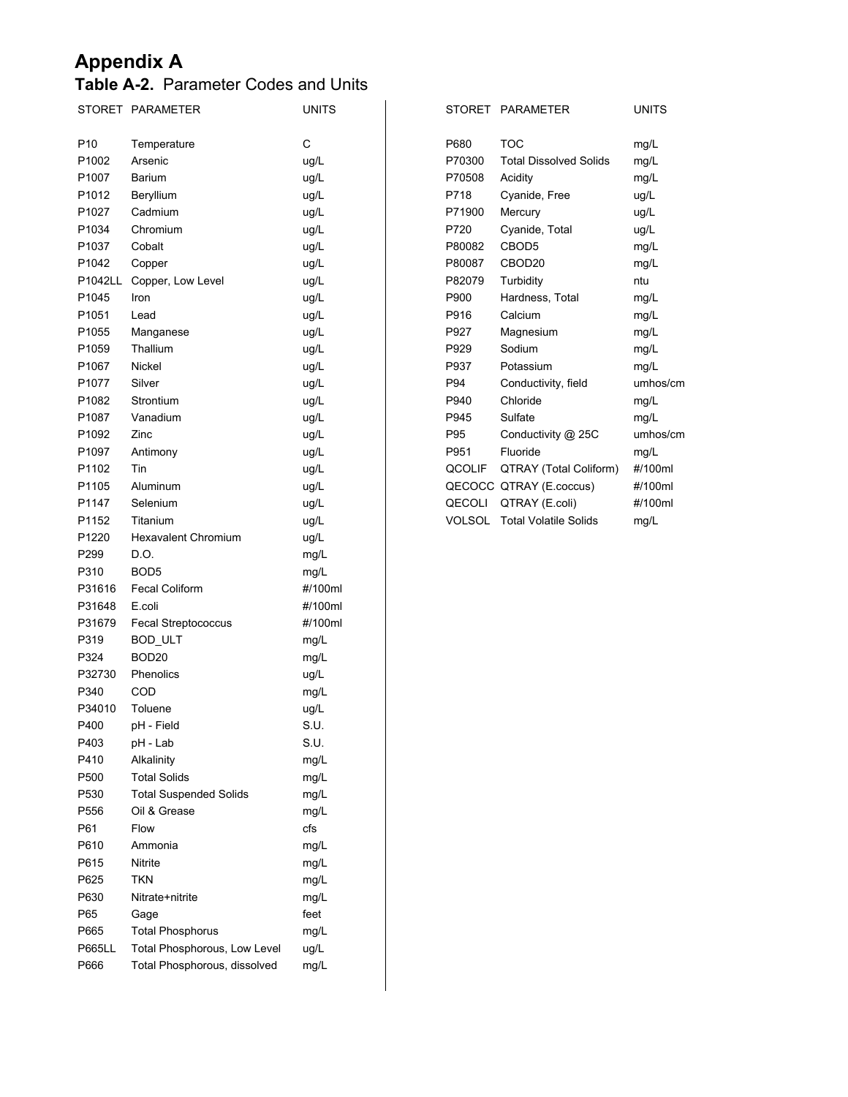#### **Table A-2.** Parameter Codes and Units

|                 | STORET PARAMETER              | <b>UNITS</b> |        | STORET PARAMETER                    | <b>UNITS</b> |
|-----------------|-------------------------------|--------------|--------|-------------------------------------|--------------|
| P <sub>10</sub> | Temperature                   | $\mathsf C$  | P680   | <b>TOC</b>                          | mg/L         |
| P1002           | Arsenic                       | ug/L         | P70300 | <b>Total Dissolved Solids</b>       | mg/L         |
| P1007           | Barium                        | ug/L         | P70508 | Acidity                             | mg/L         |
| P1012           | Beryllium                     | ug/L         | P718   | Cyanide, Free                       | ug/L         |
| P1027           | Cadmium                       | ug/L         | P71900 | Mercury                             | ug/L         |
| P1034           | Chromium                      | ug/L         | P720   | Cyanide, Total                      | ug/L         |
| P1037           | Cobalt                        | ug/L         | P80082 | CBOD5                               | mg/L         |
| P1042           | Copper                        | ug/L         | P80087 | CBOD20                              | mg/L         |
| P1042LL         | Copper, Low Level             | ug/L         | P82079 | Turbidity                           | ntu          |
| P1045           | Iron                          | ug/L         | P900   | Hardness, Total                     | mg/L         |
| P1051           | Lead                          | ug/L         | P916   | Calcium                             | mg/L         |
| P1055           | Manganese                     | ug/L         | P927   | Magnesium                           | mg/L         |
| P1059           | Thallium                      | ug/L         | P929   | Sodium                              | mg/L         |
| P1067           | Nickel                        | ug/L         | P937   | Potassium                           | mg/L         |
| P1077           | Silver                        | ug/L         | P94    | Conductivity, field                 | umhos/cm     |
| P1082           | Strontium                     | ug/L         | P940   | Chloride                            | mg/L         |
| P1087           | Vanadium                      | ug/L         | P945   | Sulfate                             | mg/L         |
| P1092           | Zinc                          | ug/L         | P95    | Conductivity @ 25C                  | umhos/cm     |
| P1097           | Antimony                      | ug/L         | P951   | Fluoride                            | mg/L         |
| P1102           | Tin                           | ug/L         | QCOLIF | QTRAY (Total Coliform)              | #/100ml      |
| P1105           | Aluminum                      | ug/L         |        | QECOCC QTRAY (E.coccus)             | #/100ml      |
| P1147           | Selenium                      | ug/L         |        | QECOLI QTRAY (E.coli)               | #/100ml      |
| P1152           | Titanium                      | ug/L         |        | <b>VOLSOL</b> Total Volatile Solids | mg/L         |
| P1220           | <b>Hexavalent Chromium</b>    | ug/L         |        |                                     |              |
| P299            | D.O.                          | mg/L         |        |                                     |              |
| P310            | BOD <sub>5</sub>              | mg/L         |        |                                     |              |
| P31616          | <b>Fecal Coliform</b>         | #/100ml      |        |                                     |              |
| P31648          | E.coli                        | #/100ml      |        |                                     |              |
| P31679          |                               | #/100ml      |        |                                     |              |
| P319            | Fecal Streptococcus           |              |        |                                     |              |
| P324            | BOD_ULT<br>BOD <sub>20</sub>  | mg/L         |        |                                     |              |
| P32730          | Phenolics                     | mg/L         |        |                                     |              |
| P340            | COD                           | ug/L         |        |                                     |              |
| P34010          | Toluene                       | mg/L         |        |                                     |              |
|                 |                               | ug/L<br>S.U. |        |                                     |              |
| P400<br>P403    | pH - Field                    | S.U.         |        |                                     |              |
|                 | pH - Lab                      |              |        |                                     |              |
| P410            | Alkalinity                    | mg/L         |        |                                     |              |
| P500            | <b>Total Solids</b>           | mg/L         |        |                                     |              |
| P530            | <b>Total Suspended Solids</b> | mg/L         |        |                                     |              |
| P556            | Oil & Grease                  | mg/L         |        |                                     |              |
| P61             | Flow                          | cfs          |        |                                     |              |
| P610            | Ammonia                       | mg/L         |        |                                     |              |
| P615            | Nitrite                       | mg/L         |        |                                     |              |
| P625            | <b>TKN</b>                    | mg/L         |        |                                     |              |
| P630            | Nitrate+nitrite               | mg/L         |        |                                     |              |
| P65             | Gage                          | feet         |        |                                     |              |
| P665            | <b>Total Phosphorus</b>       | mg/L         |        |                                     |              |
| <b>P665LL</b>   | Total Phosphorous, Low Level  | ug/L         |        |                                     |              |
| P666            | Total Phosphorous, dissolved  | mg/L         |        |                                     |              |

| STORET        | <b>PARAMETER</b>              | <b>UNITS</b> |
|---------------|-------------------------------|--------------|
|               |                               |              |
| P680          | <b>TOC</b>                    | mg/L         |
| P70300        | <b>Total Dissolved Solids</b> | mg/L         |
| P70508        | Acidity                       | mg/L         |
| P718          | Cyanide, Free                 | ug/L         |
| P71900        | Mercury                       | ug/L         |
| P720          | Cyanide, Total                | ug/L         |
| P80082        | CBOD5                         | mg/L         |
| P80087        | CBOD <sub>20</sub>            | mg/L         |
| P82079        | Turbidity                     | ntu          |
| P900          | Hardness, Total               | mg/L         |
| P916          | Calcium                       | mg/L         |
| P927          | Magnesium                     | mg/L         |
| P929          | Sodium                        | mg/L         |
| P937          | Potassium                     | mg/L         |
| P94           | Conductivity, field           | umhos/cm     |
| P940          | Chloride                      | mg/L         |
| P945          | Sulfate                       | mg/L         |
| P95           | Conductivity @ 25C            | umhos/cm     |
| P951          | Fluoride                      | mq/L         |
| QCOLIF        | QTRAY (Total Coliform)        | #/100ml      |
|               | QECOCC QTRAY (E.coccus)       | #/100ml      |
| QECOLI        | QTRAY (E.coli)                | #/100ml      |
| <b>VOLSOL</b> | <b>Total Volatile Solids</b>  | mg/L         |
|               |                               |              |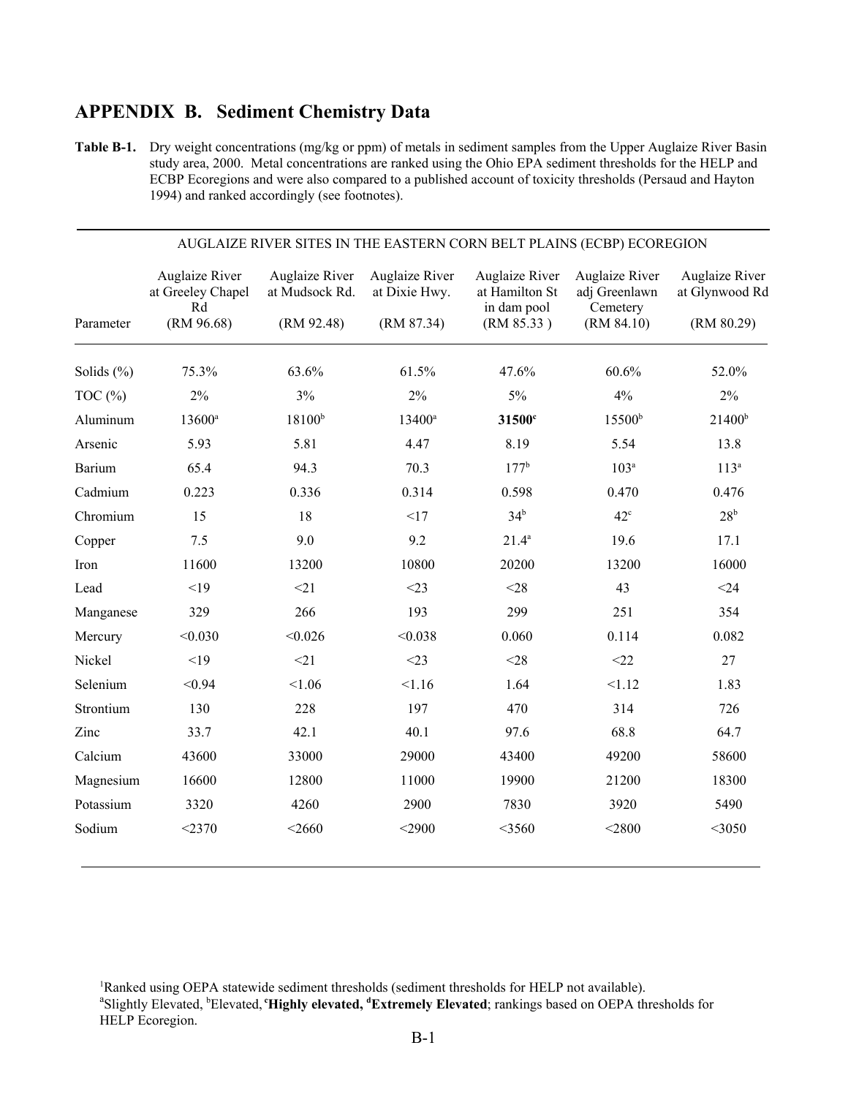## **APPENDIX B. Sediment Chemistry Data**

**Table B-1.** Dry weight concentrations (mg/kg or ppm) of metals in sediment samples from the Upper Auglaize River Basin study area, 2000. Metal concentrations are ranked using the Ohio EPA sediment thresholds for the HELP and ECBP Ecoregions and were also compared to a published account of toxicity thresholds (Persaud and Hayton 1994) and ranked accordingly (see footnotes).

| AUGLAIZE RIVER SITES IN THE EASTERN CORN BELT PLAINS (ECBP) ECOREGION |                                                         |                                                |                                               |                                                               |                                                           |                                                |  |  |
|-----------------------------------------------------------------------|---------------------------------------------------------|------------------------------------------------|-----------------------------------------------|---------------------------------------------------------------|-----------------------------------------------------------|------------------------------------------------|--|--|
| Parameter                                                             | Auglaize River<br>at Greeley Chapel<br>Rd<br>(RM 96.68) | Auglaize River<br>at Mudsock Rd.<br>(RM 92.48) | Auglaize River<br>at Dixie Hwy.<br>(RM 87.34) | Auglaize River<br>at Hamilton St<br>in dam pool<br>(RM 85.33) | Auglaize River<br>adj Greenlawn<br>Cemetery<br>(RM 84.10) | Auglaize River<br>at Glynwood Rd<br>(RM 80.29) |  |  |
| Solids $(\% )$                                                        | 75.3%                                                   | 63.6%                                          | 61.5%                                         | 47.6%                                                         | 60.6%                                                     | 52.0%                                          |  |  |
| TOC $(\% )$                                                           | 2%                                                      | 3%                                             | $2\%$                                         | 5%                                                            | 4%                                                        | $2\%$                                          |  |  |
| Aluminum                                                              | 13600 <sup>a</sup>                                      | $18100^{b}$                                    | $13400^a$                                     | 31500 <sup>c</sup>                                            | $15500^{\rm b}$                                           | $21400^b$                                      |  |  |
| Arsenic                                                               | 5.93                                                    | 5.81                                           | 4.47                                          | 8.19                                                          | 5.54                                                      | 13.8                                           |  |  |
|                                                                       |                                                         |                                                |                                               | $177^{\rm b}$                                                 |                                                           |                                                |  |  |
| Barium                                                                | 65.4                                                    | 94.3                                           | 70.3                                          |                                                               | 103 <sup>a</sup>                                          | $113^a$                                        |  |  |
| Cadmium                                                               | 0.223                                                   | 0.336                                          | 0.314                                         | 0.598                                                         | 0.470                                                     | 0.476                                          |  |  |
| Chromium                                                              | 15                                                      | 18                                             | <17                                           | 34 <sup>b</sup>                                               | $42^{\circ}$                                              | 28 <sup>b</sup>                                |  |  |
| Copper                                                                | 7.5                                                     | 9.0                                            | 9.2                                           | $21.4^a$                                                      | 19.6                                                      | 17.1                                           |  |  |
| Iron                                                                  | 11600                                                   | 13200                                          | 10800                                         | 20200                                                         | 13200                                                     | 16000                                          |  |  |
| Lead                                                                  | <19                                                     | <21                                            | $<$ 23                                        | $<$ 28                                                        | 43                                                        | $<$ 24                                         |  |  |
| Manganese                                                             | 329                                                     | 266                                            | 193                                           | 299                                                           | 251                                                       | 354                                            |  |  |
| Mercury                                                               | < 0.030                                                 | < 0.026                                        | < 0.038                                       | 0.060                                                         | 0.114                                                     | 0.082                                          |  |  |
| Nickel                                                                | <19                                                     | <21                                            | $<$ 23                                        | $<$ 28                                                        | <22                                                       | 27                                             |  |  |
| Selenium                                                              | < 0.94                                                  | < 1.06                                         | 1.16                                          | 1.64                                                          | < 1.12                                                    | 1.83                                           |  |  |
| Strontium                                                             | 130                                                     | 228                                            | 197                                           | 470                                                           | 314                                                       | 726                                            |  |  |
| Zinc                                                                  | 33.7                                                    | 42.1                                           | 40.1                                          | 97.6                                                          | 68.8                                                      | 64.7                                           |  |  |
| Calcium                                                               | 43600                                                   | 33000                                          | 29000                                         | 43400                                                         | 49200                                                     | 58600                                          |  |  |
| Magnesium                                                             | 16600                                                   | 12800                                          | 11000                                         | 19900                                                         | 21200                                                     | 18300                                          |  |  |
| Potassium                                                             | 3320                                                    | 4260                                           | 2900                                          | 7830                                                          | 3920                                                      | 5490                                           |  |  |
| Sodium                                                                | $<$ 2370                                                | $<$ 2660                                       | $<$ 2900                                      | $<$ 3560                                                      | $<$ 2800                                                  | $<$ 3050                                       |  |  |

<sup>&</sup>lt;sup>1</sup>Ranked using OEPA statewide sediment thresholds (sediment thresholds for HELP not available). Slightly Elevated, <sup>b</sup>Elevated, **'Highly elevated, <sup>d</sup>Extremely Elevated**; rankings based on OEPA thresholds for

HELP Ecoregion.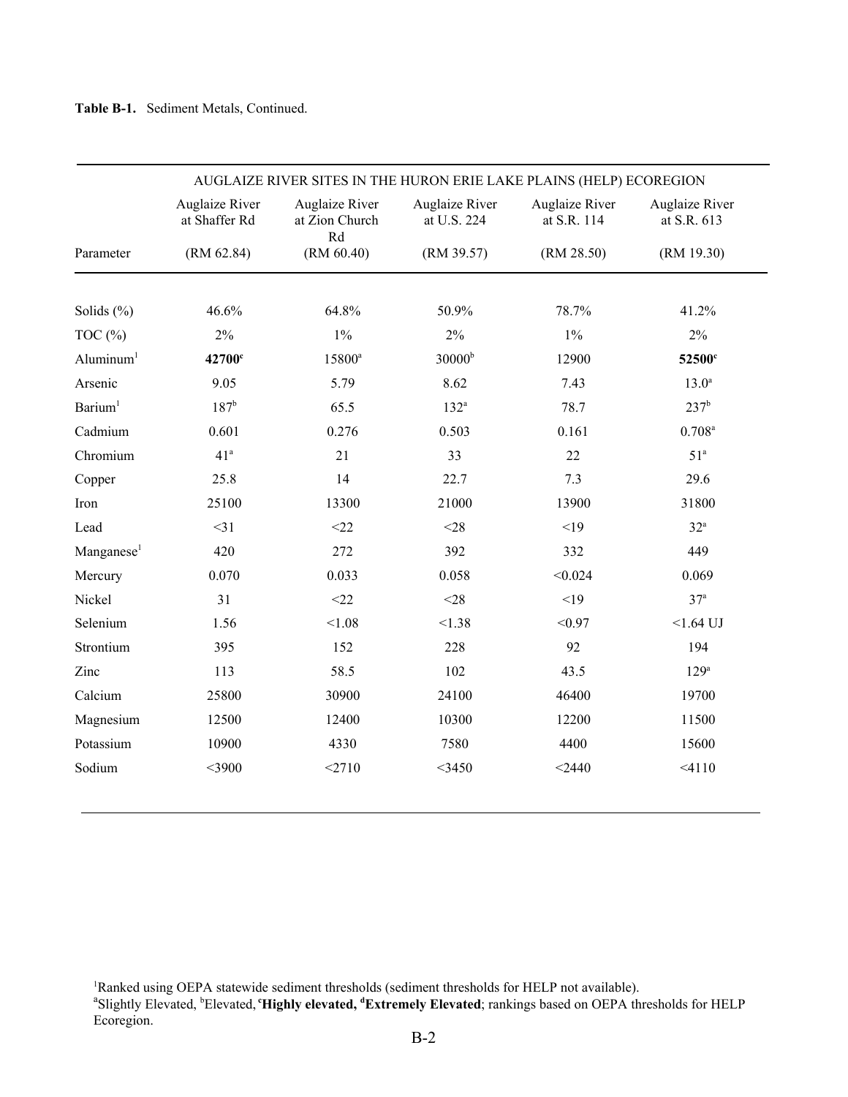| AUGLAIZE RIVER SITES IN THE HURON ERIE LAKE PLAINS (HELP) ECOREGION |                                 |                                        |                               |                               |                               |  |  |  |
|---------------------------------------------------------------------|---------------------------------|----------------------------------------|-------------------------------|-------------------------------|-------------------------------|--|--|--|
|                                                                     | Auglaize River<br>at Shaffer Rd | Auglaize River<br>at Zion Church<br>Rd | Auglaize River<br>at U.S. 224 | Auglaize River<br>at S.R. 114 | Auglaize River<br>at S.R. 613 |  |  |  |
| Parameter                                                           | (RM 62.84)                      | (RM 60.40)                             | (RM 39.57)                    | (RM 28.50)                    | (RM 19.30)                    |  |  |  |
|                                                                     | 46.6%                           | 64.8%                                  |                               | 78.7%                         |                               |  |  |  |
| Solids $(\% )$                                                      |                                 |                                        | 50.9%                         |                               | 41.2%                         |  |  |  |
| TOC $(\% )$                                                         | 2%                              | $1\%$                                  | $2\%$                         | $1\%$                         | $2\%$                         |  |  |  |
| Aluminum <sup>1</sup>                                               | 42700 <sup>c</sup>              | 15800 <sup>a</sup>                     | 30000 <sup>b</sup>            | 12900                         | 52500 <sup>c</sup>            |  |  |  |
| Arsenic                                                             | 9.05                            | 5.79                                   | 8.62                          | 7.43                          | 13.0 <sup>a</sup>             |  |  |  |
| Barium <sup>1</sup>                                                 | $187^{\rm b}$                   | 65.5                                   | $132^a$                       | 78.7                          | $237^{\rm b}$                 |  |  |  |
| Cadmium                                                             | 0.601                           | 0.276                                  | 0.503                         | 0.161                         | $0.708^{a}$                   |  |  |  |
| Chromium                                                            | 41 <sup>a</sup>                 | 21                                     | 33                            | $22\,$                        | 51 <sup>a</sup>               |  |  |  |
| Copper                                                              | 25.8                            | 14                                     | 22.7                          | 7.3                           | 29.6                          |  |  |  |
| Iron                                                                | 25100                           | 13300                                  | 21000                         | 13900                         | 31800                         |  |  |  |
| Lead                                                                | $<$ 31                          | <22                                    | $<$ 28                        | <19                           | $32^{\mathrm{a}}$             |  |  |  |
| Manganese <sup>1</sup>                                              | 420                             | 272                                    | 392                           | 332                           | 449                           |  |  |  |
| Mercury                                                             | 0.070                           | 0.033                                  | 0.058                         | < 0.024                       | 0.069                         |  |  |  |
| Nickel                                                              | 31                              | <22                                    | $<$ 28                        | <19                           | 37 <sup>a</sup>               |  |  |  |
| Selenium                                                            | 1.56                            | < 1.08                                 | < 1.38                        | < 0.97                        | $<1.64$ UJ                    |  |  |  |
| Strontium                                                           | 395                             | 152                                    | 228                           | 92                            | 194                           |  |  |  |
| Zinc                                                                | 113                             | 58.5                                   | 102                           | 43.5                          | 129 <sup>a</sup>              |  |  |  |
| Calcium                                                             | 25800                           | 30900                                  | 24100                         | 46400                         | 19700                         |  |  |  |
| Magnesium                                                           | 12500                           | 12400                                  | 10300                         | 12200                         | 11500                         |  |  |  |
| Potassium                                                           | 10900                           | 4330                                   | 7580                          | 4400                          | 15600                         |  |  |  |
| Sodium                                                              | $<$ 3900                        | <2710                                  | $<$ 3450                      | $<$ 2440                      | < 4110                        |  |  |  |

<sup>&</sup>lt;sup>1</sup>Ranked using OEPA statewide sediment thresholds (sediment thresholds for HELP not available).<br><sup>a</sup>Slightly Elevated, <sup>b</sup>Elevated, **'Highly elevated, 'Extremely Elevated**; rankings based on OEPA thresholds for HELP Ecoregion.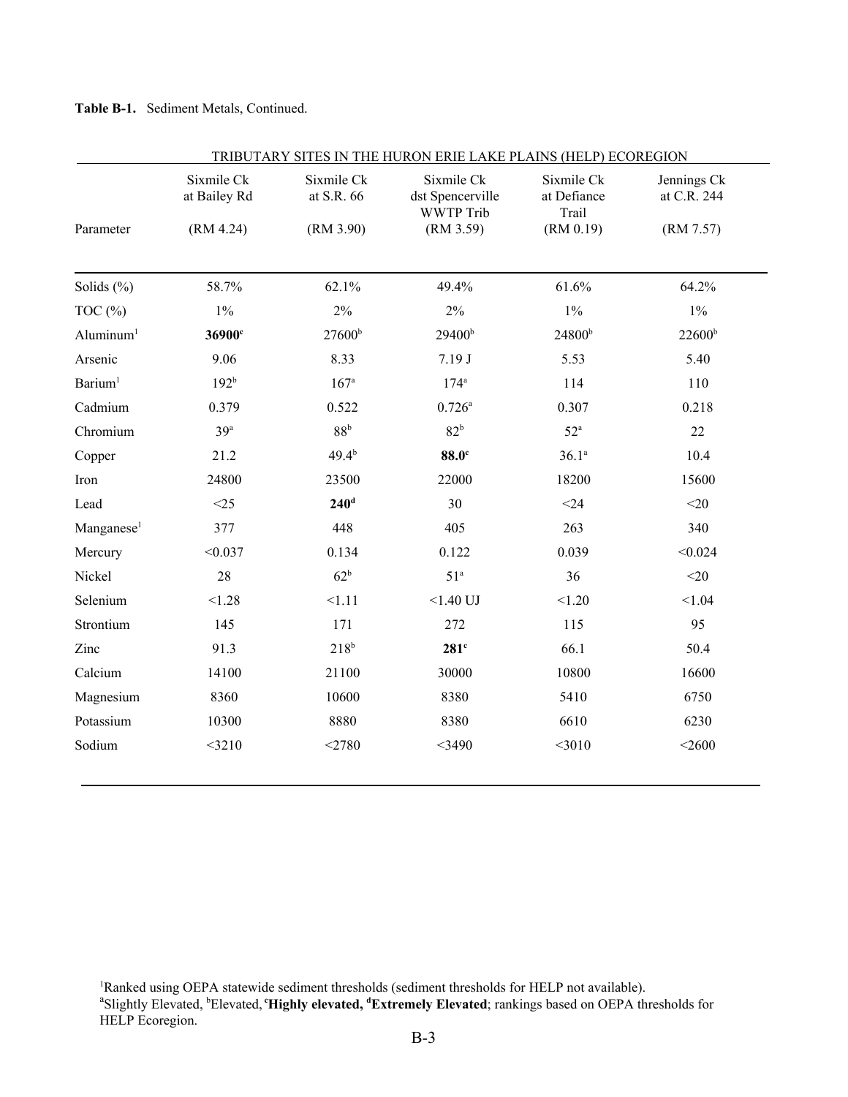#### **Table B-1.** Sediment Metals, Continued.

|                        | Sixmile Ck<br>at Bailey Rd | Sixmile Ck<br>at S.R. 66 | Sixmile Ck<br>dst Spencerville<br><b>WWTP Trib</b> | Sixmile Ck<br>at Defiance<br>Trail | Jennings Ck<br>at C.R. 244 |
|------------------------|----------------------------|--------------------------|----------------------------------------------------|------------------------------------|----------------------------|
| Parameter              | (RM 4.24)                  | (RM 3.90)                | (RM 3.59)                                          | (RM 0.19)                          | (RM 7.57)                  |
| Solids $(\% )$         | 58.7%                      | 62.1%                    | 49.4%                                              | 61.6%                              | 64.2%                      |
| TOC $(\%)$             | $1\%$                      | $2\%$                    | $2\%$                                              | $1\%$                              | $1\%$                      |
| Aluminum <sup>1</sup>  | 36900 <sup>c</sup>         | 27600 <sup>b</sup>       | 29400 <sup>b</sup>                                 | 24800 <sup>b</sup>                 | $22600^{\rm b}$            |
| Arsenic                | 9.06                       | 8.33                     | 7.19J                                              | 5.53                               | 5.40                       |
| Barium <sup>1</sup>    | 192 <sup>b</sup>           | 167 <sup>a</sup>         | $174^{\rm a}$                                      | 114                                | 110                        |
| Cadmium                | 0.379                      | 0.522                    | $0.726^{\rm a}$                                    | 0.307                              | 0.218                      |
| Chromium               | 39 <sup>a</sup>            | 88 <sup>b</sup>          | 82 <sup>b</sup>                                    | $52^{\mathrm{a}}$                  | 22                         |
| Copper                 | 21.2                       | $49.4^{b}$               | 88.0 <sup>c</sup>                                  | $36.1^{a}$                         | 10.4                       |
| Iron                   | 24800                      | 23500                    | 22000                                              | 18200                              | 15600                      |
| Lead                   | <25                        | $240$ <sup>d</sup>       | 30                                                 | $<$ 24                             | $<$ 20                     |
| Manganese <sup>1</sup> | 377                        | 448                      | 405                                                | 263                                | 340                        |
| Mercury                | < 0.037                    | 0.134                    | 0.122                                              | 0.039                              | < 0.024                    |
| Nickel                 | 28                         | 62 <sup>b</sup>          | 51 <sup>a</sup>                                    | 36                                 | $<$ 20                     |
| Selenium               | < 1.28                     | 1.11                     | $<1.40$ UJ                                         | < 1.20                             | < 1.04                     |
| Strontium              | 145                        | 171                      | 272                                                | 115                                | 95                         |
| Zinc                   | 91.3                       | 218 <sup>b</sup>         | $281^\circ$                                        | 66.1                               | 50.4                       |
| Calcium                | 14100                      | 21100                    | 30000                                              | 10800                              | 16600                      |
| Magnesium              | 8360                       | 10600                    | 8380                                               | 5410                               | 6750                       |
| Potassium              | 10300                      | 8880                     | 8380                                               | 6610                               | 6230                       |
| Sodium                 | $<$ 3210                   | $<$ 2780                 | $<$ 3490                                           | $<$ 3010                           | $<$ 2600                   |

<sup>&</sup>lt;sup>1</sup>Ranked using OEPA statewide sediment thresholds (sediment thresholds for HELP not available).<br><sup>a</sup>Slightly Elevated, <sup>b</sup>Elevated, **'Highly elevated, <sup>d</sup>Extremely Elevated**; rankings based on OEPA thresholds for HELP Ecoregion.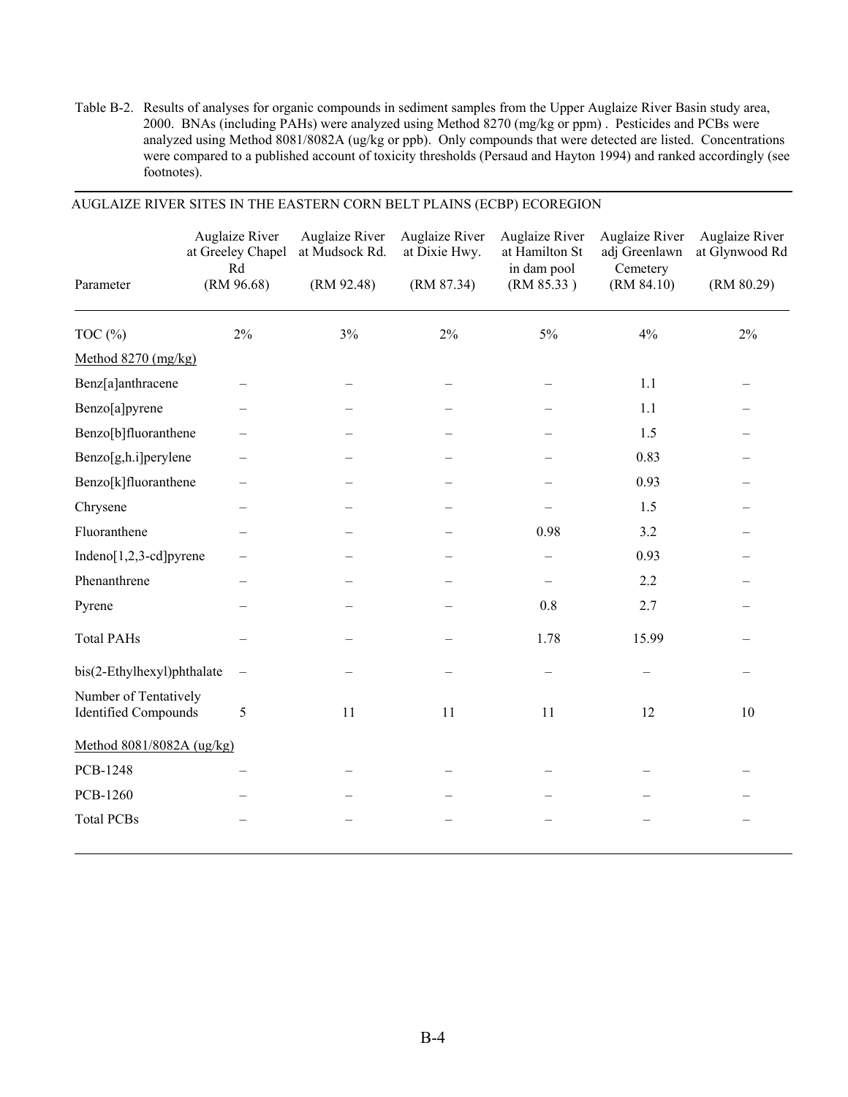Table B-2. Results of analyses for organic compounds in sediment samples from the Upper Auglaize River Basin study area, 2000. BNAs (including PAHs) were analyzed using Method 8270 (mg/kg or ppm) . Pesticides and PCBs were analyzed using Method 8081/8082A (ug/kg or ppb). Only compounds that were detected are listed. Concentrations were compared to a published account of toxicity thresholds (Persaud and Hayton 1994) and ranked accordingly (see footnotes).

|                                                      | <b>Auglaize River</b><br>at Greeley Chapel<br>Rd | Auglaize River<br>at Mudsock Rd. | Auglaize River<br>at Dixie Hwy. | <b>Auglaize River</b><br>at Hamilton St<br>in dam pool | Auglaize River<br>adj Greenlawn<br>Cemetery | Auglaize River<br>at Glynwood Rd |
|------------------------------------------------------|--------------------------------------------------|----------------------------------|---------------------------------|--------------------------------------------------------|---------------------------------------------|----------------------------------|
| Parameter                                            | (RM 96.68)                                       | (RM 92.48)                       | (RM 87.34)                      | (RM 85.33)                                             | (RM 84.10)                                  | (RM 80.29)                       |
| TOC $(\%)$                                           | 2%                                               | 3%                               | 2%                              | 5%                                                     | 4%                                          | $2\%$                            |
| Method 8270 (mg/kg)                                  |                                                  |                                  |                                 |                                                        |                                             |                                  |
| Benz[a]anthracene                                    |                                                  |                                  |                                 |                                                        | 1.1                                         |                                  |
| Benzo[a]pyrene                                       |                                                  |                                  |                                 |                                                        | 1.1                                         |                                  |
| Benzo[b]fluoranthene                                 |                                                  |                                  |                                 |                                                        | 1.5                                         |                                  |
| Benzo[g,h.i]perylene                                 |                                                  |                                  |                                 |                                                        | 0.83                                        |                                  |
| Benzo[k]fluoranthene                                 |                                                  |                                  |                                 |                                                        | 0.93                                        |                                  |
| Chrysene                                             |                                                  |                                  |                                 |                                                        | 1.5                                         |                                  |
| Fluoranthene                                         |                                                  |                                  |                                 | 0.98                                                   | 3.2                                         |                                  |
| Indeno[1,2,3-cd]pyrene                               |                                                  |                                  |                                 |                                                        | 0.93                                        |                                  |
| Phenanthrene                                         |                                                  |                                  |                                 |                                                        | 2.2                                         |                                  |
| Pyrene                                               |                                                  |                                  |                                 | $0.8\,$                                                | 2.7                                         |                                  |
| <b>Total PAHs</b>                                    |                                                  |                                  |                                 | 1.78                                                   | 15.99                                       |                                  |
| bis(2-Ethylhexyl)phthalate                           | $\overline{\phantom{m}}$                         |                                  |                                 |                                                        |                                             |                                  |
| Number of Tentatively<br><b>Identified Compounds</b> | 5                                                | 11                               | 11                              | 11                                                     | 12                                          | 10                               |
| Method 8081/8082A (ug/kg)                            |                                                  |                                  |                                 |                                                        |                                             |                                  |
| PCB-1248                                             |                                                  |                                  |                                 |                                                        |                                             |                                  |
| PCB-1260                                             |                                                  |                                  |                                 |                                                        |                                             |                                  |
| <b>Total PCBs</b>                                    |                                                  |                                  |                                 |                                                        |                                             |                                  |
|                                                      |                                                  |                                  |                                 |                                                        |                                             |                                  |

#### AUGLAIZE RIVER SITES IN THE EASTERN CORN BELT PLAINS (ECBP) ECOREGION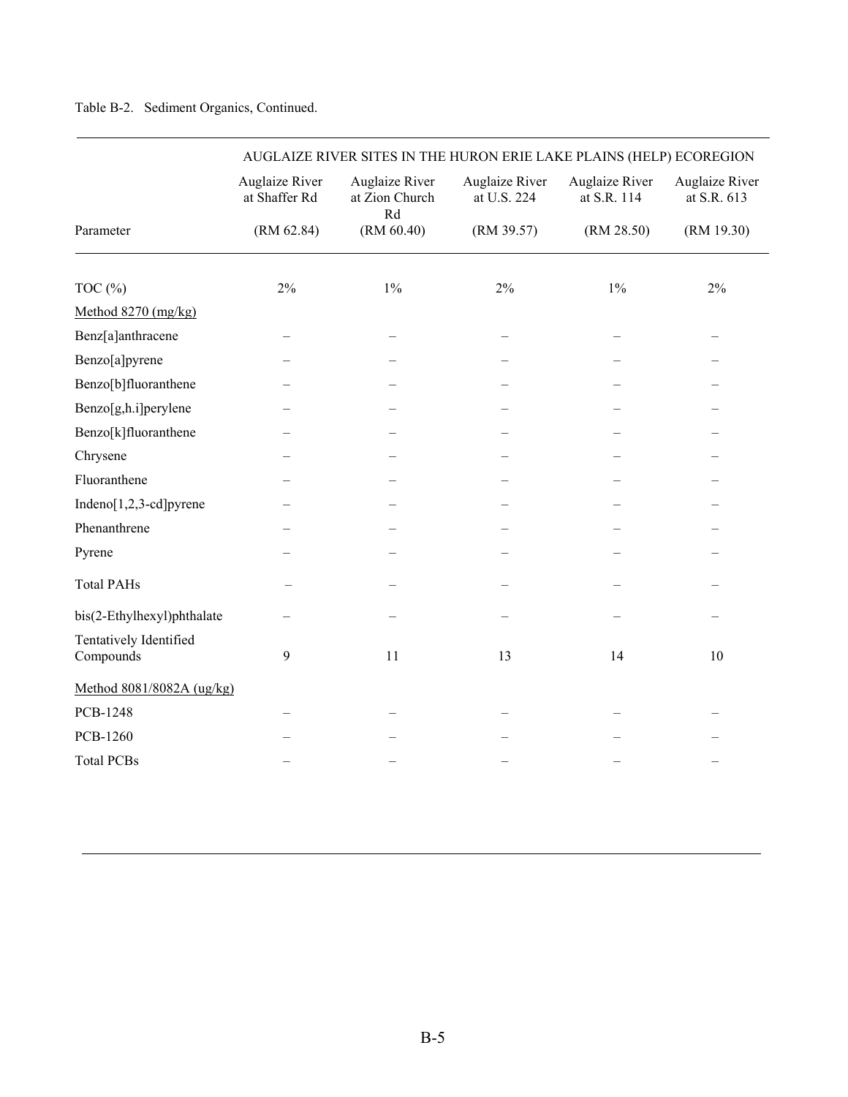|                                     | AUGLAIZE RIVER SITES IN THE HURON ERIE LAKE PLAINS (HELP) ECOREGION |                                        |                               |                                      |                               |  |  |  |
|-------------------------------------|---------------------------------------------------------------------|----------------------------------------|-------------------------------|--------------------------------------|-------------------------------|--|--|--|
|                                     | Auglaize River<br>at Shaffer Rd                                     | Auglaize River<br>at Zion Church<br>Rd | Auglaize River<br>at U.S. 224 | <b>Auglaize River</b><br>at S.R. 114 | Auglaize River<br>at S.R. 613 |  |  |  |
| Parameter                           | (RM 62.84)                                                          | (RM 60.40)                             | (RM 39.57)                    | (RM 28.50)                           | (RM 19.30)                    |  |  |  |
|                                     |                                                                     |                                        |                               |                                      |                               |  |  |  |
| TOC $(\% )$                         | $2\%$                                                               | $1\%$                                  | $2\%$                         | $1\%$                                | 2%                            |  |  |  |
| Method 8270 (mg/kg)                 |                                                                     |                                        |                               |                                      |                               |  |  |  |
| Benz[a]anthracene                   |                                                                     |                                        |                               |                                      |                               |  |  |  |
| Benzo[a]pyrene                      |                                                                     |                                        |                               |                                      |                               |  |  |  |
| Benzo[b]fluoranthene                |                                                                     |                                        |                               |                                      |                               |  |  |  |
| Benzo[g,h.i]perylene                |                                                                     |                                        |                               |                                      |                               |  |  |  |
| Benzo[k]fluoranthene                |                                                                     |                                        |                               |                                      |                               |  |  |  |
| Chrysene                            |                                                                     |                                        |                               |                                      |                               |  |  |  |
| Fluoranthene                        |                                                                     |                                        |                               |                                      |                               |  |  |  |
| Indeno[1,2,3-cd]pyrene              |                                                                     |                                        |                               |                                      |                               |  |  |  |
| Phenanthrene                        |                                                                     |                                        |                               |                                      |                               |  |  |  |
| Pyrene                              |                                                                     |                                        |                               |                                      |                               |  |  |  |
| <b>Total PAHs</b>                   |                                                                     |                                        |                               |                                      |                               |  |  |  |
| bis(2-Ethylhexyl)phthalate          |                                                                     |                                        |                               |                                      |                               |  |  |  |
| Tentatively Identified<br>Compounds | $\mathbf{Q}$                                                        | 11                                     | 13                            | 14                                   | 10                            |  |  |  |
| Method 8081/8082A (ug/kg)           |                                                                     |                                        |                               |                                      |                               |  |  |  |
| PCB-1248                            |                                                                     |                                        |                               |                                      |                               |  |  |  |
| <b>PCB-1260</b>                     |                                                                     |                                        |                               |                                      |                               |  |  |  |
| <b>Total PCBs</b>                   |                                                                     |                                        |                               |                                      |                               |  |  |  |

#### Table B-2. Sediment Organics, Continued.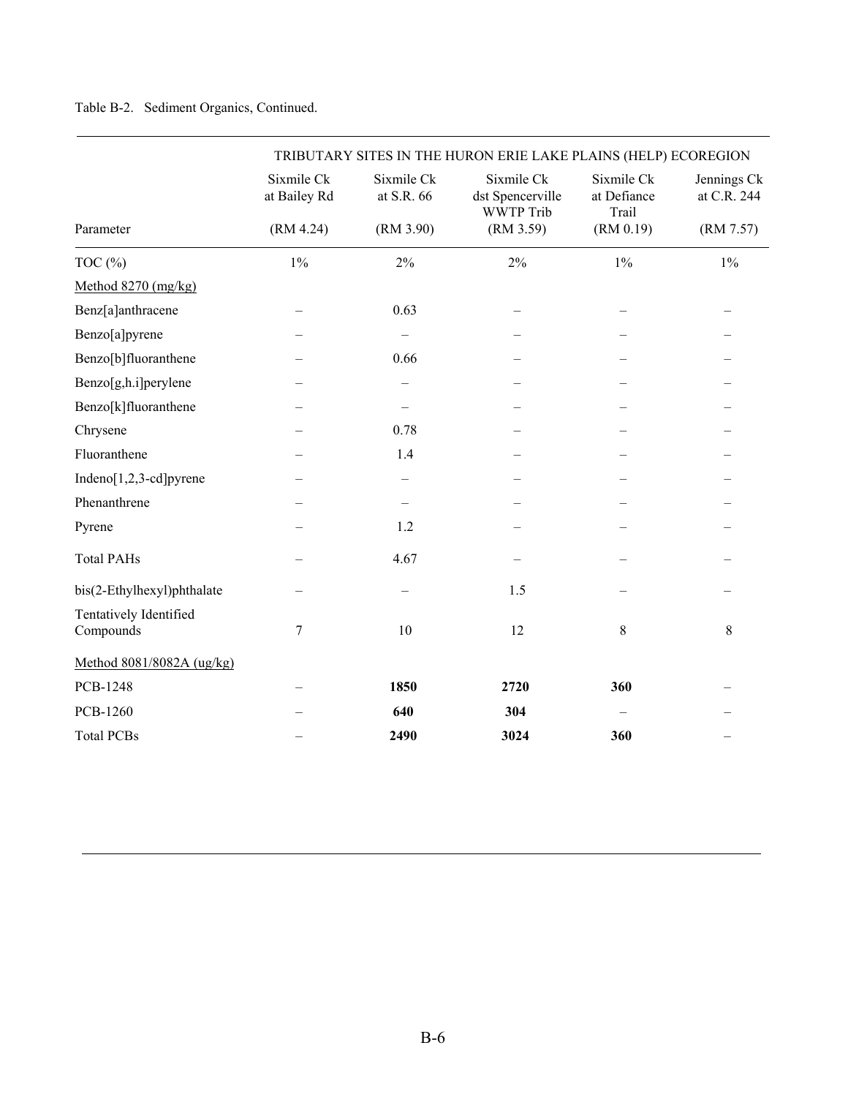#### Table B-2. Sediment Organics, Continued.

|                                     | TRIBUTARY SITES IN THE HURON ERIE LAKE PLAINS (HELP) ECOREGION |                          |                                                    |                                    |                            |  |  |  |
|-------------------------------------|----------------------------------------------------------------|--------------------------|----------------------------------------------------|------------------------------------|----------------------------|--|--|--|
|                                     | Sixmile Ck<br>at Bailey Rd                                     | Sixmile Ck<br>at S.R. 66 | Sixmile Ck<br>dst Spencerville<br><b>WWTP Trib</b> | Sixmile Ck<br>at Defiance<br>Trail | Jennings Ck<br>at C.R. 244 |  |  |  |
| Parameter                           | (RM 4.24)                                                      | (RM 3.90)                | (RM 3.59)                                          | (RM 0.19)                          | (RM 7.57)                  |  |  |  |
| TOC $(\%)$                          | $1\%$                                                          | $2\%$                    | 2%                                                 | $1\%$                              | $1\%$                      |  |  |  |
| Method 8270 (mg/kg)                 |                                                                |                          |                                                    |                                    |                            |  |  |  |
| Benz[a]anthracene                   |                                                                | 0.63                     |                                                    |                                    |                            |  |  |  |
| Benzo[a]pyrene                      |                                                                |                          |                                                    |                                    |                            |  |  |  |
| Benzo[b]fluoranthene                |                                                                | 0.66                     |                                                    |                                    |                            |  |  |  |
| Benzo[g,h.i]perylene                |                                                                |                          |                                                    |                                    |                            |  |  |  |
| Benzo[k]fluoranthene                |                                                                |                          |                                                    |                                    |                            |  |  |  |
| Chrysene                            |                                                                | 0.78                     |                                                    |                                    |                            |  |  |  |
| Fluoranthene                        |                                                                | 1.4                      |                                                    |                                    |                            |  |  |  |
| Indeno[1,2,3-cd]pyrene              |                                                                |                          |                                                    |                                    |                            |  |  |  |
| Phenanthrene                        |                                                                |                          |                                                    |                                    |                            |  |  |  |
| Pyrene                              |                                                                | 1.2                      |                                                    |                                    |                            |  |  |  |
| <b>Total PAHs</b>                   |                                                                | 4.67                     |                                                    |                                    |                            |  |  |  |
| bis(2-Ethylhexyl)phthalate          |                                                                |                          | 1.5                                                |                                    |                            |  |  |  |
| Tentatively Identified<br>Compounds | 7                                                              | 10                       | 12                                                 | 8                                  | $\,8\,$                    |  |  |  |
| Method 8081/8082A (ug/kg)           |                                                                |                          |                                                    |                                    |                            |  |  |  |
| PCB-1248                            |                                                                | 1850                     | 2720                                               | 360                                |                            |  |  |  |
| PCB-1260                            |                                                                | 640                      | 304                                                |                                    |                            |  |  |  |
| <b>Total PCBs</b>                   |                                                                | 2490                     | 3024                                               | 360                                |                            |  |  |  |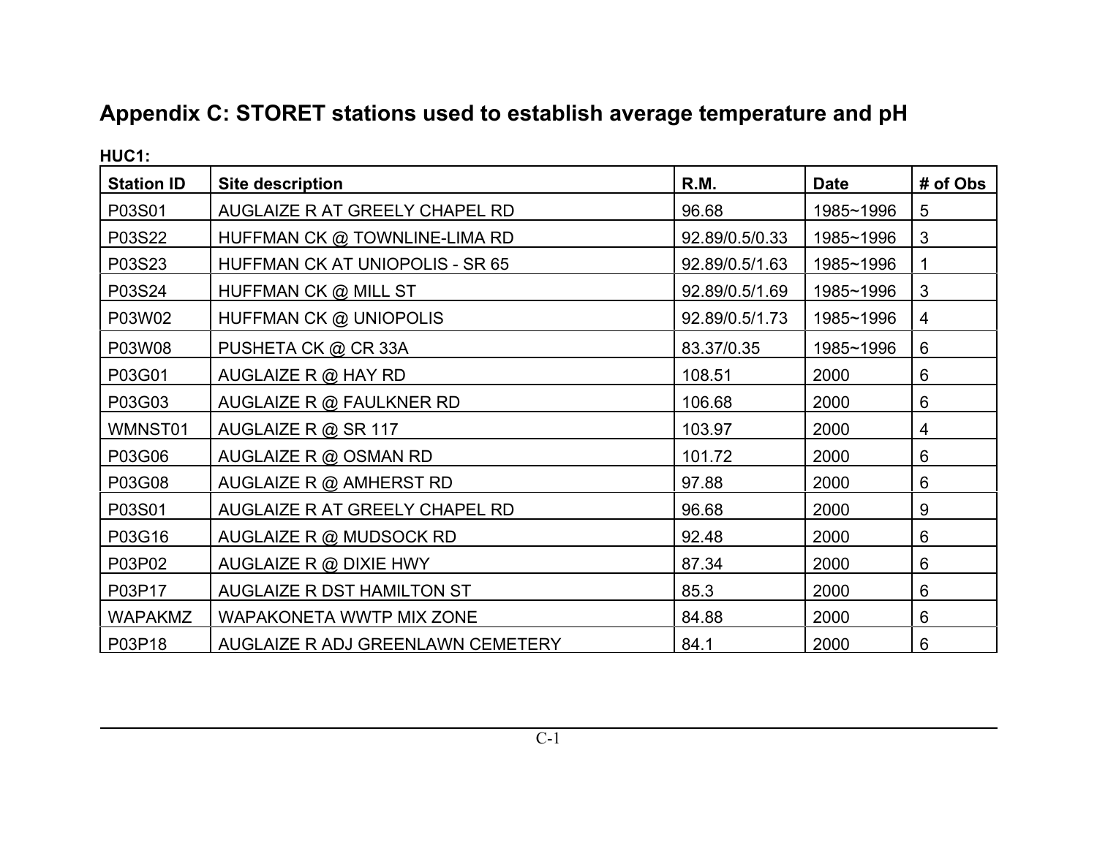# **Appendix C: STORET stations used to establish average temperature and pH**

| <b>HUC1:</b>      |                                   |                |             |          |
|-------------------|-----------------------------------|----------------|-------------|----------|
| <b>Station ID</b> | <b>Site description</b>           | R.M.           | <b>Date</b> | # of Obs |
| P03S01            | AUGLAIZE R AT GREELY CHAPEL RD    | 96.68          | 1985~1996   | 5        |
| P03S22            | HUFFMAN CK @ TOWNLINE-LIMA RD     | 92.89/0.5/0.33 | 1985~1996   | 3        |
| P03S23            | HUFFMAN CK AT UNIOPOLIS - SR 65   | 92.89/0.5/1.63 | 1985~1996   |          |
| P03S24            | HUFFMAN CK @ MILL ST              | 92.89/0.5/1.69 | 1985~1996   | 3        |
| P03W02            | HUFFMAN CK @ UNIOPOLIS            | 92.89/0.5/1.73 | 1985~1996   | 4        |
| P03W08            | PUSHETA CK @ CR 33A               | 83.37/0.35     | 1985~1996   | 6        |
| P03G01            | AUGLAIZE R @ HAY RD               | 108.51         | 2000        | 6        |
| P03G03            | AUGLAIZE R @ FAULKNER RD          | 106.68         | 2000        | 6        |
| WMNST01           | AUGLAIZE R @ SR 117               | 103.97         | 2000        | 4        |
| P03G06            | AUGLAIZE R @ OSMAN RD             | 101.72         | 2000        | 6        |
| P03G08            | AUGLAIZE R @ AMHERST RD           | 97.88          | 2000        | 6        |
| P03S01            | AUGLAIZE R AT GREELY CHAPEL RD    | 96.68          | 2000        | 9        |
| P03G16            | AUGLAIZE R @ MUDSOCK RD           | 92.48          | 2000        | 6        |
| P03P02            | AUGLAIZE R @ DIXIE HWY            | 87.34          | 2000        | 6        |
| P03P17            | AUGLAIZE R DST HAMILTON ST        | 85.3           | 2000        | 6        |
| <b>WAPAKMZ</b>    | WAPAKONETA WWTP MIX ZONE          | 84.88          | 2000        | 6        |
| P03P18            | AUGLAIZE R ADJ GREENLAWN CEMETERY | 84.1           | 2000        | 6        |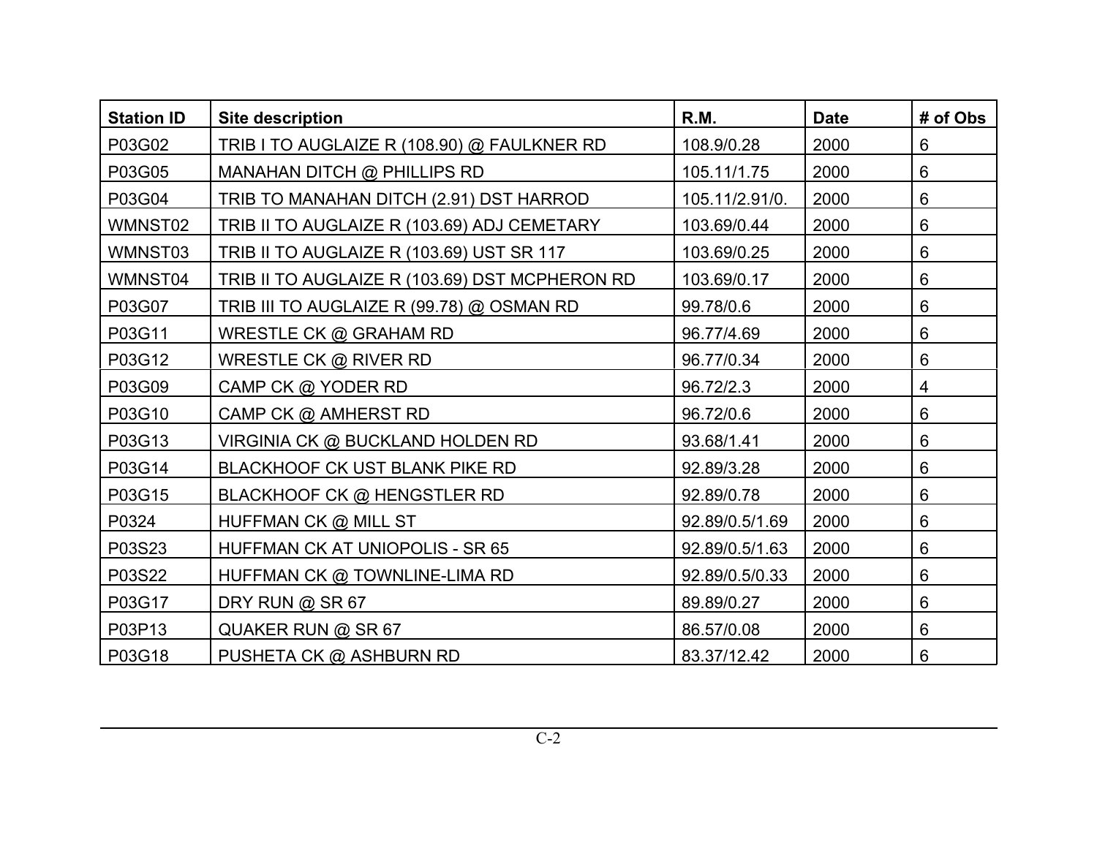| <b>Station ID</b> | <b>Site description</b>                        | R.M.           | <b>Date</b> | # of Obs        |
|-------------------|------------------------------------------------|----------------|-------------|-----------------|
| P03G02            | TRIB I TO AUGLAIZE R (108.90) @ FAULKNER RD    | 108.9/0.28     | 2000        | 6               |
| P03G05            | MANAHAN DITCH @ PHILLIPS RD                    | 105.11/1.75    | 2000        | 6               |
| P03G04            | TRIB TO MANAHAN DITCH (2.91) DST HARROD        | 105.11/2.91/0. | 2000        | 6               |
| WMNST02           | TRIB II TO AUGLAIZE R (103.69) ADJ CEMETARY    | 103.69/0.44    | 2000        | $6\phantom{1}$  |
| WMNST03           | TRIB II TO AUGLAIZE R (103.69) UST SR 117      | 103.69/0.25    | 2000        | $6\phantom{1}6$ |
| WMNST04           | TRIB II TO AUGLAIZE R (103.69) DST MCPHERON RD | 103.69/0.17    | 2000        | $6\phantom{1}6$ |
| P03G07            | TRIB III TO AUGLAIZE R (99.78) @ OSMAN RD      | 99.78/0.6      | 2000        | 6               |
| P03G11            | WRESTLE CK @ GRAHAM RD                         | 96.77/4.69     | 2000        | 6               |
| P03G12            | WRESTLE CK @ RIVER RD                          | 96.77/0.34     | 2000        | $6\phantom{1}6$ |
| P03G09            | CAMP CK @ YODER RD                             | 96.72/2.3      | 2000        | $\overline{4}$  |
| P03G10            | CAMP CK @ AMHERST RD                           | 96.72/0.6      | 2000        | 6               |
| P03G13            | VIRGINIA CK @ BUCKLAND HOLDEN RD               | 93.68/1.41     | 2000        | 6               |
| P03G14            | BLACKHOOF CK UST BLANK PIKE RD                 | 92.89/3.28     | 2000        | $6\phantom{1}$  |
| P03G15            | <b>BLACKHOOF CK @ HENGSTLER RD</b>             | 92.89/0.78     | 2000        | $6\phantom{1}6$ |
| P0324             | HUFFMAN CK @ MILL ST                           | 92.89/0.5/1.69 | 2000        | $6\phantom{1}6$ |
| P03S23            | <b>HUFFMAN CK AT UNIOPOLIS - SR 65</b>         | 92.89/0.5/1.63 | 2000        | 6               |
| P03S22            | HUFFMAN CK @ TOWNLINE-LIMA RD                  | 92.89/0.5/0.33 | 2000        | 6               |
| P03G17            | DRY RUN @ SR 67                                | 89.89/0.27     | 2000        | 6               |
| P03P13            | QUAKER RUN @ SR 67                             | 86.57/0.08     | 2000        | 6               |
| P03G18            | PUSHETA CK @ ASHBURN RD                        | 83.37/12.42    | 2000        | 6               |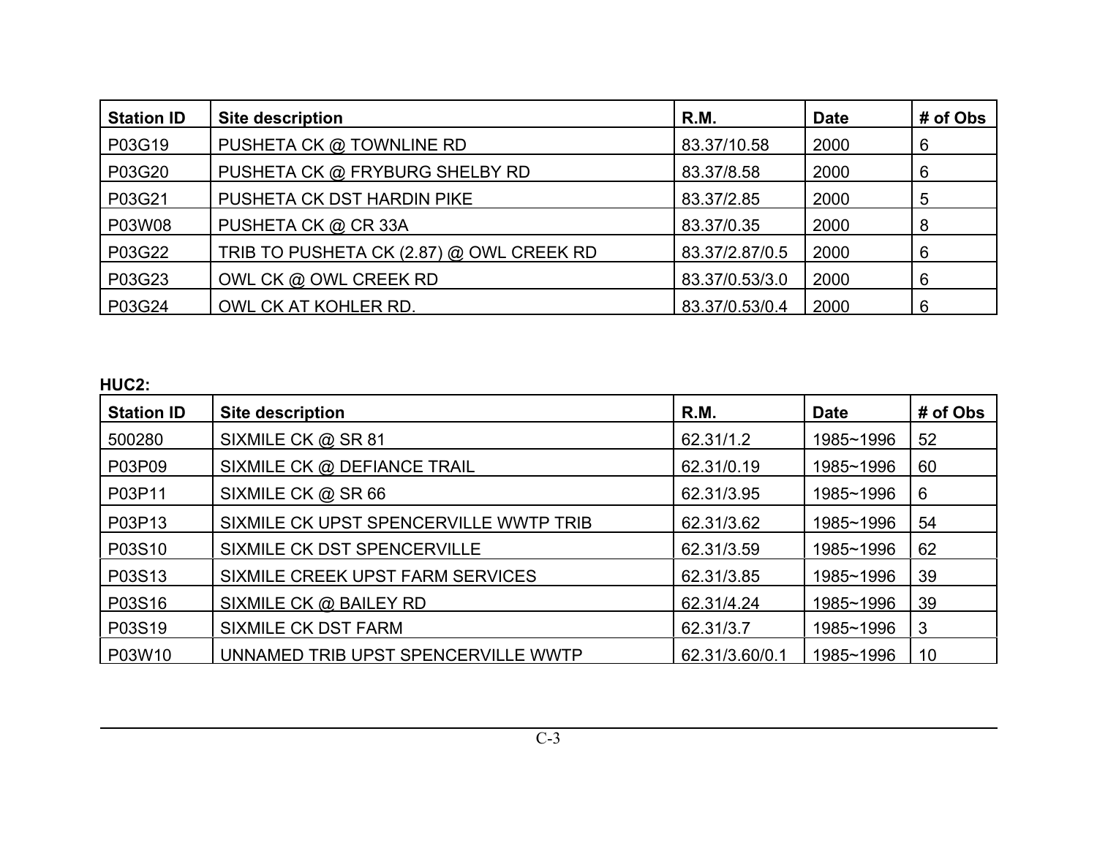| <b>Station ID</b> | <b>Site description</b>                  | R.M.           | <b>Date</b> | # of Obs |
|-------------------|------------------------------------------|----------------|-------------|----------|
| P03G19            | PUSHETA CK @ TOWNLINE RD                 | 83.37/10.58    | 2000        | 6        |
| P03G20            | PUSHETA CK @ FRYBURG SHELBY RD           | 83.37/8.58     | 2000        | 6        |
| P03G21            | PUSHETA CK DST HARDIN PIKE               | 83.37/2.85     | 2000        | -5       |
| P03W08            | PUSHETA CK @ CR 33A                      | 83.37/0.35     | 2000        | 8        |
| P03G22            | TRIB TO PUSHETA CK (2.87) @ OWL CREEK RD | 83.37/2.87/0.5 | 2000        | 6        |
| P03G23            | OWL CK @ OWL CREEK RD                    | 83.37/0.53/3.0 | 2000        | 6        |
| P03G24            | OWL CK AT KOHLER RD.                     | 83.37/0.53/0.4 | 2000        | 6        |

**HUC2:**

| ै. ।∪∪∠.          |                                        |                |             |          |
|-------------------|----------------------------------------|----------------|-------------|----------|
| <b>Station ID</b> | <b>Site description</b>                | R.M.           | <b>Date</b> | # of Obs |
| 500280            | SIXMILE CK @ SR 81                     | 62.31/1.2      | 1985~1996   | 52       |
| P03P09            | SIXMILE CK @ DEFIANCE TRAIL            | 62.31/0.19     | 1985~1996   | 60       |
| P03P11            | SIXMILE CK @ SR 66                     | 62.31/3.95     | 1985~1996   | 6        |
| P03P13            | SIXMILE CK UPST SPENCERVILLE WWTP TRIB | 62.31/3.62     | 1985~1996   | 54       |
| P03S10            | SIXMILE CK DST SPENCERVILLE            | 62.31/3.59     | 1985~1996   | 62       |
| P03S13            | SIXMILE CREEK UPST FARM SERVICES       | 62.31/3.85     | 1985~1996   | 39       |
| P03S16            | SIXMILE CK @ BAILEY RD                 | 62.31/4.24     | 1985~1996   | 39       |
| P03S19            | <b>SIXMILE CK DST FARM</b>             | 62.31/3.7      | 1985~1996   | 3        |
| P03W10            | UNNAMED TRIB UPST SPENCERVILLE WWTP    | 62.31/3.60/0.1 | 1985~1996   | 10       |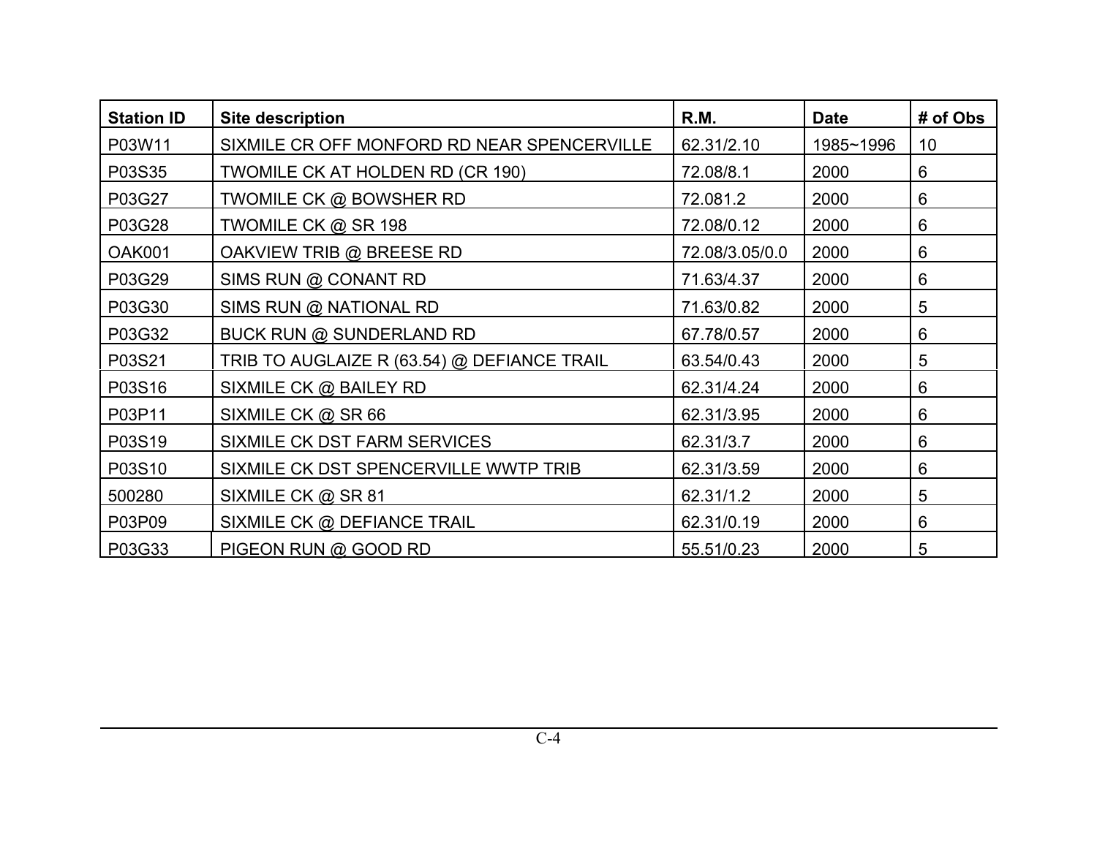| <b>Station ID</b> | <b>Site description</b>                     | R.M.           | <b>Date</b> | # of Obs        |
|-------------------|---------------------------------------------|----------------|-------------|-----------------|
| P03W11            | SIXMILE CR OFF MONFORD RD NEAR SPENCERVILLE | 62.31/2.10     | 1985~1996   | 10 <sup>°</sup> |
| P03S35            | TWOMILE CK AT HOLDEN RD (CR 190)            | 72.08/8.1      | 2000        | 6               |
| P03G27            | TWOMILE CK @ BOWSHER RD                     | 72.081.2       | 2000        | 6               |
| P03G28            | TWOMILE CK @ SR 198                         | 72.08/0.12     | 2000        | 6               |
| <b>OAK001</b>     | OAKVIEW TRIB @ BREESE RD                    | 72.08/3.05/0.0 | 2000        | 6               |
| P03G29            | SIMS RUN @ CONANT RD                        | 71.63/4.37     | 2000        | 6               |
| P03G30            | SIMS RUN @ NATIONAL RD                      | 71.63/0.82     | 2000        | 5               |
| P03G32            | BUCK RUN @ SUNDERLAND RD                    | 67.78/0.57     | 2000        | 6               |
| P03S21            | TRIB TO AUGLAIZE R (63.54) @ DEFIANCE TRAIL | 63.54/0.43     | 2000        | 5               |
| P03S16            | SIXMILE CK @ BAILEY RD                      | 62.31/4.24     | 2000        | 6               |
| P03P11            | SIXMILE CK @ SR 66                          | 62.31/3.95     | 2000        | 6               |
| P03S19            | SIXMILE CK DST FARM SERVICES                | 62.31/3.7      | 2000        | 6               |
| P03S10            | SIXMILE CK DST SPENCERVILLE WWTP TRIB       | 62.31/3.59     | 2000        | 6               |
| 500280            | SIXMILE CK @ SR 81                          | 62.31/1.2      | 2000        | 5               |
| P03P09            | SIXMILE CK @ DEFIANCE TRAIL                 | 62.31/0.19     | 2000        | 6               |
| P03G33            | PIGEON RUN @ GOOD RD                        | 55.51/0.23     | 2000        | 5               |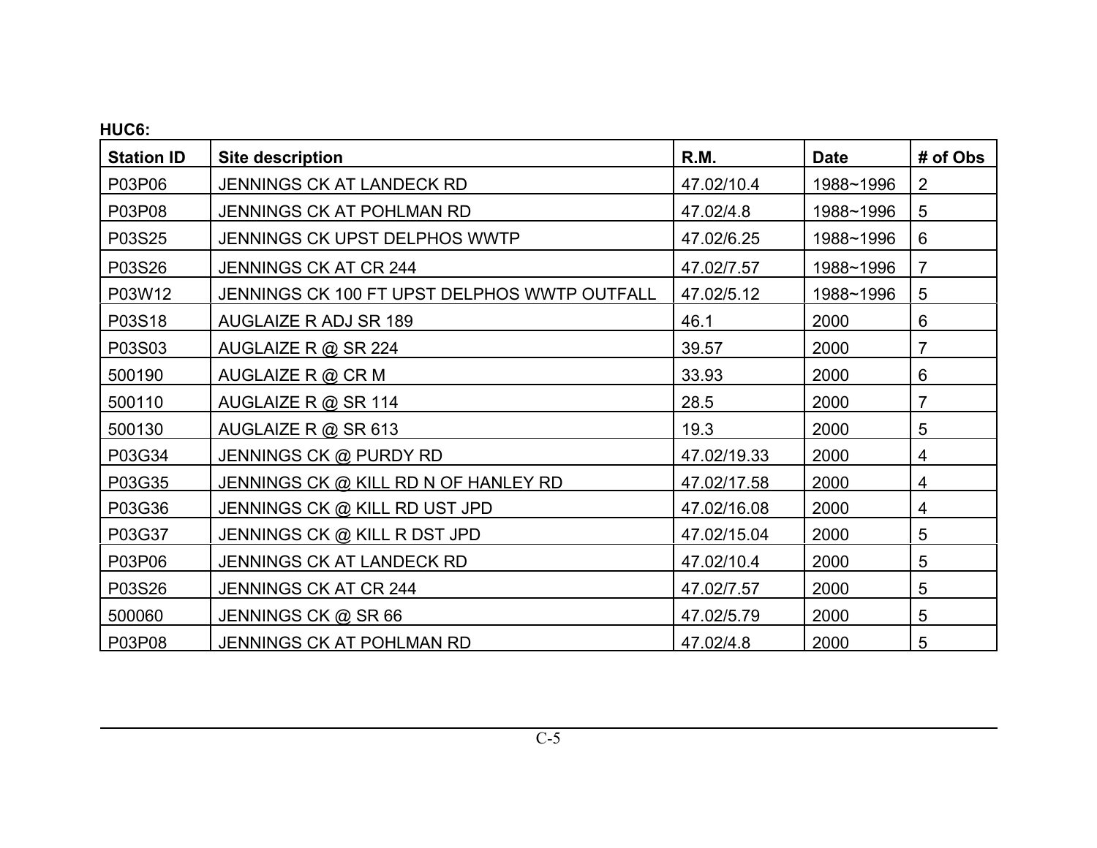| HUC6:             |                                              |             |             |                |
|-------------------|----------------------------------------------|-------------|-------------|----------------|
| <b>Station ID</b> | <b>Site description</b>                      | R.M.        | <b>Date</b> | # of Obs       |
| P03P06            | JENNINGS CK AT LANDECK RD                    | 47.02/10.4  | 1988~1996   | 2              |
| P03P08            | JENNINGS CK AT POHLMAN RD                    | 47.02/4.8   | 1988~1996   | 5              |
| P03S25            | JENNINGS CK UPST DELPHOS WWTP                | 47.02/6.25  | 1988~1996   | 6              |
| P03S26            | <b>JENNINGS CK AT CR 244</b>                 | 47.02/7.57  | 1988~1996   | $\overline{7}$ |
| P03W12            | JENNINGS CK 100 FT UPST DELPHOS WWTP OUTFALL | 47.02/5.12  | 1988~1996   | 5              |
| P03S18            | AUGLAIZE R ADJ SR 189                        | 46.1        | 2000        | 6              |
| P03S03            | AUGLAIZE R @ SR 224                          | 39.57       | 2000        | 7              |
| 500190            | AUGLAIZE R @ CR M                            | 33.93       | 2000        | 6              |
| 500110            | AUGLAIZE R @ SR 114                          | 28.5        | 2000        | $\overline{7}$ |
| 500130            | AUGLAIZE R @ SR 613                          | 19.3        | 2000        | $\overline{5}$ |
| P03G34            | JENNINGS CK @ PURDY RD                       | 47.02/19.33 | 2000        | 4              |
| P03G35            | JENNINGS CK @ KILL RD N OF HANLEY RD         | 47.02/17.58 | 2000        | 4              |
| P03G36            | JENNINGS CK @ KILL RD UST JPD                | 47.02/16.08 | 2000        | 4              |
| P03G37            | JENNINGS CK @ KILL R DST JPD                 | 47.02/15.04 | 2000        | 5              |
| P03P06            | JENNINGS CK AT LANDECK RD                    | 47.02/10.4  | 2000        | 5              |
| P03S26            | <b>JENNINGS CK AT CR 244</b>                 | 47.02/7.57  | 2000        | 5              |
| 500060            | JENNINGS CK @ SR 66                          | 47.02/5.79  | 2000        | 5              |
| P03P08            | JENNINGS CK AT POHLMAN RD                    | 47.02/4.8   | 2000        | 5              |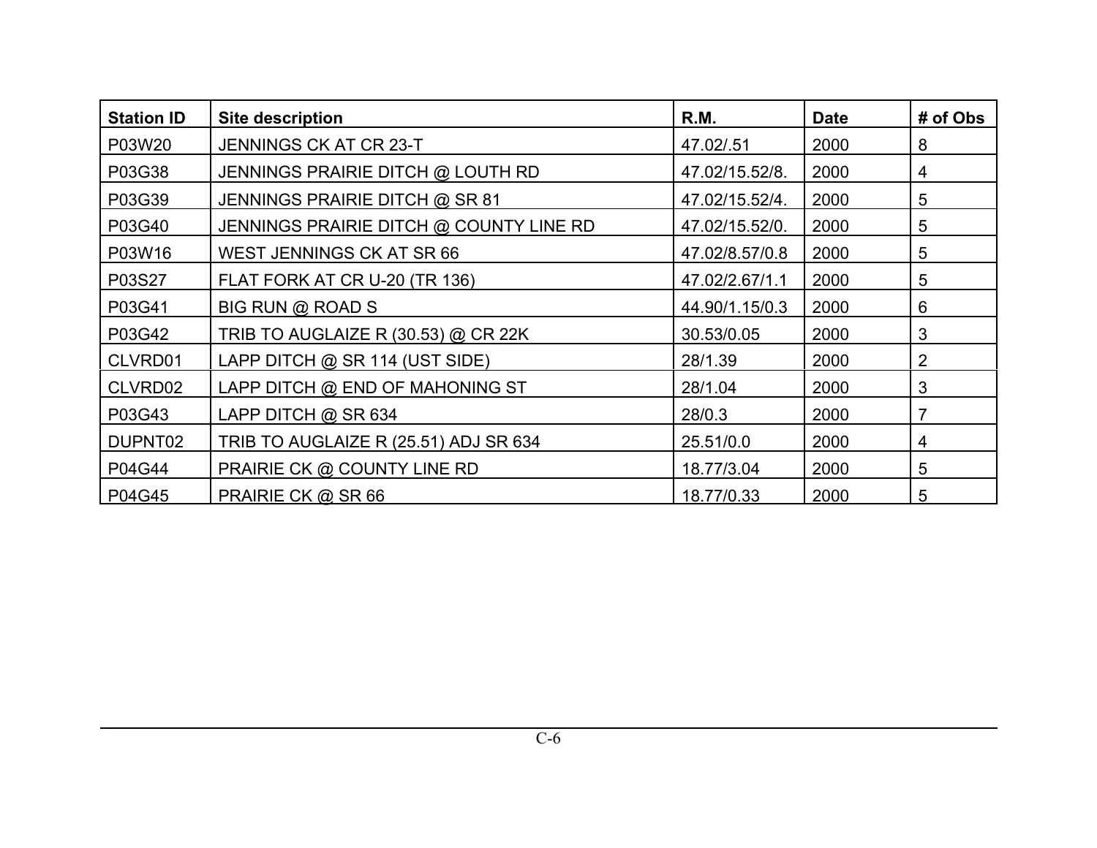| <b>Station ID</b> | <b>Site description</b>                 | R.M.           | <b>Date</b> | # of Obs |
|-------------------|-----------------------------------------|----------------|-------------|----------|
| P03W20            | <b>JENNINGS CK AT CR 23-T</b>           | 47.02/.51      | 2000        | 8        |
| P03G38            | JENNINGS PRAIRIE DITCH @ LOUTH RD       | 47.02/15.52/8. | 2000        | 4        |
| P03G39            | JENNINGS PRAIRIE DITCH @ SR 81          | 47.02/15.52/4. | 2000        | 5        |
| P03G40            | JENNINGS PRAIRIE DITCH @ COUNTY LINE RD | 47.02/15.52/0. | 2000        | 5        |
| P03W16            | WEST JENNINGS CK AT SR 66               | 47.02/8.57/0.8 | 2000        | 5        |
| P03S27            | FLAT FORK AT CR U-20 (TR 136)           | 47.02/2.67/1.1 | 2000        | 5        |
| P03G41            | BIG RUN @ ROAD S                        | 44.90/1.15/0.3 | 2000        | 6        |
| P03G42            | TRIB TO AUGLAIZE R (30.53) @ CR 22K     | 30.53/0.05     | 2000        | 3        |
| CLVRD01           | LAPP DITCH @ SR 114 (UST SIDE)          | 28/1.39        | 2000        | 2        |
| CLVRD02           | LAPP DITCH @ END OF MAHONING ST         | 28/1.04        | 2000        | 3        |
| P03G43            | LAPP DITCH @ SR 634                     | 28/0.3         | 2000        | 7        |
| DUPNT02           | TRIB TO AUGLAIZE R (25.51) ADJ SR 634   | 25.51/0.0      | 2000        | 4        |
| P04G44            | PRAIRIE CK @ COUNTY LINE RD             | 18.77/3.04     | 2000        | 5        |
| P04G45            | PRAIRIE CK @ SR 66                      | 18.77/0.33     | 2000        | 5        |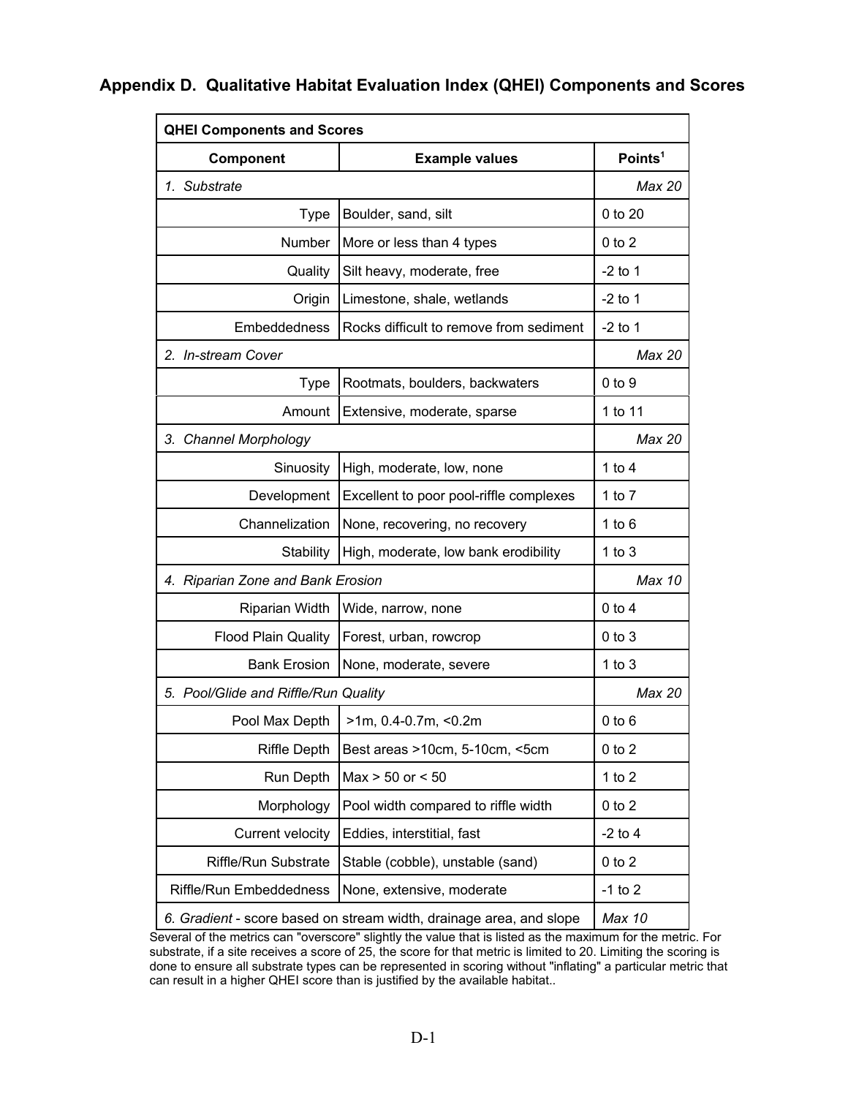| <b>QHEI Components and Scores</b><br>Component | <b>Example values</b>                                               | Points <sup>1</sup> |
|------------------------------------------------|---------------------------------------------------------------------|---------------------|
|                                                |                                                                     |                     |
| 1. Substrate                                   |                                                                     | Max 20              |
| <b>Type</b>                                    | Boulder, sand, silt                                                 | 0 to 20             |
| Number                                         | More or less than 4 types                                           | $0$ to $2$          |
| Quality                                        | Silt heavy, moderate, free                                          | $-2$ to 1           |
| Origin                                         | Limestone, shale, wetlands                                          | $-2$ to 1           |
| Embeddedness                                   | Rocks difficult to remove from sediment                             | $-2$ to 1           |
| 2. In-stream Cover                             |                                                                     | Max 20              |
| <b>Type</b>                                    | Rootmats, boulders, backwaters                                      | $0$ to $9$          |
| Amount                                         | Extensive, moderate, sparse                                         | 1 to 11             |
| 3. Channel Morphology                          |                                                                     | Max 20              |
| Sinuosity                                      | High, moderate, low, none                                           | 1 to $4$            |
| Development                                    | Excellent to poor pool-riffle complexes                             | 1 to $7$            |
| Channelization                                 | None, recovering, no recovery                                       | 1 to $6$            |
| Stability                                      | High, moderate, low bank erodibility                                | 1 to $3$            |
| 4. Riparian Zone and Bank Erosion              |                                                                     | Max 10              |
| Riparian Width                                 | Wide, narrow, none                                                  | $0$ to $4$          |
| <b>Flood Plain Quality</b>                     | Forest, urban, rowcrop                                              | $0$ to $3$          |
| <b>Bank Erosion</b>                            | None, moderate, severe                                              | 1 to $3$            |
| 5. Pool/Glide and Riffle/Run Quality           |                                                                     | Max 20              |
| Pool Max Depth                                 | >1m, 0.4-0.7m, <0.2m                                                | $0$ to $6$          |
| <b>Riffle Depth</b>                            | Best areas >10cm, 5-10cm, <5cm                                      | $0$ to $2$          |
| Run Depth                                      | $Max > 50$ or $< 50$                                                | 1 to $2$            |
| Morphology                                     | Pool width compared to riffle width                                 | $0$ to $2$          |
| Current velocity                               | Eddies, interstitial, fast                                          | $-2$ to 4           |
| Riffle/Run Substrate                           | Stable (cobble), unstable (sand)                                    | $0$ to $2$          |
| Riffle/Run Embeddedness                        | None, extensive, moderate                                           | $-1$ to 2           |
|                                                | 6. Gradient - score based on stream width, drainage area, and slope | <b>Max 10</b>       |

### **Appendix D. Qualitative Habitat Evaluation Index (QHEI) Components and Scores**

Several of the metrics can "overscore" slightly the value that is listed as the maximum for the metric. For substrate, if a site receives a score of 25, the score for that metric is limited to 20. Limiting the scoring is done to ensure all substrate types can be represented in scoring without "inflating" a particular metric that can result in a higher QHEI score than is justified by the available habitat..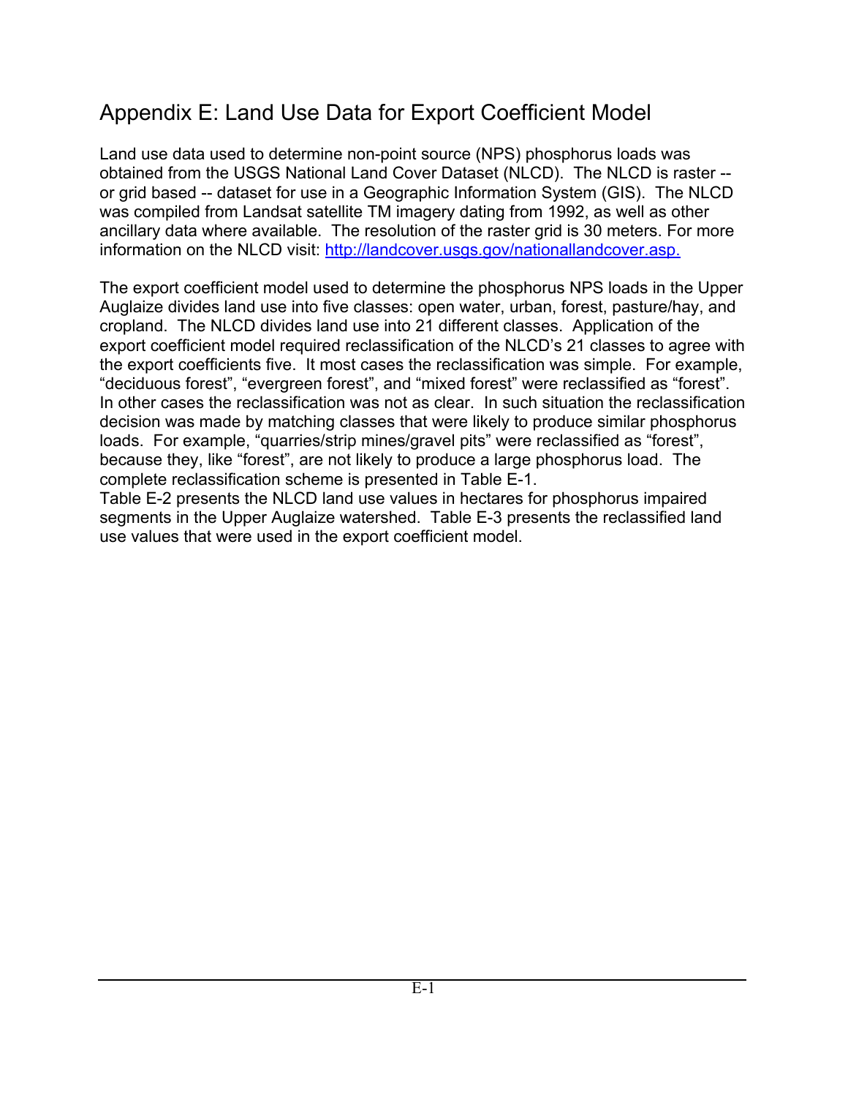# Appendix E: Land Use Data for Export Coefficient Model

Land use data used to determine non-point source (NPS) phosphorus loads was obtained from the USGS National Land Cover Dataset (NLCD). The NLCD is raster - or grid based -- dataset for use in a Geographic Information System (GIS). The NLCD was compiled from Landsat satellite TM imagery dating from 1992, as well as other ancillary data where available. The resolution of the raster grid is 30 meters. For more information on the NLCD visit: http://landcover.usgs.gov/nationallandcover.asp.

The export coefficient model used to determine the phosphorus NPS loads in the Upper Auglaize divides land use into five classes: open water, urban, forest, pasture/hay, and cropland. The NLCD divides land use into 21 different classes. Application of the export coefficient model required reclassification of the NLCD's 21 classes to agree with the export coefficients five. It most cases the reclassification was simple. For example, "deciduous forest", "evergreen forest", and "mixed forest" were reclassified as "forest". In other cases the reclassification was not as clear. In such situation the reclassification decision was made by matching classes that were likely to produce similar phosphorus loads. For example, "quarries/strip mines/gravel pits" were reclassified as "forest", because they, like "forest", are not likely to produce a large phosphorus load. The complete reclassification scheme is presented in Table E-1.

Table E-2 presents the NLCD land use values in hectares for phosphorus impaired segments in the Upper Auglaize watershed. Table E-3 presents the reclassified land use values that were used in the export coefficient model.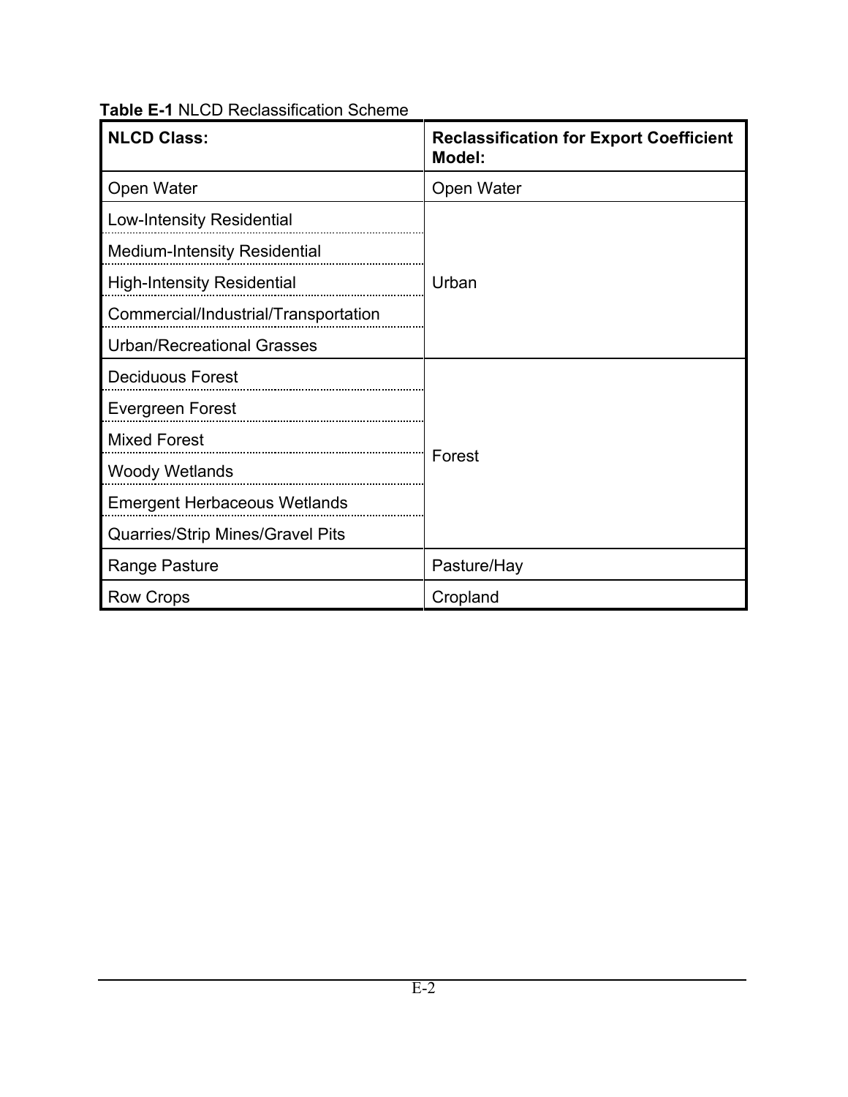|  | <b>Table E-1 NLCD Reclassification Scheme</b> |  |
|--|-----------------------------------------------|--|
|  |                                               |  |

| <b>NLCD Class:</b>                      | <b>Reclassification for Export Coefficient</b><br>Model: |
|-----------------------------------------|----------------------------------------------------------|
| Open Water                              | Open Water                                               |
| <b>Low-Intensity Residential</b>        |                                                          |
| <b>Medium-Intensity Residential</b>     |                                                          |
| <b>High-Intensity Residential</b>       | Urban                                                    |
| Commercial/Industrial/Transportation    |                                                          |
| <b>Urban/Recreational Grasses</b>       |                                                          |
| <b>Deciduous Forest</b>                 |                                                          |
| Evergreen Forest                        |                                                          |
| <b>Mixed Forest</b>                     | Forest                                                   |
| <b>Woody Wetlands</b>                   |                                                          |
| <b>Emergent Herbaceous Wetlands</b>     |                                                          |
| <b>Quarries/Strip Mines/Gravel Pits</b> |                                                          |
| Range Pasture                           | Pasture/Hay                                              |
| <b>Row Crops</b>                        | Cropland                                                 |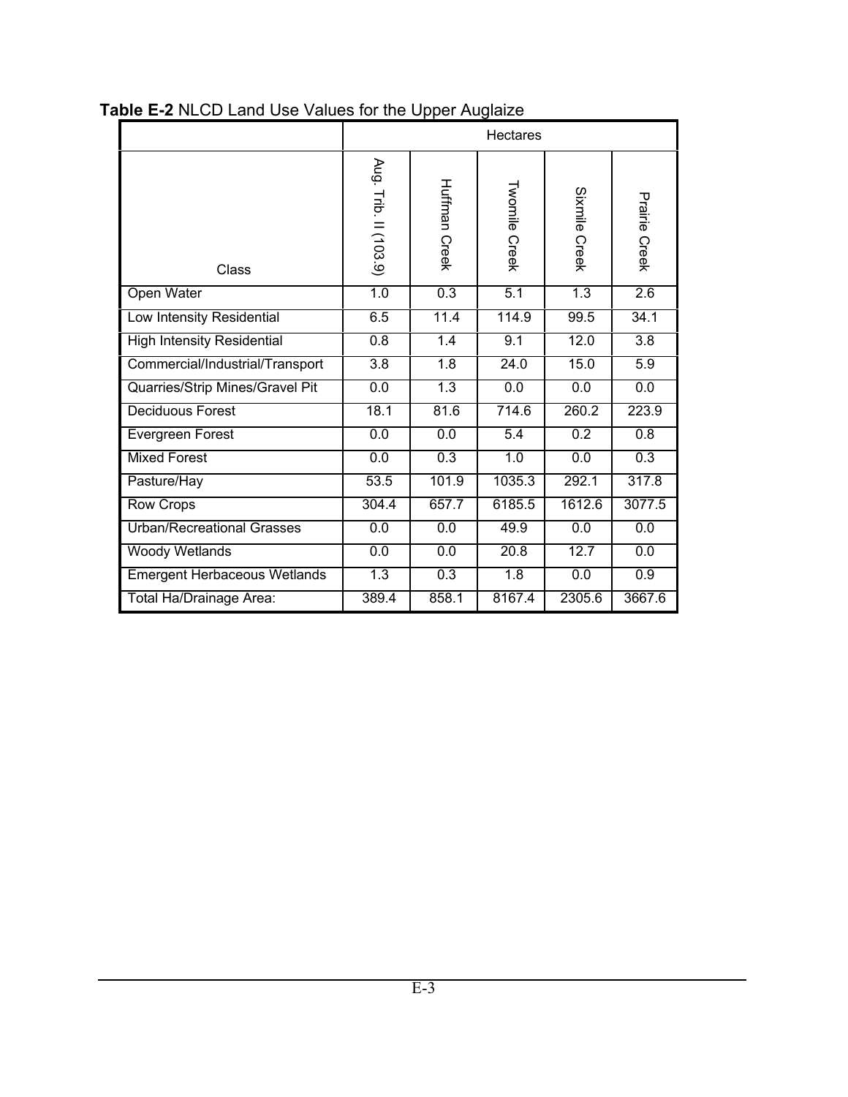|                                     | <b>Hectares</b>       |                      |                      |                  |               |
|-------------------------------------|-----------------------|----------------------|----------------------|------------------|---------------|
| Class                               | Aug. Trib. II (103.9) | <b>Huffman Creek</b> | <b>Twomile Creek</b> | Sixmile Creek    | Prairie Creek |
| Open Water                          | 1.0                   | 0.3                  | 5.1                  | $\overline{1.3}$ | 2.6           |
| Low Intensity Residential           | 6.5                   | 11.4                 | 114.9                | 99.5             | 34.1          |
| <b>High Intensity Residential</b>   | 0.8                   | 1.4                  | 9.1                  | 12.0             | 3.8           |
| Commercial/Industrial/Transport     | $\overline{3.8}$      | 1.8                  | 24.0                 | 15.0             | 5.9           |
| Quarries/Strip Mines/Gravel Pit     | 0.0                   | 1.3                  | 0.0                  | 0.0              | 0.0           |
| <b>Deciduous Forest</b>             | 18.1                  | 81.6                 | 714.6                | 260.2            | 223.9         |
| Evergreen Forest                    | 0.0                   | 0.0                  | 5.4                  | 0.2              | 0.8           |
| <b>Mixed Forest</b>                 | 0.0                   | 0.3                  | 1.0                  | 0.0              | 0.3           |
| Pasture/Hay                         | 53.5                  | 101.9                | 1035.3               | 292.1            | 317.8         |
| <b>Row Crops</b>                    | 304.4                 | 657.7                | 6185.5               | 1612.6           | 3077.5        |
| <b>Urban/Recreational Grasses</b>   | 0.0                   | 0.0                  | 49.9                 | 0.0              | 0.0           |
| <b>Woody Wetlands</b>               | 0.0                   | 0.0                  | 20.8                 | 12.7             | 0.0           |
| <b>Emergent Herbaceous Wetlands</b> | 1.3                   | 0.3                  | $\overline{1.8}$     | $\overline{0.0}$ | 0.9           |
| Total Ha/Drainage Area:             | 389.4                 | 858.1                | 8167.4               | 2305.6           | 3667.6        |

### **Table E-2** NLCD Land Use Values for the Upper Auglaize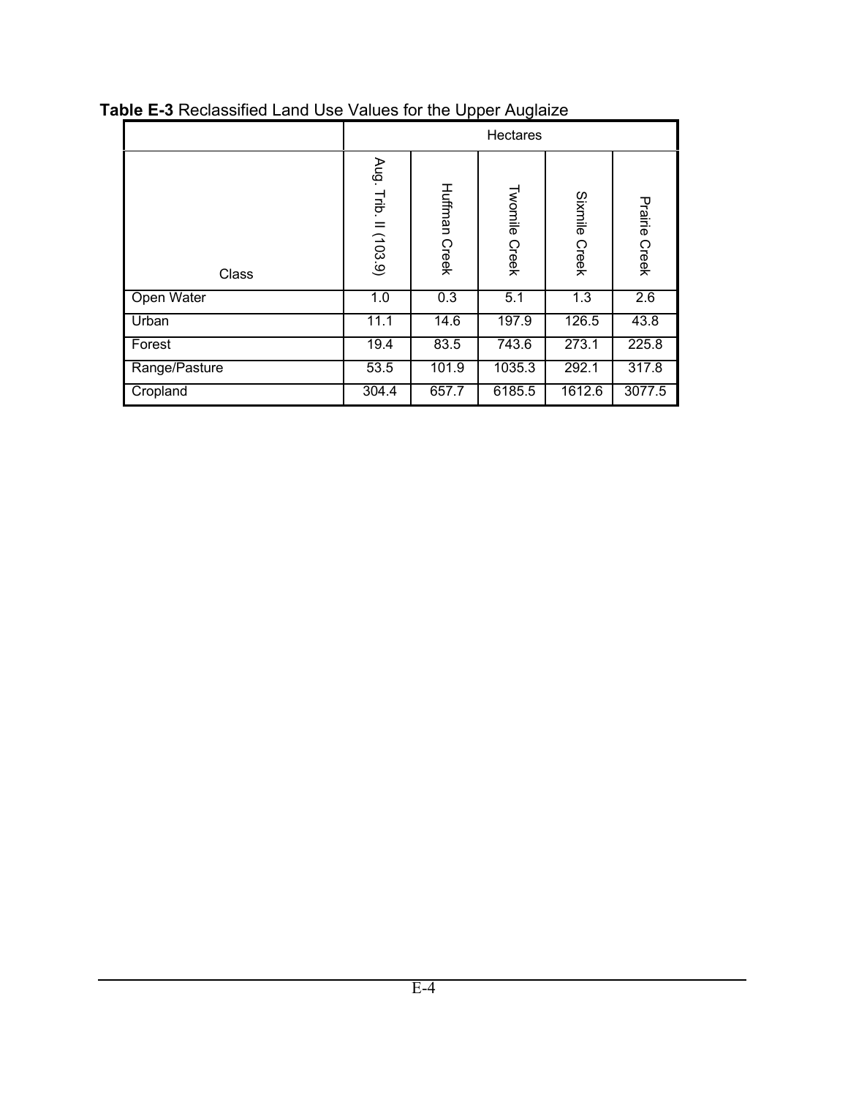|               |                          |                         | Hectares                |                         |                         |
|---------------|--------------------------|-------------------------|-------------------------|-------------------------|-------------------------|
| Class         | Aug.<br>Trib. II (103.9) | Huffman<br><b>Creek</b> | Twomile<br><b>Creek</b> | Sixmile<br><b>Creek</b> | Prairie<br><b>Creek</b> |
| Open Water    | 1.0                      | 0.3                     | 5.1                     | 1.3                     | 2.6                     |
| Urban         | 11.1                     | 14.6                    | 197.9                   | 126.5                   | 43.8                    |
| Forest        | 19.4                     | 83.5                    | 743.6                   | 273.1                   | 225.8                   |
| Range/Pasture | 53.5                     | 101.9                   | 1035.3                  | 292.1                   | 317.8                   |
| Cropland      | 304.4                    | 657.7                   | 6185.5                  | 1612.6                  | 3077.5                  |

## **Table E-3** Reclassified Land Use Values for the Upper Auglaize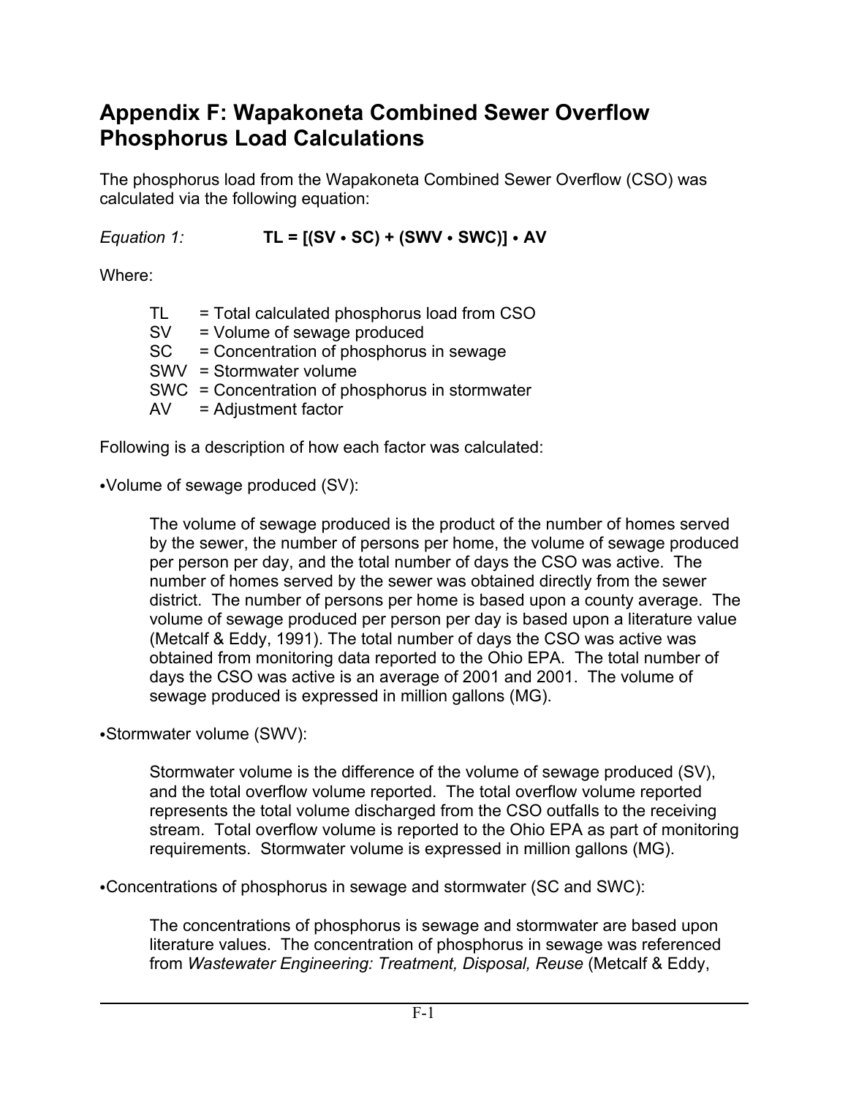# **Appendix F: Wapakoneta Combined Sewer Overflow Phosphorus Load Calculations**

The phosphorus load from the Wapakoneta Combined Sewer Overflow (CSO) was calculated via the following equation:

 $Equation 1:$  **TL = [(SV · SC) + (SWV · SWC)] · AV** 

Where:

| TL.       | = Total calculated phosphorus load from CSO     |
|-----------|-------------------------------------------------|
| <b>SV</b> | = Volume of sewage produced                     |
| SC        | = Concentration of phosphorus in sewage         |
|           | SWV = Stormwater volume                         |
|           | SWC = Concentration of phosphorus in stormwater |
| AV        | = Adjustment factor                             |

Following is a description of how each factor was calculated:

• Volume of sewage produced (SV):

The volume of sewage produced is the product of the number of homes served by the sewer, the number of persons per home, the volume of sewage produced per person per day, and the total number of days the CSO was active. The number of homes served by the sewer was obtained directly from the sewer district. The number of persons per home is based upon a county average. The volume of sewage produced per person per day is based upon a literature value (Metcalf & Eddy, 1991). The total number of days the CSO was active was obtained from monitoring data reported to the Ohio EPA. The total number of days the CSO was active is an average of 2001 and 2001. The volume of sewage produced is expressed in million gallons (MG).

• Stormwater volume (SWV):

Stormwater volume is the difference of the volume of sewage produced (SV), and the total overflow volume reported. The total overflow volume reported represents the total volume discharged from the CSO outfalls to the receiving stream. Total overflow volume is reported to the Ohio EPA as part of monitoring requirements. Stormwater volume is expressed in million gallons (MG).

• Concentrations of phosphorus in sewage and stormwater (SC and SWC):

The concentrations of phosphorus is sewage and stormwater are based upon literature values. The concentration of phosphorus in sewage was referenced from *Wastewater Engineering: Treatment, Disposal, Reuse* (Metcalf & Eddy,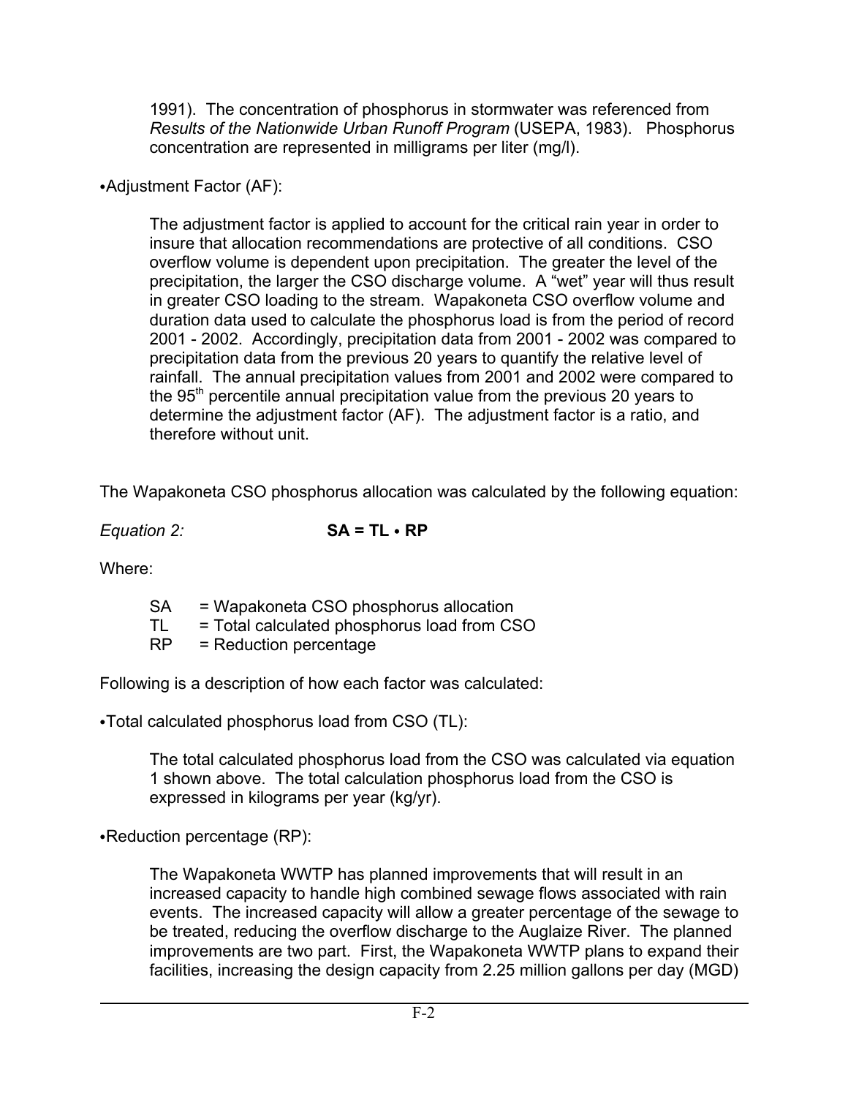1991).The concentration of phosphorus in stormwater was referenced from *Results of the Nationwide Urban Runoff Program* (USEPA, 1983). Phosphorus concentration are represented in milligrams per liter (mg/l).

### • Adjustment Factor (AF):

The adjustment factor is applied to account for the critical rain year in order to insure that allocation recommendations are protective of all conditions. CSO overflow volume is dependent upon precipitation. The greater the level of the precipitation, the larger the CSO discharge volume. A "wet" year will thus result in greater CSO loading to the stream. Wapakoneta CSO overflow volume and duration data used to calculate the phosphorus load is from the period of record 2001 - 2002. Accordingly, precipitation data from 2001 - 2002 was compared to precipitation data from the previous 20 years to quantify the relative level of rainfall. The annual precipitation values from 2001 and 2002 were compared to the  $95<sup>th</sup>$  percentile annual precipitation value from the previous 20 years to determine the adjustment factor (AF). The adjustment factor is a ratio, and therefore without unit.

The Wapakoneta CSO phosphorus allocation was calculated by the following equation:

**Equation 2: SA = TL • RP** 

Where:

| <b>SA</b> | = Wapakoneta CSO phosphorus allocation      |
|-----------|---------------------------------------------|
| TL        | = Total calculated phosphorus load from CSO |
| <b>RP</b> | = Reduction percentage                      |

Following is a description of how each factor was calculated:

 $\cdot$ Total calculated phosphorus load from CSO (TL):

The total calculated phosphorus load from the CSO was calculated via equation 1 shown above. The total calculation phosphorus load from the CSO is expressed in kilograms per year (kg/yr).

 $\cdot$ Reduction percentage (RP):

The Wapakoneta WWTP has planned improvements that will result in an increased capacity to handle high combined sewage flows associated with rain events. The increased capacity will allow a greater percentage of the sewage to be treated, reducing the overflow discharge to the Auglaize River. The planned improvements are two part. First, the Wapakoneta WWTP plans to expand their facilities, increasing the design capacity from 2.25 million gallons per day (MGD)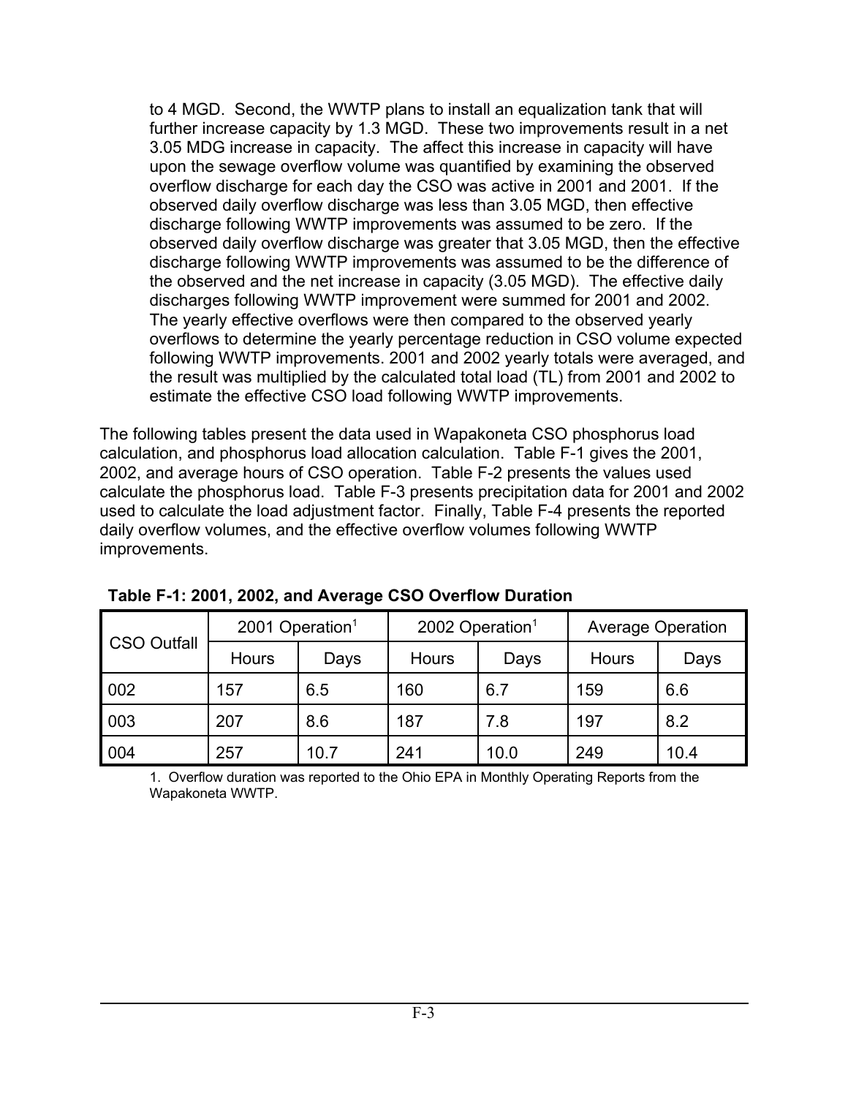to 4 MGD. Second, the WWTP plans to install an equalization tank that will further increase capacity by 1.3 MGD. These two improvements result in a net 3.05 MDG increase in capacity. The affect this increase in capacity will have upon the sewage overflow volume was quantified by examining the observed overflow discharge for each day the CSO was active in 2001 and 2001. If the observed daily overflow discharge was less than 3.05 MGD, then effective discharge following WWTP improvements was assumed to be zero. If the observed daily overflow discharge was greater that 3.05 MGD, then the effective discharge following WWTP improvements was assumed to be the difference of the observed and the net increase in capacity (3.05 MGD). The effective daily discharges following WWTP improvement were summed for 2001 and 2002. The yearly effective overflows were then compared to the observed yearly overflows to determine the yearly percentage reduction in CSO volume expected following WWTP improvements. 2001 and 2002 yearly totals were averaged, and the result was multiplied by the calculated total load (TL) from 2001 and 2002 to estimate the effective CSO load following WWTP improvements.

The following tables present the data used in Wapakoneta CSO phosphorus load calculation, and phosphorus load allocation calculation. Table F-1 gives the 2001, 2002, and average hours of CSO operation. Table F-2 presents the values used calculate the phosphorus load. Table F-3 presents precipitation data for 2001 and 2002 used to calculate the load adjustment factor. Finally, Table F-4 presents the reported daily overflow volumes, and the effective overflow volumes following WWTP improvements.

| <b>CSO Outfall</b> | 2001 Operation <sup>1</sup> |      | 2002 Operation <sup>1</sup> |      | <b>Average Operation</b> |      |  |
|--------------------|-----------------------------|------|-----------------------------|------|--------------------------|------|--|
|                    | <b>Hours</b>                | Days | <b>Hours</b>                | Days | <b>Hours</b>             | Days |  |
| 002                | 157                         | 6.5  | 160                         | 6.7  | 159                      | 6.6  |  |
| 003                | 207                         | 8.6  | 187                         | 7.8  | 197                      | 8.2  |  |
| 004                | 257                         | 10.7 | 241                         | 10.0 | 249                      | 10.4 |  |

**Table F-1: 2001, 2002, and Average CSO Overflow Duration**

1. Overflow duration was reported to the Ohio EPA in Monthly Operating Reports from the Wapakoneta WWTP.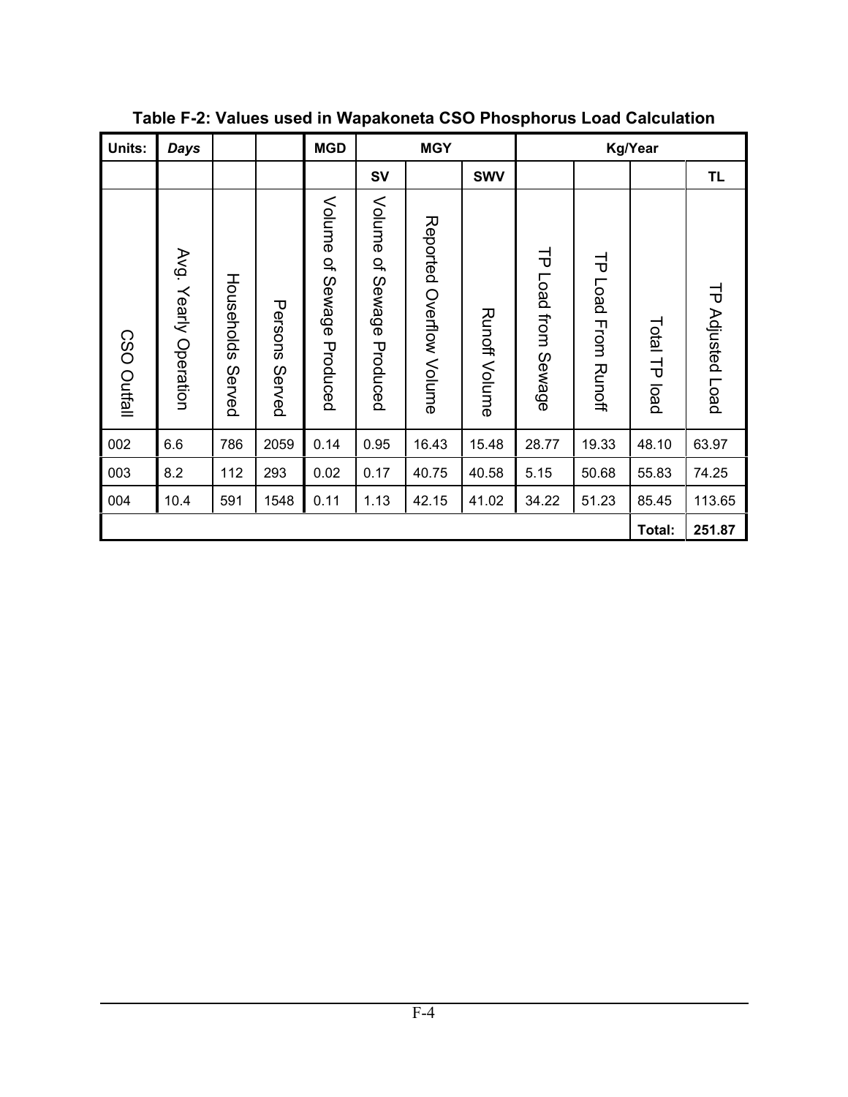| Units:             | <b>Days</b>              |                      |                   | <b>MGD</b>                        |                                                | <b>MGY</b>               |                      | Kg/Year                  |                               |               |                         |
|--------------------|--------------------------|----------------------|-------------------|-----------------------------------|------------------------------------------------|--------------------------|----------------------|--------------------------|-------------------------------|---------------|-------------------------|
|                    |                          |                      |                   |                                   | <b>SV</b>                                      |                          | <b>SWV</b>           |                          |                               |               | <b>TL</b>               |
| <b>CSO Outfall</b> | Avg.<br>Yearly Operation | Households<br>Served | Persons<br>Served | Volume<br>ቧ<br>Sewage<br>Produced | Volume<br>$\vec{\sigma}$<br>Sewage<br>Produced | Reported Overflow Volume | <b>Runoff Volume</b> | 긩<br>Load from<br>Sewage | TP Load From<br><b>Runoff</b> | Total TP load | <b>TP Adjusted Load</b> |
| 002                | 6.6                      | 786                  | 2059              | 0.14                              | 0.95                                           | 16.43                    | 15.48                | 28.77                    | 19.33                         | 48.10         | 63.97                   |
| 003                | 8.2                      | 112                  | 293               | 0.02                              | 0.17                                           | 40.75                    | 40.58                | 5.15                     | 50.68                         | 55.83         | 74.25                   |
| 004                | 10.4                     | 591                  | 1548              | 0.11                              | 1.13                                           | 42.15                    | 41.02                | 34.22                    | 51.23                         | 85.45         | 113.65                  |
|                    | 251.87<br>Total:         |                      |                   |                                   |                                                |                          |                      |                          |                               |               |                         |

**Table F-2: Values used in Wapakoneta CSO Phosphorus Load Calculation**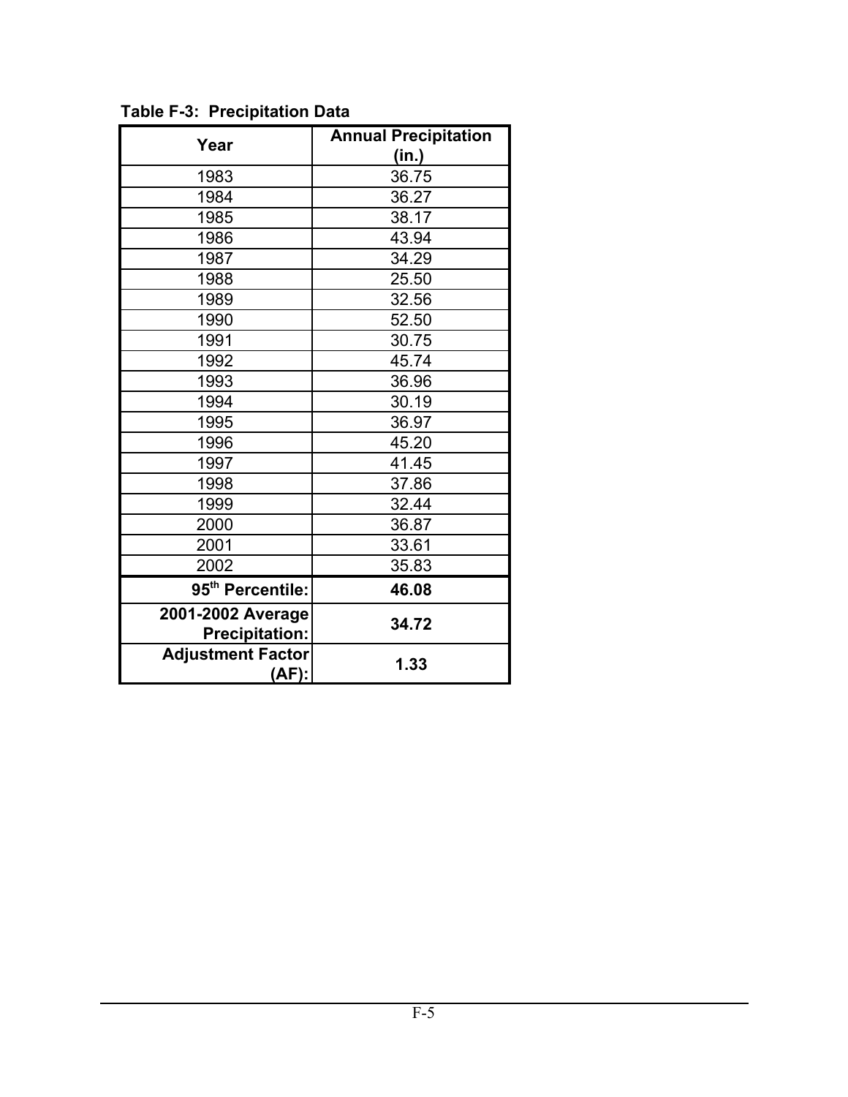| Year                                       | <b>Annual Precipitation</b> |
|--------------------------------------------|-----------------------------|
|                                            | (in.)                       |
| 1983                                       | 36.75                       |
| 1984                                       | 36.27                       |
| 1985                                       | 38.17                       |
| 1986                                       | 43.94                       |
| 1987                                       | 34.29                       |
| 1988                                       | 25.50                       |
| 1989                                       | 32.56                       |
| 1990                                       | 52.50                       |
| 1991                                       | 30.75                       |
| 1992                                       | 45.74                       |
| 1993                                       | 36.96                       |
| 1994                                       | 30.19                       |
| 1995                                       | 36.97                       |
| 1996                                       | 45.20                       |
| 1997                                       | 41.45                       |
| 1998                                       | 37.86                       |
| 1999                                       | 32.44                       |
| 2000                                       | 36.87                       |
| 2001                                       | 33.61                       |
| 2002                                       | 35.83                       |
| 95 <sup>th</sup> Percentile:               | 46.08                       |
| 2001-2002 Average<br><b>Precipitation:</b> | 34.72                       |
| <b>Adjustment Factor</b><br>(AF):          | 1.33                        |

**Table F-3: Precipitation Data**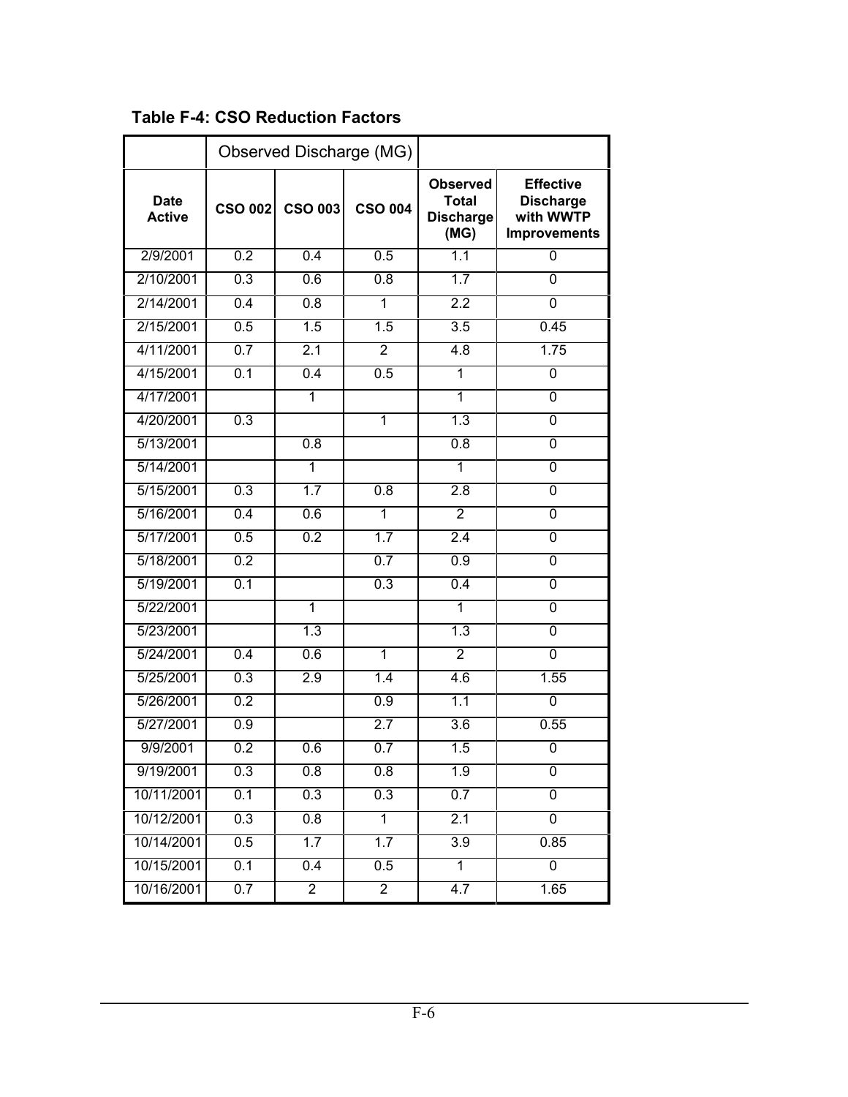|                              |                  |                  | Observed Discharge (MG) |                                                             |                                                                          |
|------------------------------|------------------|------------------|-------------------------|-------------------------------------------------------------|--------------------------------------------------------------------------|
| <b>Date</b><br><b>Active</b> | <b>CSO 002</b>   | <b>CSO 003</b>   | <b>CSO 004</b>          | <b>Observed</b><br><b>Total</b><br><b>Discharge</b><br>(MG) | <b>Effective</b><br><b>Discharge</b><br>with WWTP<br><b>Improvements</b> |
| 2/9/2001                     | 0.2              | 0.4              | 0.5                     | 1.1                                                         | 0                                                                        |
| 2/10/2001                    | 0.3              | 0.6              | $\overline{0.8}$        | 1.7                                                         | $\overline{0}$                                                           |
| 2/14/2001                    | $\overline{0.4}$ | $\overline{0.8}$ | 1                       | 2.2                                                         | 0                                                                        |
| 2/15/2001                    | 0.5              | 1.5              | 1.5                     | 3.5                                                         | 0.45                                                                     |
| 4/11/2001                    | 0.7              | 2.1              | $\overline{2}$          | 4.8                                                         | 1.75                                                                     |
| 4/15/2001                    | 0.1              | 0.4              | 0.5                     | $\overline{1}$                                              | 0                                                                        |
| 4/17/2001                    |                  | $\overline{1}$   |                         | 1                                                           | $\overline{0}$                                                           |
| 4/20/2001                    | 0.3              |                  | 1                       | 1.3                                                         | $\overline{0}$                                                           |
| 5/13/2001                    |                  | $\overline{0.8}$ |                         | 0.8                                                         | 0                                                                        |
| 5/14/2001                    |                  | $\overline{1}$   |                         | 1                                                           | 0                                                                        |
| 5/15/2001                    | 0.3              | 1.7              | $\overline{0.8}$        | 2.8                                                         | $\overline{0}$                                                           |
| 5/16/2001                    | 0.4              | 0.6              | $\overline{1}$          | $\overline{2}$                                              | $\overline{0}$                                                           |
| 5/17/2001                    | 0.5              | 0.2              | 1.7                     | 2.4                                                         | $\overline{0}$                                                           |
| 5/18/2001                    | 0.2              |                  | 0.7                     | 0.9                                                         | 0                                                                        |
| 5/19/2001                    | 0.1              |                  | 0.3                     | 0.4                                                         | $\overline{0}$                                                           |
| 5/22/2001                    |                  | 1                |                         | 1                                                           | $\overline{0}$                                                           |
| 5/23/2001                    |                  | 1.3              |                         | 1.3                                                         | $\overline{0}$                                                           |
| 5/24/2001                    | $\overline{0.4}$ | 0.6              | $\overline{1}$          | $\overline{2}$                                              | $\overline{0}$                                                           |
| 5/25/2001                    | 0.3              | 2.9              | 1.4                     | 4.6                                                         | 1.55                                                                     |
| 5/26/2001                    | 0.2              |                  | 0.9                     | 1.1                                                         | 0                                                                        |
| 5/27/2001                    | 0.9              |                  | 2.7                     | 3.6                                                         | 0.55                                                                     |
| 9/9/2001                     | 0.2              | 0.6              | 0.7                     | 1.5                                                         | 0                                                                        |
| 9/19/2001                    | 0.3              | 0.8              | 0.8                     | 1.9                                                         | $\overline{0}$                                                           |
| 10/11/2001                   | 0.1              | 0.3              | 0.3                     | 0.7                                                         | $\overline{0}$                                                           |
| 10/12/2001                   | 0.3              | 0.8              | 1                       | 2.1                                                         | $\overline{0}$                                                           |
| 10/14/2001                   | 0.5              | 1.7              | 1.7                     | 3.9                                                         | 0.85                                                                     |
| 10/15/2001                   | 0.1              | 0.4              | 0.5                     | $\overline{1}$                                              | $\overline{0}$                                                           |
| 10/16/2001                   | 0.7              | $\overline{2}$   | $\overline{2}$          | 4.7                                                         | 1.65                                                                     |

**Table F-4: CSO Reduction Factors**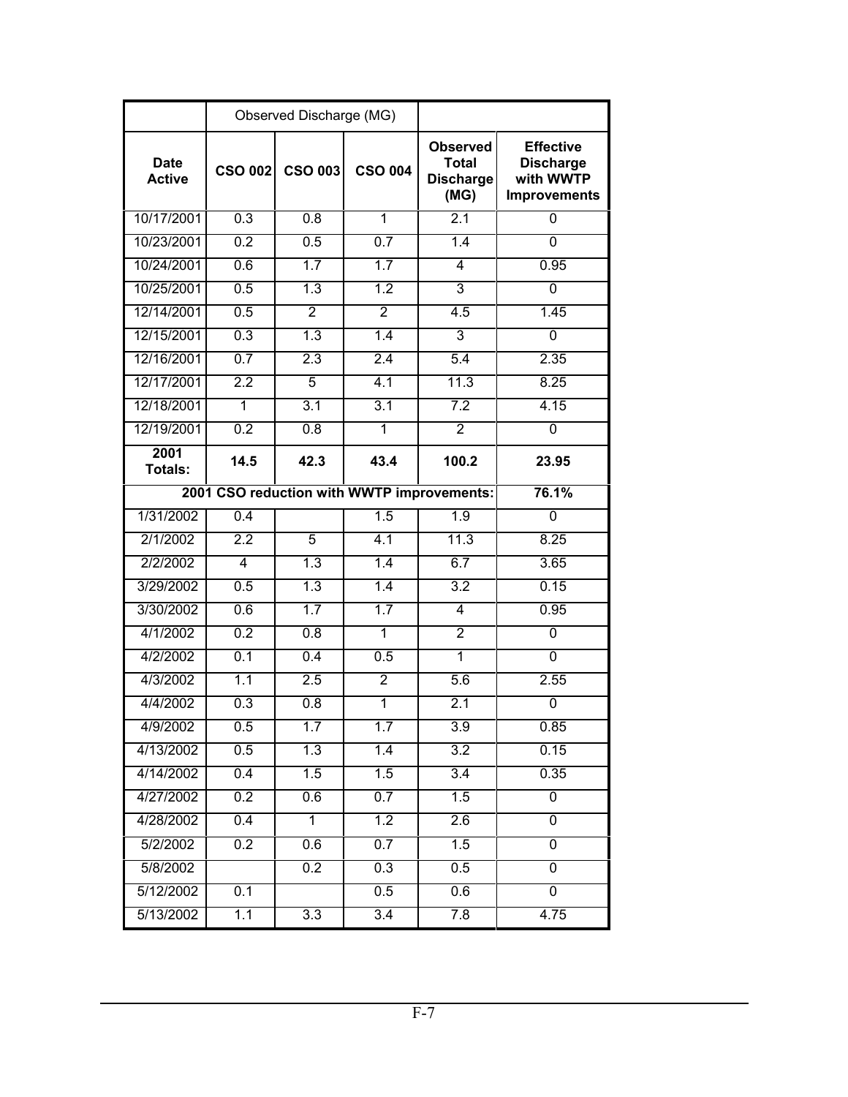|                              |                  | Observed Discharge (MG) |                  |                                                             |                                                                          |
|------------------------------|------------------|-------------------------|------------------|-------------------------------------------------------------|--------------------------------------------------------------------------|
| <b>Date</b><br><b>Active</b> | <b>CSO 002</b>   | <b>CSO 003</b>          | <b>CSO 004</b>   | <b>Observed</b><br><b>Total</b><br><b>Discharge</b><br>(MG) | <b>Effective</b><br><b>Discharge</b><br>with WWTP<br><b>Improvements</b> |
| 10/17/2001                   | 0.3              | 0.8                     | $\overline{1}$   | $\overline{2.1}$                                            | $\Omega$                                                                 |
| 10/23/2001                   | 0.2              | 0.5                     | 0.7              | 1.4                                                         | 0                                                                        |
| 10/24/2001                   | 0.6              | 1.7                     | 1.7              | 4                                                           | 0.95                                                                     |
| 10/25/2001                   | 0.5              | $\overline{1.3}$        | $\overline{1.2}$ | 3                                                           | 0                                                                        |
| 12/14/2001                   | 0.5              | $\overline{2}$          | $\overline{2}$   | 4.5                                                         | 1.45                                                                     |
| 12/15/2001                   | 0.3              | 1.3                     | $\overline{1.4}$ | 3                                                           | 0                                                                        |
| 12/16/2001                   | 0.7              | 2.3                     | 2.4              | 5.4                                                         | 2.35                                                                     |
| 12/17/2001                   | 2.2              | $\overline{5}$          | 4.1              | 11.3                                                        | 8.25                                                                     |
| 12/18/2001                   | 1                | $\overline{3.1}$        | 3.1              | 7.2                                                         | 4.15                                                                     |
| 12/19/2001                   | 0.2              | 0.8                     | 1                | $\overline{2}$                                              | 0                                                                        |
| 2001<br>Totals:              | 14.5             | 42.3                    | 43.4             | 100.2                                                       | 23.95                                                                    |
|                              |                  |                         |                  | 2001 CSO reduction with WWTP improvements:                  | 76.1%                                                                    |
| 1/31/2002                    | 0.4              |                         | 1.5              | 1.9                                                         | $\Omega$                                                                 |
| 2/1/2002                     | 2.2              | 5                       | 4.1              | 11.3                                                        | 8.25                                                                     |
| 2/2/2002                     | 4                | 1.3                     | 1.4              | 6.7                                                         | 3.65                                                                     |
| 3/29/2002                    | 0.5              | 1.3                     | 1.4              | 3.2                                                         | 0.15                                                                     |
| 3/30/2002                    | 0.6              | 1.7                     | 1.7              | 4                                                           | 0.95                                                                     |
| 4/1/2002                     | 0.2              | 0.8                     | $\overline{1}$   | $\overline{2}$                                              | $\Omega$                                                                 |
| 4/2/2002                     | $\overline{0.1}$ | 0.4                     | 0.5              | 1                                                           | 0                                                                        |
| 4/3/2002                     | 1.1              | 2.5                     | $\overline{2}$   | 5.6                                                         | 2.55                                                                     |
| 4/4/2002                     | 0.3              | 0.8                     | 1                | 2.1                                                         | 0                                                                        |
| 4/9/2002                     | $0.5\,$          | 1.7                     | 1.7              | 3.9                                                         | 0.85                                                                     |
| 4/13/2002                    | 0.5              | 1.3                     | 1.4              | $\overline{3.2}$                                            | 0.15                                                                     |
| 4/14/2002                    | 0.4              | 1.5                     | 1.5              | 3.4                                                         | 0.35                                                                     |
| 4/27/2002                    | 0.2              | 0.6                     | 0.7              | 1.5                                                         | 0                                                                        |
| 4/28/2002                    | 0.4              | $\overline{1}$          | 1.2              | 2.6                                                         | $\overline{0}$                                                           |
| 5/2/2002                     | 0.2              | 0.6                     | 0.7              | 1.5                                                         | $\overline{0}$                                                           |
| 5/8/2002                     |                  | 0.2                     | 0.3              | 0.5                                                         | $\overline{0}$                                                           |
| 5/12/2002                    | 0.1              |                         | 0.5              | 0.6                                                         | $\overline{0}$                                                           |
| 5/13/2002                    | 1.1              | $\overline{3.3}$        | 3.4              | 7.8                                                         | 4.75                                                                     |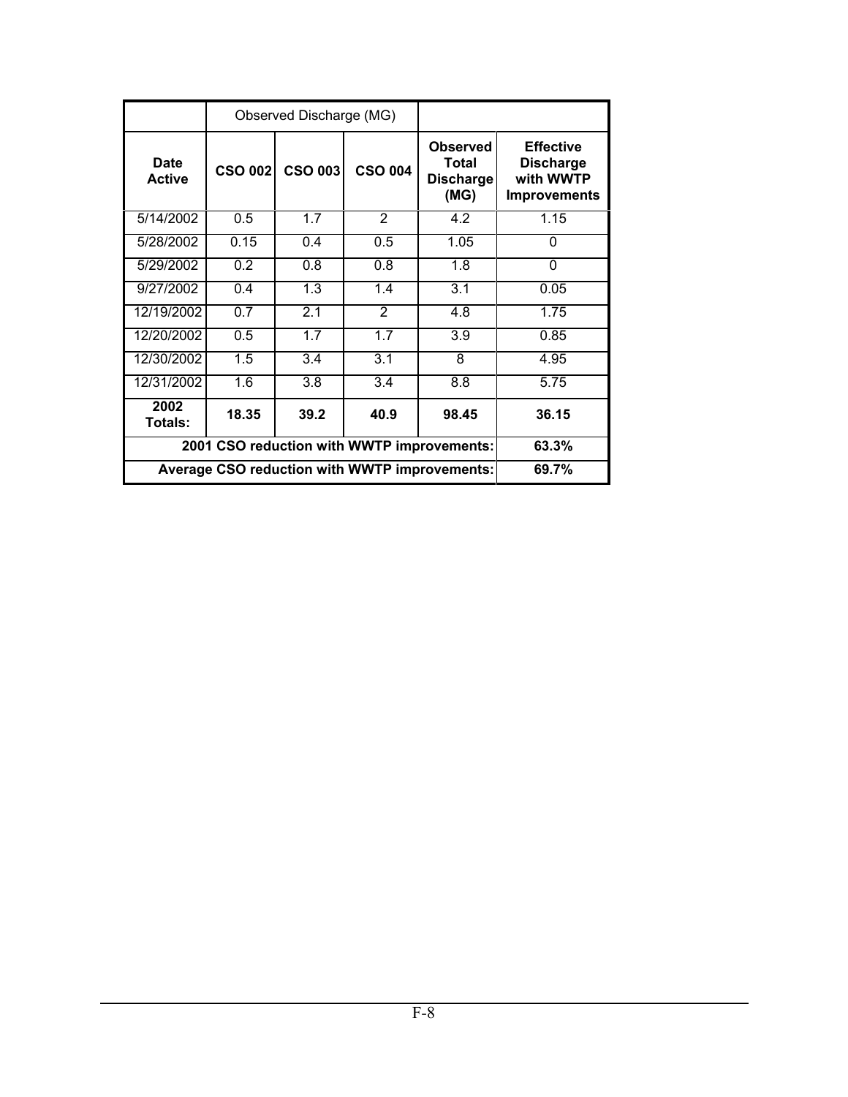|                                                      |                | Observed Discharge (MG) |                                                       |                  |                                                                          |
|------------------------------------------------------|----------------|-------------------------|-------------------------------------------------------|------------------|--------------------------------------------------------------------------|
| <b>Date</b><br><b>Active</b>                         | <b>CSO 002</b> | <b>CSO 003</b>          | <b>Observed</b><br><b>CSO 004</b><br><b>Discharge</b> |                  | <b>Effective</b><br><b>Discharge</b><br>with WWTP<br><b>Improvements</b> |
| 5/14/2002                                            | 0.5            | 1.7                     | 2                                                     | 4.2              | 1.15                                                                     |
| 5/28/2002                                            | 0.15           | 0.4                     | 0.5                                                   | 1.05             | 0                                                                        |
| 5/29/2002                                            | 0.2            | 0.8                     | 0.8                                                   | 1.8              | 0                                                                        |
| 9/27/2002                                            | 0.4            | 1.3                     | 1.4                                                   | 3.1              | 0.05                                                                     |
| 12/19/2002                                           | 0.7            | 2.1                     | $\mathcal{P}$                                         | 4.8              | 1.75                                                                     |
| 12/20/2002                                           | 0.5            | 1.7                     | 1.7                                                   | $\overline{3.9}$ | 0.85                                                                     |
| 12/30/2002                                           | 1.5            | 3.4                     | 3.1                                                   | 8                | 4.95                                                                     |
| 12/31/2002                                           | 1.6            | 3.8                     | $\overline{3.4}$                                      | 8.8              | 5.75                                                                     |
| 2002<br>Totals:                                      | 18.35          | 39.2                    | 40.9                                                  | 98.45            | 36.15                                                                    |
| 2001 CSO reduction with WWTP improvements:           | 63.3%          |                         |                                                       |                  |                                                                          |
| <b>Average CSO reduction with WWTP improvements:</b> | 69.7%          |                         |                                                       |                  |                                                                          |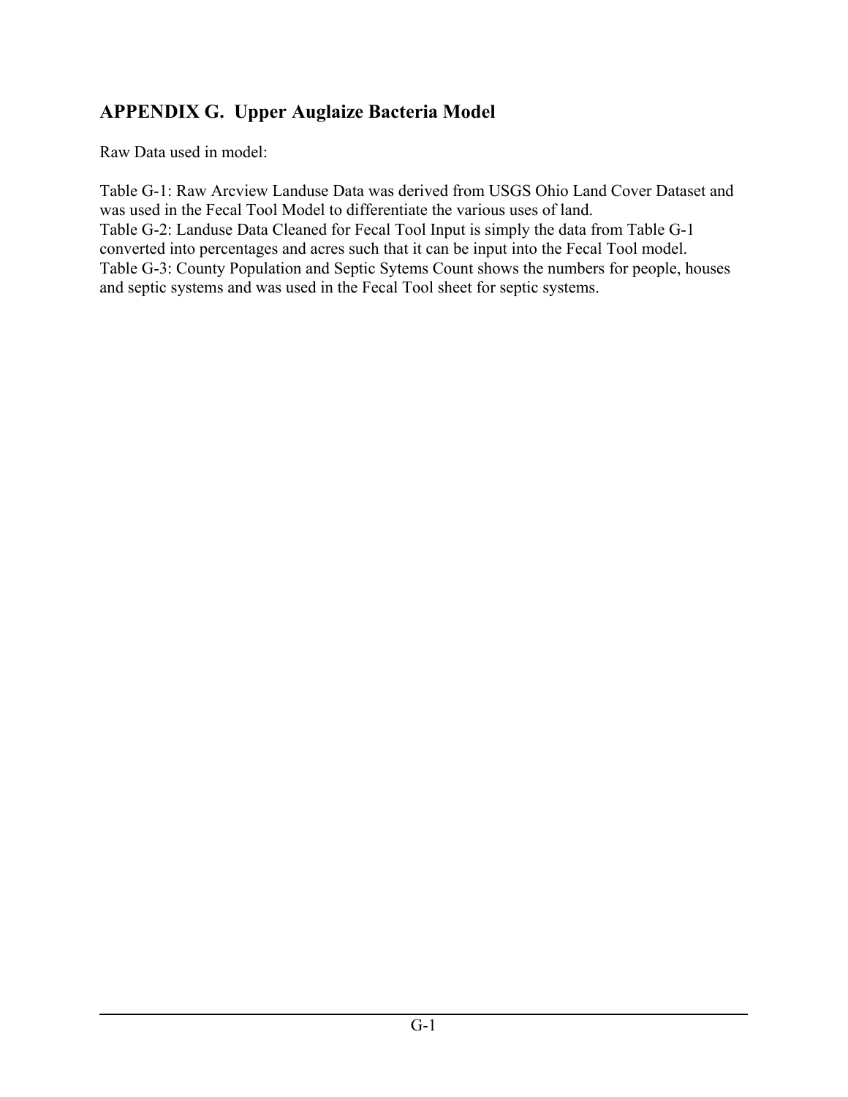### **APPENDIX G. Upper Auglaize Bacteria Model**

Raw Data used in model:

Table G-1: Raw Arcview Landuse Data was derived from USGS Ohio Land Cover Dataset and was used in the Fecal Tool Model to differentiate the various uses of land. Table G-2: Landuse Data Cleaned for Fecal Tool Input is simply the data from Table G-1 converted into percentages and acres such that it can be input into the Fecal Tool model. Table G-3: County Population and Septic Sytems Count shows the numbers for people, houses and septic systems and was used in the Fecal Tool sheet for septic systems.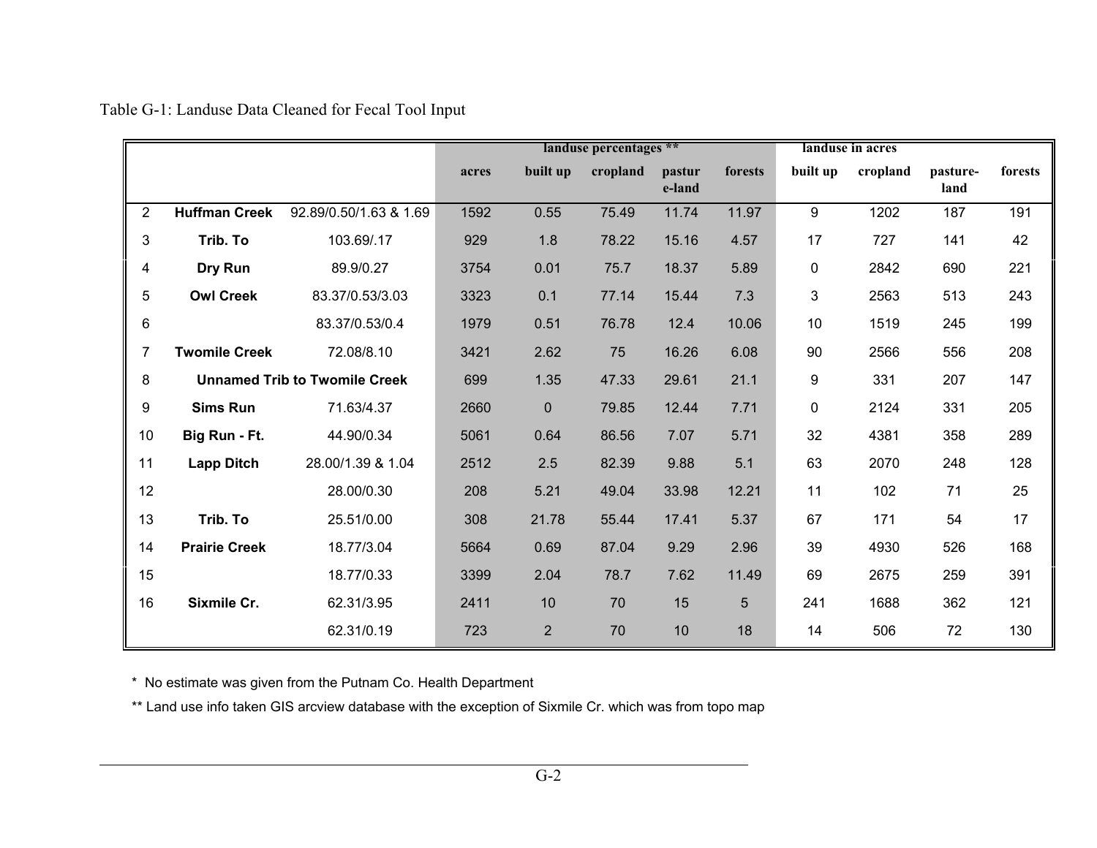|                           |                                      |                        |       |                | landuse percentages ** |                  |         |          | landuse in acres |                  |         |
|---------------------------|--------------------------------------|------------------------|-------|----------------|------------------------|------------------|---------|----------|------------------|------------------|---------|
|                           |                                      |                        | acres | built up       | cropland               | pastur<br>e-land | forests | built up | cropland         | pasture-<br>land | forests |
| $\overline{2}$            | <b>Huffman Creek</b>                 | 92.89/0.50/1.63 & 1.69 | 1592  | 0.55           | 75.49                  | 11.74            | 11.97   | 9        | 1202             | 187              | 191     |
| $\ensuremath{\mathsf{3}}$ | Trib. To                             | 103.69/.17             | 929   | 1.8            | 78.22                  | 15.16            | 4.57    | 17       | 727              | 141              | 42      |
| 4                         | Dry Run                              | 89.9/0.27              | 3754  | 0.01           | 75.7                   | 18.37            | 5.89    | 0        | 2842             | 690              | 221     |
| 5                         | <b>Owl Creek</b>                     | 83.37/0.53/3.03        | 3323  | 0.1            | 77.14                  | 15.44            | 7.3     | 3        | 2563             | 513              | 243     |
| 6                         |                                      | 83.37/0.53/0.4         | 1979  | 0.51           | 76.78                  | 12.4             | 10.06   | 10       | 1519             | 245              | 199     |
| $\overline{7}$            | <b>Twomile Creek</b>                 | 72.08/8.10             | 3421  | 2.62           | 75                     | 16.26            | 6.08    | 90       | 2566             | 556              | 208     |
| 8                         | <b>Unnamed Trib to Twomile Creek</b> |                        |       | 1.35           | 47.33                  | 29.61            | 21.1    | 9        | 331              | 207              | 147     |
| 9                         | <b>Sims Run</b>                      | 71.63/4.37             | 2660  | $\mathbf 0$    | 79.85                  | 12.44            | 7.71    | 0        | 2124             | 331              | 205     |
| 10                        | Big Run - Ft.                        | 44.90/0.34             | 5061  | 0.64           | 86.56                  | 7.07             | 5.71    | 32       | 4381             | 358              | 289     |
| 11                        | <b>Lapp Ditch</b>                    | 28.00/1.39 & 1.04      | 2512  | 2.5            | 82.39                  | 9.88             | 5.1     | 63       | 2070             | 248              | 128     |
| 12                        |                                      | 28.00/0.30             | 208   | 5.21           | 49.04                  | 33.98            | 12.21   | 11       | 102              | 71               | 25      |
| 13                        | Trib. To                             | 25.51/0.00             | 308   | 21.78          | 55.44                  | 17.41            | 5.37    | 67       | 171              | 54               | 17      |
| 14                        | <b>Prairie Creek</b>                 | 18.77/3.04             | 5664  | 0.69           | 87.04                  | 9.29             | 2.96    | 39       | 4930             | 526              | 168     |
| 15                        |                                      | 18.77/0.33             | 3399  | 2.04           | 78.7                   | 7.62             | 11.49   | 69       | 2675             | 259              | 391     |
| 16                        | Sixmile Cr.                          | 62.31/3.95             | 2411  | 10             | 70                     | 15               | 5       | 241      | 1688             | 362              | 121     |
|                           |                                      | 62.31/0.19             | 723   | $\overline{2}$ | 70                     | 10               | 18      | 14       | 506              | 72               | 130     |

Table G-1: Landuse Data Cleaned for Fecal Tool Input

\* No estimate was given from the Putnam Co. Health Department

\*\* Land use info taken GIS arcview database with the exception of Sixmile Cr. which was from topo map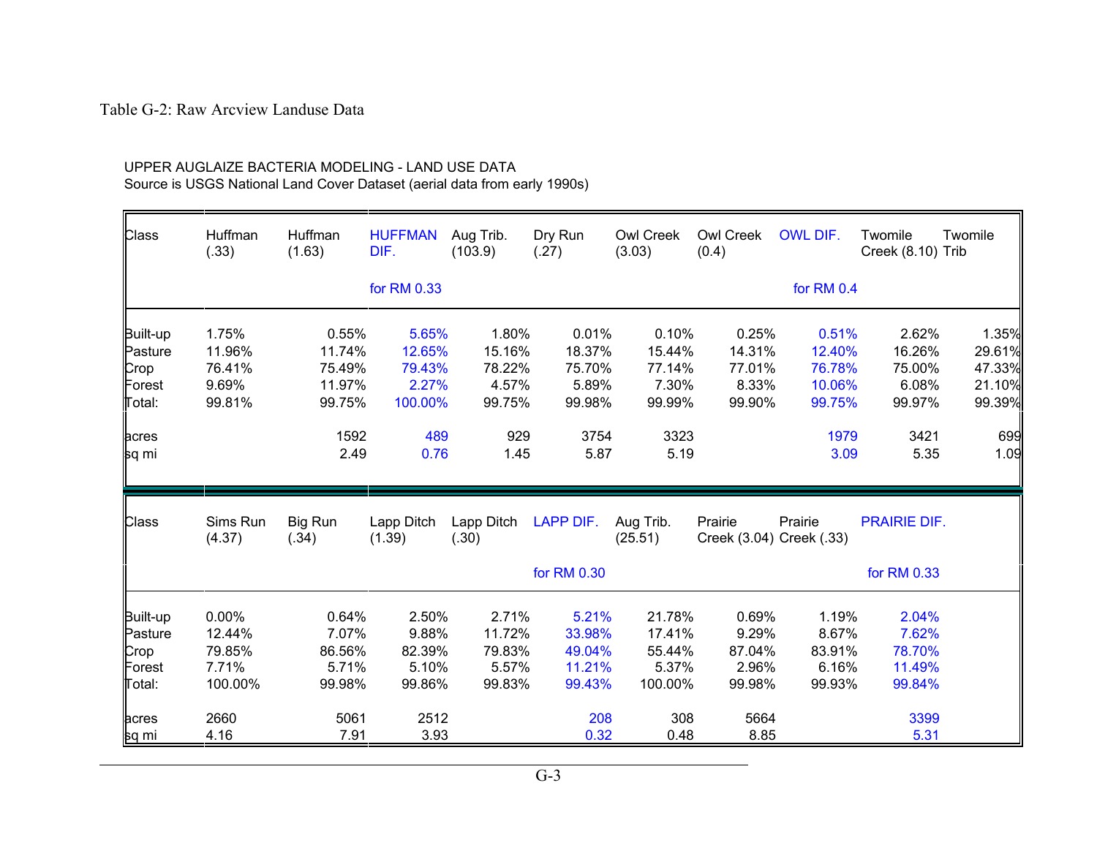#### Table G-2: Raw Arcview Landuse Data

| Class                                           | Huffman<br>(.33)                              | Huffman<br>(1.63)                             | <b>HUFFMAN</b><br>DIF.                        | Aug Trib.<br>(103.9)                         | Dry Run<br>(.27)                              | Owl Creek<br>(3.03)                            | Owl Creek<br>(0.4)                           | OWL DIF.                                      | Twomile<br>Creek (8.10) Trib                 | Twomile                                       |
|-------------------------------------------------|-----------------------------------------------|-----------------------------------------------|-----------------------------------------------|----------------------------------------------|-----------------------------------------------|------------------------------------------------|----------------------------------------------|-----------------------------------------------|----------------------------------------------|-----------------------------------------------|
|                                                 |                                               |                                               | for RM 0.33                                   |                                              |                                               |                                                |                                              | for RM 0.4                                    |                                              |                                               |
| Built-up<br>Pasture<br>Crop<br>Forest<br>Total: | 1.75%<br>11.96%<br>76.41%<br>9.69%<br>99.81%  | 0.55%<br>11.74%<br>75.49%<br>11.97%<br>99.75% | 5.65%<br>12.65%<br>79.43%<br>2.27%<br>100.00% | 1.80%<br>15.16%<br>78.22%<br>4.57%<br>99.75% | 0.01%<br>18.37%<br>75.70%<br>5.89%<br>99.98%  | 0.10%<br>15.44%<br>77.14%<br>7.30%<br>99.99%   | 0.25%<br>14.31%<br>77.01%<br>8.33%<br>99.90% | 0.51%<br>12.40%<br>76.78%<br>10.06%<br>99.75% | 2.62%<br>16.26%<br>75.00%<br>6.08%<br>99.97% | 1.35%<br>29.61%<br>47.33%<br>21.10%<br>99.39% |
| acres<br>sq mi                                  |                                               | 1592<br>2.49                                  | 489<br>0.76                                   | 929<br>1.45                                  | 3754<br>5.87                                  | 3323<br>5.19                                   |                                              | 1979<br>3.09                                  | 3421<br>5.35                                 | 699<br>1.09                                   |
| Class                                           | Sims Run<br>(4.37)                            | Big Run<br>(.34)                              | Lapp Ditch<br>(1.39)                          | Lapp Ditch<br>(.30)                          | LAPP DIF.                                     | Aug Trib.<br>(25.51)                           | Prairie<br>Creek (3.04) Creek (.33)          | Prairie                                       | <b>PRAIRIE DIF.</b>                          |                                               |
|                                                 |                                               |                                               |                                               |                                              | for RM 0.30                                   |                                                |                                              |                                               | for RM 0.33                                  |                                               |
| Built-up<br>Pasture<br>Crop<br>Forest<br>Total: | 0.00%<br>12.44%<br>79.85%<br>7.71%<br>100.00% | 0.64%<br>7.07%<br>86.56%<br>5.71%<br>99.98%   | 2.50%<br>9.88%<br>82.39%<br>5.10%<br>99.86%   | 2.71%<br>11.72%<br>79.83%<br>5.57%<br>99.83% | 5.21%<br>33.98%<br>49.04%<br>11.21%<br>99.43% | 21.78%<br>17.41%<br>55.44%<br>5.37%<br>100.00% | 0.69%<br>9.29%<br>87.04%<br>2.96%<br>99.98%  | 1.19%<br>8.67%<br>83.91%<br>6.16%<br>99.93%   | 2.04%<br>7.62%<br>78.70%<br>11.49%<br>99.84% |                                               |
| acres<br>sq mi                                  | 2660<br>4.16                                  | 5061<br>7.91                                  | 2512<br>3.93                                  |                                              | 208<br>0.32                                   | 308<br>0.48                                    | 5664<br>8.85                                 |                                               | 3399<br>5.31                                 |                                               |

#### UPPER AUGLAIZE BACTERIA MODELING - LAND USE DATA Source is USGS National Land Cover Dataset (aerial data from early 1990s)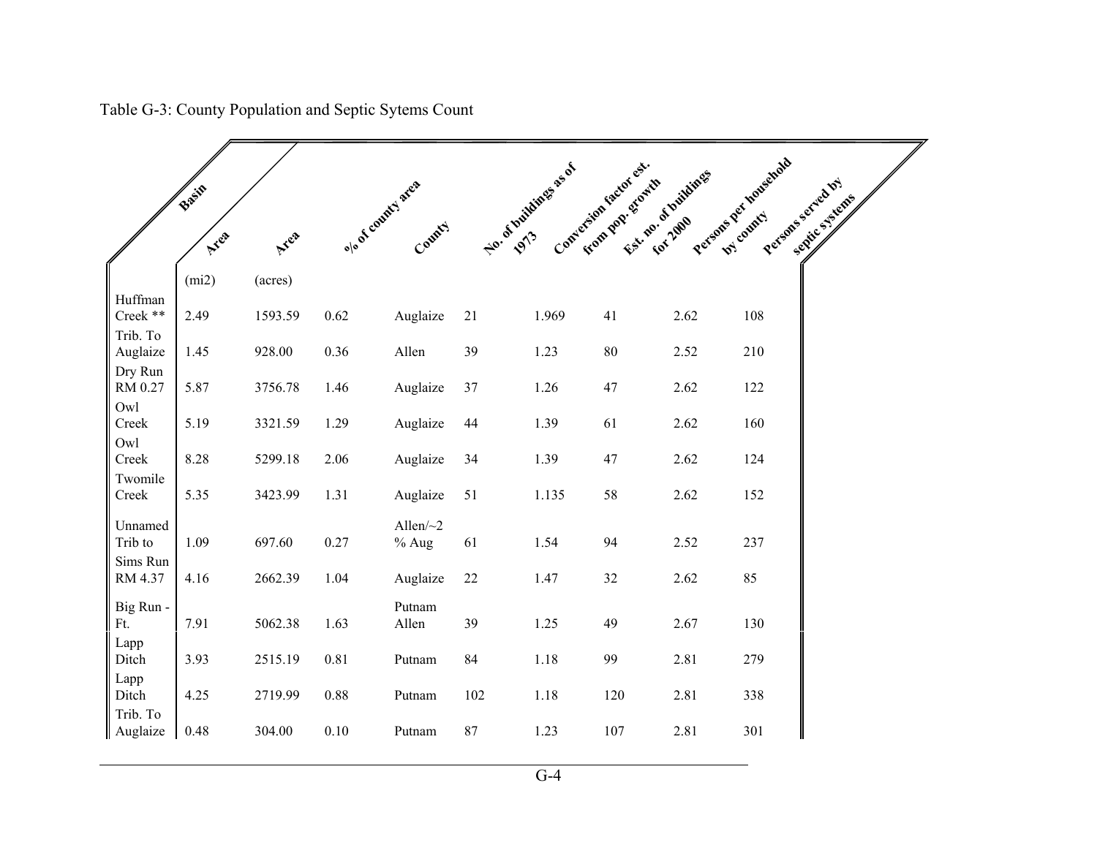|                      | Basin |         |                    |                           |     | No. of buildings as of | Conversion factor est. | Est. no. of huildings | Persons Der Household               |
|----------------------|-------|---------|--------------------|---------------------------|-----|------------------------|------------------------|-----------------------|-------------------------------------|
|                      | Area  | Area    | olo of county area | County                    |     |                        | From Day, Storth       |                       | Persons sorveilly<br>Septie Systems |
|                      | (mi2) | (acres) |                    |                           |     |                        |                        |                       |                                     |
| Huffman<br>Creek **  | 2.49  | 1593.59 | 0.62               | Auglaize                  | 21  | 1.969                  | 41                     | 2.62                  | 108                                 |
| Trib. To<br>Auglaize | 1.45  | 928.00  | 0.36               | Allen                     | 39  | 1.23                   | 80                     | 2.52                  | 210                                 |
| Dry Run<br>RM 0.27   | 5.87  | 3756.78 | 1.46               | Auglaize                  | 37  | 1.26                   | 47                     | 2.62                  | 122                                 |
| Owl<br>Creek         | 5.19  | 3321.59 | 1.29               | Auglaize                  | 44  | 1.39                   | 61                     | 2.62                  | 160                                 |
| Owl                  |       |         |                    |                           |     |                        |                        |                       |                                     |
| Creek                | 8.28  | 5299.18 | 2.06               | Auglaize                  | 34  | 1.39                   | 47                     | 2.62                  | 124                                 |
| Twomile<br>Creek     | 5.35  | 3423.99 | 1.31               | Auglaize                  | 51  | 1.135                  | 58                     | 2.62                  | 152                                 |
| Unnamed<br>Trib to   | 1.09  | 697.60  | 0.27               | Allen $\sim$ 2<br>$%$ Aug | 61  | 1.54                   | 94                     | 2.52                  | 237                                 |
| Sims Run<br>RM 4.37  | 4.16  | 2662.39 | 1.04               | Auglaize                  | 22  | 1.47                   | 32                     | 2.62                  | 85                                  |
| Big Run -<br>Ft.     | 7.91  | 5062.38 | 1.63               | Putnam<br>Allen           | 39  | 1.25                   | 49                     | 2.67                  | 130                                 |
| Lapp<br>Ditch        | 3.93  | 2515.19 | 0.81               | Putnam                    | 84  | 1.18                   | 99                     | 2.81                  | 279                                 |
| Lapp<br>Ditch        | 4.25  | 2719.99 | 0.88               | Putnam                    | 102 | 1.18                   | 120                    | 2.81                  | 338                                 |
| Trib. To<br>Auglaize | 0.48  | 304.00  | 0.10               | Putnam                    | 87  | 1.23                   | 107                    | 2.81                  | 301                                 |

Table G-3: County Population and Septic Sytems Count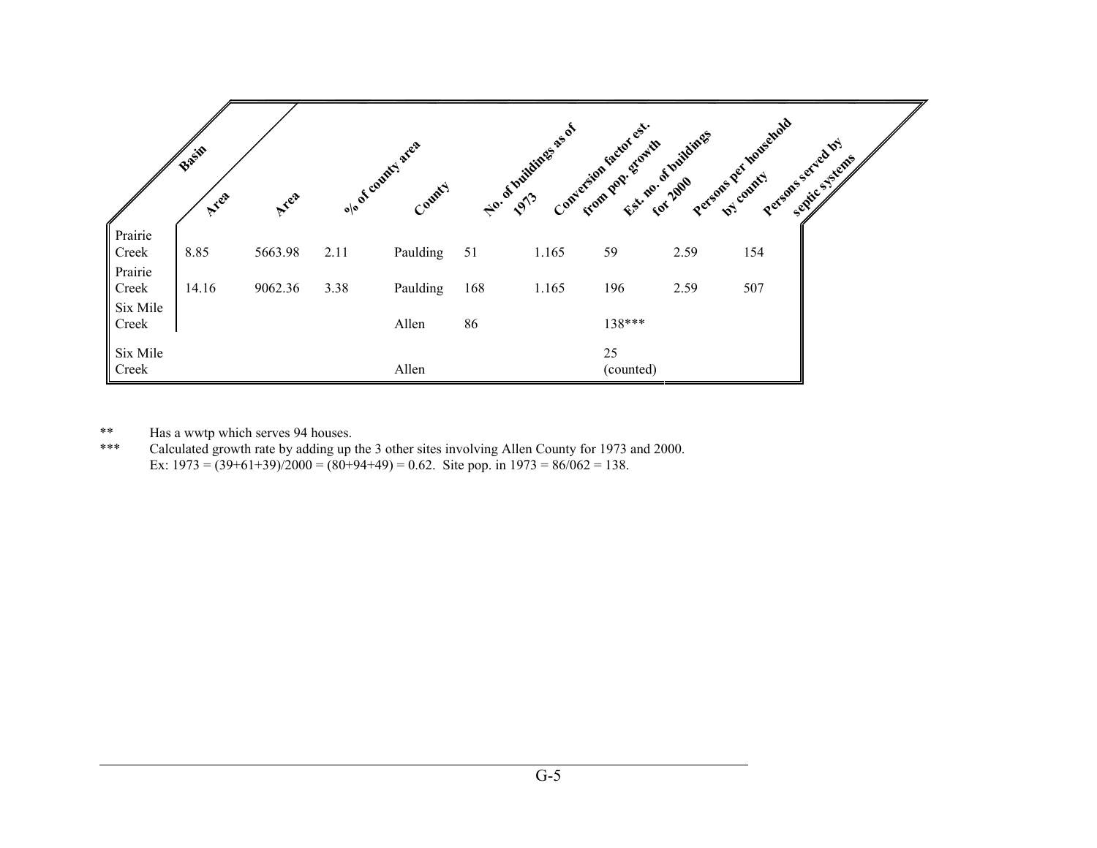|                                       | Basil<br>Ayea | Ayea    |      | olo of country area<br>County |     | No. of Initializes as of |                 | Conversion factor est no. of buildings | Persons per household<br>Persons served by<br>Senite Systems |
|---------------------------------------|---------------|---------|------|-------------------------------|-----|--------------------------|-----------------|----------------------------------------|--------------------------------------------------------------|
| $\int$ Prairie<br>Creek               | 8.85          | 5663.98 | 2.11 | Paulding                      | 51  | 1.165                    | 59              | 2.59                                   | 154                                                          |
| Prairie<br>Creek<br>Six Mile<br>Creek | 14.16         | 9062.36 | 3.38 | Paulding                      | 168 | 1.165                    | 196             | 2.59                                   | 507                                                          |
|                                       |               |         |      | Allen                         | 86  |                          | 138***          |                                        |                                                              |
| Six Mile<br>Creek                     |               |         |      | Allen                         |     |                          | 25<br>(counted) |                                        |                                                              |

\*\* Has a wwtp which serves 94 houses.

\*\*\* Calculated growth rate by adding up the 3 other sites involving Allen County for 1973 and 2000. Ex:  $1973 = (39+61+39)/2000 = (80+94+49) = 0.62$ . Site pop. in  $1973 = 86/062 = 138$ .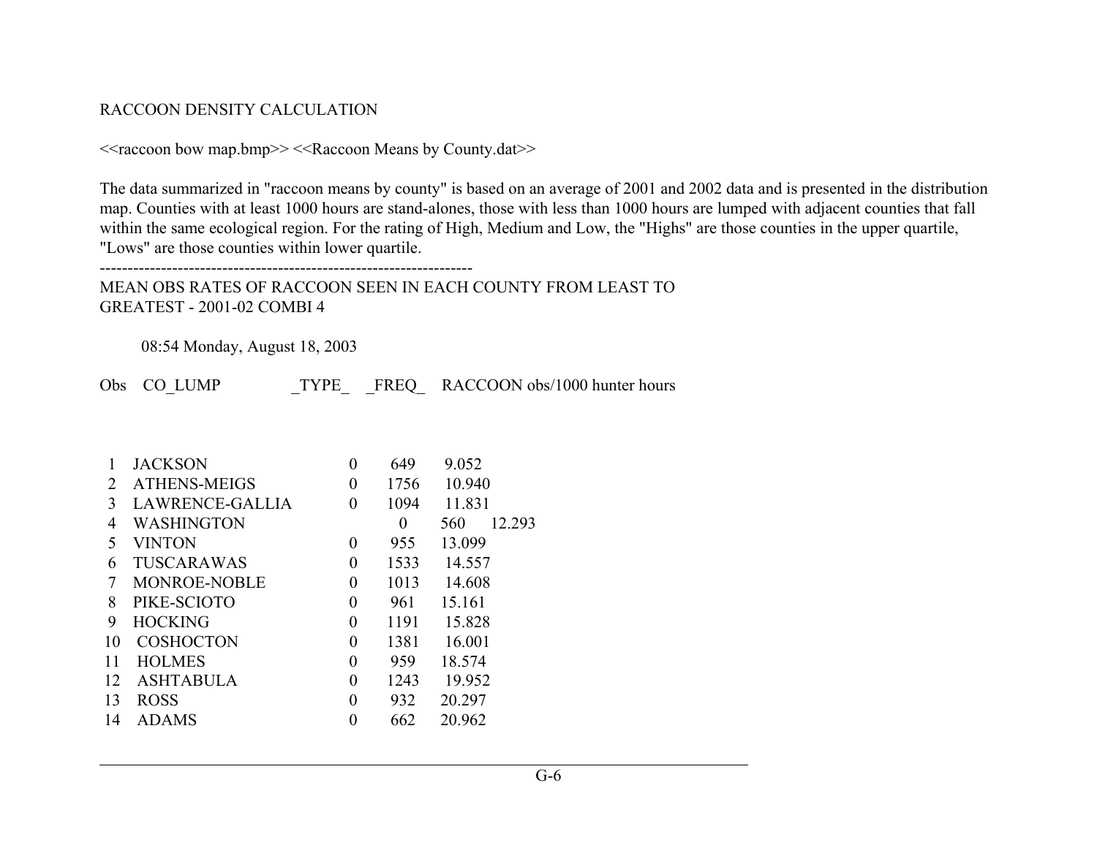### RACCOON DENSITY CALCULATION

```
<<raccoon bow map.bmp>> <<Raccoon Means by County.dat>>
```
The data summarized in "raccoon means by county" is based on an average of 2001 and 2002 data and is presented in the distribution map. Counties with at least 1000 hours are stand-alones, those with less than 1000 hours are lumped with adjacent counties that fall within the same ecological region. For the rating of High, Medium and Low, the "Highs" are those counties in the upper quartile, "Lows" are those counties within lower quartile.

-------------------------------------------------------------------

MEAN OBS RATES OF RACCOON SEEN IN EACH COUNTY FROM LEAST TO GREATEST - 2001-02 COMBI 4

08:54 Monday, August 18, 2003

Obs CO\_LUMP TYPE FREQ RACCOON obs/1000 hunter hours

|    | <b>JACKSON</b>      | 0        | 649  | 9.052         |
|----|---------------------|----------|------|---------------|
| 2  | <b>ATHENS-MEIGS</b> | 0        | 1756 | 10.940        |
| 3  | LAWRENCE-GALLIA     | $\theta$ | 1094 | 11.831        |
| 4  | <b>WASHINGTON</b>   |          | 0    | 12.293<br>560 |
| 5  | <b>VINTON</b>       | 0        | 955  | 13.099        |
| 6  | <b>TUSCARAWAS</b>   | $\theta$ | 1533 | 14.557        |
| 7  | <b>MONROE-NOBLE</b> | 0        | 1013 | 14.608        |
| 8  | PIKE-SCIOTO         | 0        | 961  | 15.161        |
| 9  | <b>HOCKING</b>      | 0        | 1191 | 15.828        |
| 10 | <b>COSHOCTON</b>    | 0        | 1381 | 16.001        |
| 11 | <b>HOLMES</b>       | 0        | 959  | 18.574        |
| 12 | <b>ASHTABULA</b>    | $\Omega$ | 1243 | 19.952        |
| 13 | <b>ROSS</b>         | 0        | 932  | 20.297        |
| 14 | <b>ADAMS</b>        | 0        | 662  | 20.962        |
|    |                     |          |      |               |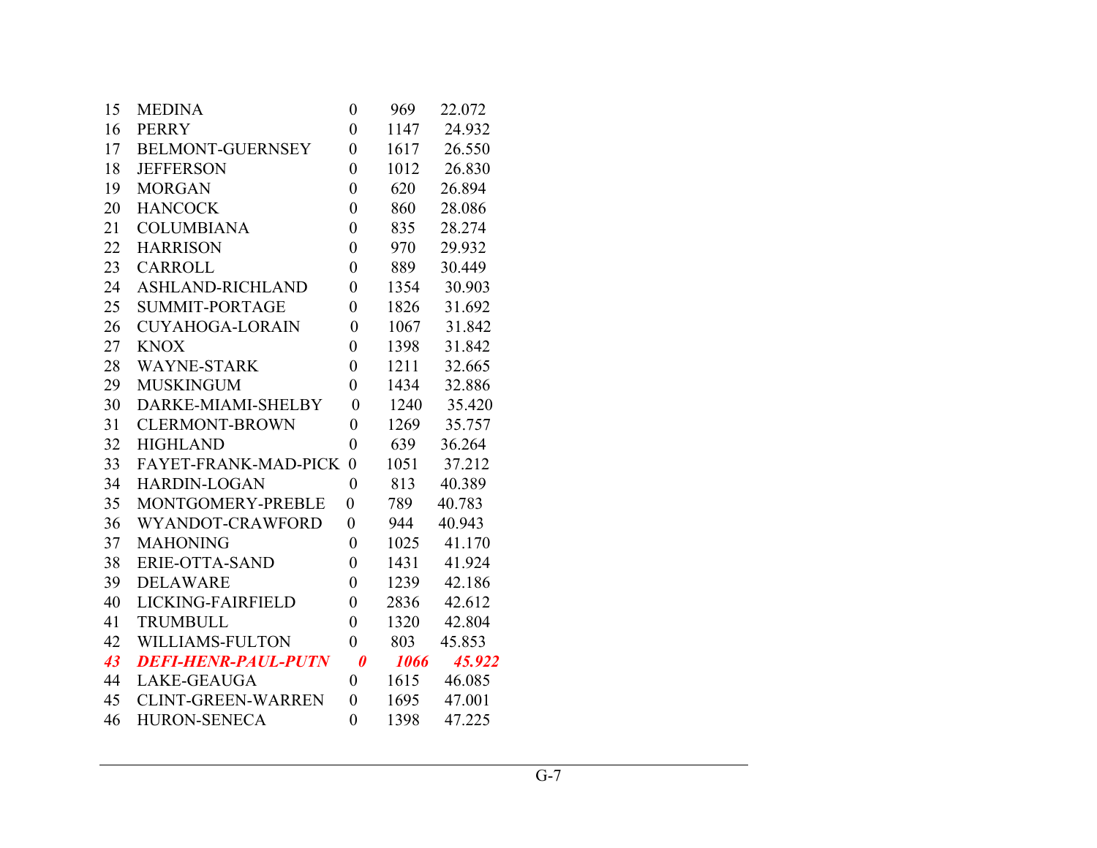| 15 | <b>MEDINA</b>               | 0                     | 969  | 22.072 |
|----|-----------------------------|-----------------------|------|--------|
| 16 | <b>PERRY</b>                | $\boldsymbol{0}$      | 1147 | 24.932 |
| 17 | <b>BELMONT-GUERNSEY</b>     | $\overline{0}$        | 1617 | 26.550 |
| 18 | <b>JEFFERSON</b>            | $\overline{0}$        | 1012 | 26.830 |
| 19 | <b>MORGAN</b>               | $\overline{0}$        | 620  | 26.894 |
| 20 | <b>HANCOCK</b>              | $\boldsymbol{0}$      | 860  | 28.086 |
| 21 | <b>COLUMBIANA</b>           | $\boldsymbol{0}$      | 835  | 28.274 |
| 22 | <b>HARRISON</b>             | $\overline{0}$        | 970  | 29.932 |
| 23 | <b>CARROLL</b>              | $\boldsymbol{0}$      | 889  | 30.449 |
| 24 | <b>ASHLAND-RICHLAND</b>     | $\overline{0}$        | 1354 | 30.903 |
| 25 | <b>SUMMIT-PORTAGE</b>       | $\boldsymbol{0}$      | 1826 | 31.692 |
| 26 | <b>CUYAHOGA-LORAIN</b>      | $\overline{0}$        | 1067 | 31.842 |
| 27 | <b>KNOX</b>                 | $\overline{0}$        | 1398 | 31.842 |
| 28 | <b>WAYNE-STARK</b>          | $\boldsymbol{0}$      | 1211 | 32.665 |
| 29 | <b>MUSKINGUM</b>            | $\overline{0}$        | 1434 | 32.886 |
| 30 | DARKE-MIAMI-SHELBY          | $\overline{0}$        | 1240 | 35.420 |
| 31 | <b>CLERMONT-BROWN</b>       | $\boldsymbol{0}$      | 1269 | 35.757 |
| 32 | <b>HIGHLAND</b>             | $\boldsymbol{0}$      | 639  | 36.264 |
| 33 | <b>FAYET-FRANK-MAD-PICK</b> | $\theta$              | 1051 | 37.212 |
| 34 | <b>HARDIN-LOGAN</b>         | $\overline{0}$        | 813  | 40.389 |
| 35 | MONTGOMERY-PREBLE           | $\overline{0}$        | 789  | 40.783 |
| 36 | WYANDOT-CRAWFORD            | $\overline{0}$        | 944  | 40.943 |
| 37 | <b>MAHONING</b>             | $\overline{0}$        | 1025 | 41.170 |
| 38 | ERIE-OTTA-SAND              | $\overline{0}$        | 1431 | 41.924 |
| 39 | <b>DELAWARE</b>             | $\overline{0}$        | 1239 | 42.186 |
| 40 | LICKING-FAIRFIELD           | $\boldsymbol{0}$      | 2836 | 42.612 |
| 41 | <b>TRUMBULL</b>             | $\overline{0}$        | 1320 | 42.804 |
| 42 | <b>WILLIAMS-FULTON</b>      | $\overline{0}$        | 803  | 45.853 |
| 43 | <b>DEFI-HENR-PAUL-PUTN</b>  | $\boldsymbol{\theta}$ | 1066 | 45.922 |
| 44 | <b>LAKE-GEAUGA</b>          | $\boldsymbol{0}$      | 1615 | 46.085 |
| 45 | <b>CLINT-GREEN-WARREN</b>   | $\overline{0}$        | 1695 | 47.001 |
| 46 | <b>HURON-SENECA</b>         | $\overline{0}$        | 1398 | 47.225 |
|    |                             |                       |      |        |